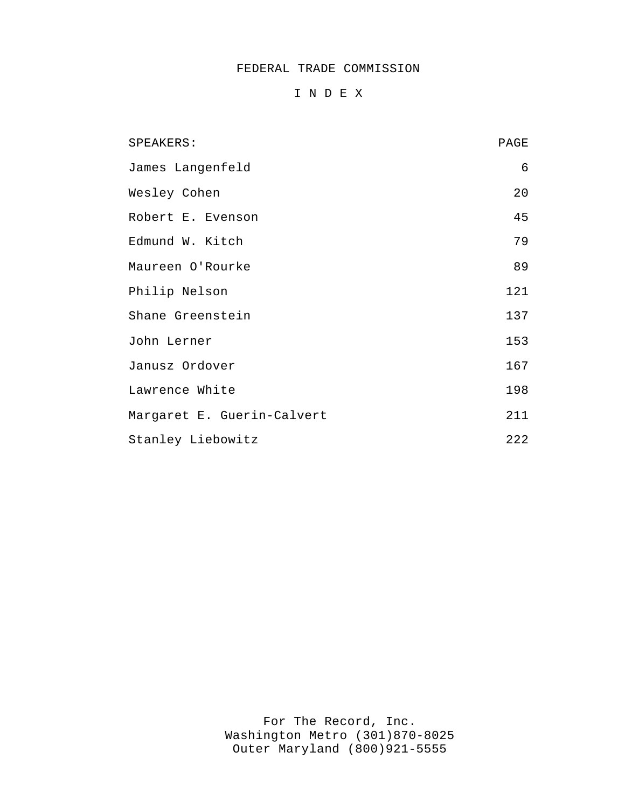## FEDERAL TRADE COMMISSION

## I N D E X

| SPEAKERS:                  | PAGE |
|----------------------------|------|
| James Langenfeld           | 6    |
| Wesley Cohen               | 20   |
| Robert E. Evenson          | 45   |
| Edmund W. Kitch            | 79   |
| Maureen O'Rourke           | 89   |
| Philip Nelson              | 121  |
| Shane Greenstein           | 137  |
| John Lerner                | 153  |
| Janusz Ordover             | 167  |
| Lawrence White             | 198  |
| Margaret E. Guerin-Calvert | 211  |
| Stanley Liebowitz          | 222  |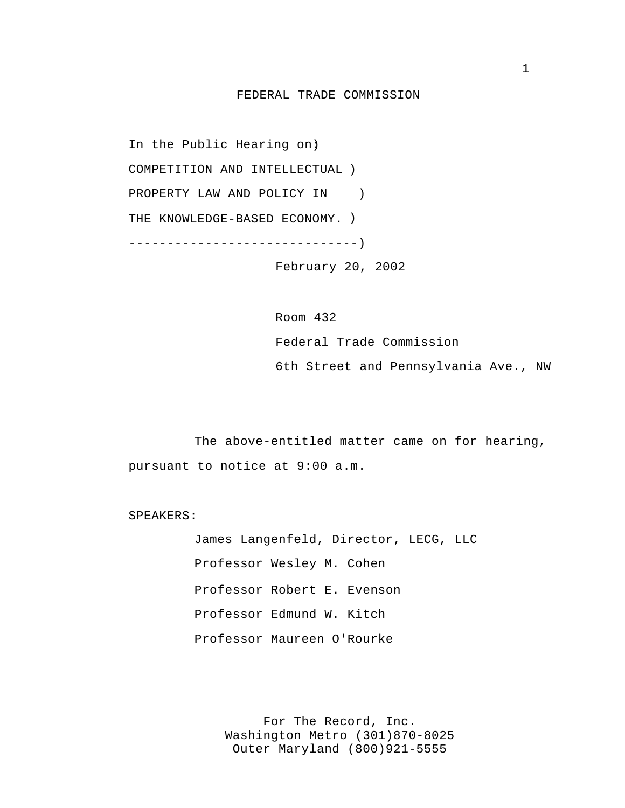## FEDERAL TRADE COMMISSION

In the Public Hearing on) COMPETITION AND INTELLECTUAL ) PROPERTY LAW AND POLICY IN ) THE KNOWLEDGE-BASED ECONOMY. ) ------------------------------)

February 20, 2002

Room 432 Federal Trade Commission 6th Street and Pennsylvania Ave., NW

The above-entitled matter came on for hearing, pursuant to notice at 9:00 a.m.

SPEAKERS:

James Langenfeld, Director, LECG, LLC Professor Wesley M. Cohen Professor Robert E. Evenson Professor Edmund W. Kitch Professor Maureen O'Rourke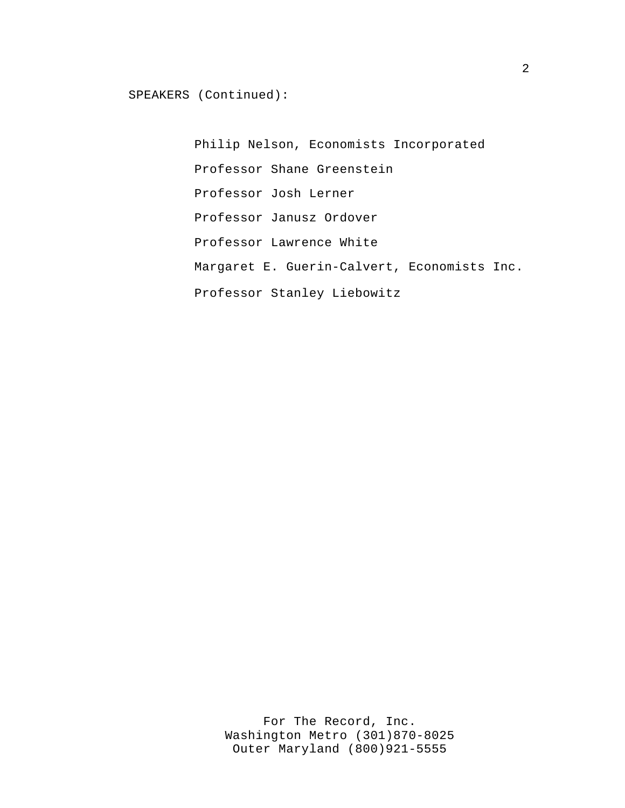Philip Nelson, Economists Incorporated Professor Shane Greenstein Professor Josh Lerner Professor Janusz Ordover Professor Lawrence White Margaret E. Guerin-Calvert, Economists Inc. Professor Stanley Liebowitz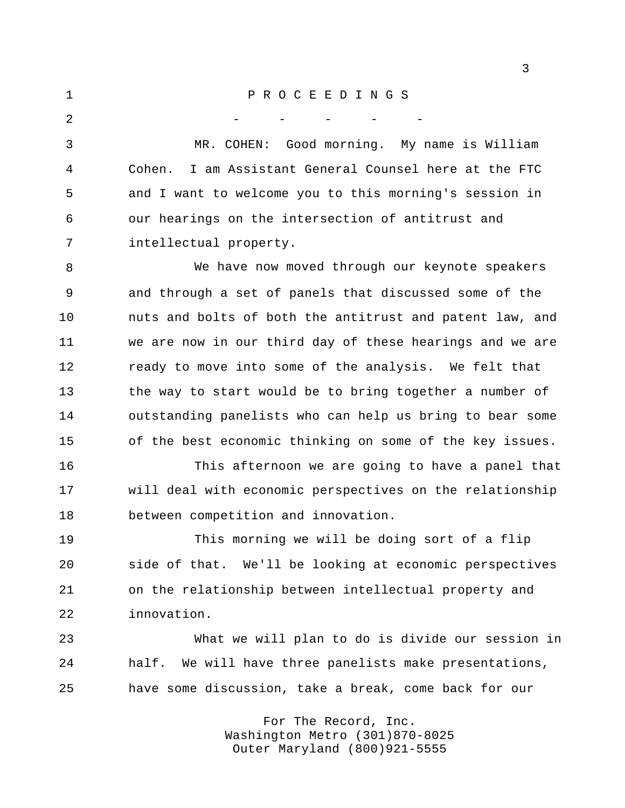P R O C E E D I N G S 2 - - - - - - - - MR. COHEN: Good morning. My name is William Cohen. I am Assistant General Counsel here at the FTC and I want to welcome you to this morning's session in our hearings on the intersection of antitrust and intellectual property.

 We have now moved through our keynote speakers and through a set of panels that discussed some of the nuts and bolts of both the antitrust and patent law, and we are now in our third day of these hearings and we are ready to move into some of the analysis. We felt that the way to start would be to bring together a number of outstanding panelists who can help us bring to bear some of the best economic thinking on some of the key issues.

 This afternoon we are going to have a panel that will deal with economic perspectives on the relationship between competition and innovation.

 This morning we will be doing sort of a flip side of that. We'll be looking at economic perspectives on the relationship between intellectual property and innovation.

 What we will plan to do is divide our session in half. We will have three panelists make presentations, have some discussion, take a break, come back for our

> For The Record, Inc. Washington Metro (301)870-8025 Outer Maryland (800)921-5555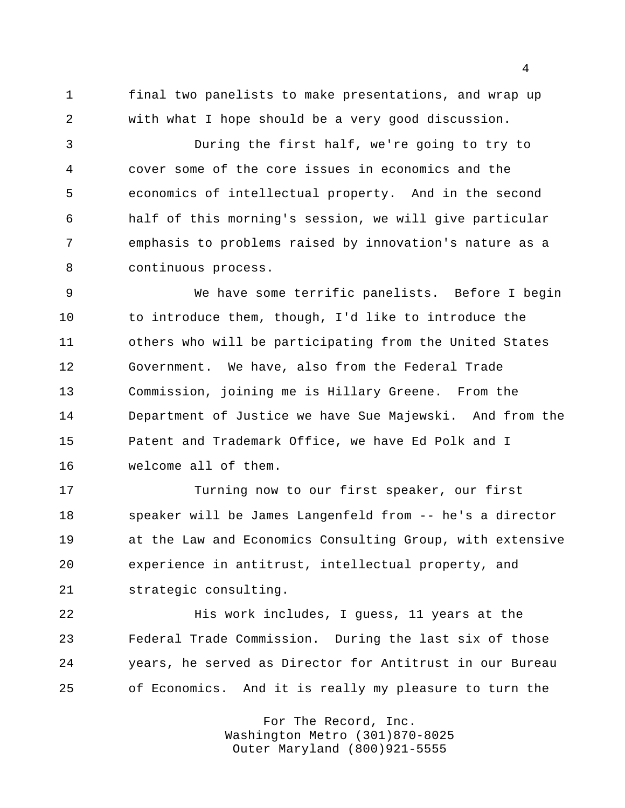final two panelists to make presentations, and wrap up with what I hope should be a very good discussion.

 During the first half, we're going to try to cover some of the core issues in economics and the economics of intellectual property. And in the second half of this morning's session, we will give particular emphasis to problems raised by innovation's nature as a continuous process.

 We have some terrific panelists. Before I begin to introduce them, though, I'd like to introduce the others who will be participating from the United States Government. We have, also from the Federal Trade Commission, joining me is Hillary Greene. From the Department of Justice we have Sue Majewski. And from the Patent and Trademark Office, we have Ed Polk and I welcome all of them.

 Turning now to our first speaker, our first speaker will be James Langenfeld from -- he's a director at the Law and Economics Consulting Group, with extensive experience in antitrust, intellectual property, and strategic consulting.

 His work includes, I guess, 11 years at the Federal Trade Commission. During the last six of those years, he served as Director for Antitrust in our Bureau of Economics. And it is really my pleasure to turn the

> For The Record, Inc. Washington Metro (301)870-8025 Outer Maryland (800)921-5555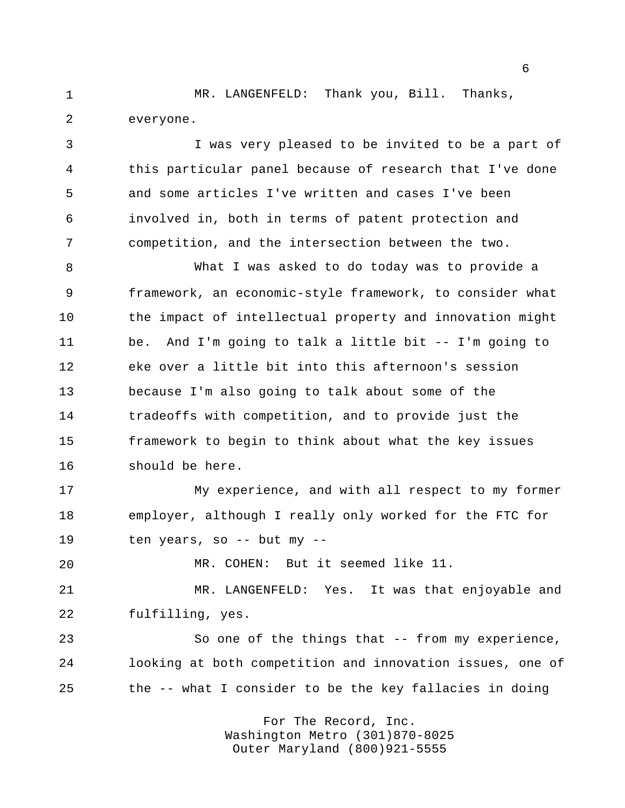MR. LANGENFELD: Thank you, Bill. Thanks, everyone.

 I was very pleased to be invited to be a part of this particular panel because of research that I've done and some articles I've written and cases I've been involved in, both in terms of patent protection and competition, and the intersection between the two.

 What I was asked to do today was to provide a framework, an economic-style framework, to consider what the impact of intellectual property and innovation might be. And I'm going to talk a little bit -- I'm going to eke over a little bit into this afternoon's session because I'm also going to talk about some of the tradeoffs with competition, and to provide just the framework to begin to think about what the key issues should be here.

 My experience, and with all respect to my former employer, although I really only worked for the FTC for ten years, so -- but my --

MR. COHEN: But it seemed like 11.

 MR. LANGENFELD: Yes. It was that enjoyable and fulfilling, yes.

 So one of the things that -- from my experience, looking at both competition and innovation issues, one of the -- what I consider to be the key fallacies in doing

> For The Record, Inc. Washington Metro (301)870-8025 Outer Maryland (800)921-5555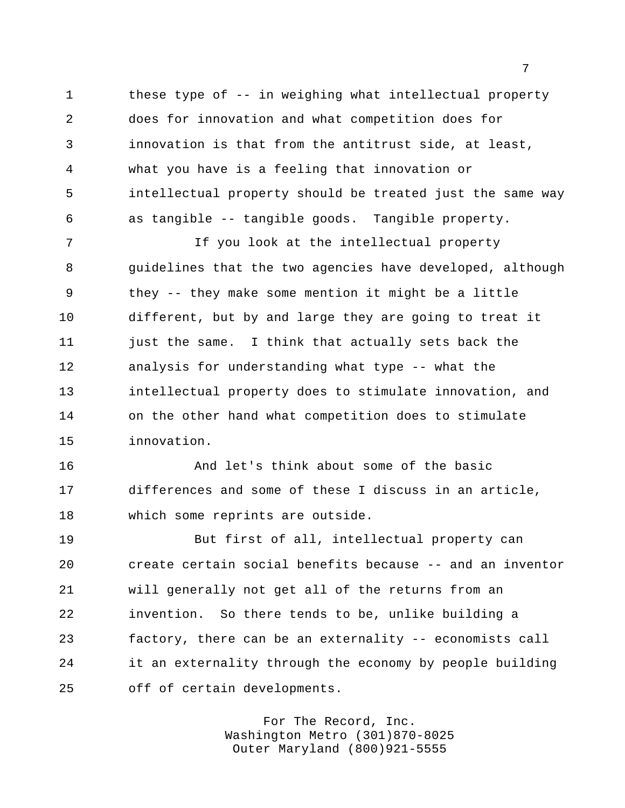these type of -- in weighing what intellectual property does for innovation and what competition does for innovation is that from the antitrust side, at least, what you have is a feeling that innovation or intellectual property should be treated just the same way as tangible -- tangible goods. Tangible property.

 If you look at the intellectual property guidelines that the two agencies have developed, although they -- they make some mention it might be a little different, but by and large they are going to treat it just the same. I think that actually sets back the analysis for understanding what type -- what the intellectual property does to stimulate innovation, and on the other hand what competition does to stimulate innovation.

 And let's think about some of the basic differences and some of these I discuss in an article, which some reprints are outside.

 But first of all, intellectual property can create certain social benefits because -- and an inventor will generally not get all of the returns from an invention. So there tends to be, unlike building a factory, there can be an externality -- economists call it an externality through the economy by people building off of certain developments.

> For The Record, Inc. Washington Metro (301)870-8025 Outer Maryland (800)921-5555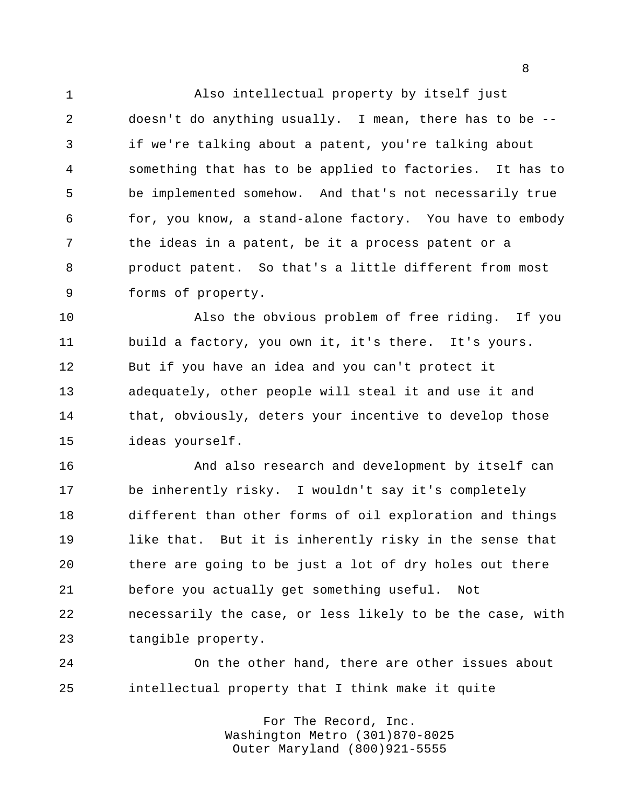Also intellectual property by itself just doesn't do anything usually. I mean, there has to be -- if we're talking about a patent, you're talking about something that has to be applied to factories. It has to be implemented somehow. And that's not necessarily true for, you know, a stand-alone factory. You have to embody the ideas in a patent, be it a process patent or a product patent. So that's a little different from most forms of property.

 Also the obvious problem of free riding. If you build a factory, you own it, it's there. It's yours. But if you have an idea and you can't protect it adequately, other people will steal it and use it and that, obviously, deters your incentive to develop those ideas yourself.

 And also research and development by itself can be inherently risky. I wouldn't say it's completely different than other forms of oil exploration and things 19 like that. But it is inherently risky in the sense that there are going to be just a lot of dry holes out there before you actually get something useful. Not necessarily the case, or less likely to be the case, with tangible property.

 On the other hand, there are other issues about intellectual property that I think make it quite

> For The Record, Inc. Washington Metro (301)870-8025 Outer Maryland (800)921-5555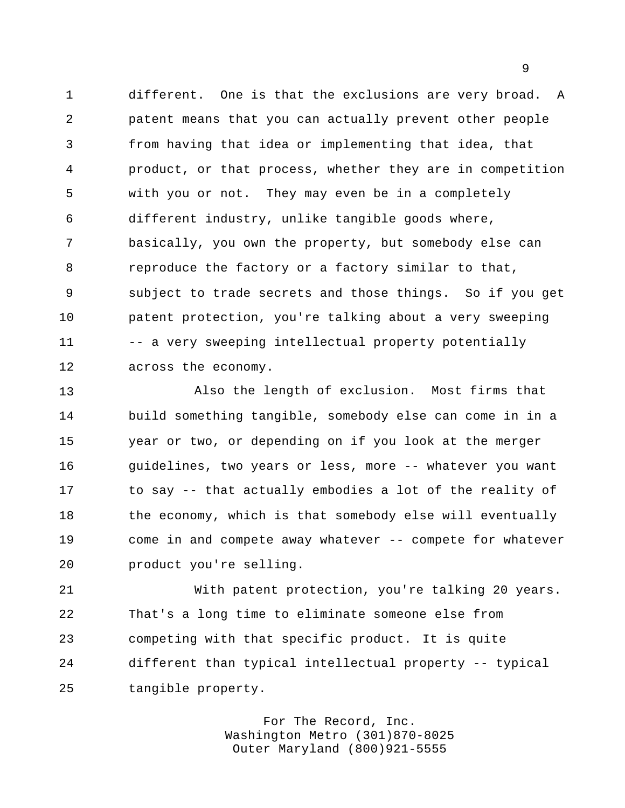different. One is that the exclusions are very broad. A patent means that you can actually prevent other people from having that idea or implementing that idea, that product, or that process, whether they are in competition with you or not. They may even be in a completely different industry, unlike tangible goods where, basically, you own the property, but somebody else can reproduce the factory or a factory similar to that, subject to trade secrets and those things. So if you get patent protection, you're talking about a very sweeping 11 -- a very sweeping intellectual property potentially across the economy.

 Also the length of exclusion. Most firms that build something tangible, somebody else can come in in a year or two, or depending on if you look at the merger guidelines, two years or less, more -- whatever you want 17 to say -- that actually embodies a lot of the reality of the economy, which is that somebody else will eventually come in and compete away whatever -- compete for whatever product you're selling.

 With patent protection, you're talking 20 years. That's a long time to eliminate someone else from competing with that specific product. It is quite different than typical intellectual property -- typical tangible property.

> For The Record, Inc. Washington Metro (301)870-8025 Outer Maryland (800)921-5555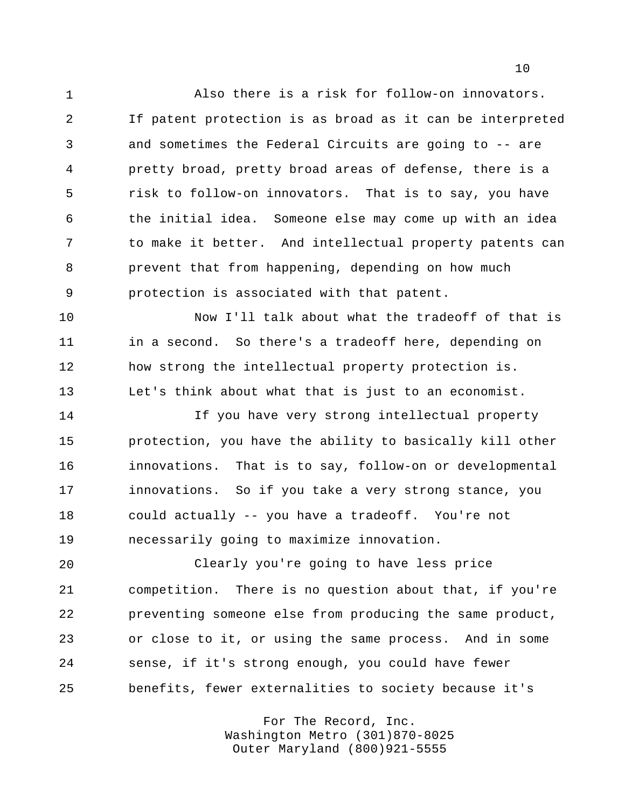Also there is a risk for follow-on innovators. If patent protection is as broad as it can be interpreted and sometimes the Federal Circuits are going to -- are pretty broad, pretty broad areas of defense, there is a risk to follow-on innovators. That is to say, you have the initial idea. Someone else may come up with an idea to make it better. And intellectual property patents can prevent that from happening, depending on how much protection is associated with that patent.

 Now I'll talk about what the tradeoff of that is in a second. So there's a tradeoff here, depending on how strong the intellectual property protection is. Let's think about what that is just to an economist.

 If you have very strong intellectual property protection, you have the ability to basically kill other innovations. That is to say, follow-on or developmental innovations. So if you take a very strong stance, you could actually -- you have a tradeoff. You're not necessarily going to maximize innovation.

 Clearly you're going to have less price competition. There is no question about that, if you're preventing someone else from producing the same product, or close to it, or using the same process. And in some sense, if it's strong enough, you could have fewer benefits, fewer externalities to society because it's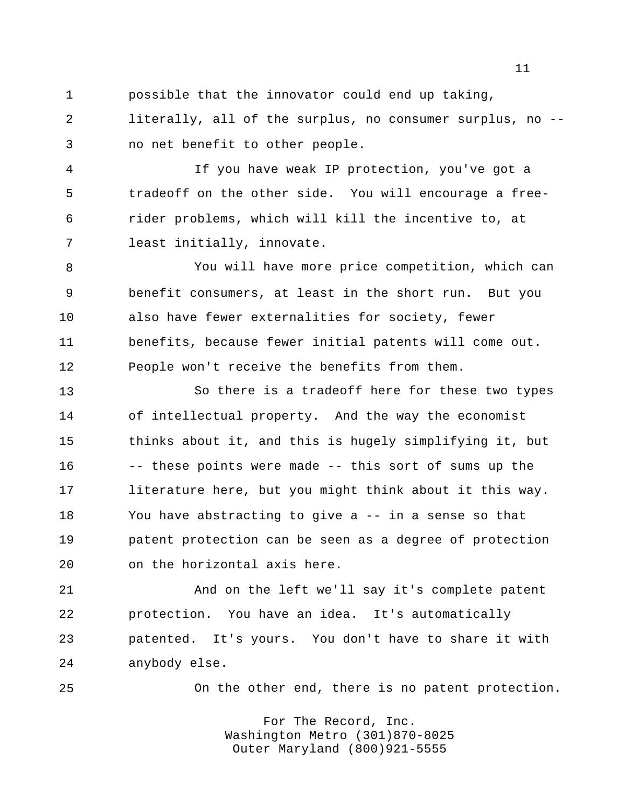possible that the innovator could end up taking,

 literally, all of the surplus, no consumer surplus, no -- no net benefit to other people.

 If you have weak IP protection, you've got a tradeoff on the other side. You will encourage a free- rider problems, which will kill the incentive to, at least initially, innovate.

 You will have more price competition, which can benefit consumers, at least in the short run. But you also have fewer externalities for society, fewer benefits, because fewer initial patents will come out. People won't receive the benefits from them.

 So there is a tradeoff here for these two types of intellectual property. And the way the economist thinks about it, and this is hugely simplifying it, but -- these points were made -- this sort of sums up the literature here, but you might think about it this way. You have abstracting to give a -- in a sense so that patent protection can be seen as a degree of protection on the horizontal axis here.

 And on the left we'll say it's complete patent protection. You have an idea. It's automatically patented. It's yours. You don't have to share it with anybody else.

On the other end, there is no patent protection.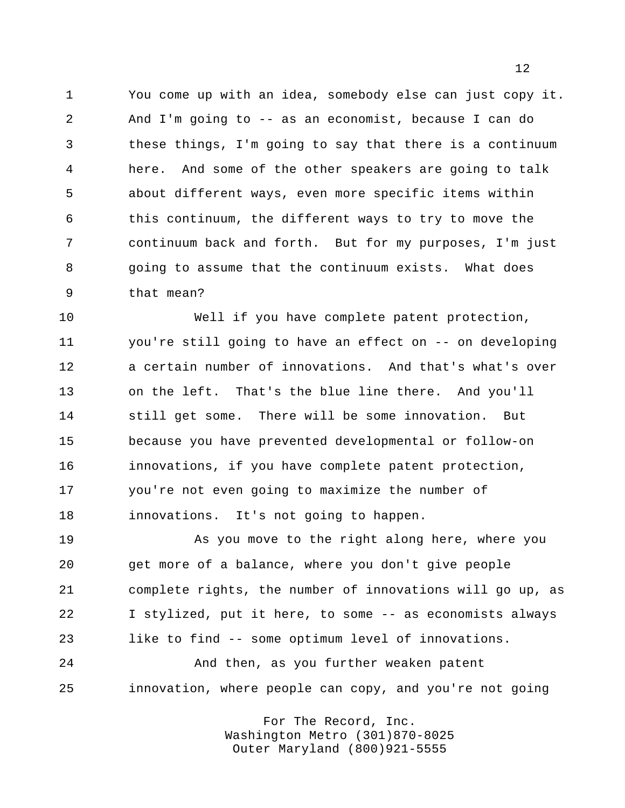You come up with an idea, somebody else can just copy it. And I'm going to -- as an economist, because I can do these things, I'm going to say that there is a continuum here. And some of the other speakers are going to talk about different ways, even more specific items within this continuum, the different ways to try to move the continuum back and forth. But for my purposes, I'm just going to assume that the continuum exists. What does that mean?

 Well if you have complete patent protection, you're still going to have an effect on -- on developing a certain number of innovations. And that's what's over on the left. That's the blue line there. And you'll still get some. There will be some innovation. But because you have prevented developmental or follow-on innovations, if you have complete patent protection, you're not even going to maximize the number of innovations. It's not going to happen.

 As you move to the right along here, where you get more of a balance, where you don't give people complete rights, the number of innovations will go up, as I stylized, put it here, to some -- as economists always like to find -- some optimum level of innovations.

 And then, as you further weaken patent innovation, where people can copy, and you're not going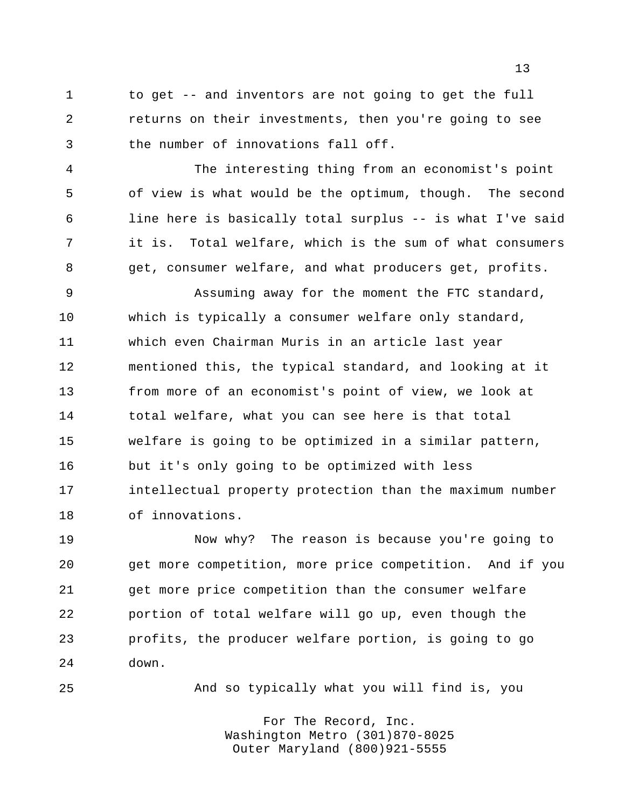to get -- and inventors are not going to get the full returns on their investments, then you're going to see the number of innovations fall off.

 The interesting thing from an economist's point of view is what would be the optimum, though. The second line here is basically total surplus -- is what I've said it is. Total welfare, which is the sum of what consumers get, consumer welfare, and what producers get, profits.

 Assuming away for the moment the FTC standard, which is typically a consumer welfare only standard, which even Chairman Muris in an article last year mentioned this, the typical standard, and looking at it from more of an economist's point of view, we look at total welfare, what you can see here is that total welfare is going to be optimized in a similar pattern, but it's only going to be optimized with less intellectual property protection than the maximum number of innovations.

 Now why? The reason is because you're going to get more competition, more price competition. And if you get more price competition than the consumer welfare portion of total welfare will go up, even though the profits, the producer welfare portion, is going to go down.

And so typically what you will find is, you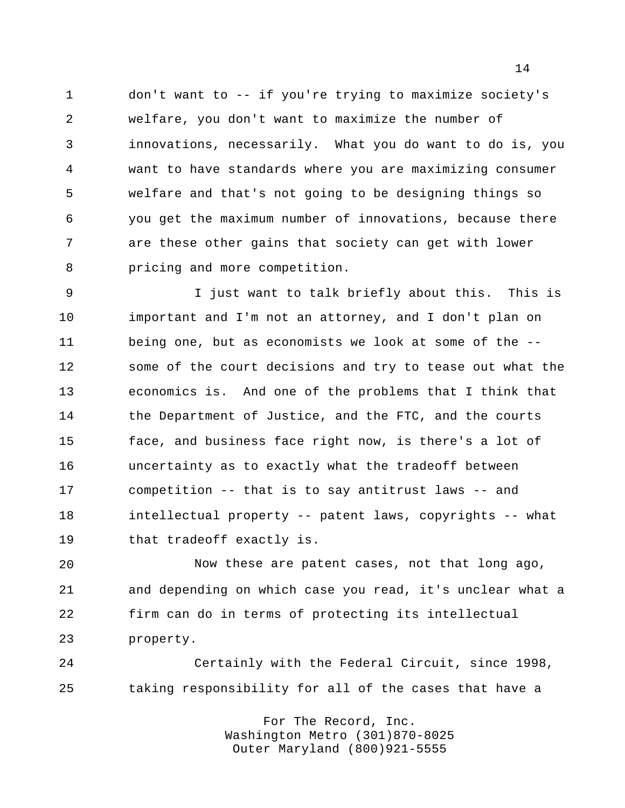don't want to -- if you're trying to maximize society's welfare, you don't want to maximize the number of innovations, necessarily. What you do want to do is, you want to have standards where you are maximizing consumer welfare and that's not going to be designing things so you get the maximum number of innovations, because there are these other gains that society can get with lower pricing and more competition.

 I just want to talk briefly about this. This is important and I'm not an attorney, and I don't plan on being one, but as economists we look at some of the -- some of the court decisions and try to tease out what the economics is. And one of the problems that I think that 14 the Department of Justice, and the FTC, and the courts face, and business face right now, is there's a lot of uncertainty as to exactly what the tradeoff between competition -- that is to say antitrust laws -- and intellectual property -- patent laws, copyrights -- what that tradeoff exactly is.

 Now these are patent cases, not that long ago, and depending on which case you read, it's unclear what a firm can do in terms of protecting its intellectual property.

 Certainly with the Federal Circuit, since 1998, taking responsibility for all of the cases that have a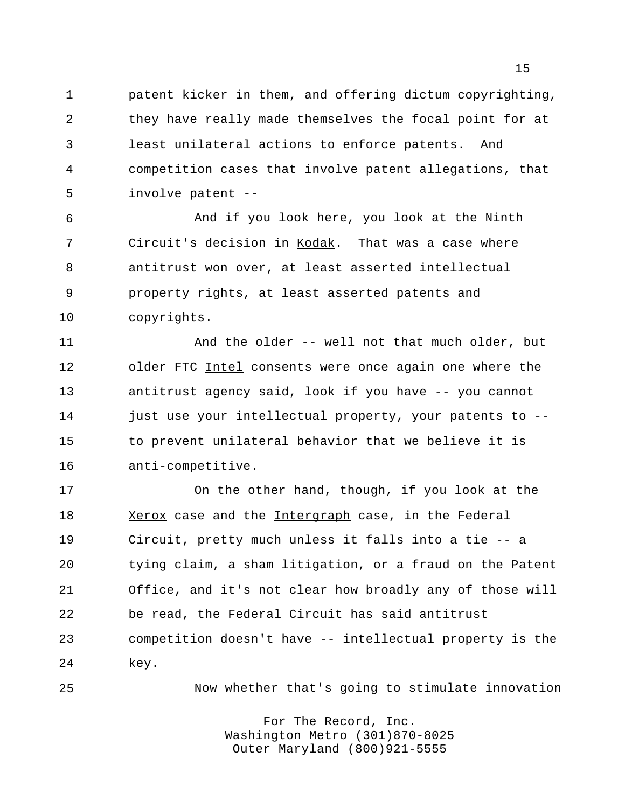patent kicker in them, and offering dictum copyrighting, they have really made themselves the focal point for at least unilateral actions to enforce patents. And competition cases that involve patent allegations, that involve patent --

 And if you look here, you look at the Ninth Circuit's decision in Kodak. That was a case where antitrust won over, at least asserted intellectual property rights, at least asserted patents and copyrights.

 And the older -- well not that much older, but older FTC Intel consents were once again one where the antitrust agency said, look if you have -- you cannot 14 just use your intellectual property, your patents to -- to prevent unilateral behavior that we believe it is anti-competitive.

 On the other hand, though, if you look at the 18 Xerox case and the Intergraph case, in the Federal Circuit, pretty much unless it falls into a tie -- a tying claim, a sham litigation, or a fraud on the Patent Office, and it's not clear how broadly any of those will be read, the Federal Circuit has said antitrust competition doesn't have -- intellectual property is the key.

Now whether that's going to stimulate innovation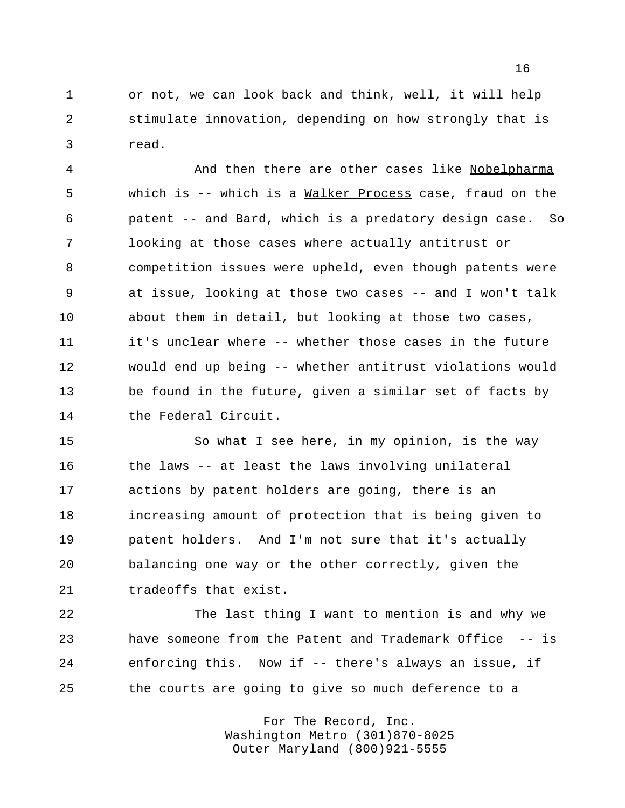or not, we can look back and think, well, it will help stimulate innovation, depending on how strongly that is read.

 And then there are other cases like Nobelpharma which is -- which is a Walker Process case, fraud on the patent -- and Bard, which is a predatory design case. So looking at those cases where actually antitrust or competition issues were upheld, even though patents were at issue, looking at those two cases -- and I won't talk about them in detail, but looking at those two cases, it's unclear where -- whether those cases in the future would end up being -- whether antitrust violations would be found in the future, given a similar set of facts by the Federal Circuit.

 So what I see here, in my opinion, is the way 16 the laws -- at least the laws involving unilateral actions by patent holders are going, there is an increasing amount of protection that is being given to patent holders. And I'm not sure that it's actually balancing one way or the other correctly, given the tradeoffs that exist.

 The last thing I want to mention is and why we have someone from the Patent and Trademark Office -- is enforcing this. Now if -- there's always an issue, if the courts are going to give so much deference to a

> For The Record, Inc. Washington Metro (301)870-8025 Outer Maryland (800)921-5555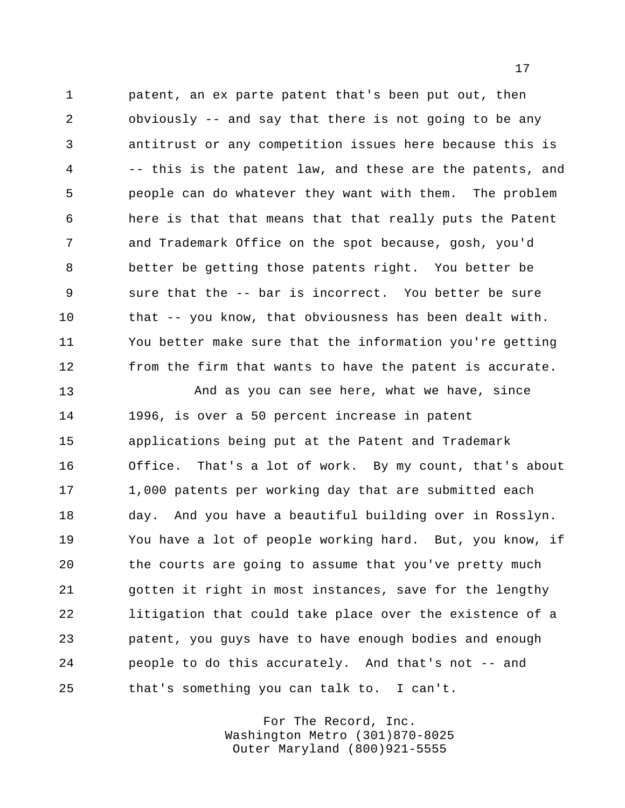patent, an ex parte patent that's been put out, then obviously -- and say that there is not going to be any antitrust or any competition issues here because this is -- this is the patent law, and these are the patents, and people can do whatever they want with them. The problem here is that that means that that really puts the Patent and Trademark Office on the spot because, gosh, you'd better be getting those patents right. You better be sure that the -- bar is incorrect. You better be sure that -- you know, that obviousness has been dealt with. You better make sure that the information you're getting from the firm that wants to have the patent is accurate.

 And as you can see here, what we have, since 1996, is over a 50 percent increase in patent applications being put at the Patent and Trademark Office. That's a lot of work. By my count, that's about 1,000 patents per working day that are submitted each day. And you have a beautiful building over in Rosslyn. You have a lot of people working hard. But, you know, if the courts are going to assume that you've pretty much gotten it right in most instances, save for the lengthy litigation that could take place over the existence of a patent, you guys have to have enough bodies and enough people to do this accurately. And that's not -- and that's something you can talk to. I can't.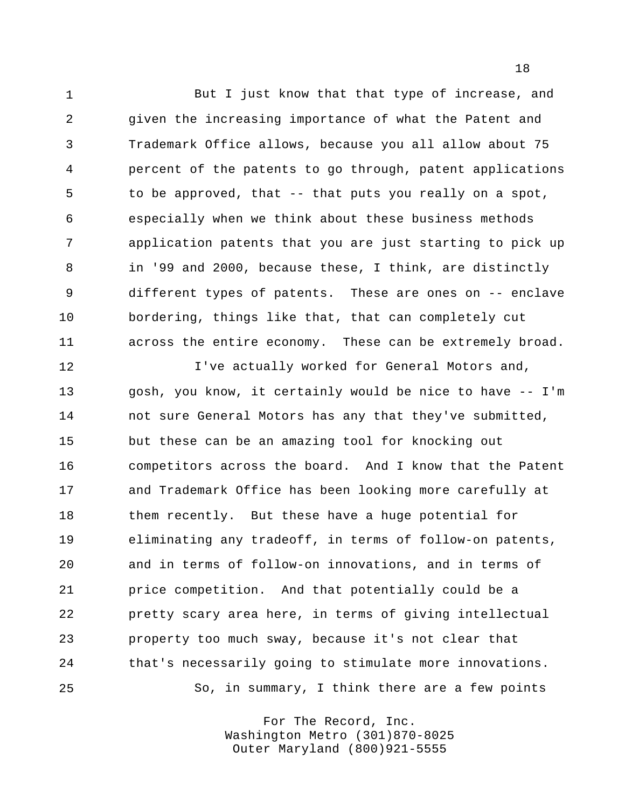But I just know that that type of increase, and given the increasing importance of what the Patent and Trademark Office allows, because you all allow about 75 percent of the patents to go through, patent applications to be approved, that -- that puts you really on a spot, especially when we think about these business methods application patents that you are just starting to pick up in '99 and 2000, because these, I think, are distinctly different types of patents. These are ones on -- enclave bordering, things like that, that can completely cut across the entire economy. These can be extremely broad.

 I've actually worked for General Motors and, gosh, you know, it certainly would be nice to have -- I'm not sure General Motors has any that they've submitted, but these can be an amazing tool for knocking out competitors across the board. And I know that the Patent and Trademark Office has been looking more carefully at 18 them recently. But these have a huge potential for eliminating any tradeoff, in terms of follow-on patents, and in terms of follow-on innovations, and in terms of price competition. And that potentially could be a pretty scary area here, in terms of giving intellectual property too much sway, because it's not clear that that's necessarily going to stimulate more innovations. So, in summary, I think there are a few points

> For The Record, Inc. Washington Metro (301)870-8025 Outer Maryland (800)921-5555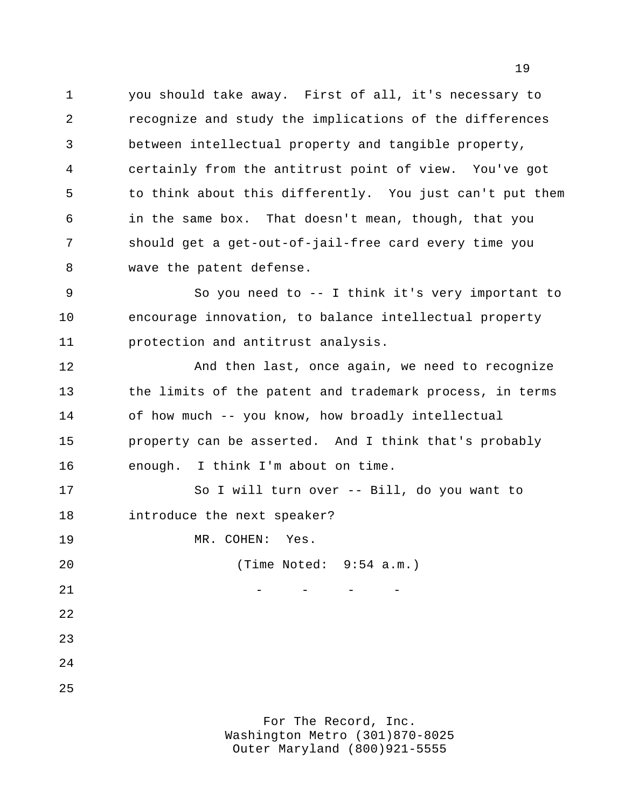you should take away. First of all, it's necessary to recognize and study the implications of the differences between intellectual property and tangible property, certainly from the antitrust point of view. You've got to think about this differently. You just can't put them in the same box. That doesn't mean, though, that you should get a get-out-of-jail-free card every time you wave the patent defense.

 So you need to -- I think it's very important to encourage innovation, to balance intellectual property protection and antitrust analysis.

 And then last, once again, we need to recognize 13 the limits of the patent and trademark process, in terms of how much -- you know, how broadly intellectual property can be asserted. And I think that's probably enough. I think I'm about on time.

 So I will turn over -- Bill, do you want to introduce the next speaker?

19 MR. COHEN: Yes.

 (Time Noted: 9:54 a.m.) - - - - -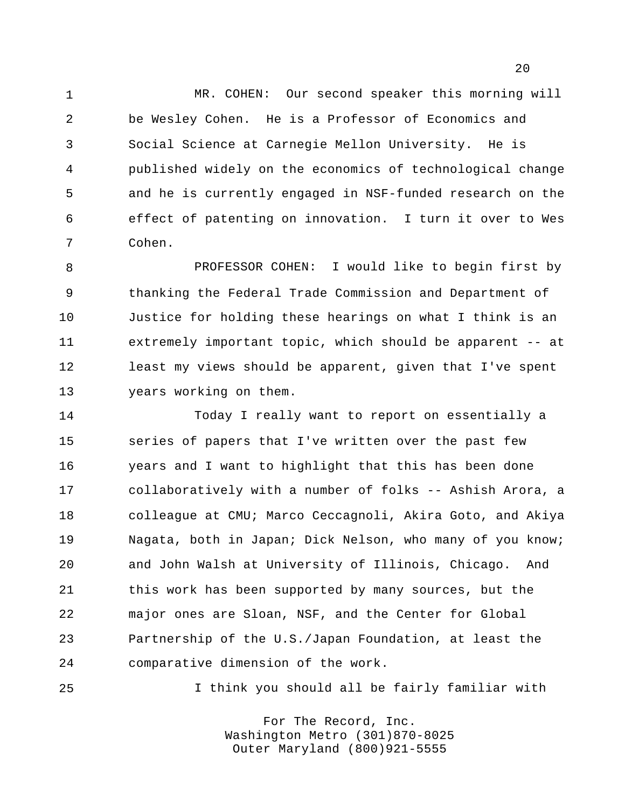MR. COHEN: Our second speaker this morning will be Wesley Cohen. He is a Professor of Economics and Social Science at Carnegie Mellon University. He is published widely on the economics of technological change and he is currently engaged in NSF-funded research on the effect of patenting on innovation. I turn it over to Wes Cohen.

 PROFESSOR COHEN: I would like to begin first by thanking the Federal Trade Commission and Department of Justice for holding these hearings on what I think is an extremely important topic, which should be apparent -- at least my views should be apparent, given that I've spent years working on them.

 Today I really want to report on essentially a series of papers that I've written over the past few years and I want to highlight that this has been done collaboratively with a number of folks -- Ashish Arora, a colleague at CMU; Marco Ceccagnoli, Akira Goto, and Akiya Nagata, both in Japan; Dick Nelson, who many of you know; and John Walsh at University of Illinois, Chicago. And this work has been supported by many sources, but the major ones are Sloan, NSF, and the Center for Global Partnership of the U.S./Japan Foundation, at least the comparative dimension of the work.

I think you should all be fairly familiar with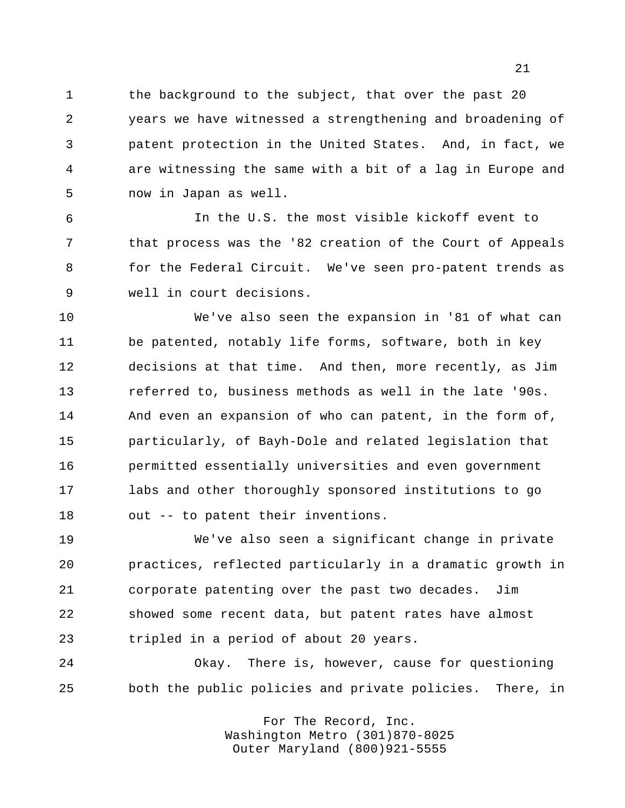1 the background to the subject, that over the past 20 years we have witnessed a strengthening and broadening of patent protection in the United States. And, in fact, we are witnessing the same with a bit of a lag in Europe and now in Japan as well.

 In the U.S. the most visible kickoff event to that process was the '82 creation of the Court of Appeals for the Federal Circuit. We've seen pro-patent trends as well in court decisions.

 We've also seen the expansion in '81 of what can be patented, notably life forms, software, both in key decisions at that time. And then, more recently, as Jim referred to, business methods as well in the late '90s. And even an expansion of who can patent, in the form of, particularly, of Bayh-Dole and related legislation that permitted essentially universities and even government labs and other thoroughly sponsored institutions to go out -- to patent their inventions.

 We've also seen a significant change in private practices, reflected particularly in a dramatic growth in corporate patenting over the past two decades. Jim showed some recent data, but patent rates have almost tripled in a period of about 20 years.

 Okay. There is, however, cause for questioning both the public policies and private policies. There, in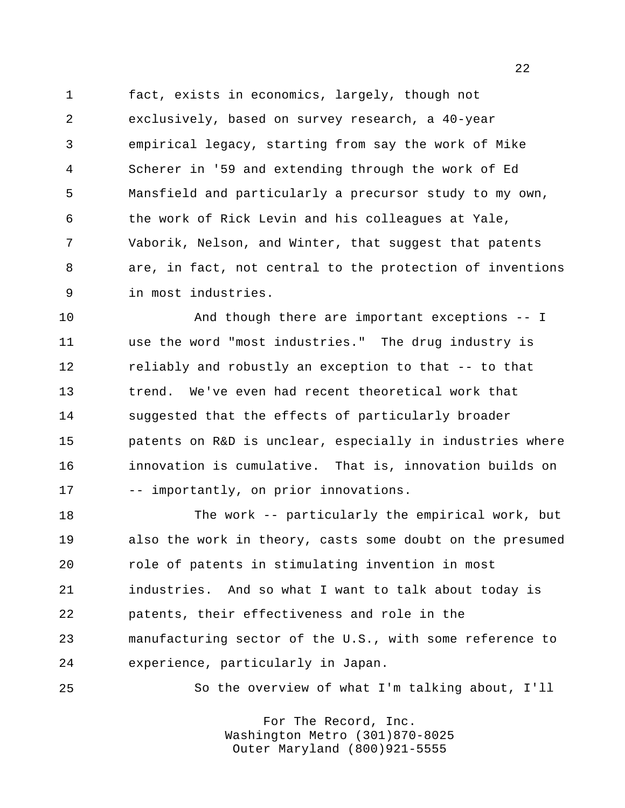fact, exists in economics, largely, though not exclusively, based on survey research, a 40-year empirical legacy, starting from say the work of Mike Scherer in '59 and extending through the work of Ed Mansfield and particularly a precursor study to my own, the work of Rick Levin and his colleagues at Yale, Vaborik, Nelson, and Winter, that suggest that patents are, in fact, not central to the protection of inventions in most industries.

 And though there are important exceptions -- I use the word "most industries." The drug industry is reliably and robustly an exception to that -- to that trend. We've even had recent theoretical work that suggested that the effects of particularly broader patents on R&D is unclear, especially in industries where innovation is cumulative. That is, innovation builds on -- importantly, on prior innovations.

 The work -- particularly the empirical work, but also the work in theory, casts some doubt on the presumed role of patents in stimulating invention in most industries. And so what I want to talk about today is patents, their effectiveness and role in the manufacturing sector of the U.S., with some reference to experience, particularly in Japan.

So the overview of what I'm talking about, I'll

For The Record, Inc. Washington Metro (301)870-8025 Outer Maryland (800)921-5555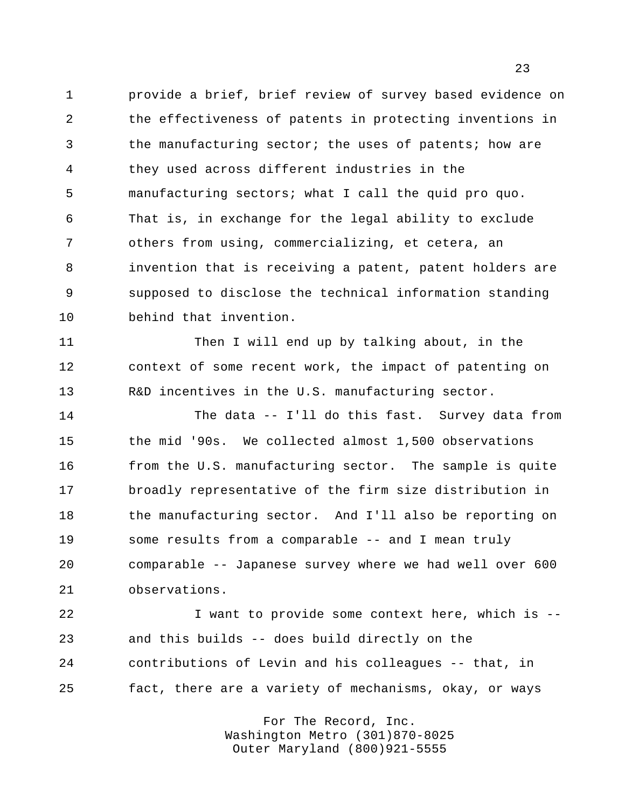provide a brief, brief review of survey based evidence on the effectiveness of patents in protecting inventions in the manufacturing sector; the uses of patents; how are they used across different industries in the manufacturing sectors; what I call the quid pro quo. That is, in exchange for the legal ability to exclude others from using, commercializing, et cetera, an invention that is receiving a patent, patent holders are supposed to disclose the technical information standing behind that invention.

11 Then I will end up by talking about, in the context of some recent work, the impact of patenting on R&D incentives in the U.S. manufacturing sector.

 The data -- I'll do this fast. Survey data from the mid '90s. We collected almost 1,500 observations 16 from the U.S. manufacturing sector. The sample is quite broadly representative of the firm size distribution in the manufacturing sector. And I'll also be reporting on some results from a comparable -- and I mean truly comparable -- Japanese survey where we had well over 600 observations.

 I want to provide some context here, which is -- and this builds -- does build directly on the contributions of Levin and his colleagues -- that, in fact, there are a variety of mechanisms, okay, or ways

> For The Record, Inc. Washington Metro (301)870-8025 Outer Maryland (800)921-5555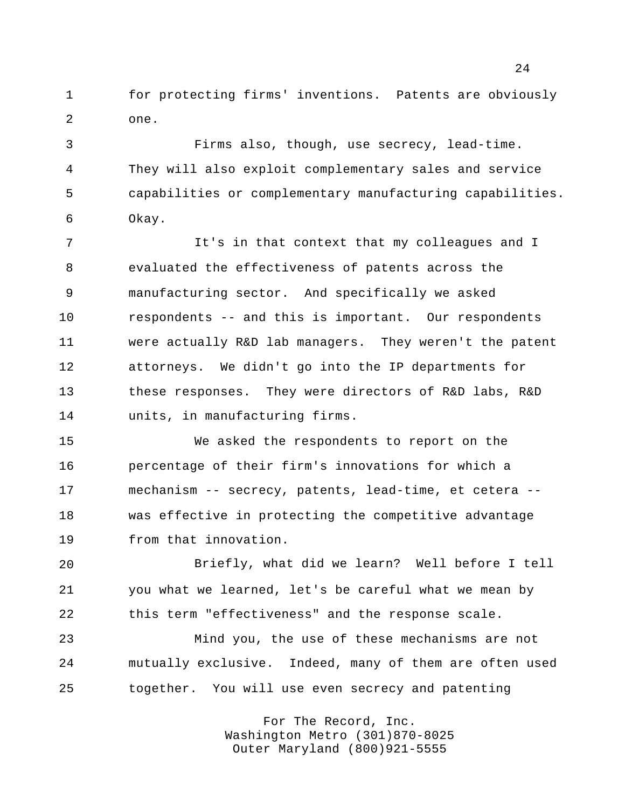for protecting firms' inventions. Patents are obviously one.

 Firms also, though, use secrecy, lead-time. They will also exploit complementary sales and service capabilities or complementary manufacturing capabilities. Okay.

 It's in that context that my colleagues and I evaluated the effectiveness of patents across the manufacturing sector. And specifically we asked respondents -- and this is important. Our respondents were actually R&D lab managers. They weren't the patent attorneys. We didn't go into the IP departments for these responses. They were directors of R&D labs, R&D units, in manufacturing firms.

 We asked the respondents to report on the percentage of their firm's innovations for which a mechanism -- secrecy, patents, lead-time, et cetera -- was effective in protecting the competitive advantage from that innovation.

 Briefly, what did we learn? Well before I tell you what we learned, let's be careful what we mean by this term "effectiveness" and the response scale.

 Mind you, the use of these mechanisms are not mutually exclusive. Indeed, many of them are often used together. You will use even secrecy and patenting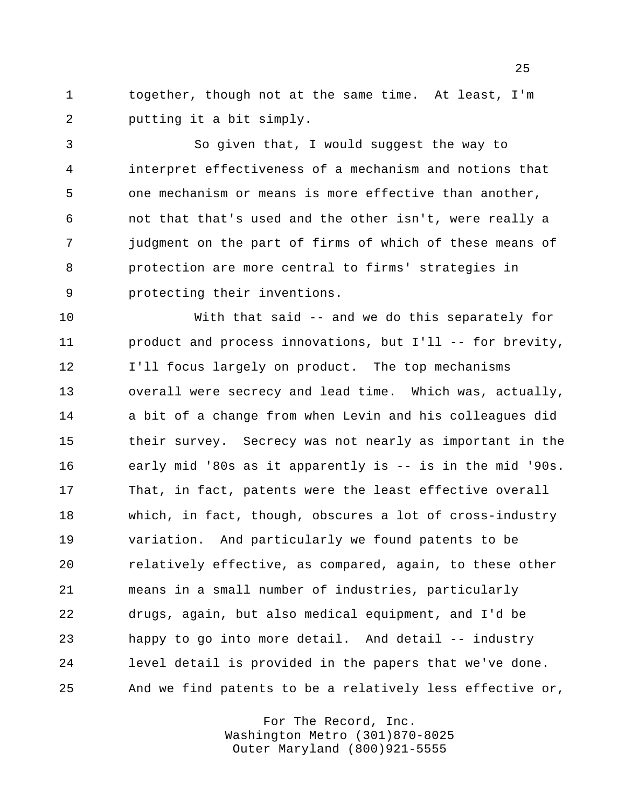together, though not at the same time. At least, I'm putting it a bit simply.

 So given that, I would suggest the way to interpret effectiveness of a mechanism and notions that one mechanism or means is more effective than another, not that that's used and the other isn't, were really a judgment on the part of firms of which of these means of protection are more central to firms' strategies in protecting their inventions.

 With that said -- and we do this separately for product and process innovations, but I'll -- for brevity, 12 I'll focus largely on product. The top mechanisms overall were secrecy and lead time. Which was, actually, a bit of a change from when Levin and his colleagues did their survey. Secrecy was not nearly as important in the early mid '80s as it apparently is -- is in the mid '90s. That, in fact, patents were the least effective overall which, in fact, though, obscures a lot of cross-industry variation. And particularly we found patents to be relatively effective, as compared, again, to these other means in a small number of industries, particularly drugs, again, but also medical equipment, and I'd be happy to go into more detail. And detail -- industry level detail is provided in the papers that we've done. And we find patents to be a relatively less effective or,

> For The Record, Inc. Washington Metro (301)870-8025 Outer Maryland (800)921-5555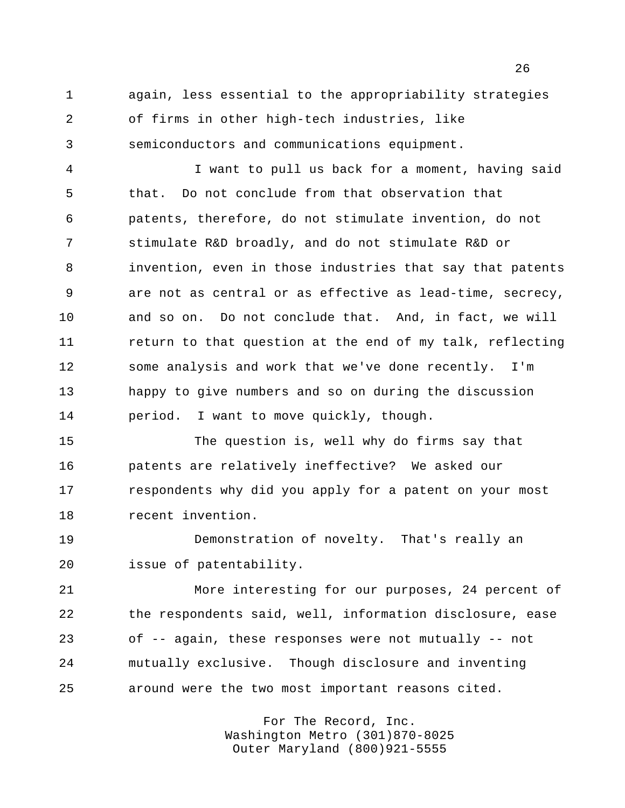again, less essential to the appropriability strategies of firms in other high-tech industries, like semiconductors and communications equipment.

 I want to pull us back for a moment, having said that. Do not conclude from that observation that patents, therefore, do not stimulate invention, do not stimulate R&D broadly, and do not stimulate R&D or invention, even in those industries that say that patents are not as central or as effective as lead-time, secrecy, and so on. Do not conclude that. And, in fact, we will return to that question at the end of my talk, reflecting some analysis and work that we've done recently. I'm happy to give numbers and so on during the discussion period. I want to move quickly, though.

 The question is, well why do firms say that patents are relatively ineffective? We asked our respondents why did you apply for a patent on your most recent invention.

 Demonstration of novelty. That's really an issue of patentability.

 More interesting for our purposes, 24 percent of the respondents said, well, information disclosure, ease of -- again, these responses were not mutually -- not mutually exclusive. Though disclosure and inventing around were the two most important reasons cited.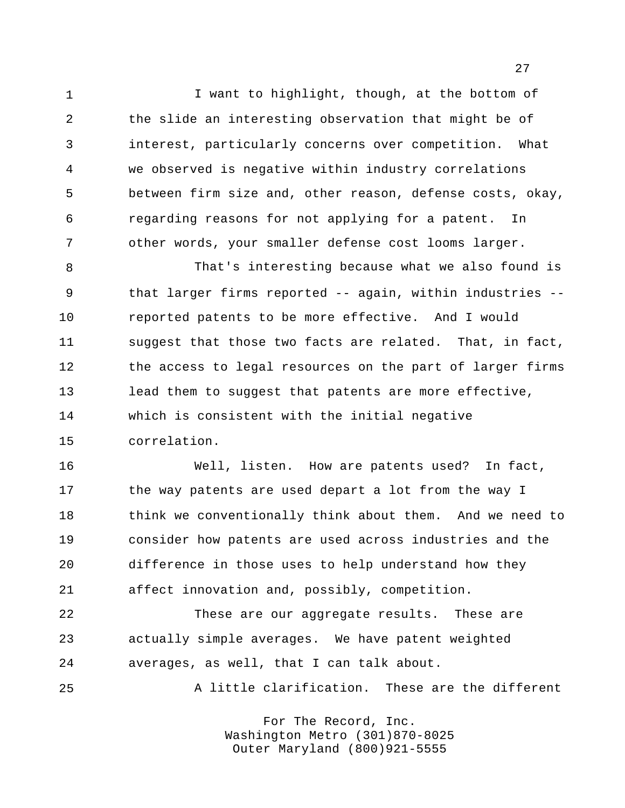1 I want to highlight, though, at the bottom of the slide an interesting observation that might be of interest, particularly concerns over competition. What we observed is negative within industry correlations between firm size and, other reason, defense costs, okay, regarding reasons for not applying for a patent. In other words, your smaller defense cost looms larger.

 That's interesting because what we also found is that larger firms reported -- again, within industries -- reported patents to be more effective. And I would suggest that those two facts are related. That, in fact, the access to legal resources on the part of larger firms 13 lead them to suggest that patents are more effective, which is consistent with the initial negative correlation.

 Well, listen. How are patents used? In fact, 17 the way patents are used depart a lot from the way I think we conventionally think about them. And we need to consider how patents are used across industries and the difference in those uses to help understand how they affect innovation and, possibly, competition.

 These are our aggregate results. These are actually simple averages. We have patent weighted averages, as well, that I can talk about.

A little clarification. These are the different

For The Record, Inc. Washington Metro (301)870-8025 Outer Maryland (800)921-5555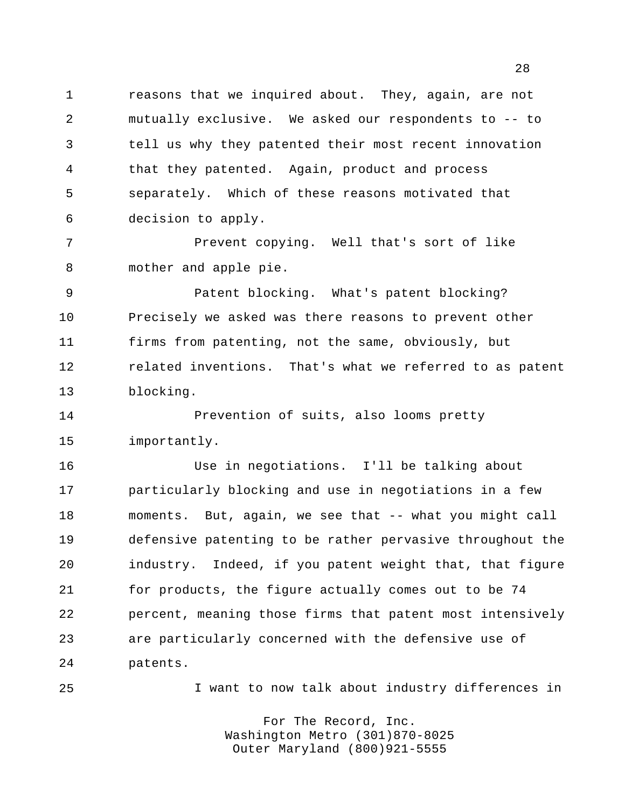reasons that we inquired about. They, again, are not mutually exclusive. We asked our respondents to -- to tell us why they patented their most recent innovation that they patented. Again, product and process separately. Which of these reasons motivated that decision to apply.

 Prevent copying. Well that's sort of like mother and apple pie.

 Patent blocking. What's patent blocking? Precisely we asked was there reasons to prevent other firms from patenting, not the same, obviously, but related inventions. That's what we referred to as patent blocking.

 Prevention of suits, also looms pretty importantly.

 Use in negotiations. I'll be talking about particularly blocking and use in negotiations in a few moments. But, again, we see that -- what you might call defensive patenting to be rather pervasive throughout the industry. Indeed, if you patent weight that, that figure for products, the figure actually comes out to be 74 percent, meaning those firms that patent most intensively are particularly concerned with the defensive use of patents.

I want to now talk about industry differences in

For The Record, Inc. Washington Metro (301)870-8025 Outer Maryland (800)921-5555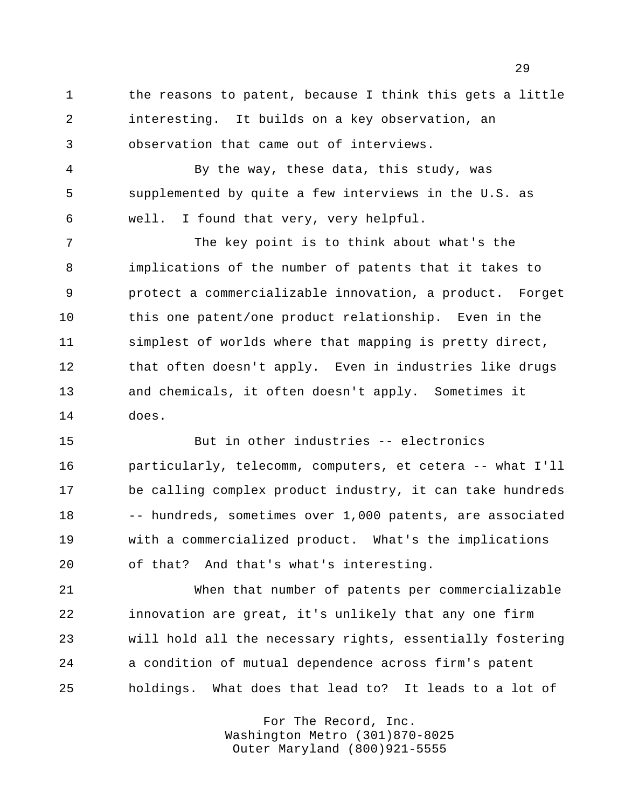1 the reasons to patent, because I think this gets a little interesting. It builds on a key observation, an observation that came out of interviews.

 By the way, these data, this study, was supplemented by quite a few interviews in the U.S. as well. I found that very, very helpful.

 The key point is to think about what's the implications of the number of patents that it takes to protect a commercializable innovation, a product. Forget 10 this one patent/one product relationship. Even in the simplest of worlds where that mapping is pretty direct, 12 that often doesn't apply. Even in industries like drugs and chemicals, it often doesn't apply. Sometimes it does.

 But in other industries -- electronics particularly, telecomm, computers, et cetera -- what I'll be calling complex product industry, it can take hundreds -- hundreds, sometimes over 1,000 patents, are associated with a commercialized product. What's the implications of that? And that's what's interesting.

 When that number of patents per commercializable innovation are great, it's unlikely that any one firm will hold all the necessary rights, essentially fostering a condition of mutual dependence across firm's patent holdings. What does that lead to? It leads to a lot of

> For The Record, Inc. Washington Metro (301)870-8025 Outer Maryland (800)921-5555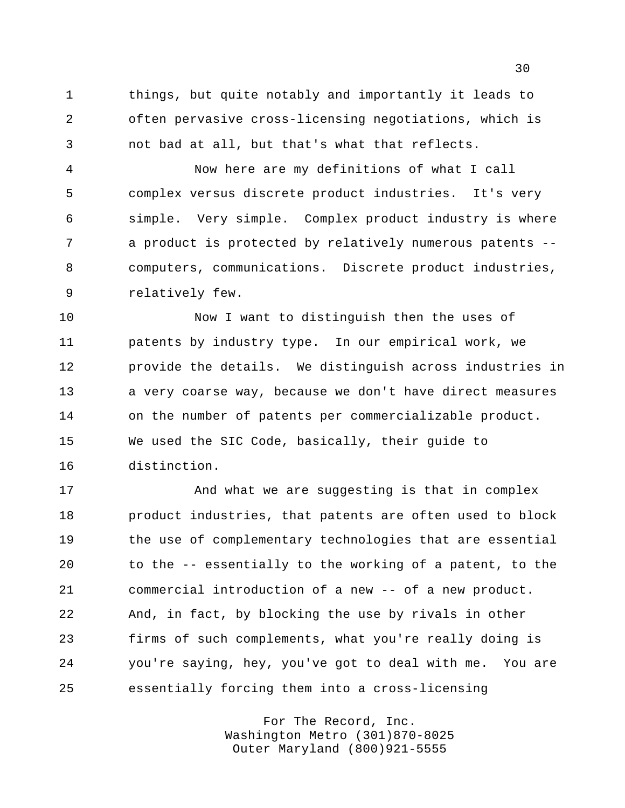things, but quite notably and importantly it leads to often pervasive cross-licensing negotiations, which is not bad at all, but that's what that reflects.

 Now here are my definitions of what I call complex versus discrete product industries. It's very simple. Very simple. Complex product industry is where a product is protected by relatively numerous patents -- computers, communications. Discrete product industries, relatively few.

 Now I want to distinguish then the uses of patents by industry type. In our empirical work, we provide the details. We distinguish across industries in a very coarse way, because we don't have direct measures on the number of patents per commercializable product. We used the SIC Code, basically, their guide to distinction.

17 And what we are suggesting is that in complex product industries, that patents are often used to block the use of complementary technologies that are essential to the -- essentially to the working of a patent, to the commercial introduction of a new -- of a new product. And, in fact, by blocking the use by rivals in other firms of such complements, what you're really doing is you're saying, hey, you've got to deal with me. You are essentially forcing them into a cross-licensing

> For The Record, Inc. Washington Metro (301)870-8025 Outer Maryland (800)921-5555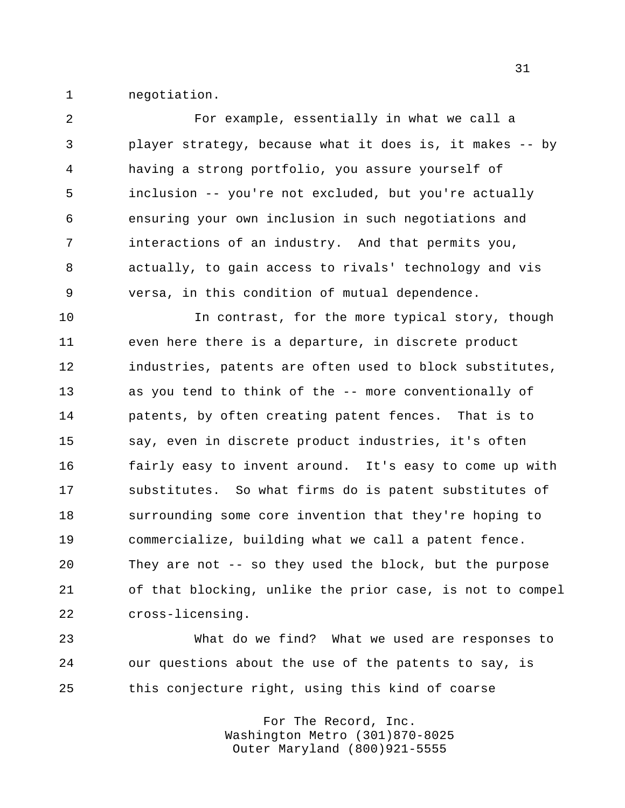negotiation.

 For example, essentially in what we call a player strategy, because what it does is, it makes -- by having a strong portfolio, you assure yourself of inclusion -- you're not excluded, but you're actually ensuring your own inclusion in such negotiations and interactions of an industry. And that permits you, actually, to gain access to rivals' technology and vis versa, in this condition of mutual dependence.

 In contrast, for the more typical story, though even here there is a departure, in discrete product industries, patents are often used to block substitutes, as you tend to think of the -- more conventionally of patents, by often creating patent fences. That is to say, even in discrete product industries, it's often fairly easy to invent around. It's easy to come up with substitutes. So what firms do is patent substitutes of surrounding some core invention that they're hoping to commercialize, building what we call a patent fence. They are not -- so they used the block, but the purpose of that blocking, unlike the prior case, is not to compel cross-licensing.

 What do we find? What we used are responses to our questions about the use of the patents to say, is this conjecture right, using this kind of coarse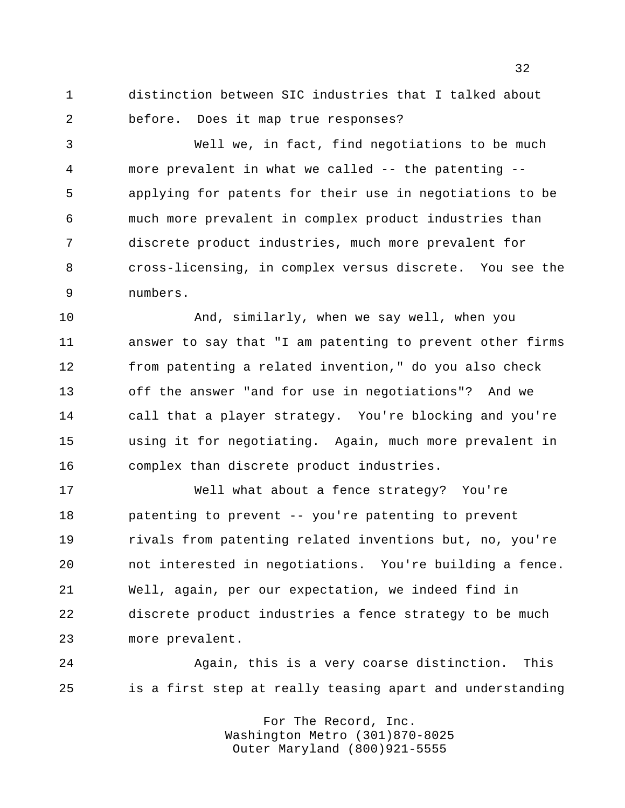distinction between SIC industries that I talked about before. Does it map true responses?

 Well we, in fact, find negotiations to be much more prevalent in what we called -- the patenting -- applying for patents for their use in negotiations to be much more prevalent in complex product industries than discrete product industries, much more prevalent for cross-licensing, in complex versus discrete. You see the numbers.

 And, similarly, when we say well, when you answer to say that "I am patenting to prevent other firms from patenting a related invention," do you also check off the answer "and for use in negotiations"? And we call that a player strategy. You're blocking and you're using it for negotiating. Again, much more prevalent in complex than discrete product industries.

 Well what about a fence strategy? You're patenting to prevent -- you're patenting to prevent rivals from patenting related inventions but, no, you're not interested in negotiations. You're building a fence. Well, again, per our expectation, we indeed find in discrete product industries a fence strategy to be much more prevalent.

 Again, this is a very coarse distinction. This is a first step at really teasing apart and understanding

> For The Record, Inc. Washington Metro (301)870-8025 Outer Maryland (800)921-5555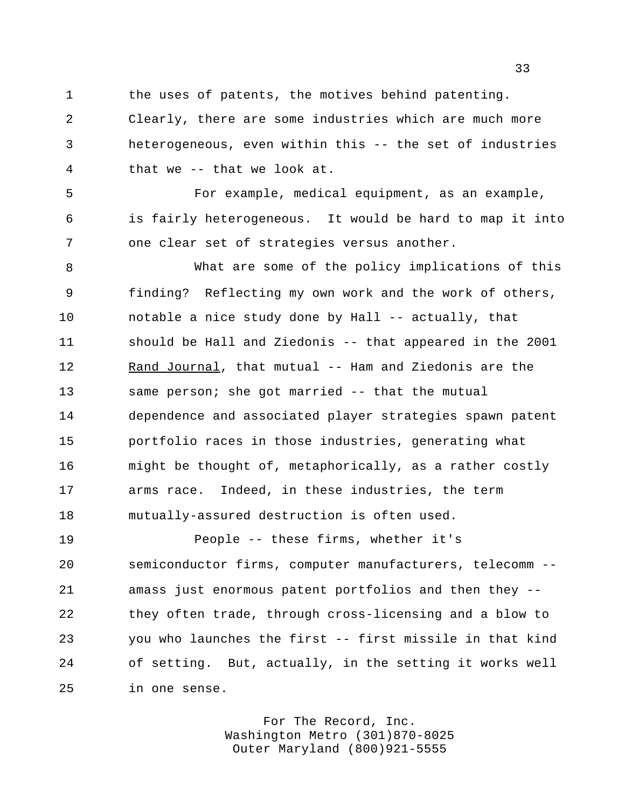1 the uses of patents, the motives behind patenting.

 Clearly, there are some industries which are much more heterogeneous, even within this -- the set of industries that we -- that we look at.

 For example, medical equipment, as an example, is fairly heterogeneous. It would be hard to map it into one clear set of strategies versus another.

 What are some of the policy implications of this finding? Reflecting my own work and the work of others, notable a nice study done by Hall -- actually, that should be Hall and Ziedonis -- that appeared in the 2001 Rand Journal, that mutual -- Ham and Ziedonis are the 13 same person; she got married -- that the mutual dependence and associated player strategies spawn patent portfolio races in those industries, generating what might be thought of, metaphorically, as a rather costly arms race. Indeed, in these industries, the term mutually-assured destruction is often used.

 People -- these firms, whether it's semiconductor firms, computer manufacturers, telecomm -- amass just enormous patent portfolios and then they -- they often trade, through cross-licensing and a blow to you who launches the first -- first missile in that kind of setting. But, actually, in the setting it works well in one sense.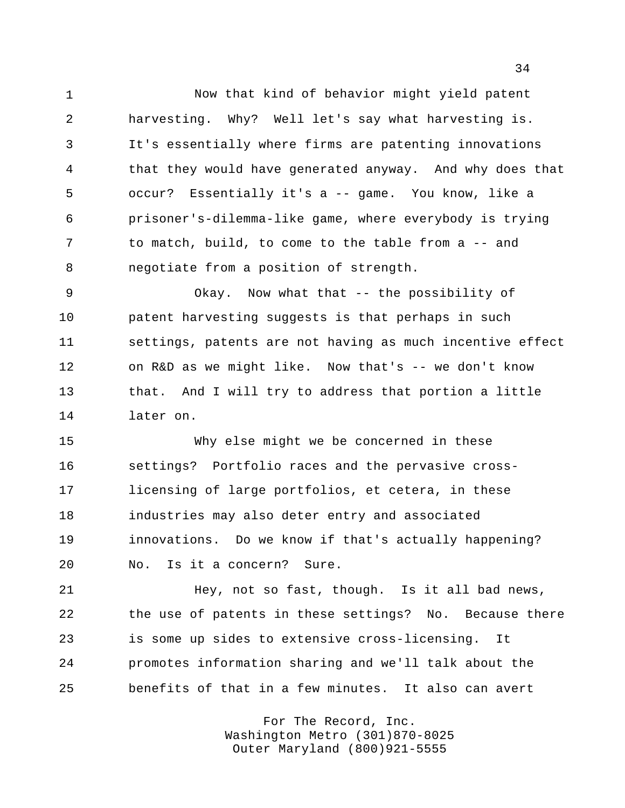Now that kind of behavior might yield patent harvesting. Why? Well let's say what harvesting is. It's essentially where firms are patenting innovations that they would have generated anyway. And why does that occur? Essentially it's a -- game. You know, like a prisoner's-dilemma-like game, where everybody is trying to match, build, to come to the table from a -- and negotiate from a position of strength.

 Okay. Now what that -- the possibility of patent harvesting suggests is that perhaps in such settings, patents are not having as much incentive effect on R&D as we might like. Now that's -- we don't know 13 that. And I will try to address that portion a little later on.

 Why else might we be concerned in these settings? Portfolio races and the pervasive cross- licensing of large portfolios, et cetera, in these industries may also deter entry and associated innovations. Do we know if that's actually happening? No. Is it a concern? Sure.

 Hey, not so fast, though. Is it all bad news, the use of patents in these settings? No. Because there is some up sides to extensive cross-licensing. It promotes information sharing and we'll talk about the benefits of that in a few minutes. It also can avert

> For The Record, Inc. Washington Metro (301)870-8025 Outer Maryland (800)921-5555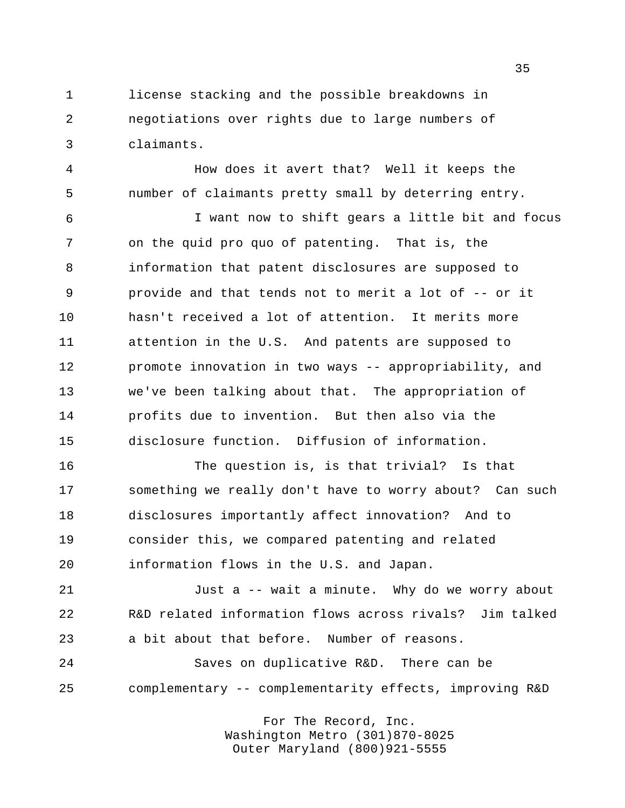license stacking and the possible breakdowns in negotiations over rights due to large numbers of claimants.

 How does it avert that? Well it keeps the number of claimants pretty small by deterring entry.

 I want now to shift gears a little bit and focus on the quid pro quo of patenting. That is, the information that patent disclosures are supposed to provide and that tends not to merit a lot of -- or it hasn't received a lot of attention. It merits more attention in the U.S. And patents are supposed to promote innovation in two ways -- appropriability, and we've been talking about that. The appropriation of profits due to invention. But then also via the disclosure function. Diffusion of information.

 The question is, is that trivial? Is that something we really don't have to worry about? Can such disclosures importantly affect innovation? And to consider this, we compared patenting and related information flows in the U.S. and Japan.

 Just a -- wait a minute. Why do we worry about R&D related information flows across rivals? Jim talked a bit about that before. Number of reasons.

 Saves on duplicative R&D. There can be complementary -- complementarity effects, improving R&D

> For The Record, Inc. Washington Metro (301)870-8025 Outer Maryland (800)921-5555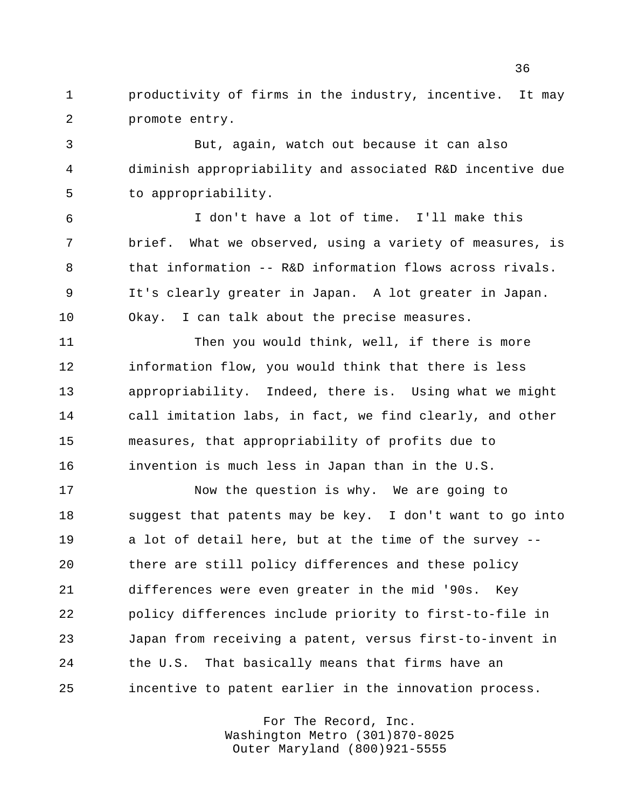productivity of firms in the industry, incentive. It may promote entry.

 But, again, watch out because it can also diminish appropriability and associated R&D incentive due to appropriability.

 I don't have a lot of time. I'll make this brief. What we observed, using a variety of measures, is that information -- R&D information flows across rivals. It's clearly greater in Japan. A lot greater in Japan. Okay. I can talk about the precise measures.

 Then you would think, well, if there is more information flow, you would think that there is less appropriability. Indeed, there is. Using what we might call imitation labs, in fact, we find clearly, and other measures, that appropriability of profits due to invention is much less in Japan than in the U.S.

 Now the question is why. We are going to suggest that patents may be key. I don't want to go into a lot of detail here, but at the time of the survey -- there are still policy differences and these policy differences were even greater in the mid '90s. Key policy differences include priority to first-to-file in Japan from receiving a patent, versus first-to-invent in the U.S. That basically means that firms have an incentive to patent earlier in the innovation process.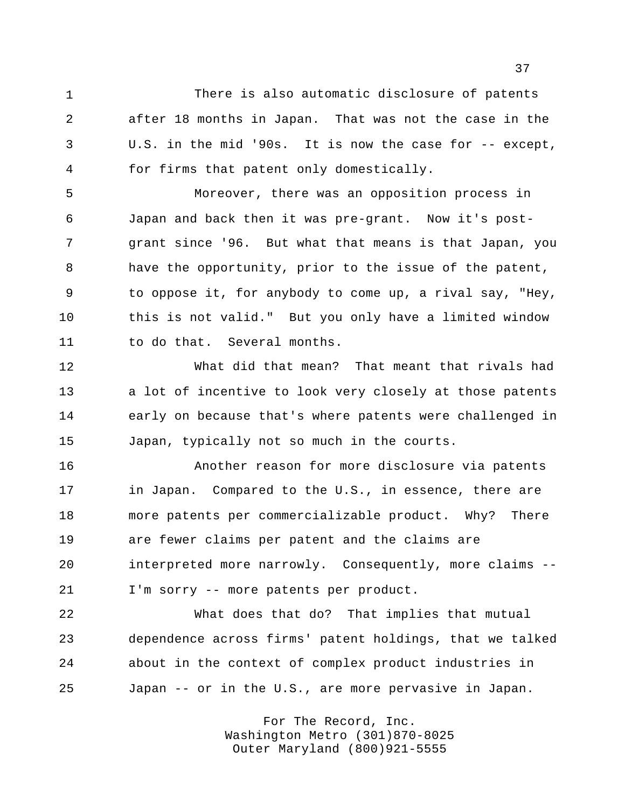There is also automatic disclosure of patents after 18 months in Japan. That was not the case in the U.S. in the mid '90s. It is now the case for -- except, for firms that patent only domestically.

 Moreover, there was an opposition process in Japan and back then it was pre-grant. Now it's post- grant since '96. But what that means is that Japan, you have the opportunity, prior to the issue of the patent, to oppose it, for anybody to come up, a rival say, "Hey, this is not valid." But you only have a limited window to do that. Several months.

 What did that mean? That meant that rivals had a lot of incentive to look very closely at those patents early on because that's where patents were challenged in Japan, typically not so much in the courts.

 Another reason for more disclosure via patents in Japan. Compared to the U.S., in essence, there are more patents per commercializable product. Why? There are fewer claims per patent and the claims are interpreted more narrowly. Consequently, more claims -- I'm sorry -- more patents per product.

 What does that do? That implies that mutual dependence across firms' patent holdings, that we talked about in the context of complex product industries in Japan -- or in the U.S., are more pervasive in Japan.

> For The Record, Inc. Washington Metro (301)870-8025 Outer Maryland (800)921-5555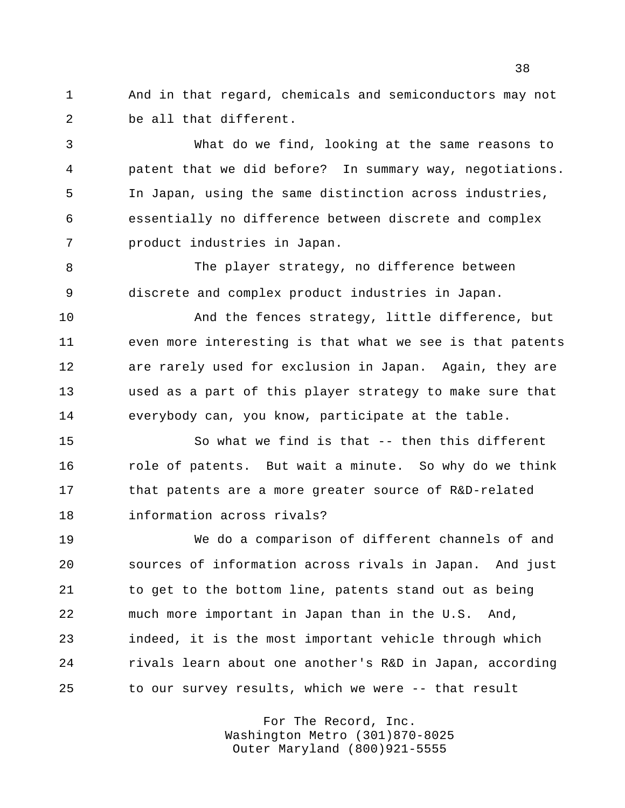And in that regard, chemicals and semiconductors may not be all that different.

 What do we find, looking at the same reasons to patent that we did before? In summary way, negotiations. In Japan, using the same distinction across industries, essentially no difference between discrete and complex product industries in Japan.

8 The player strategy, no difference between discrete and complex product industries in Japan.

 And the fences strategy, little difference, but even more interesting is that what we see is that patents are rarely used for exclusion in Japan. Again, they are used as a part of this player strategy to make sure that everybody can, you know, participate at the table.

 So what we find is that -- then this different 16 role of patents. But wait a minute. So why do we think 17 that patents are a more greater source of R&D-related information across rivals?

 We do a comparison of different channels of and sources of information across rivals in Japan. And just to get to the bottom line, patents stand out as being much more important in Japan than in the U.S. And, indeed, it is the most important vehicle through which rivals learn about one another's R&D in Japan, according to our survey results, which we were -- that result

> For The Record, Inc. Washington Metro (301)870-8025 Outer Maryland (800)921-5555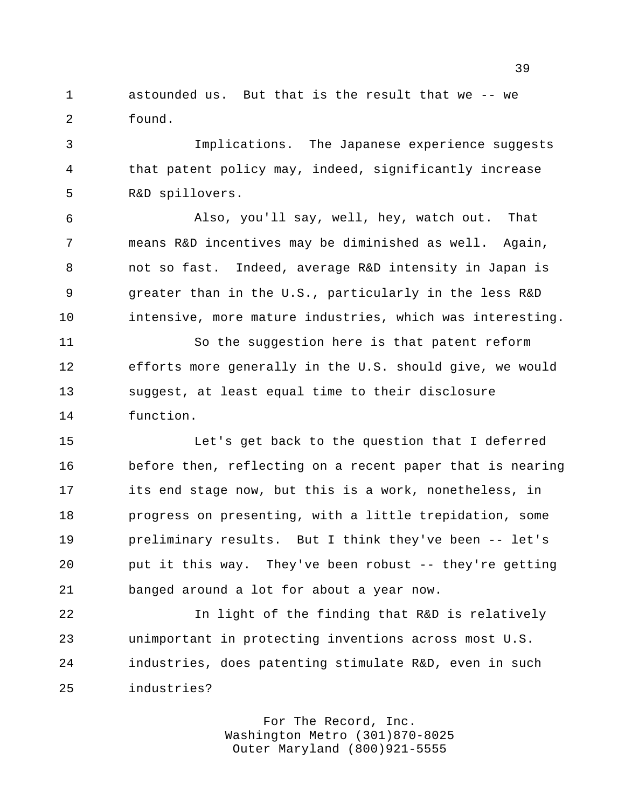astounded us. But that is the result that we -- we found.

 Implications. The Japanese experience suggests that patent policy may, indeed, significantly increase R&D spillovers.

 Also, you'll say, well, hey, watch out. That means R&D incentives may be diminished as well. Again, not so fast. Indeed, average R&D intensity in Japan is greater than in the U.S., particularly in the less R&D intensive, more mature industries, which was interesting.

 So the suggestion here is that patent reform efforts more generally in the U.S. should give, we would suggest, at least equal time to their disclosure function.

 Let's get back to the question that I deferred before then, reflecting on a recent paper that is nearing its end stage now, but this is a work, nonetheless, in progress on presenting, with a little trepidation, some preliminary results. But I think they've been -- let's put it this way. They've been robust -- they're getting banged around a lot for about a year now.

 In light of the finding that R&D is relatively unimportant in protecting inventions across most U.S. industries, does patenting stimulate R&D, even in such industries?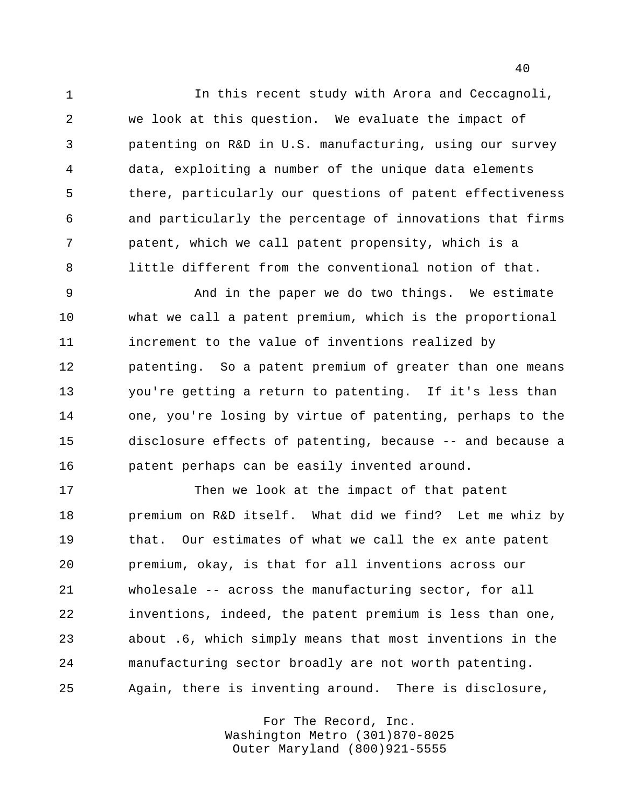In this recent study with Arora and Ceccagnoli, we look at this question. We evaluate the impact of patenting on R&D in U.S. manufacturing, using our survey data, exploiting a number of the unique data elements there, particularly our questions of patent effectiveness and particularly the percentage of innovations that firms patent, which we call patent propensity, which is a little different from the conventional notion of that.

 And in the paper we do two things. We estimate what we call a patent premium, which is the proportional increment to the value of inventions realized by patenting. So a patent premium of greater than one means you're getting a return to patenting. If it's less than one, you're losing by virtue of patenting, perhaps to the disclosure effects of patenting, because -- and because a patent perhaps can be easily invented around.

 Then we look at the impact of that patent premium on R&D itself. What did we find? Let me whiz by that. Our estimates of what we call the ex ante patent premium, okay, is that for all inventions across our wholesale -- across the manufacturing sector, for all inventions, indeed, the patent premium is less than one, about .6, which simply means that most inventions in the manufacturing sector broadly are not worth patenting. Again, there is inventing around. There is disclosure,

> For The Record, Inc. Washington Metro (301)870-8025 Outer Maryland (800)921-5555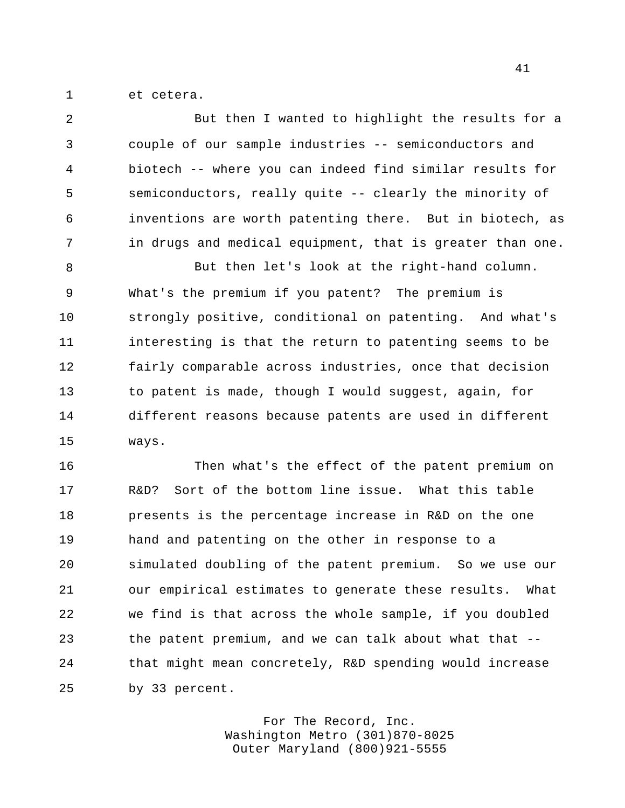et cetera.

| 2              | But then I wanted to highlight the results for a          |
|----------------|-----------------------------------------------------------|
| 3              | couple of our sample industries -- semiconductors and     |
| $\overline{4}$ | biotech -- where you can indeed find similar results for  |
| 5              | semiconductors, really quite -- clearly the minority of   |
| 6              | inventions are worth patenting there. But in biotech, as  |
| 7              | in drugs and medical equipment, that is greater than one. |
| 8              | But then let's look at the right-hand column.             |
| 9              | What's the premium if you patent? The premium is          |
| 10             | strongly positive, conditional on patenting. And what's   |
| 11             | interesting is that the return to patenting seems to be   |
| 12             | fairly comparable across industries, once that decision   |
| 13             | to patent is made, though I would suggest, again, for     |
| 14             | different reasons because patents are used in different   |
| 15             | ways.                                                     |
| 16             | Then what's the effect of the patent premium on           |
| 17             | Sort of the bottom line issue. What this table<br>R&D?    |
| 18             | presents is the percentage increase in R&D on the one     |
| 19             | hand and patenting on the other in response to a          |
| 20             | simulated doubling of the patent premium. So we use our   |
|                |                                                           |

 our empirical estimates to generate these results. What we find is that across the whole sample, if you doubled the patent premium, and we can talk about what that -- that might mean concretely, R&D spending would increase by 33 percent.

> For The Record, Inc. Washington Metro (301)870-8025 Outer Maryland (800)921-5555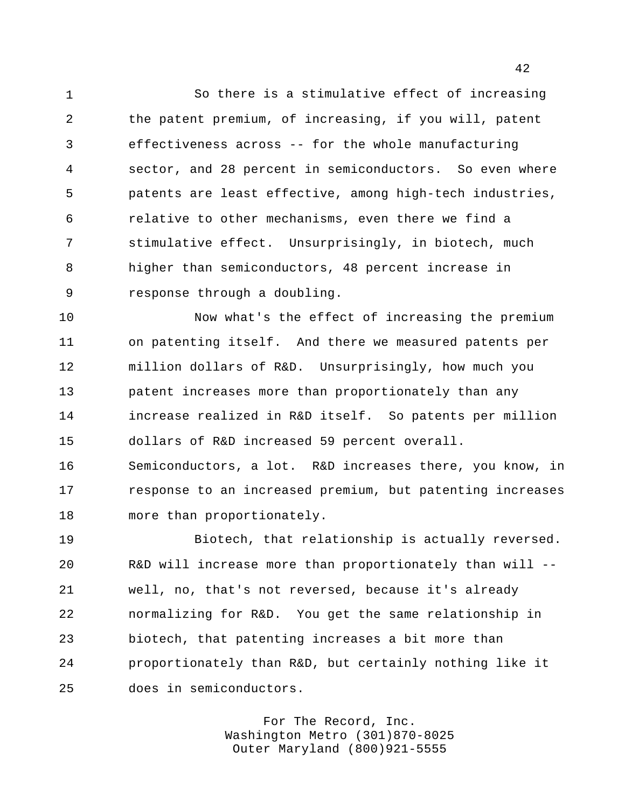So there is a stimulative effect of increasing the patent premium, of increasing, if you will, patent effectiveness across -- for the whole manufacturing sector, and 28 percent in semiconductors. So even where patents are least effective, among high-tech industries, relative to other mechanisms, even there we find a stimulative effect. Unsurprisingly, in biotech, much higher than semiconductors, 48 percent increase in response through a doubling.

 Now what's the effect of increasing the premium on patenting itself. And there we measured patents per million dollars of R&D. Unsurprisingly, how much you patent increases more than proportionately than any increase realized in R&D itself. So patents per million dollars of R&D increased 59 percent overall. Semiconductors, a lot. R&D increases there, you know, in response to an increased premium, but patenting increases more than proportionately.

 Biotech, that relationship is actually reversed. R&D will increase more than proportionately than will -- well, no, that's not reversed, because it's already normalizing for R&D. You get the same relationship in biotech, that patenting increases a bit more than proportionately than R&D, but certainly nothing like it does in semiconductors.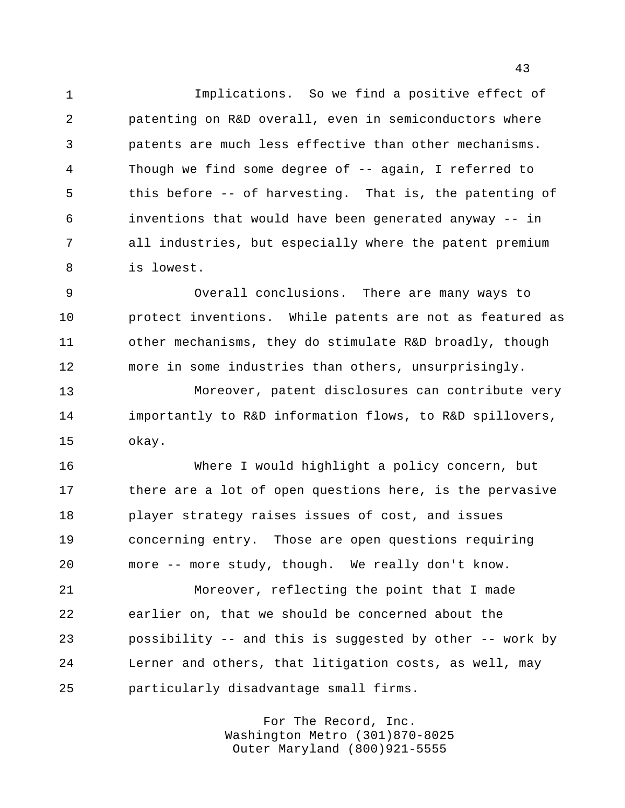Implications. So we find a positive effect of patenting on R&D overall, even in semiconductors where patents are much less effective than other mechanisms. Though we find some degree of -- again, I referred to this before -- of harvesting. That is, the patenting of inventions that would have been generated anyway -- in all industries, but especially where the patent premium is lowest.

 Overall conclusions. There are many ways to **protect inventions.** While patents are not as featured as other mechanisms, they do stimulate R&D broadly, though more in some industries than others, unsurprisingly.

 Moreover, patent disclosures can contribute very importantly to R&D information flows, to R&D spillovers, okay.

 Where I would highlight a policy concern, but 17 there are a lot of open questions here, is the pervasive player strategy raises issues of cost, and issues concerning entry. Those are open questions requiring more -- more study, though. We really don't know.

 Moreover, reflecting the point that I made earlier on, that we should be concerned about the possibility -- and this is suggested by other -- work by Lerner and others, that litigation costs, as well, may particularly disadvantage small firms.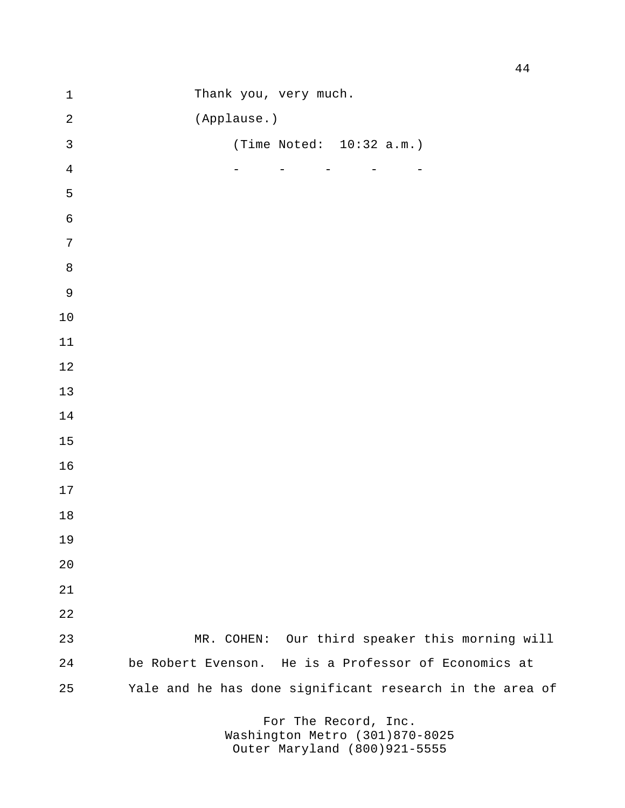| $1\,$            | Thank you, very much.                                                                                                 |
|------------------|-----------------------------------------------------------------------------------------------------------------------|
| $\sqrt{2}$       | (Applause.)                                                                                                           |
| $\mathfrak{Z}$   | (Time Noted: $10:32$ a.m.)                                                                                            |
| $\sqrt{4}$       | $\overline{\phantom{0}}$<br>$\overline{\phantom{0}}$<br>$\overline{\phantom{m}}$<br>$\sim 10^{11}$ and $\sim 10^{11}$ |
| $\mathsf S$      |                                                                                                                       |
| $\epsilon$       |                                                                                                                       |
| $\boldsymbol{7}$ |                                                                                                                       |
| $\, 8$           |                                                                                                                       |
| $\mathsf 9$      |                                                                                                                       |
| $1\,0$           |                                                                                                                       |
| $11$             |                                                                                                                       |
| 12               |                                                                                                                       |
| 13               |                                                                                                                       |
| $14$             |                                                                                                                       |
| 15               |                                                                                                                       |
| 16               |                                                                                                                       |
| 17               |                                                                                                                       |
| $18\,$           |                                                                                                                       |
| 19               |                                                                                                                       |
| 20               |                                                                                                                       |
| 21               |                                                                                                                       |
| 22               |                                                                                                                       |
| 23               | MR. COHEN: Our third speaker this morning will                                                                        |
| 24               | be Robert Evenson. He is a Professor of Economics at                                                                  |
| 25               | Yale and he has done significant research in the area of                                                              |
|                  |                                                                                                                       |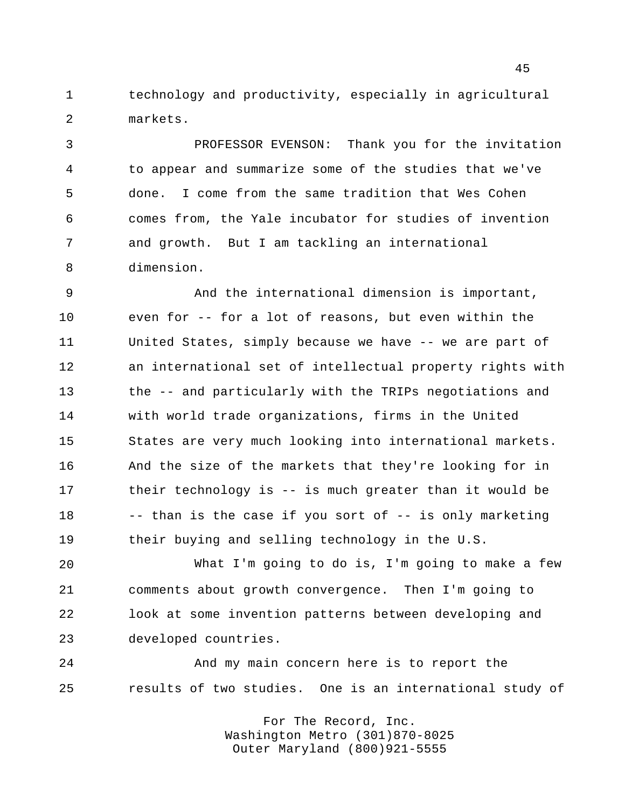technology and productivity, especially in agricultural markets.

 PROFESSOR EVENSON: Thank you for the invitation to appear and summarize some of the studies that we've done. I come from the same tradition that Wes Cohen comes from, the Yale incubator for studies of invention and growth. But I am tackling an international dimension.

 And the international dimension is important, even for -- for a lot of reasons, but even within the United States, simply because we have -- we are part of an international set of intellectual property rights with the -- and particularly with the TRIPs negotiations and with world trade organizations, firms in the United States are very much looking into international markets. And the size of the markets that they're looking for in their technology is -- is much greater than it would be -- than is the case if you sort of -- is only marketing their buying and selling technology in the U.S.

 What I'm going to do is, I'm going to make a few comments about growth convergence. Then I'm going to look at some invention patterns between developing and developed countries.

 And my main concern here is to report the results of two studies. One is an international study of

> For The Record, Inc. Washington Metro (301)870-8025 Outer Maryland (800)921-5555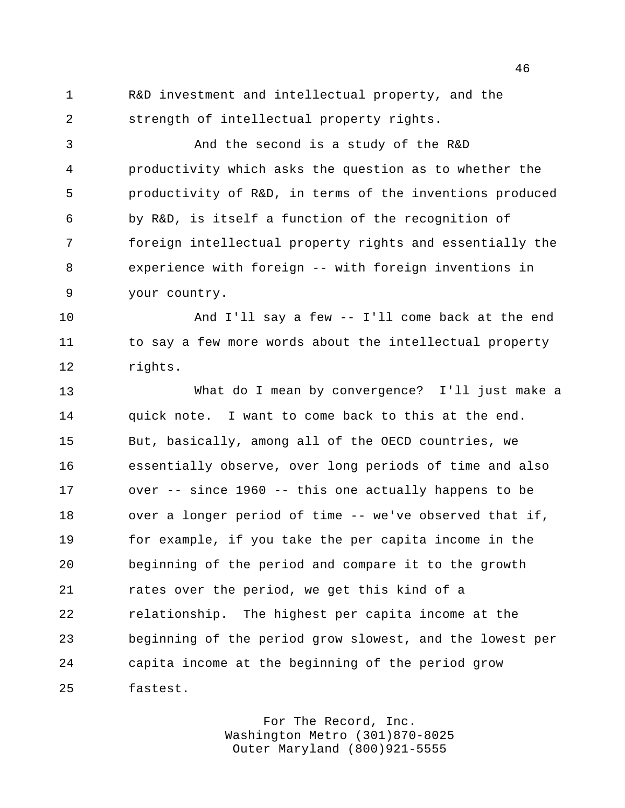R&D investment and intellectual property, and the strength of intellectual property rights.

 And the second is a study of the R&D productivity which asks the question as to whether the productivity of R&D, in terms of the inventions produced by R&D, is itself a function of the recognition of foreign intellectual property rights and essentially the experience with foreign -- with foreign inventions in your country.

 And I'll say a few -- I'll come back at the end 11 to say a few more words about the intellectual property rights.

 What do I mean by convergence? I'll just make a quick note. I want to come back to this at the end. But, basically, among all of the OECD countries, we essentially observe, over long periods of time and also over -- since 1960 -- this one actually happens to be over a longer period of time -- we've observed that if, for example, if you take the per capita income in the beginning of the period and compare it to the growth rates over the period, we get this kind of a relationship. The highest per capita income at the beginning of the period grow slowest, and the lowest per capita income at the beginning of the period grow fastest.

> For The Record, Inc. Washington Metro (301)870-8025 Outer Maryland (800)921-5555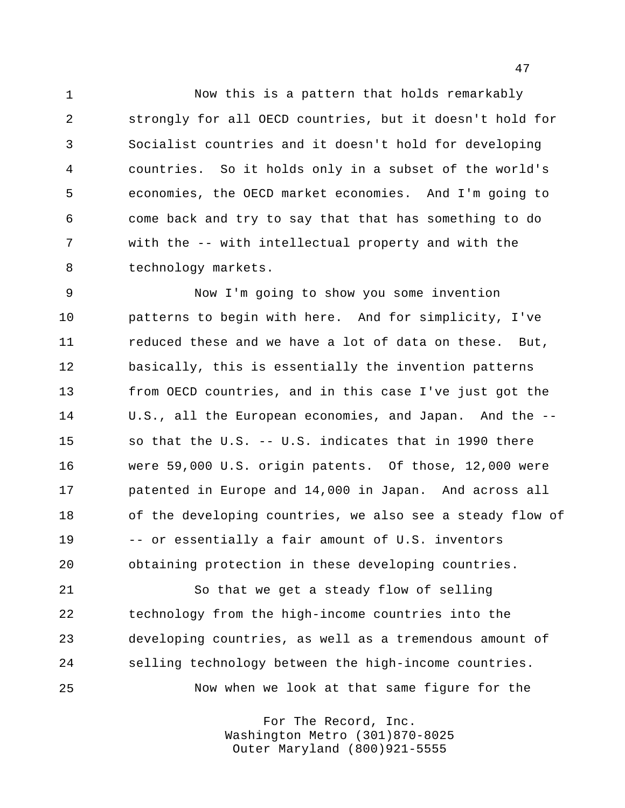Now this is a pattern that holds remarkably strongly for all OECD countries, but it doesn't hold for Socialist countries and it doesn't hold for developing countries. So it holds only in a subset of the world's economies, the OECD market economies. And I'm going to come back and try to say that that has something to do with the -- with intellectual property and with the technology markets.

 Now I'm going to show you some invention patterns to begin with here. And for simplicity, I've reduced these and we have a lot of data on these. But, basically, this is essentially the invention patterns from OECD countries, and in this case I've just got the U.S., all the European economies, and Japan. And the -- so that the U.S. -- U.S. indicates that in 1990 there were 59,000 U.S. origin patents. Of those, 12,000 were patented in Europe and 14,000 in Japan. And across all of the developing countries, we also see a steady flow of -- or essentially a fair amount of U.S. inventors obtaining protection in these developing countries.

 So that we get a steady flow of selling technology from the high-income countries into the developing countries, as well as a tremendous amount of selling technology between the high-income countries. Now when we look at that same figure for the

> For The Record, Inc. Washington Metro (301)870-8025 Outer Maryland (800)921-5555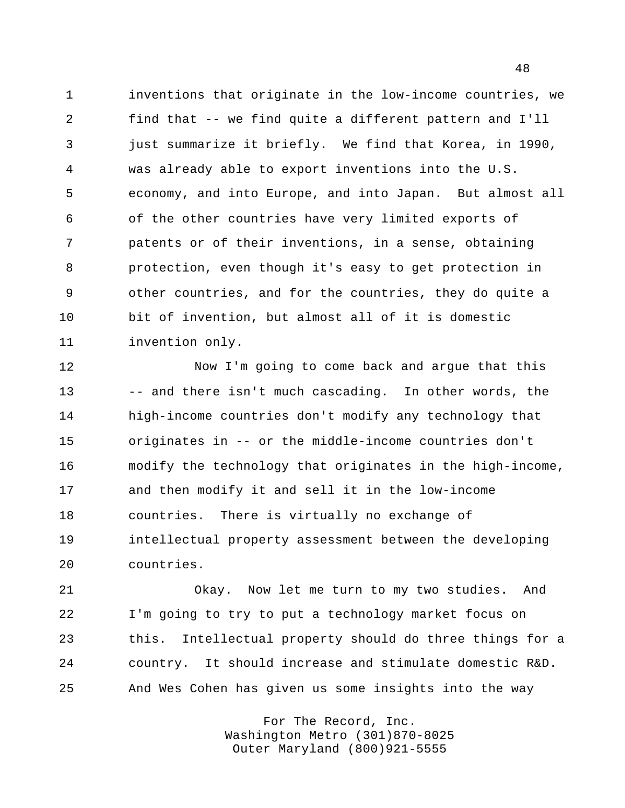inventions that originate in the low-income countries, we find that -- we find quite a different pattern and I'll just summarize it briefly. We find that Korea, in 1990, was already able to export inventions into the U.S. economy, and into Europe, and into Japan. But almost all of the other countries have very limited exports of patents or of their inventions, in a sense, obtaining protection, even though it's easy to get protection in other countries, and for the countries, they do quite a bit of invention, but almost all of it is domestic invention only.

 Now I'm going to come back and argue that this 13 -- and there isn't much cascading. In other words, the high-income countries don't modify any technology that originates in -- or the middle-income countries don't modify the technology that originates in the high-income, and then modify it and sell it in the low-income countries. There is virtually no exchange of intellectual property assessment between the developing countries.

 Okay. Now let me turn to my two studies. And I'm going to try to put a technology market focus on this. Intellectual property should do three things for a country. It should increase and stimulate domestic R&D. And Wes Cohen has given us some insights into the way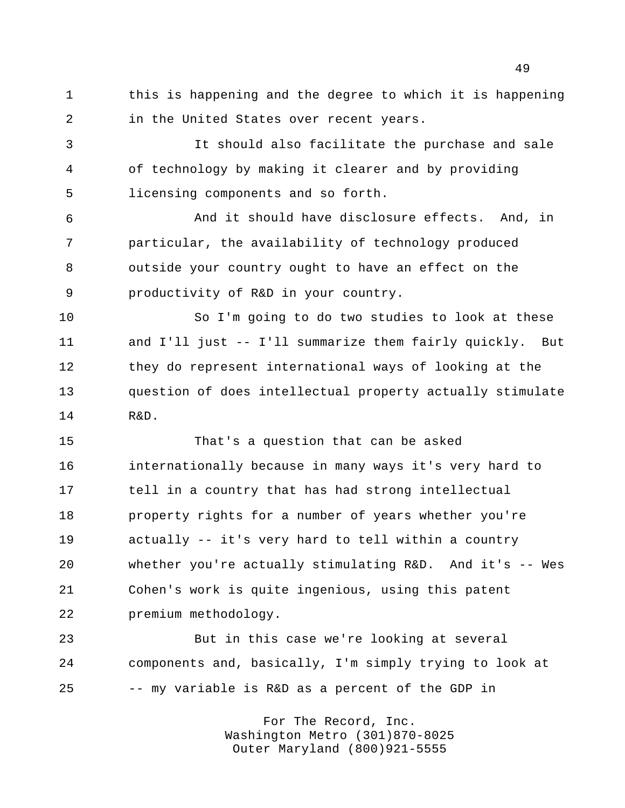this is happening and the degree to which it is happening in the United States over recent years.

 It should also facilitate the purchase and sale of technology by making it clearer and by providing licensing components and so forth.

 And it should have disclosure effects. And, in particular, the availability of technology produced outside your country ought to have an effect on the productivity of R&D in your country.

 So I'm going to do two studies to look at these and I'll just -- I'll summarize them fairly quickly. But they do represent international ways of looking at the question of does intellectual property actually stimulate R&D.

 That's a question that can be asked internationally because in many ways it's very hard to tell in a country that has had strong intellectual property rights for a number of years whether you're actually -- it's very hard to tell within a country whether you're actually stimulating R&D. And it's -- Wes Cohen's work is quite ingenious, using this patent premium methodology.

 But in this case we're looking at several components and, basically, I'm simply trying to look at -- my variable is R&D as a percent of the GDP in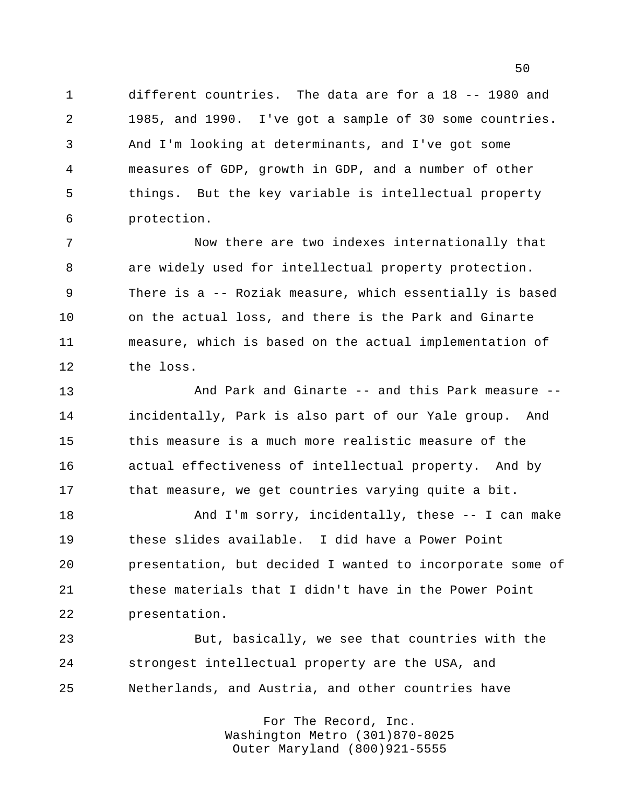different countries. The data are for a 18 -- 1980 and 1985, and 1990. I've got a sample of 30 some countries. And I'm looking at determinants, and I've got some measures of GDP, growth in GDP, and a number of other things. But the key variable is intellectual property protection.

 Now there are two indexes internationally that are widely used for intellectual property protection. There is a -- Roziak measure, which essentially is based on the actual loss, and there is the Park and Ginarte measure, which is based on the actual implementation of the loss.

 And Park and Ginarte -- and this Park measure -- incidentally, Park is also part of our Yale group. And this measure is a much more realistic measure of the actual effectiveness of intellectual property. And by 17 that measure, we get countries varying quite a bit.

 And I'm sorry, incidentally, these -- I can make these slides available. I did have a Power Point presentation, but decided I wanted to incorporate some of these materials that I didn't have in the Power Point presentation.

 But, basically, we see that countries with the strongest intellectual property are the USA, and Netherlands, and Austria, and other countries have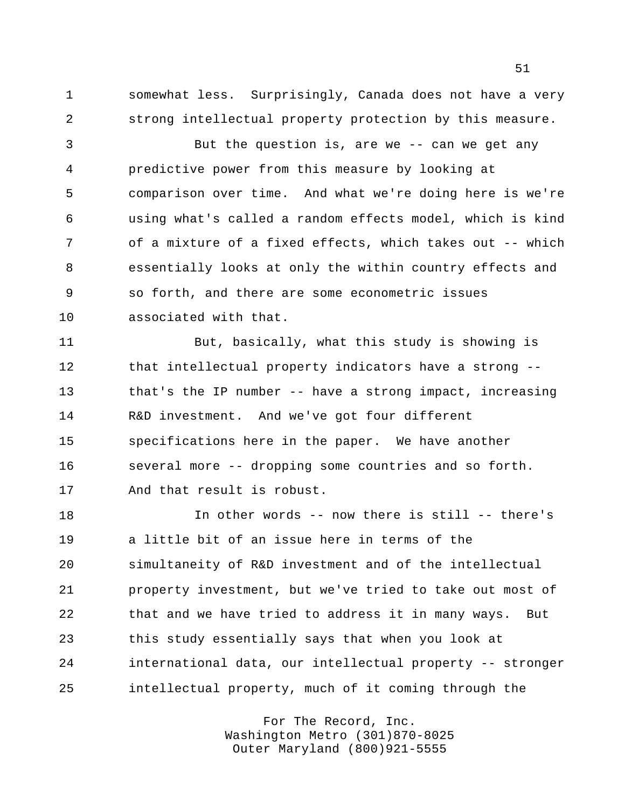somewhat less. Surprisingly, Canada does not have a very strong intellectual property protection by this measure.

 But the question is, are we -- can we get any predictive power from this measure by looking at comparison over time. And what we're doing here is we're using what's called a random effects model, which is kind of a mixture of a fixed effects, which takes out -- which essentially looks at only the within country effects and so forth, and there are some econometric issues associated with that.

 But, basically, what this study is showing is 12 that intellectual property indicators have a strong -- that's the IP number -- have a strong impact, increasing R&D investment. And we've got four different specifications here in the paper. We have another several more -- dropping some countries and so forth. And that result is robust.

 In other words -- now there is still -- there's a little bit of an issue here in terms of the simultaneity of R&D investment and of the intellectual property investment, but we've tried to take out most of that and we have tried to address it in many ways. But this study essentially says that when you look at international data, our intellectual property -- stronger intellectual property, much of it coming through the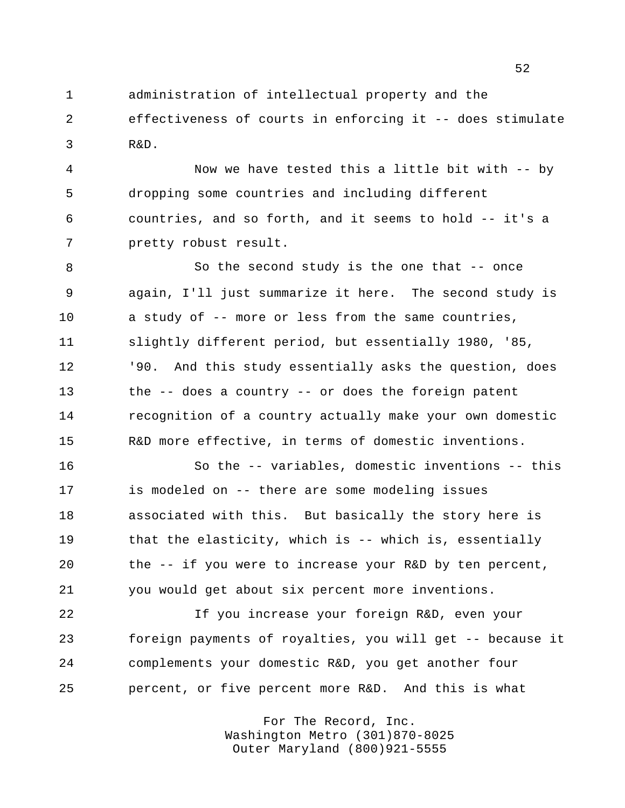administration of intellectual property and the effectiveness of courts in enforcing it -- does stimulate R&D.

 Now we have tested this a little bit with -- by dropping some countries and including different countries, and so forth, and it seems to hold -- it's a pretty robust result.

8 So the second study is the one that -- once again, I'll just summarize it here. The second study is a study of -- more or less from the same countries, slightly different period, but essentially 1980, '85, 12 <sup>'90</sup>. And this study essentially asks the question, does the -- does a country -- or does the foreign patent recognition of a country actually make your own domestic R&D more effective, in terms of domestic inventions.

 So the -- variables, domestic inventions -- this is modeled on -- there are some modeling issues associated with this. But basically the story here is that the elasticity, which is -- which is, essentially the -- if you were to increase your R&D by ten percent, you would get about six percent more inventions.

 If you increase your foreign R&D, even your foreign payments of royalties, you will get -- because it complements your domestic R&D, you get another four percent, or five percent more R&D. And this is what

> For The Record, Inc. Washington Metro (301)870-8025 Outer Maryland (800)921-5555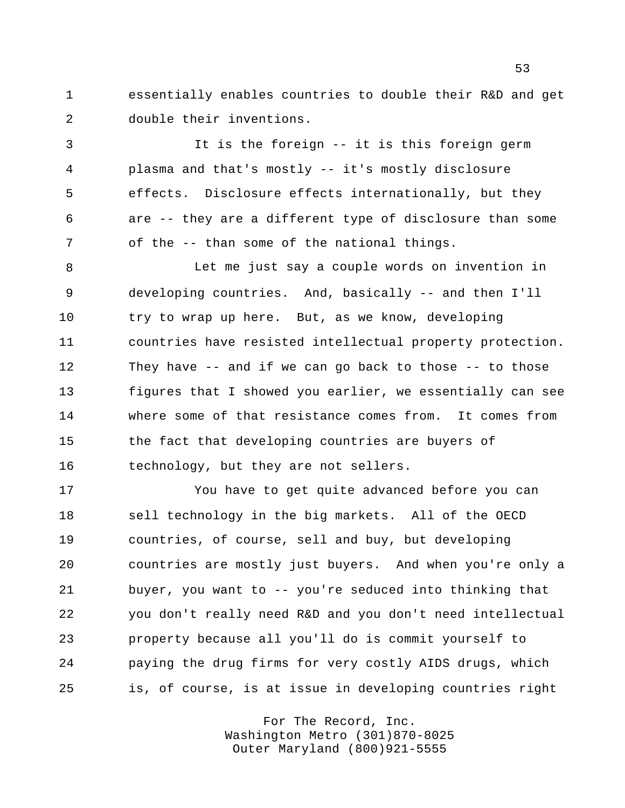essentially enables countries to double their R&D and get double their inventions.

 It is the foreign -- it is this foreign germ plasma and that's mostly -- it's mostly disclosure effects. Disclosure effects internationally, but they are -- they are a different type of disclosure than some of the -- than some of the national things.

 Let me just say a couple words on invention in developing countries. And, basically -- and then I'll try to wrap up here. But, as we know, developing countries have resisted intellectual property protection. They have -- and if we can go back to those -- to those figures that I showed you earlier, we essentially can see where some of that resistance comes from. It comes from the fact that developing countries are buyers of technology, but they are not sellers.

 You have to get quite advanced before you can sell technology in the big markets. All of the OECD countries, of course, sell and buy, but developing countries are mostly just buyers. And when you're only a buyer, you want to -- you're seduced into thinking that you don't really need R&D and you don't need intellectual property because all you'll do is commit yourself to paying the drug firms for very costly AIDS drugs, which is, of course, is at issue in developing countries right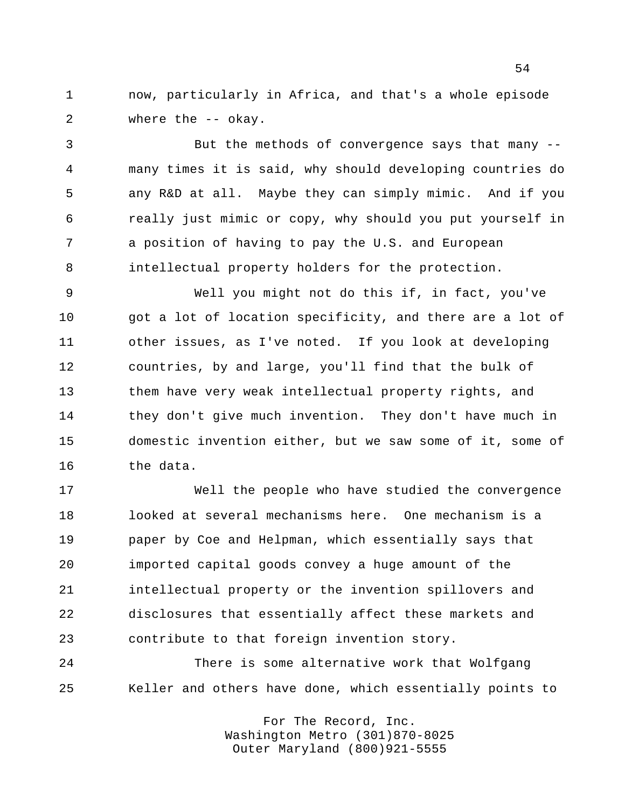now, particularly in Africa, and that's a whole episode where the -- okay.

 But the methods of convergence says that many -- many times it is said, why should developing countries do any R&D at all. Maybe they can simply mimic. And if you really just mimic or copy, why should you put yourself in a position of having to pay the U.S. and European intellectual property holders for the protection.

 Well you might not do this if, in fact, you've 10 got a lot of location specificity, and there are a lot of other issues, as I've noted. If you look at developing countries, by and large, you'll find that the bulk of 13 them have very weak intellectual property rights, and they don't give much invention. They don't have much in domestic invention either, but we saw some of it, some of the data.

 Well the people who have studied the convergence looked at several mechanisms here. One mechanism is a paper by Coe and Helpman, which essentially says that imported capital goods convey a huge amount of the intellectual property or the invention spillovers and disclosures that essentially affect these markets and contribute to that foreign invention story.

 There is some alternative work that Wolfgang Keller and others have done, which essentially points to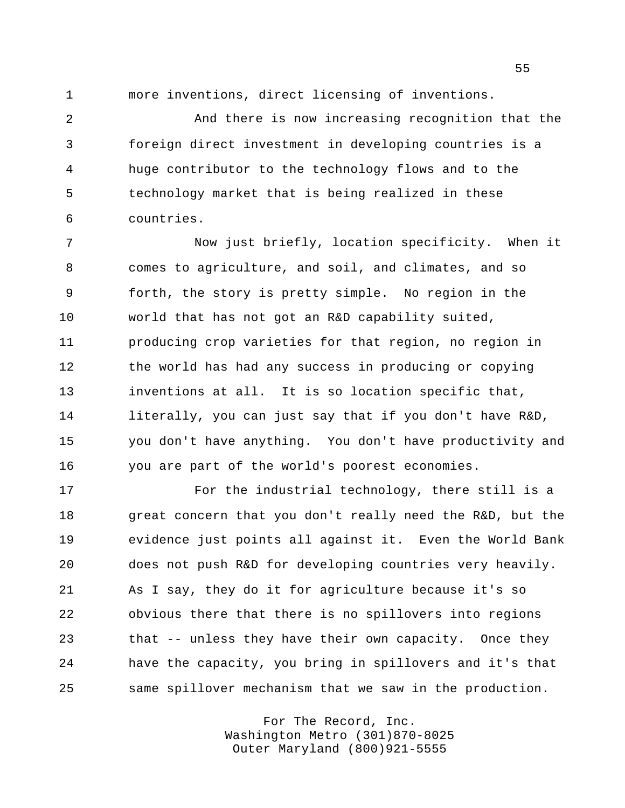more inventions, direct licensing of inventions.

 And there is now increasing recognition that the foreign direct investment in developing countries is a huge contributor to the technology flows and to the technology market that is being realized in these countries.

 Now just briefly, location specificity. When it comes to agriculture, and soil, and climates, and so forth, the story is pretty simple. No region in the world that has not got an R&D capability suited, producing crop varieties for that region, no region in the world has had any success in producing or copying inventions at all. It is so location specific that, literally, you can just say that if you don't have R&D, you don't have anything. You don't have productivity and you are part of the world's poorest economies.

 For the industrial technology, there still is a great concern that you don't really need the R&D, but the evidence just points all against it. Even the World Bank does not push R&D for developing countries very heavily. As I say, they do it for agriculture because it's so obvious there that there is no spillovers into regions that -- unless they have their own capacity. Once they have the capacity, you bring in spillovers and it's that same spillover mechanism that we saw in the production.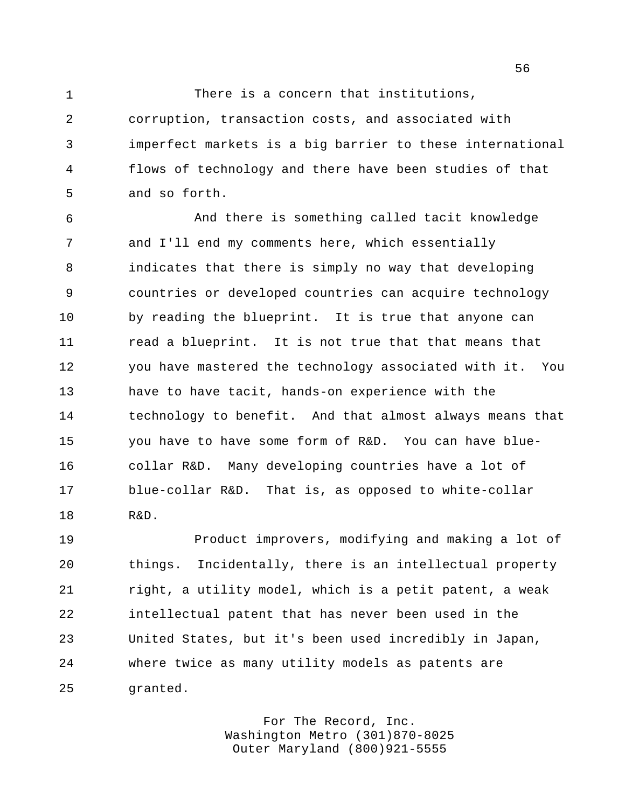There is a concern that institutions,

 corruption, transaction costs, and associated with imperfect markets is a big barrier to these international flows of technology and there have been studies of that and so forth.

 And there is something called tacit knowledge and I'll end my comments here, which essentially indicates that there is simply no way that developing countries or developed countries can acquire technology by reading the blueprint. It is true that anyone can read a blueprint. It is not true that that means that you have mastered the technology associated with it. You have to have tacit, hands-on experience with the technology to benefit. And that almost always means that you have to have some form of R&D. You can have blue- collar R&D. Many developing countries have a lot of blue-collar R&D. That is, as opposed to white-collar R&D.

 Product improvers, modifying and making a lot of things. Incidentally, there is an intellectual property right, a utility model, which is a petit patent, a weak intellectual patent that has never been used in the United States, but it's been used incredibly in Japan, where twice as many utility models as patents are granted.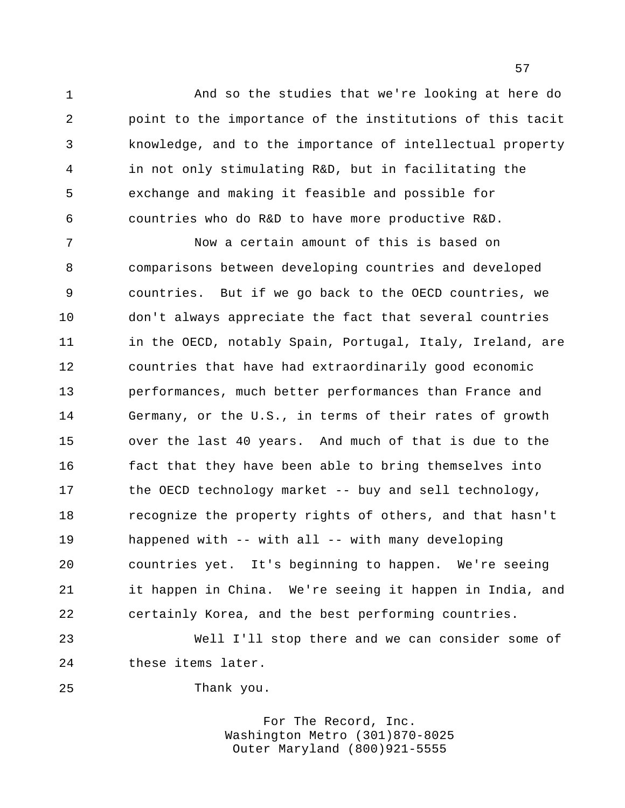And so the studies that we're looking at here do point to the importance of the institutions of this tacit knowledge, and to the importance of intellectual property in not only stimulating R&D, but in facilitating the exchange and making it feasible and possible for countries who do R&D to have more productive R&D.

 Now a certain amount of this is based on comparisons between developing countries and developed countries. But if we go back to the OECD countries, we don't always appreciate the fact that several countries 11 in the OECD, notably Spain, Portugal, Italy, Ireland, are countries that have had extraordinarily good economic performances, much better performances than France and Germany, or the U.S., in terms of their rates of growth over the last 40 years. And much of that is due to the fact that they have been able to bring themselves into 17 the OECD technology market -- buy and sell technology, recognize the property rights of others, and that hasn't happened with -- with all -- with many developing countries yet. It's beginning to happen. We're seeing it happen in China. We're seeing it happen in India, and certainly Korea, and the best performing countries.

 Well I'll stop there and we can consider some of these items later.

Thank you.

For The Record, Inc. Washington Metro (301)870-8025 Outer Maryland (800)921-5555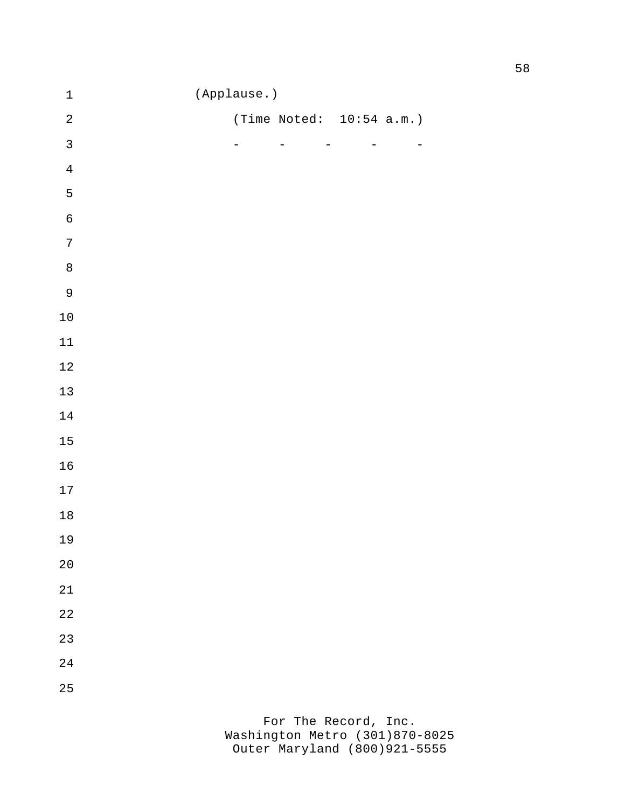| $\ensuremath{\mathsf{1}}$ | (Applause.)              |                                                      |                          |                          |
|---------------------------|--------------------------|------------------------------------------------------|--------------------------|--------------------------|
| $\sqrt{2}$                |                          | (Time Noted: $10:54$ a.m.)                           |                          |                          |
| $\mathbf{3}$              | $\overline{\phantom{0}}$ | $\overline{\phantom{0}}$<br>$\overline{\phantom{0}}$ | $\overline{\phantom{0}}$ | $\overline{\phantom{0}}$ |
| $\bf 4$                   |                          |                                                      |                          |                          |
| 5                         |                          |                                                      |                          |                          |
| $\epsilon$                |                          |                                                      |                          |                          |
| $\sqrt{ }$                |                          |                                                      |                          |                          |
| 8                         |                          |                                                      |                          |                          |
| $\overline{9}$            |                          |                                                      |                          |                          |
| $1\,0$                    |                          |                                                      |                          |                          |
| $11\,$                    |                          |                                                      |                          |                          |
| $1\,2$                    |                          |                                                      |                          |                          |
| $13$                      |                          |                                                      |                          |                          |
| $1\,4$                    |                          |                                                      |                          |                          |
| $15$                      |                          |                                                      |                          |                          |
| $16$                      |                          |                                                      |                          |                          |
| $17$                      |                          |                                                      |                          |                          |
| $1\,8$                    |                          |                                                      |                          |                          |
| 19                        |                          |                                                      |                          |                          |
| $2\,0$                    |                          |                                                      |                          |                          |
| $2\sqrt{1}$               |                          |                                                      |                          |                          |
| $2\sqrt{2}$               |                          |                                                      |                          |                          |
| 23                        |                          |                                                      |                          |                          |
| $2\sqrt{4}$               |                          |                                                      |                          |                          |
| 25                        |                          |                                                      |                          |                          |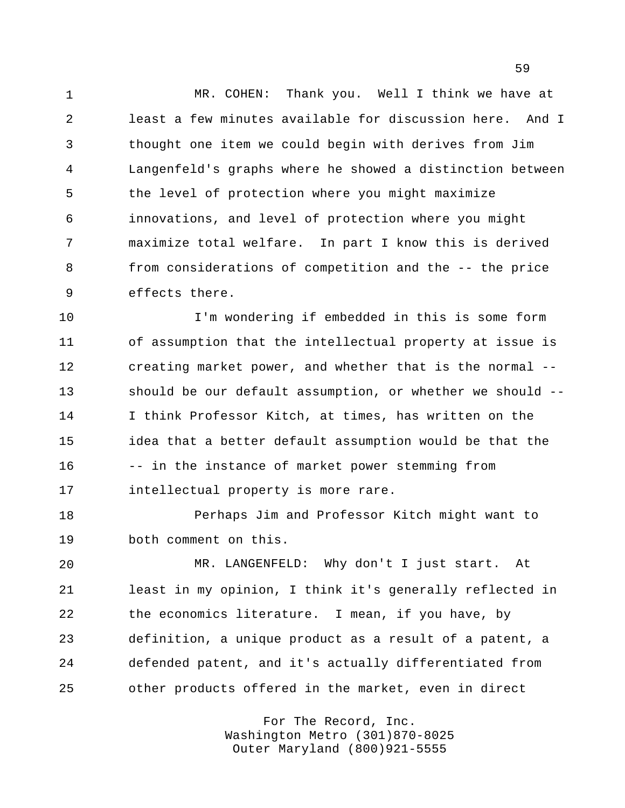MR. COHEN: Thank you. Well I think we have at least a few minutes available for discussion here. And I thought one item we could begin with derives from Jim Langenfeld's graphs where he showed a distinction between the level of protection where you might maximize innovations, and level of protection where you might maximize total welfare. In part I know this is derived from considerations of competition and the -- the price effects there.

 I'm wondering if embedded in this is some form of assumption that the intellectual property at issue is creating market power, and whether that is the normal -- should be our default assumption, or whether we should -- I think Professor Kitch, at times, has written on the idea that a better default assumption would be that the 16 -- in the instance of market power stemming from intellectual property is more rare.

 Perhaps Jim and Professor Kitch might want to both comment on this.

 MR. LANGENFELD: Why don't I just start. At least in my opinion, I think it's generally reflected in the economics literature. I mean, if you have, by definition, a unique product as a result of a patent, a defended patent, and it's actually differentiated from other products offered in the market, even in direct

> For The Record, Inc. Washington Metro (301)870-8025 Outer Maryland (800)921-5555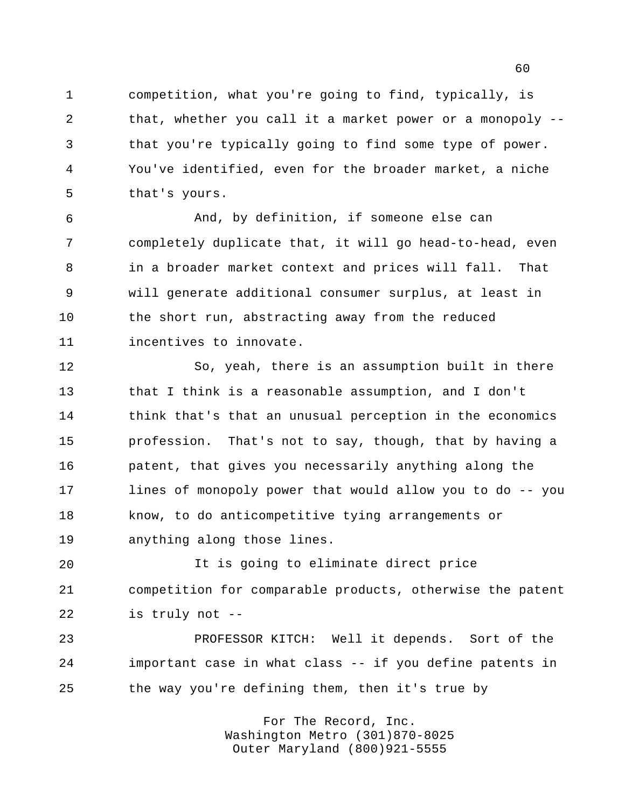competition, what you're going to find, typically, is that, whether you call it a market power or a monopoly -- that you're typically going to find some type of power. You've identified, even for the broader market, a niche that's yours.

 And, by definition, if someone else can completely duplicate that, it will go head-to-head, even in a broader market context and prices will fall. That will generate additional consumer surplus, at least in the short run, abstracting away from the reduced incentives to innovate.

 So, yeah, there is an assumption built in there that I think is a reasonable assumption, and I don't think that's that an unusual perception in the economics profession. That's not to say, though, that by having a patent, that gives you necessarily anything along the lines of monopoly power that would allow you to do -- you know, to do anticompetitive tying arrangements or anything along those lines.

 It is going to eliminate direct price competition for comparable products, otherwise the patent is truly not --

 PROFESSOR KITCH: Well it depends. Sort of the important case in what class -- if you define patents in the way you're defining them, then it's true by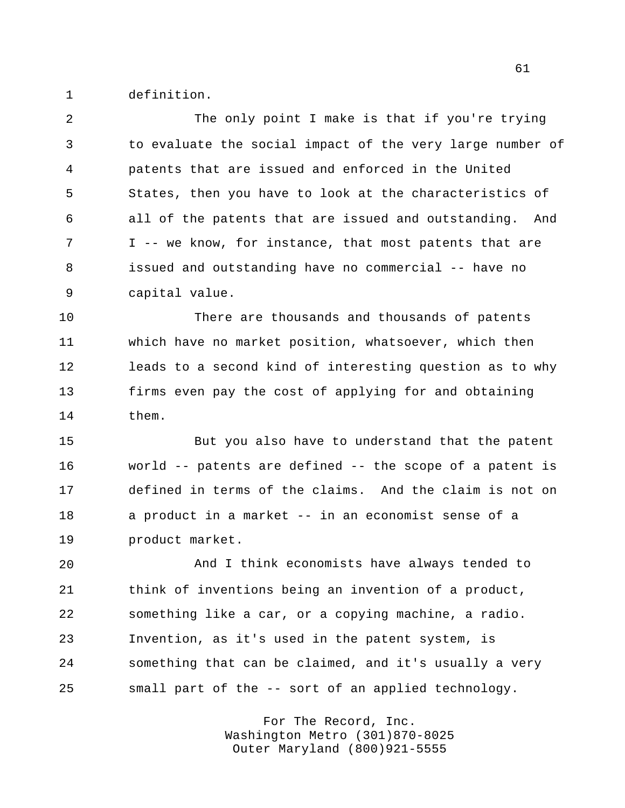definition.

 The only point I make is that if you're trying to evaluate the social impact of the very large number of patents that are issued and enforced in the United States, then you have to look at the characteristics of all of the patents that are issued and outstanding. And I -- we know, for instance, that most patents that are issued and outstanding have no commercial -- have no capital value.

 There are thousands and thousands of patents which have no market position, whatsoever, which then leads to a second kind of interesting question as to why firms even pay the cost of applying for and obtaining them.

 But you also have to understand that the patent world -- patents are defined -- the scope of a patent is defined in terms of the claims. And the claim is not on a product in a market -- in an economist sense of a product market.

 And I think economists have always tended to think of inventions being an invention of a product, something like a car, or a copying machine, a radio. Invention, as it's used in the patent system, is something that can be claimed, and it's usually a very small part of the -- sort of an applied technology.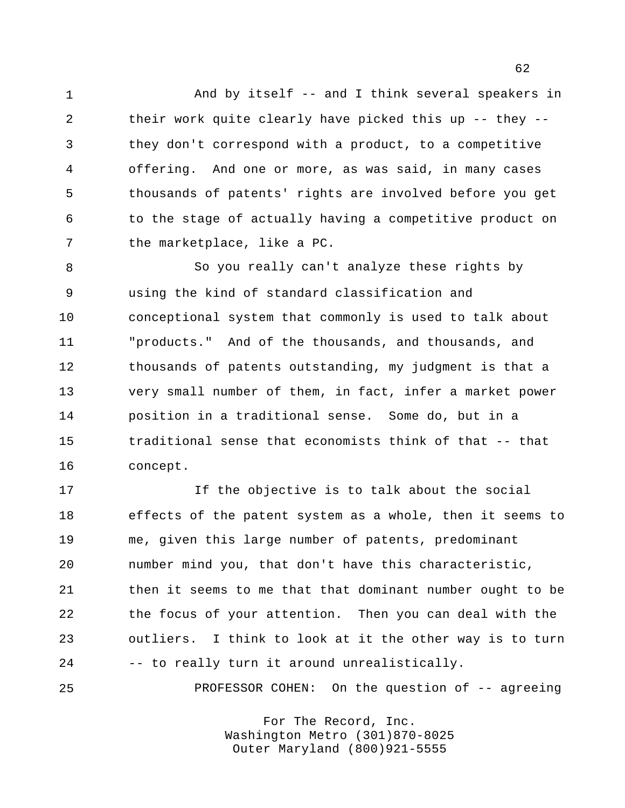And by itself -- and I think several speakers in their work quite clearly have picked this up -- they -- they don't correspond with a product, to a competitive offering. And one or more, as was said, in many cases thousands of patents' rights are involved before you get to the stage of actually having a competitive product on the marketplace, like a PC.

 So you really can't analyze these rights by using the kind of standard classification and conceptional system that commonly is used to talk about "products." And of the thousands, and thousands, and thousands of patents outstanding, my judgment is that a very small number of them, in fact, infer a market power position in a traditional sense. Some do, but in a traditional sense that economists think of that -- that concept.

 If the objective is to talk about the social effects of the patent system as a whole, then it seems to me, given this large number of patents, predominant number mind you, that don't have this characteristic, then it seems to me that that dominant number ought to be the focus of your attention. Then you can deal with the outliers. I think to look at it the other way is to turn -- to really turn it around unrealistically.

PROFESSOR COHEN: On the question of -- agreeing

For The Record, Inc. Washington Metro (301)870-8025 Outer Maryland (800)921-5555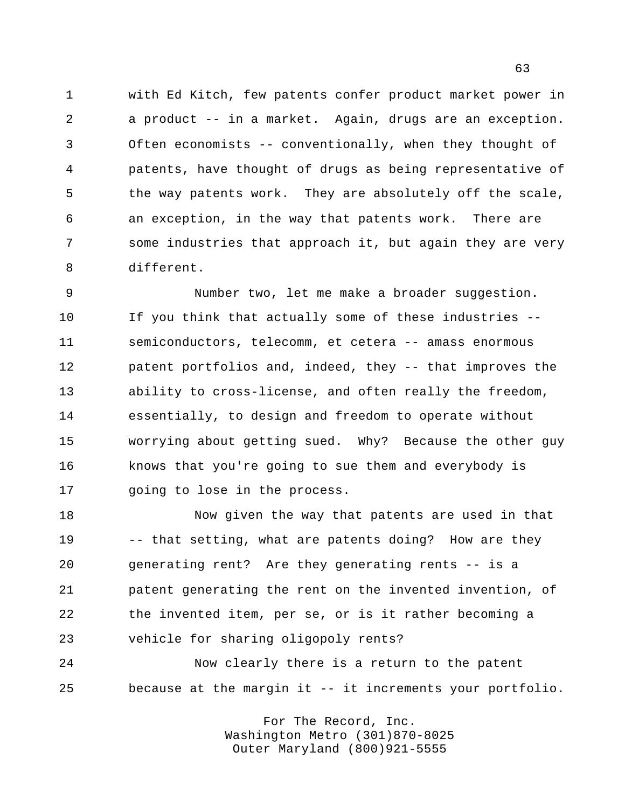with Ed Kitch, few patents confer product market power in a product -- in a market. Again, drugs are an exception. Often economists -- conventionally, when they thought of patents, have thought of drugs as being representative of the way patents work. They are absolutely off the scale, an exception, in the way that patents work. There are some industries that approach it, but again they are very different.

 Number two, let me make a broader suggestion. If you think that actually some of these industries -- semiconductors, telecomm, et cetera -- amass enormous patent portfolios and, indeed, they -- that improves the ability to cross-license, and often really the freedom, essentially, to design and freedom to operate without worrying about getting sued. Why? Because the other guy knows that you're going to sue them and everybody is going to lose in the process.

 Now given the way that patents are used in that 19 -- that setting, what are patents doing? How are they generating rent? Are they generating rents -- is a patent generating the rent on the invented invention, of the invented item, per se, or is it rather becoming a vehicle for sharing oligopoly rents?

 Now clearly there is a return to the patent because at the margin it -- it increments your portfolio.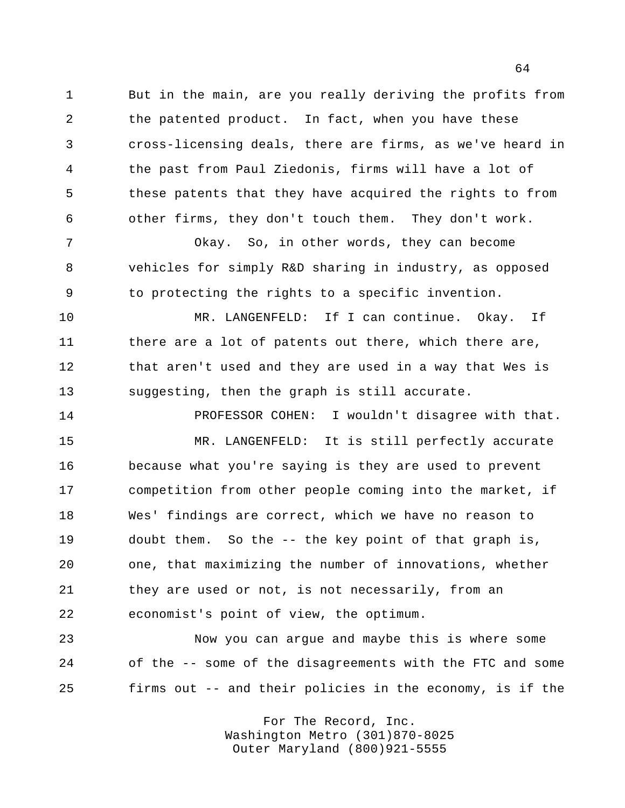But in the main, are you really deriving the profits from the patented product. In fact, when you have these cross-licensing deals, there are firms, as we've heard in the past from Paul Ziedonis, firms will have a lot of these patents that they have acquired the rights to from other firms, they don't touch them. They don't work.

 Okay. So, in other words, they can become vehicles for simply R&D sharing in industry, as opposed to protecting the rights to a specific invention.

 MR. LANGENFELD: If I can continue. Okay. If there are a lot of patents out there, which there are, 12 that aren't used and they are used in a way that Wes is suggesting, then the graph is still accurate.

 PROFESSOR COHEN: I wouldn't disagree with that. MR. LANGENFELD: It is still perfectly accurate because what you're saying is they are used to prevent competition from other people coming into the market, if Wes' findings are correct, which we have no reason to doubt them. So the -- the key point of that graph is, one, that maximizing the number of innovations, whether

 they are used or not, is not necessarily, from an economist's point of view, the optimum.

 Now you can argue and maybe this is where some of the -- some of the disagreements with the FTC and some firms out -- and their policies in the economy, is if the

> For The Record, Inc. Washington Metro (301)870-8025 Outer Maryland (800)921-5555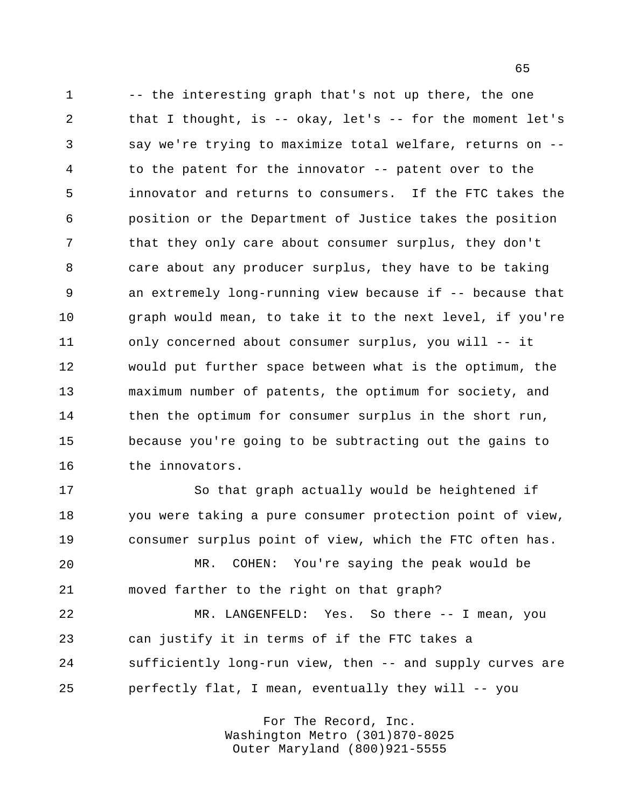1 -- the interesting graph that's not up there, the one that I thought, is -- okay, let's -- for the moment let's say we're trying to maximize total welfare, returns on -- to the patent for the innovator -- patent over to the innovator and returns to consumers. If the FTC takes the position or the Department of Justice takes the position that they only care about consumer surplus, they don't care about any producer surplus, they have to be taking an extremely long-running view because if -- because that 10 graph would mean, to take it to the next level, if you're only concerned about consumer surplus, you will -- it would put further space between what is the optimum, the maximum number of patents, the optimum for society, and 14 then the optimum for consumer surplus in the short run, because you're going to be subtracting out the gains to the innovators.

 So that graph actually would be heightened if you were taking a pure consumer protection point of view, consumer surplus point of view, which the FTC often has.

 MR. COHEN: You're saying the peak would be moved farther to the right on that graph?

 MR. LANGENFELD: Yes. So there -- I mean, you can justify it in terms of if the FTC takes a sufficiently long-run view, then -- and supply curves are perfectly flat, I mean, eventually they will -- you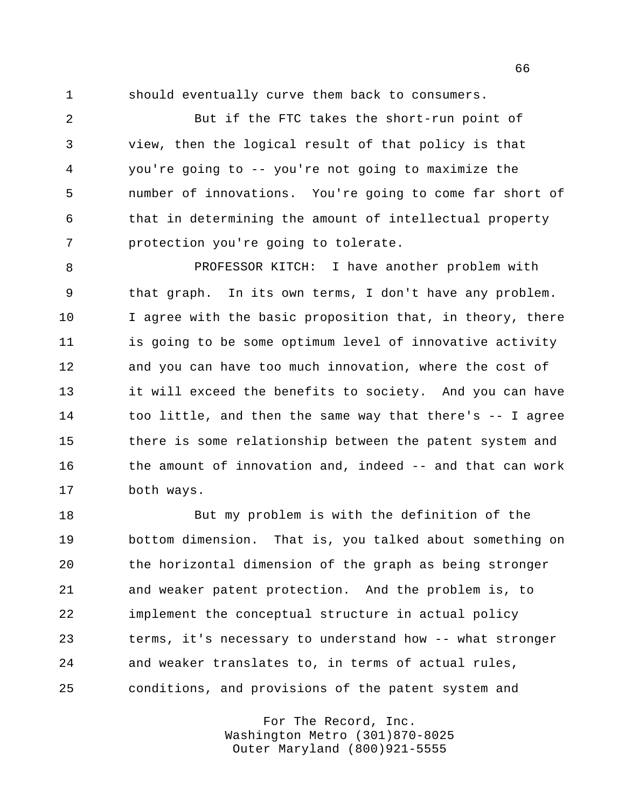should eventually curve them back to consumers.

 But if the FTC takes the short-run point of view, then the logical result of that policy is that you're going to -- you're not going to maximize the number of innovations. You're going to come far short of that in determining the amount of intellectual property protection you're going to tolerate.

 PROFESSOR KITCH: I have another problem with that graph. In its own terms, I don't have any problem. 10 I agree with the basic proposition that, in theory, there is going to be some optimum level of innovative activity and you can have too much innovation, where the cost of it will exceed the benefits to society. And you can have too little, and then the same way that there's -- I agree 15 there is some relationship between the patent system and the amount of innovation and, indeed -- and that can work both ways.

 But my problem is with the definition of the bottom dimension. That is, you talked about something on the horizontal dimension of the graph as being stronger and weaker patent protection. And the problem is, to implement the conceptual structure in actual policy terms, it's necessary to understand how -- what stronger and weaker translates to, in terms of actual rules, conditions, and provisions of the patent system and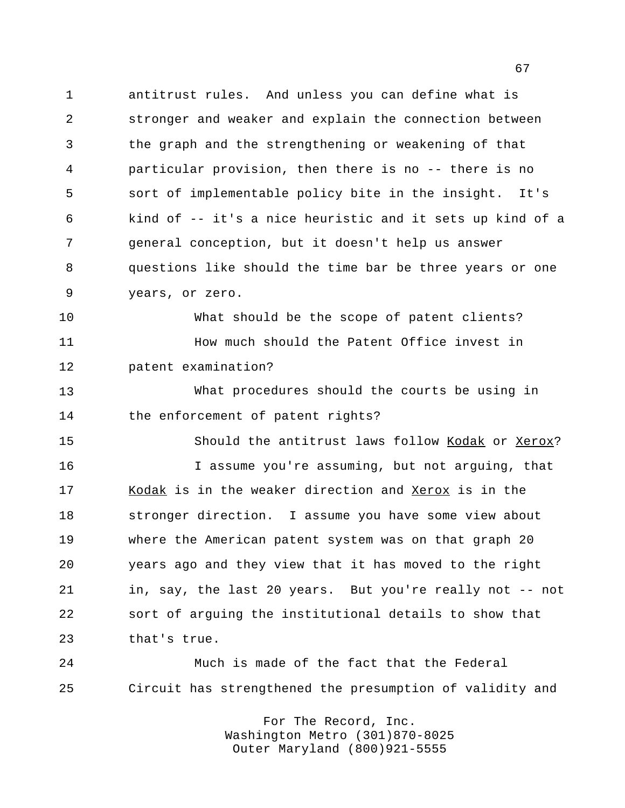antitrust rules. And unless you can define what is stronger and weaker and explain the connection between the graph and the strengthening or weakening of that particular provision, then there is no -- there is no sort of implementable policy bite in the insight. It's kind of -- it's a nice heuristic and it sets up kind of a general conception, but it doesn't help us answer questions like should the time bar be three years or one years, or zero.

 What should be the scope of patent clients? How much should the Patent Office invest in patent examination?

 What procedures should the courts be using in the enforcement of patent rights?

 Should the antitrust laws follow Kodak or Xerox? I assume you're assuming, but not arguing, that Kodak is in the weaker direction and Xerox is in the stronger direction. I assume you have some view about where the American patent system was on that graph 20 years ago and they view that it has moved to the right in, say, the last 20 years. But you're really not -- not sort of arguing the institutional details to show that that's true.

 Much is made of the fact that the Federal Circuit has strengthened the presumption of validity and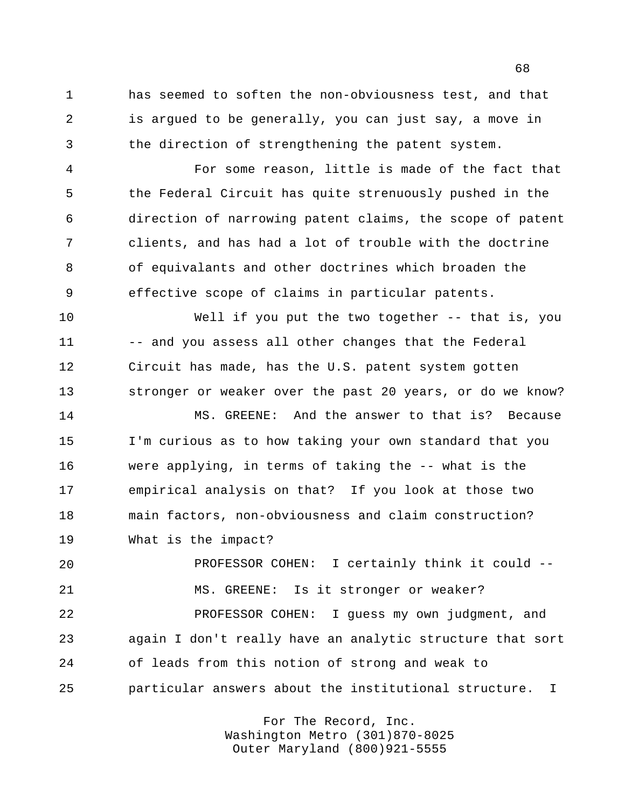has seemed to soften the non-obviousness test, and that is argued to be generally, you can just say, a move in the direction of strengthening the patent system.

 For some reason, little is made of the fact that the Federal Circuit has quite strenuously pushed in the direction of narrowing patent claims, the scope of patent clients, and has had a lot of trouble with the doctrine of equivalants and other doctrines which broaden the effective scope of claims in particular patents.

 Well if you put the two together -- that is, you 11 -- and you assess all other changes that the Federal Circuit has made, has the U.S. patent system gotten stronger or weaker over the past 20 years, or do we know?

 MS. GREENE: And the answer to that is? Because I'm curious as to how taking your own standard that you were applying, in terms of taking the -- what is the empirical analysis on that? If you look at those two main factors, non-obviousness and claim construction? What is the impact?

 PROFESSOR COHEN: I certainly think it could -- MS. GREENE: Is it stronger or weaker? PROFESSOR COHEN: I guess my own judgment, and again I don't really have an analytic structure that sort of leads from this notion of strong and weak to particular answers about the institutional structure. I

> For The Record, Inc. Washington Metro (301)870-8025 Outer Maryland (800)921-5555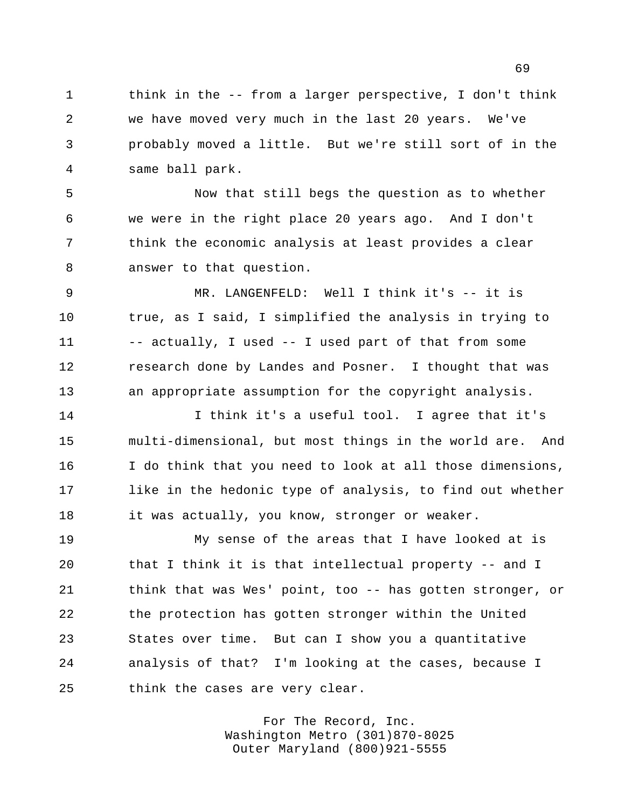think in the -- from a larger perspective, I don't think we have moved very much in the last 20 years. We've probably moved a little. But we're still sort of in the same ball park.

 Now that still begs the question as to whether we were in the right place 20 years ago. And I don't think the economic analysis at least provides a clear answer to that question.

 MR. LANGENFELD: Well I think it's -- it is true, as I said, I simplified the analysis in trying to 11 -- actually, I used -- I used part of that from some research done by Landes and Posner. I thought that was an appropriate assumption for the copyright analysis.

 I think it's a useful tool. I agree that it's multi-dimensional, but most things in the world are. And I do think that you need to look at all those dimensions, 17 like in the hedonic type of analysis, to find out whether it was actually, you know, stronger or weaker.

 My sense of the areas that I have looked at is that I think it is that intellectual property -- and I think that was Wes' point, too -- has gotten stronger, or the protection has gotten stronger within the United States over time. But can I show you a quantitative analysis of that? I'm looking at the cases, because I think the cases are very clear.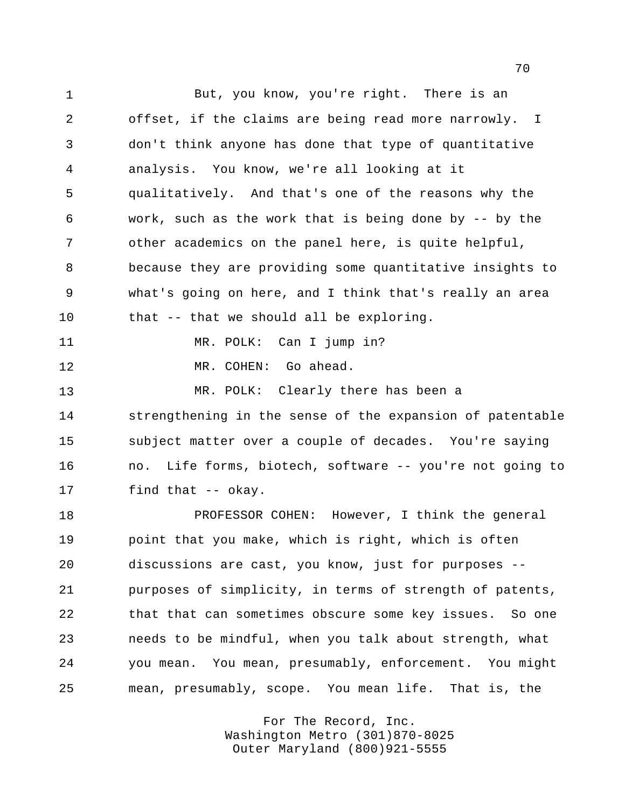But, you know, you're right. There is an offset, if the claims are being read more narrowly. I don't think anyone has done that type of quantitative analysis. You know, we're all looking at it qualitatively. And that's one of the reasons why the work, such as the work that is being done by -- by the other academics on the panel here, is quite helpful, because they are providing some quantitative insights to what's going on here, and I think that's really an area that -- that we should all be exploring. 11 MR. POLK: Can I jump in? MR. COHEN: Go ahead. MR. POLK: Clearly there has been a strengthening in the sense of the expansion of patentable subject matter over a couple of decades. You're saying no. Life forms, biotech, software -- you're not going to find that -- okay. PROFESSOR COHEN: However, I think the general point that you make, which is right, which is often discussions are cast, you know, just for purposes -- purposes of simplicity, in terms of strength of patents, that that can sometimes obscure some key issues. So one needs to be mindful, when you talk about strength, what you mean. You mean, presumably, enforcement. You might mean, presumably, scope. You mean life. That is, the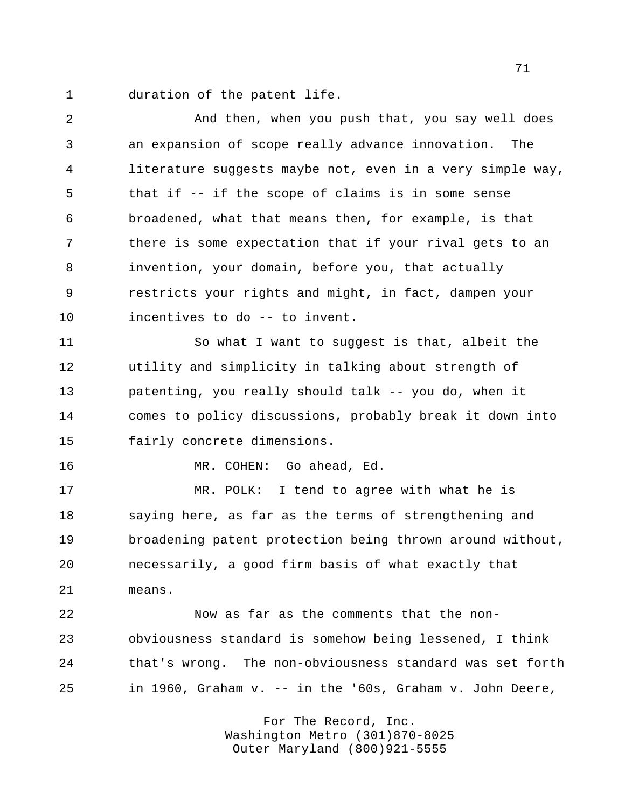duration of the patent life.

| $\overline{2}$ | And then, when you push that, you say well does           |
|----------------|-----------------------------------------------------------|
| 3              | an expansion of scope really advance innovation.<br>The   |
| 4              | literature suggests maybe not, even in a very simple way, |
| 5              | that if -- if the scope of claims is in some sense        |
| 6              | broadened, what that means then, for example, is that     |
| 7              | there is some expectation that if your rival gets to an   |
| 8              | invention, your domain, before you, that actually         |
| 9              | restricts your rights and might, in fact, dampen your     |
| 10             | incentives to do -- to invent.                            |
| 11             | So what I want to suggest is that, albeit the             |
| 12             | utility and simplicity in talking about strength of       |
| 13             | patenting, you really should talk -- you do, when it      |
| 14             | comes to policy discussions, probably break it down into  |
| 15             | fairly concrete dimensions.                               |
| 16             | MR. COHEN: Go ahead, Ed.                                  |
| 17             | MR. POLK: I tend to agree with what he is                 |
| 18             | saying here, as far as the terms of strengthening and     |
| 19             | broadening patent protection being thrown around without, |
| 20             | necessarily, a good firm basis of what exactly that       |
| 21             | means.                                                    |
| 22             | Now as far as the comments that the non-                  |
| 23             | obviousness standard is somehow being lessened, I think   |
| 24             | that's wrong. The non-obviousness standard was set forth  |
| 25             | in 1960, Graham v. -- in the '60s, Graham v. John Deere,  |
|                |                                                           |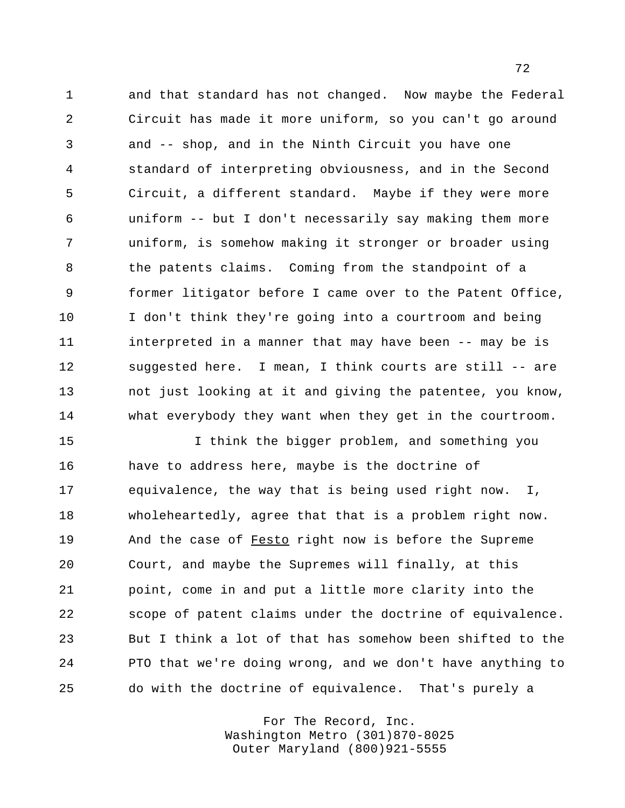and that standard has not changed. Now maybe the Federal Circuit has made it more uniform, so you can't go around and -- shop, and in the Ninth Circuit you have one standard of interpreting obviousness, and in the Second Circuit, a different standard. Maybe if they were more uniform -- but I don't necessarily say making them more uniform, is somehow making it stronger or broader using the patents claims. Coming from the standpoint of a former litigator before I came over to the Patent Office, I don't think they're going into a courtroom and being interpreted in a manner that may have been -- may be is suggested here. I mean, I think courts are still -- are not just looking at it and giving the patentee, you know, what everybody they want when they get in the courtroom.

 I think the bigger problem, and something you have to address here, maybe is the doctrine of equivalence, the way that is being used right now. I, wholeheartedly, agree that that is a problem right now. And the case of Festo right now is before the Supreme Court, and maybe the Supremes will finally, at this point, come in and put a little more clarity into the scope of patent claims under the doctrine of equivalence. But I think a lot of that has somehow been shifted to the PTO that we're doing wrong, and we don't have anything to do with the doctrine of equivalence. That's purely a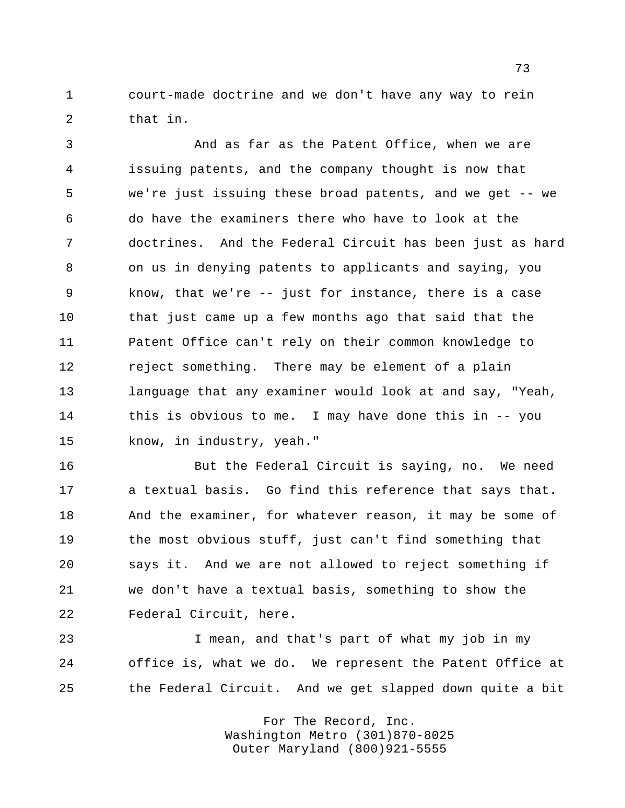court-made doctrine and we don't have any way to rein that in.

 And as far as the Patent Office, when we are issuing patents, and the company thought is now that we're just issuing these broad patents, and we get -- we do have the examiners there who have to look at the doctrines. And the Federal Circuit has been just as hard on us in denying patents to applicants and saying, you know, that we're -- just for instance, there is a case that just came up a few months ago that said that the Patent Office can't rely on their common knowledge to reject something. There may be element of a plain language that any examiner would look at and say, "Yeah, this is obvious to me. I may have done this in -- you know, in industry, yeah."

 But the Federal Circuit is saying, no. We need a textual basis. Go find this reference that says that. And the examiner, for whatever reason, it may be some of the most obvious stuff, just can't find something that says it. And we are not allowed to reject something if we don't have a textual basis, something to show the Federal Circuit, here.

 I mean, and that's part of what my job in my office is, what we do. We represent the Patent Office at the Federal Circuit. And we get slapped down quite a bit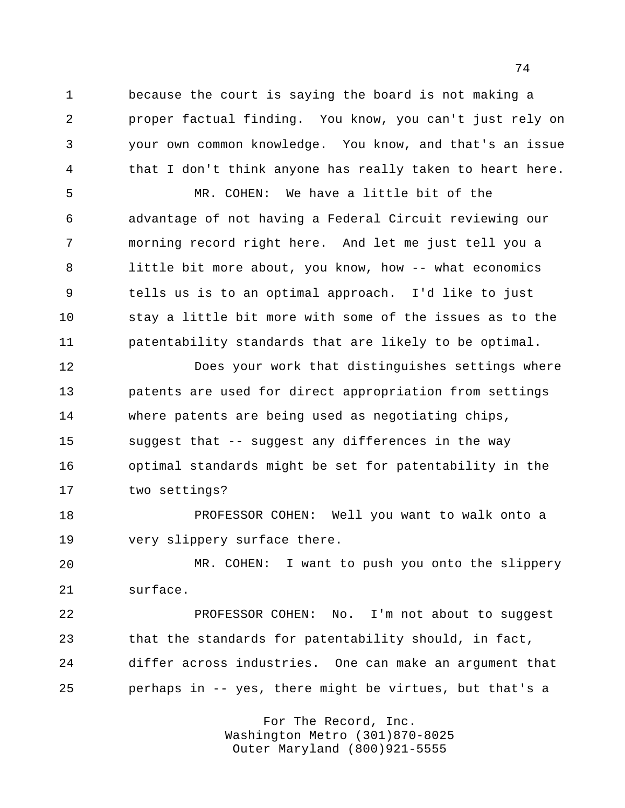because the court is saying the board is not making a proper factual finding. You know, you can't just rely on your own common knowledge. You know, and that's an issue that I don't think anyone has really taken to heart here.

 MR. COHEN: We have a little bit of the advantage of not having a Federal Circuit reviewing our morning record right here. And let me just tell you a little bit more about, you know, how -- what economics tells us is to an optimal approach. I'd like to just stay a little bit more with some of the issues as to the patentability standards that are likely to be optimal.

 Does your work that distinguishes settings where patents are used for direct appropriation from settings where patents are being used as negotiating chips, suggest that -- suggest any differences in the way optimal standards might be set for patentability in the two settings?

 PROFESSOR COHEN: Well you want to walk onto a very slippery surface there.

 MR. COHEN: I want to push you onto the slippery surface.

 PROFESSOR COHEN: No. I'm not about to suggest that the standards for patentability should, in fact, differ across industries. One can make an argument that perhaps in -- yes, there might be virtues, but that's a

> For The Record, Inc. Washington Metro (301)870-8025 Outer Maryland (800)921-5555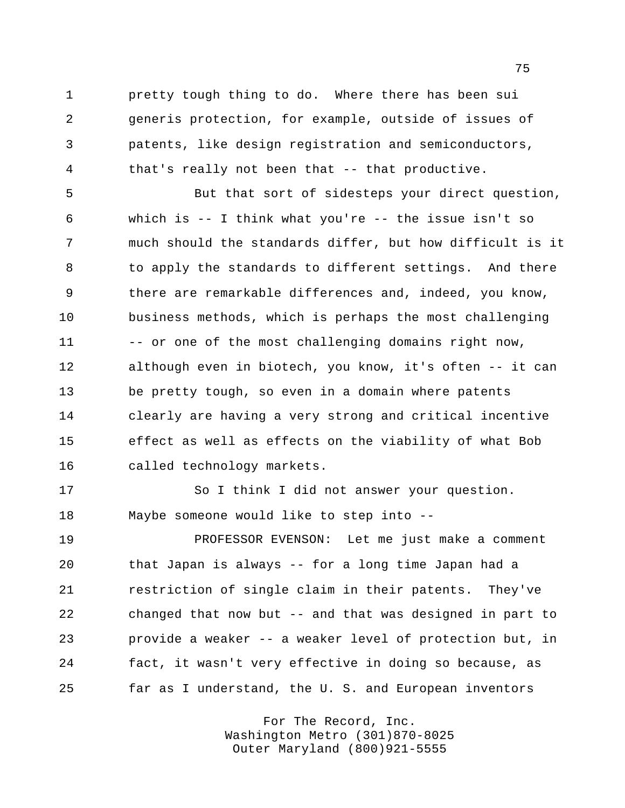pretty tough thing to do. Where there has been sui generis protection, for example, outside of issues of patents, like design registration and semiconductors, that's really not been that -- that productive.

 But that sort of sidesteps your direct question, which is -- I think what you're -- the issue isn't so much should the standards differ, but how difficult is it to apply the standards to different settings. And there there are remarkable differences and, indeed, you know, business methods, which is perhaps the most challenging 11 -- or one of the most challenging domains right now, although even in biotech, you know, it's often -- it can be pretty tough, so even in a domain where patents clearly are having a very strong and critical incentive effect as well as effects on the viability of what Bob called technology markets.

 So I think I did not answer your question. Maybe someone would like to step into --

 PROFESSOR EVENSON: Let me just make a comment that Japan is always -- for a long time Japan had a restriction of single claim in their patents. They've changed that now but -- and that was designed in part to provide a weaker -- a weaker level of protection but, in fact, it wasn't very effective in doing so because, as far as I understand, the U. S. and European inventors

> For The Record, Inc. Washington Metro (301)870-8025 Outer Maryland (800)921-5555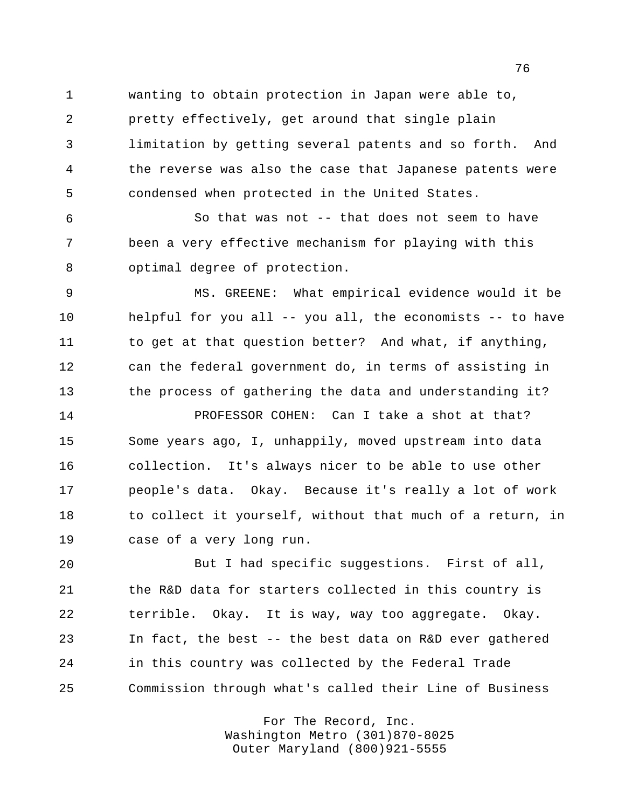wanting to obtain protection in Japan were able to, pretty effectively, get around that single plain limitation by getting several patents and so forth. And the reverse was also the case that Japanese patents were condensed when protected in the United States.

 So that was not -- that does not seem to have been a very effective mechanism for playing with this optimal degree of protection.

 MS. GREENE: What empirical evidence would it be helpful for you all -- you all, the economists -- to have to get at that question better? And what, if anything, can the federal government do, in terms of assisting in the process of gathering the data and understanding it?

 PROFESSOR COHEN: Can I take a shot at that? Some years ago, I, unhappily, moved upstream into data collection. It's always nicer to be able to use other people's data. Okay. Because it's really a lot of work to collect it yourself, without that much of a return, in case of a very long run.

 But I had specific suggestions. First of all, the R&D data for starters collected in this country is terrible. Okay. It is way, way too aggregate. Okay. In fact, the best -- the best data on R&D ever gathered in this country was collected by the Federal Trade Commission through what's called their Line of Business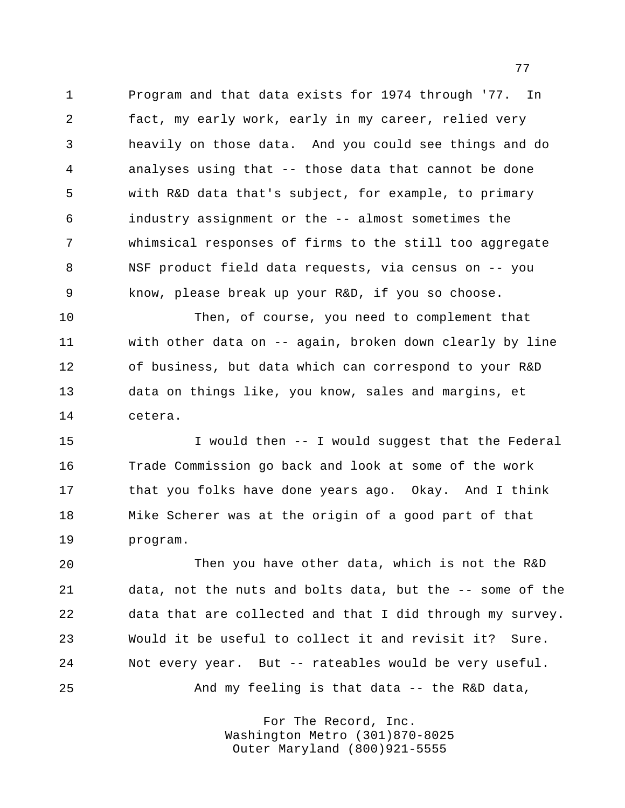Program and that data exists for 1974 through '77. In fact, my early work, early in my career, relied very heavily on those data. And you could see things and do analyses using that -- those data that cannot be done with R&D data that's subject, for example, to primary industry assignment or the -- almost sometimes the whimsical responses of firms to the still too aggregate NSF product field data requests, via census on -- you know, please break up your R&D, if you so choose.

 Then, of course, you need to complement that with other data on -- again, broken down clearly by line of business, but data which can correspond to your R&D data on things like, you know, sales and margins, et cetera.

 I would then -- I would suggest that the Federal Trade Commission go back and look at some of the work that you folks have done years ago. Okay. And I think Mike Scherer was at the origin of a good part of that program.

 Then you have other data, which is not the R&D data, not the nuts and bolts data, but the -- some of the data that are collected and that I did through my survey. Would it be useful to collect it and revisit it? Sure. Not every year. But -- rateables would be very useful. And my feeling is that data -- the R&D data,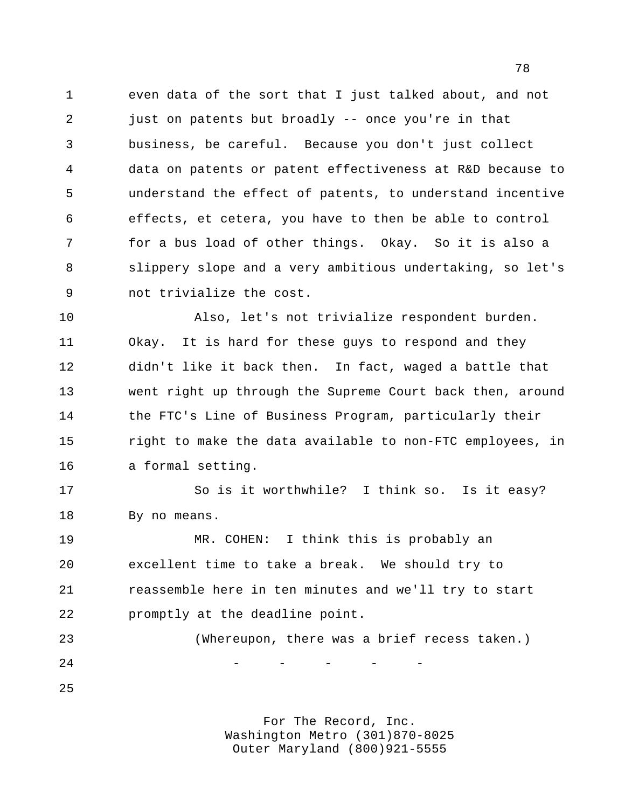even data of the sort that I just talked about, and not just on patents but broadly -- once you're in that business, be careful. Because you don't just collect data on patents or patent effectiveness at R&D because to understand the effect of patents, to understand incentive effects, et cetera, you have to then be able to control for a bus load of other things. Okay. So it is also a slippery slope and a very ambitious undertaking, so let's not trivialize the cost.

 Also, let's not trivialize respondent burden. Okay. It is hard for these guys to respond and they didn't like it back then. In fact, waged a battle that went right up through the Supreme Court back then, around the FTC's Line of Business Program, particularly their right to make the data available to non-FTC employees, in a formal setting.

 So is it worthwhile? I think so. Is it easy? By no means.

 MR. COHEN: I think this is probably an excellent time to take a break. We should try to reassemble here in ten minutes and we'll try to start promptly at the deadline point.

 (Whereupon, there was a brief recess taken.) 24 - - - - - - -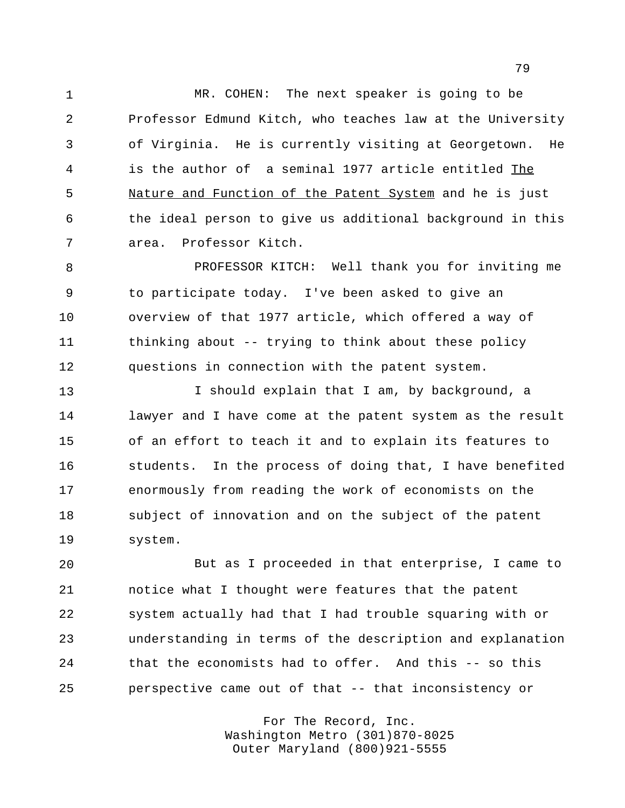MR. COHEN: The next speaker is going to be Professor Edmund Kitch, who teaches law at the University of Virginia. He is currently visiting at Georgetown. He is the author of a seminal 1977 article entitled The Nature and Function of the Patent System and he is just the ideal person to give us additional background in this area. Professor Kitch.

 PROFESSOR KITCH: Well thank you for inviting me to participate today. I've been asked to give an overview of that 1977 article, which offered a way of thinking about -- trying to think about these policy questions in connection with the patent system.

13 13 I should explain that I am, by background, a lawyer and I have come at the patent system as the result of an effort to teach it and to explain its features to students. In the process of doing that, I have benefited enormously from reading the work of economists on the subject of innovation and on the subject of the patent system.

 But as I proceeded in that enterprise, I came to notice what I thought were features that the patent system actually had that I had trouble squaring with or understanding in terms of the description and explanation that the economists had to offer. And this -- so this perspective came out of that -- that inconsistency or

> For The Record, Inc. Washington Metro (301)870-8025 Outer Maryland (800)921-5555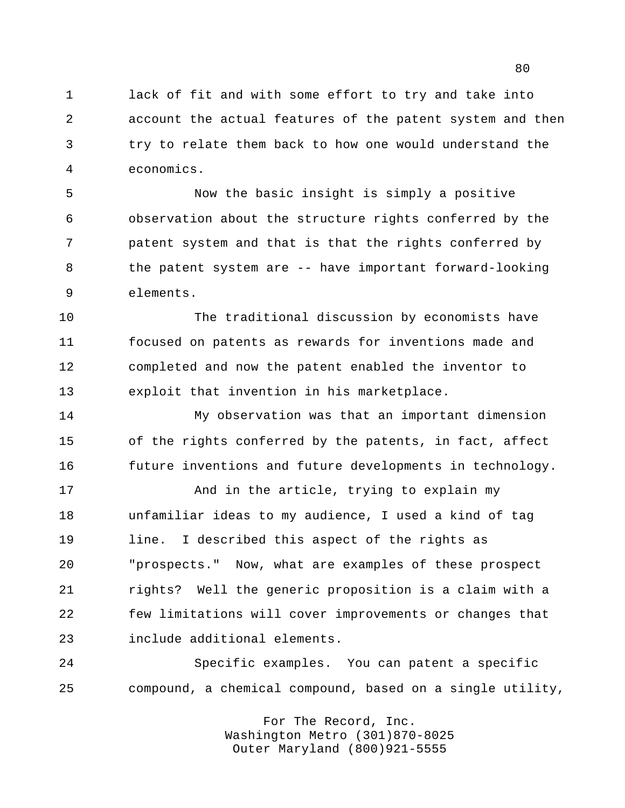lack of fit and with some effort to try and take into account the actual features of the patent system and then try to relate them back to how one would understand the economics.

 Now the basic insight is simply a positive observation about the structure rights conferred by the patent system and that is that the rights conferred by the patent system are -- have important forward-looking elements.

 The traditional discussion by economists have focused on patents as rewards for inventions made and completed and now the patent enabled the inventor to exploit that invention in his marketplace.

 My observation was that an important dimension of the rights conferred by the patents, in fact, affect future inventions and future developments in technology.

 And in the article, trying to explain my unfamiliar ideas to my audience, I used a kind of tag line. I described this aspect of the rights as "prospects." Now, what are examples of these prospect rights? Well the generic proposition is a claim with a few limitations will cover improvements or changes that include additional elements.

 Specific examples. You can patent a specific compound, a chemical compound, based on a single utility,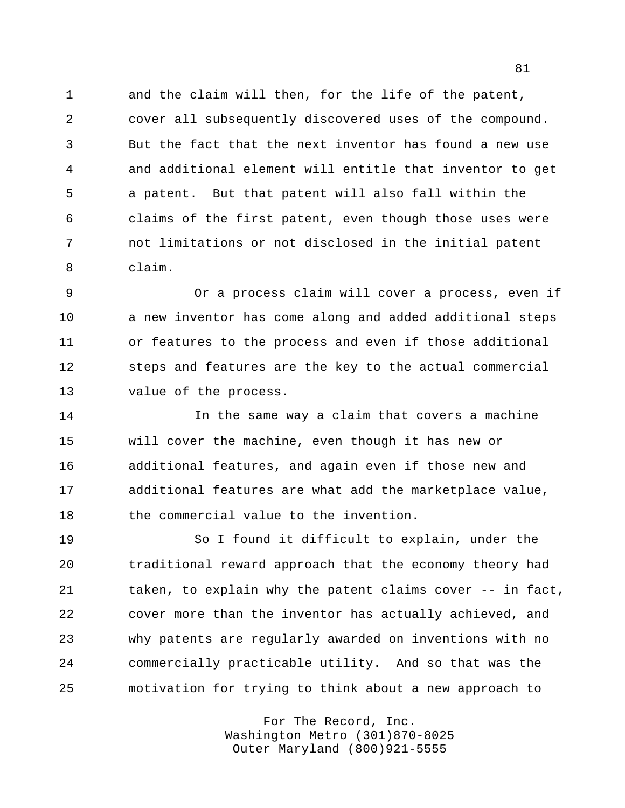and the claim will then, for the life of the patent, cover all subsequently discovered uses of the compound. But the fact that the next inventor has found a new use and additional element will entitle that inventor to get a patent. But that patent will also fall within the claims of the first patent, even though those uses were not limitations or not disclosed in the initial patent claim.

 Or a process claim will cover a process, even if a new inventor has come along and added additional steps or features to the process and even if those additional steps and features are the key to the actual commercial value of the process.

 In the same way a claim that covers a machine will cover the machine, even though it has new or additional features, and again even if those new and additional features are what add the marketplace value, the commercial value to the invention.

 So I found it difficult to explain, under the traditional reward approach that the economy theory had taken, to explain why the patent claims cover -- in fact, cover more than the inventor has actually achieved, and why patents are regularly awarded on inventions with no commercially practicable utility. And so that was the motivation for trying to think about a new approach to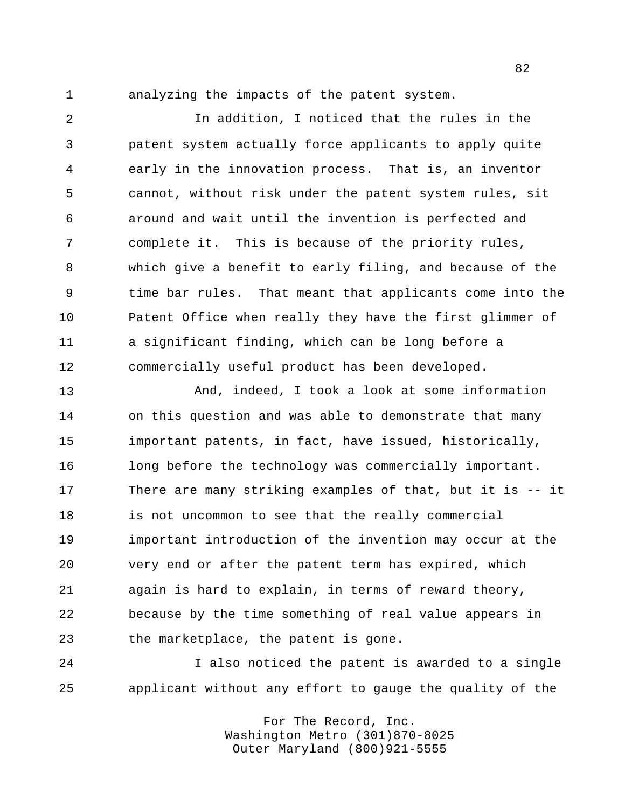analyzing the impacts of the patent system.

 In addition, I noticed that the rules in the patent system actually force applicants to apply quite early in the innovation process. That is, an inventor cannot, without risk under the patent system rules, sit around and wait until the invention is perfected and complete it. This is because of the priority rules, which give a benefit to early filing, and because of the time bar rules. That meant that applicants come into the Patent Office when really they have the first glimmer of a significant finding, which can be long before a commercially useful product has been developed.

 And, indeed, I took a look at some information on this question and was able to demonstrate that many important patents, in fact, have issued, historically, long before the technology was commercially important. There are many striking examples of that, but it is -- it is not uncommon to see that the really commercial important introduction of the invention may occur at the very end or after the patent term has expired, which again is hard to explain, in terms of reward theory, because by the time something of real value appears in the marketplace, the patent is gone.

 I also noticed the patent is awarded to a single applicant without any effort to gauge the quality of the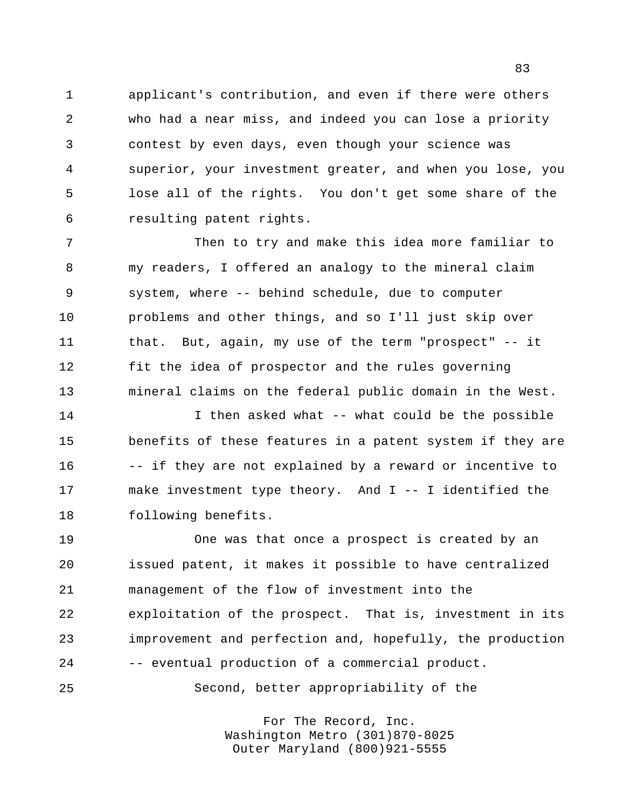applicant's contribution, and even if there were others who had a near miss, and indeed you can lose a priority contest by even days, even though your science was superior, your investment greater, and when you lose, you lose all of the rights. You don't get some share of the resulting patent rights.

 Then to try and make this idea more familiar to my readers, I offered an analogy to the mineral claim system, where -- behind schedule, due to computer problems and other things, and so I'll just skip over that. But, again, my use of the term "prospect" -- it fit the idea of prospector and the rules governing mineral claims on the federal public domain in the West.

 I then asked what -- what could be the possible benefits of these features in a patent system if they are -- if they are not explained by a reward or incentive to make investment type theory. And I -- I identified the following benefits.

 One was that once a prospect is created by an issued patent, it makes it possible to have centralized management of the flow of investment into the exploitation of the prospect. That is, investment in its improvement and perfection and, hopefully, the production -- eventual production of a commercial product.

Second, better appropriability of the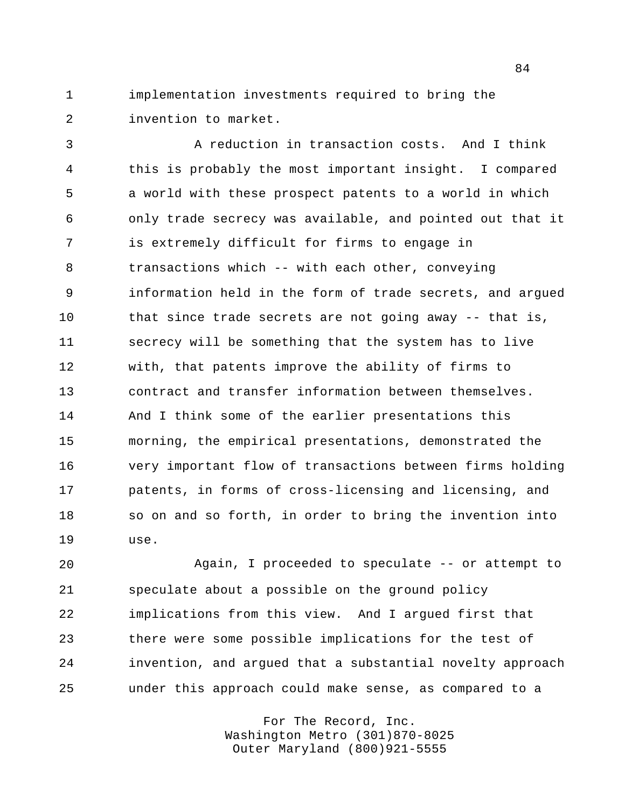implementation investments required to bring the invention to market.

 A reduction in transaction costs. And I think this is probably the most important insight. I compared a world with these prospect patents to a world in which only trade secrecy was available, and pointed out that it is extremely difficult for firms to engage in transactions which -- with each other, conveying information held in the form of trade secrets, and argued 10 that since trade secrets are not going away -- that is, secrecy will be something that the system has to live with, that patents improve the ability of firms to contract and transfer information between themselves. And I think some of the earlier presentations this morning, the empirical presentations, demonstrated the very important flow of transactions between firms holding patents, in forms of cross-licensing and licensing, and so on and so forth, in order to bring the invention into use.

 Again, I proceeded to speculate -- or attempt to speculate about a possible on the ground policy implications from this view. And I argued first that there were some possible implications for the test of invention, and argued that a substantial novelty approach under this approach could make sense, as compared to a

> For The Record, Inc. Washington Metro (301)870-8025 Outer Maryland (800)921-5555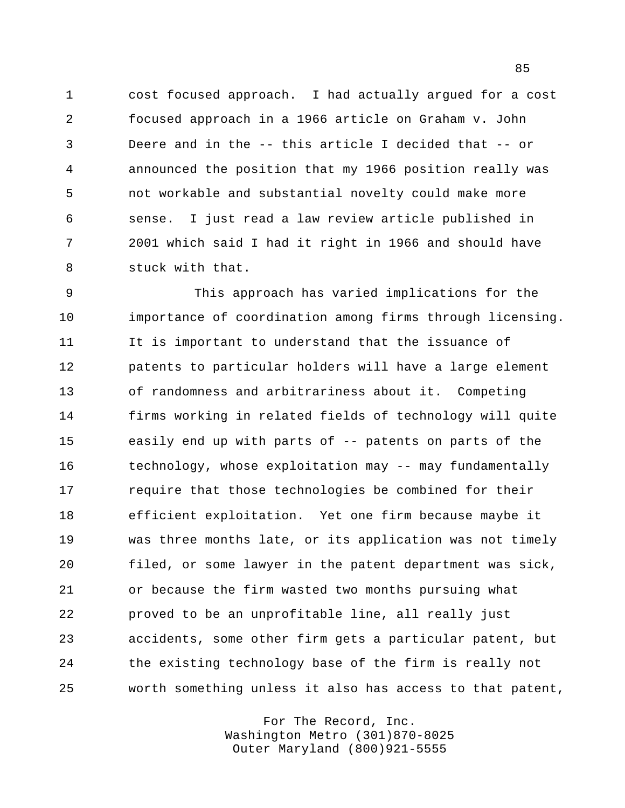cost focused approach. I had actually argued for a cost focused approach in a 1966 article on Graham v. John Deere and in the -- this article I decided that -- or announced the position that my 1966 position really was not workable and substantial novelty could make more sense. I just read a law review article published in 2001 which said I had it right in 1966 and should have stuck with that.

 This approach has varied implications for the importance of coordination among firms through licensing. It is important to understand that the issuance of patents to particular holders will have a large element of randomness and arbitrariness about it. Competing firms working in related fields of technology will quite easily end up with parts of -- patents on parts of the technology, whose exploitation may -- may fundamentally require that those technologies be combined for their efficient exploitation. Yet one firm because maybe it was three months late, or its application was not timely filed, or some lawyer in the patent department was sick, or because the firm wasted two months pursuing what proved to be an unprofitable line, all really just accidents, some other firm gets a particular patent, but the existing technology base of the firm is really not worth something unless it also has access to that patent,

> For The Record, Inc. Washington Metro (301)870-8025 Outer Maryland (800)921-5555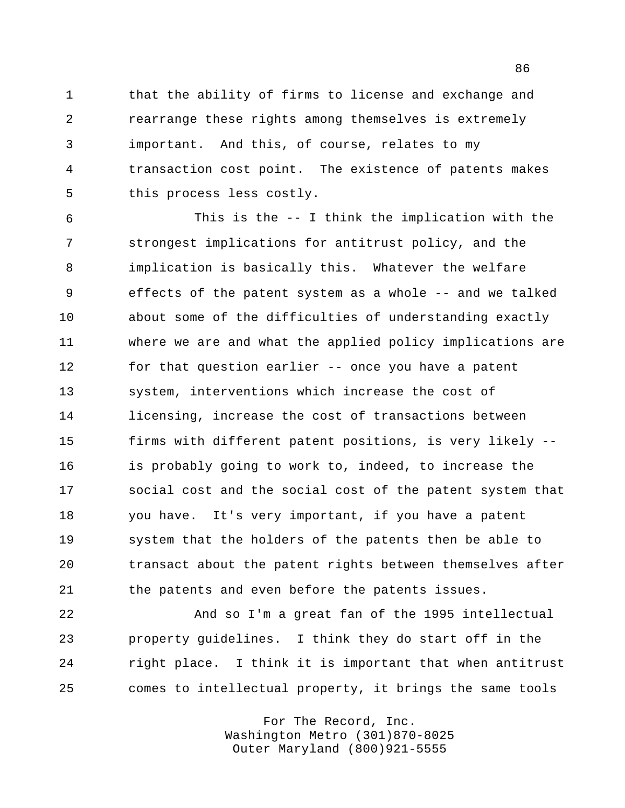that the ability of firms to license and exchange and rearrange these rights among themselves is extremely important. And this, of course, relates to my transaction cost point. The existence of patents makes this process less costly.

 This is the -- I think the implication with the strongest implications for antitrust policy, and the implication is basically this. Whatever the welfare effects of the patent system as a whole -- and we talked about some of the difficulties of understanding exactly where we are and what the applied policy implications are for that question earlier -- once you have a patent system, interventions which increase the cost of licensing, increase the cost of transactions between firms with different patent positions, is very likely -- is probably going to work to, indeed, to increase the social cost and the social cost of the patent system that you have. It's very important, if you have a patent system that the holders of the patents then be able to transact about the patent rights between themselves after the patents and even before the patents issues.

 And so I'm a great fan of the 1995 intellectual property guidelines. I think they do start off in the right place. I think it is important that when antitrust comes to intellectual property, it brings the same tools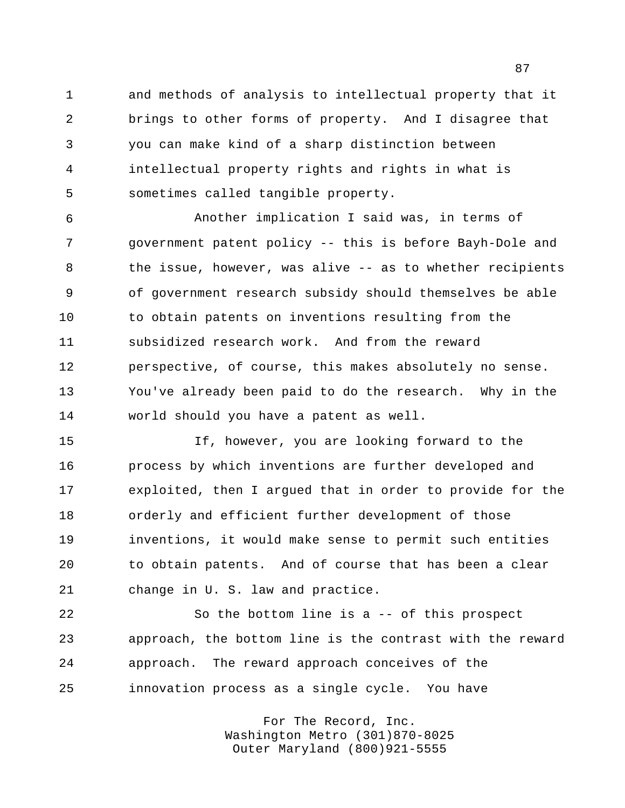and methods of analysis to intellectual property that it brings to other forms of property. And I disagree that you can make kind of a sharp distinction between intellectual property rights and rights in what is sometimes called tangible property.

 Another implication I said was, in terms of government patent policy -- this is before Bayh-Dole and 8 the issue, however, was alive -- as to whether recipients of government research subsidy should themselves be able to obtain patents on inventions resulting from the subsidized research work. And from the reward perspective, of course, this makes absolutely no sense. You've already been paid to do the research. Why in the world should you have a patent as well.

 If, however, you are looking forward to the process by which inventions are further developed and exploited, then I argued that in order to provide for the orderly and efficient further development of those inventions, it would make sense to permit such entities to obtain patents. And of course that has been a clear change in U. S. law and practice.

 So the bottom line is a -- of this prospect approach, the bottom line is the contrast with the reward approach. The reward approach conceives of the innovation process as a single cycle. You have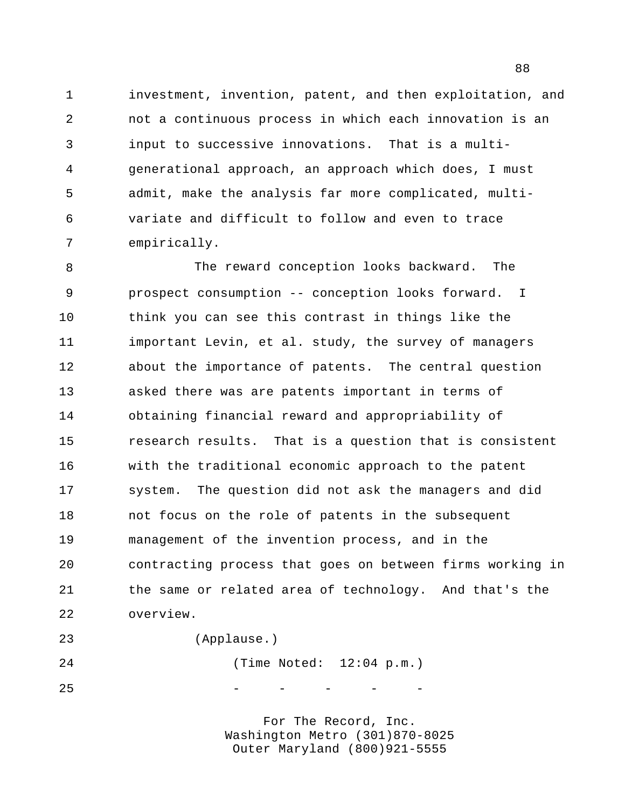investment, invention, patent, and then exploitation, and not a continuous process in which each innovation is an input to successive innovations. That is a multi- generational approach, an approach which does, I must admit, make the analysis far more complicated, multi- variate and difficult to follow and even to trace empirically.

 The reward conception looks backward. The prospect consumption -- conception looks forward. I think you can see this contrast in things like the important Levin, et al. study, the survey of managers about the importance of patents. The central question asked there was are patents important in terms of obtaining financial reward and appropriability of research results. That is a question that is consistent with the traditional economic approach to the patent 17 system. The question did not ask the managers and did not focus on the role of patents in the subsequent management of the invention process, and in the contracting process that goes on between firms working in the same or related area of technology. And that's the overview.

(Applause.)

 (Time Noted: 12:04 p.m.) - - - - - -

> For The Record, Inc. Washington Metro (301)870-8025 Outer Maryland (800)921-5555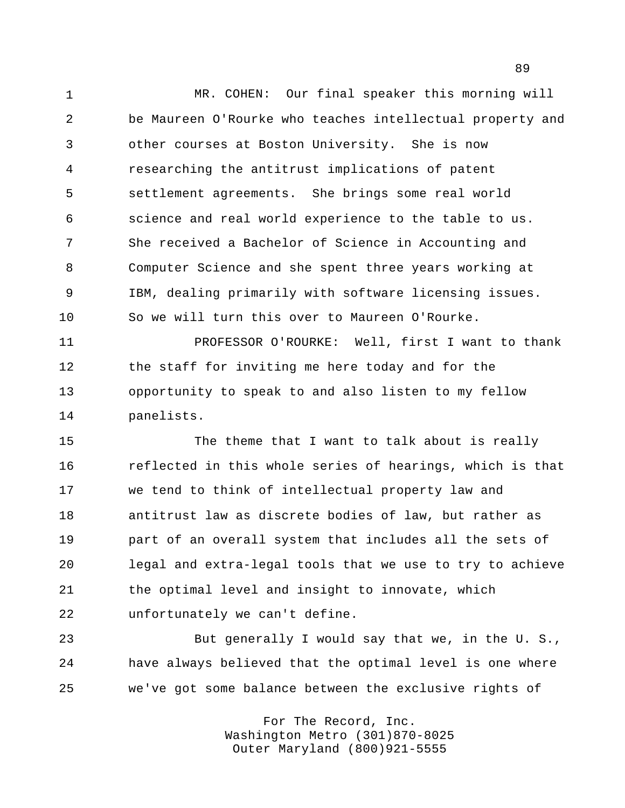MR. COHEN: Our final speaker this morning will be Maureen O'Rourke who teaches intellectual property and other courses at Boston University. She is now researching the antitrust implications of patent settlement agreements. She brings some real world science and real world experience to the table to us. She received a Bachelor of Science in Accounting and Computer Science and she spent three years working at IBM, dealing primarily with software licensing issues. So we will turn this over to Maureen O'Rourke.

 PROFESSOR O'ROURKE: Well, first I want to thank the staff for inviting me here today and for the opportunity to speak to and also listen to my fellow panelists.

 The theme that I want to talk about is really reflected in this whole series of hearings, which is that we tend to think of intellectual property law and antitrust law as discrete bodies of law, but rather as part of an overall system that includes all the sets of legal and extra-legal tools that we use to try to achieve the optimal level and insight to innovate, which unfortunately we can't define.

 But generally I would say that we, in the U. S., have always believed that the optimal level is one where we've got some balance between the exclusive rights of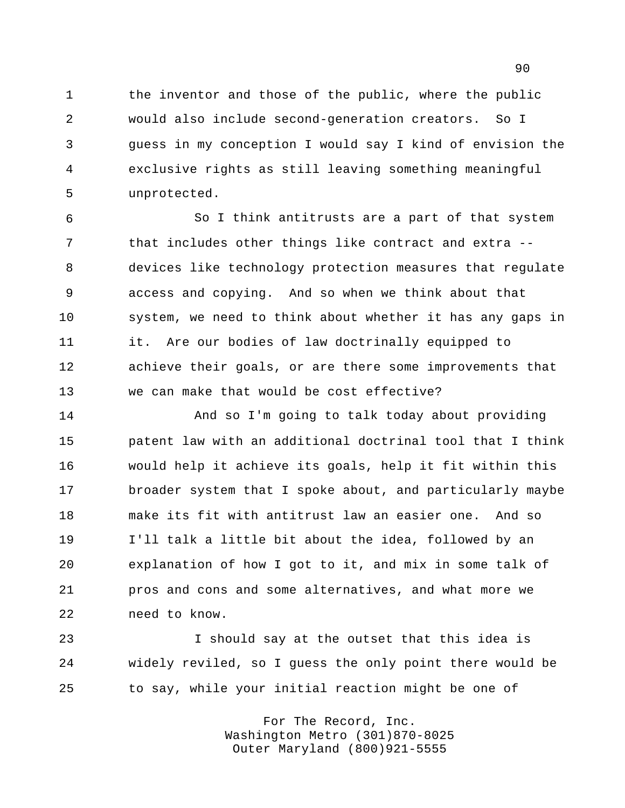1 the inventor and those of the public, where the public would also include second-generation creators. So I guess in my conception I would say I kind of envision the exclusive rights as still leaving something meaningful unprotected.

 So I think antitrusts are a part of that system that includes other things like contract and extra -- devices like technology protection measures that regulate access and copying. And so when we think about that system, we need to think about whether it has any gaps in it. Are our bodies of law doctrinally equipped to achieve their goals, or are there some improvements that we can make that would be cost effective?

 And so I'm going to talk today about providing patent law with an additional doctrinal tool that I think would help it achieve its goals, help it fit within this broader system that I spoke about, and particularly maybe make its fit with antitrust law an easier one. And so I'll talk a little bit about the idea, followed by an explanation of how I got to it, and mix in some talk of pros and cons and some alternatives, and what more we need to know.

 I should say at the outset that this idea is widely reviled, so I guess the only point there would be to say, while your initial reaction might be one of

> For The Record, Inc. Washington Metro (301)870-8025 Outer Maryland (800)921-5555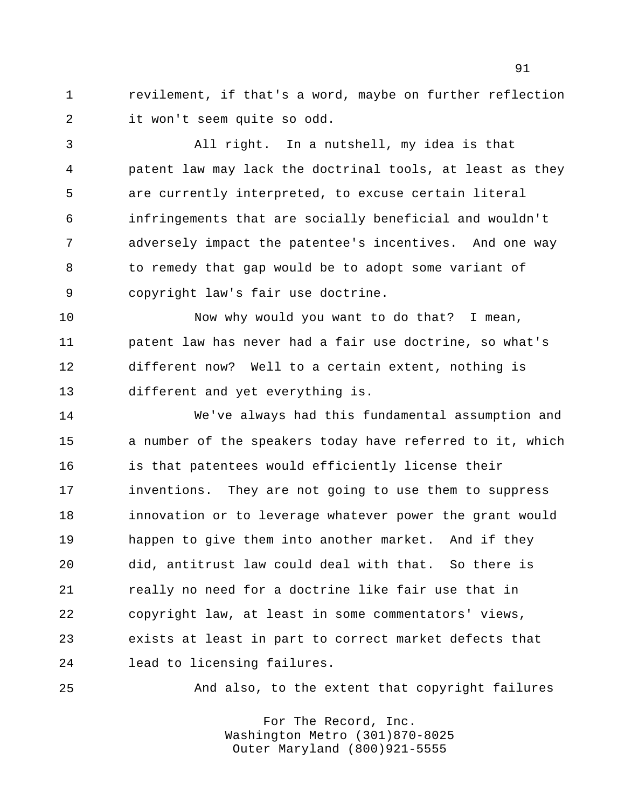revilement, if that's a word, maybe on further reflection it won't seem quite so odd.

 All right. In a nutshell, my idea is that patent law may lack the doctrinal tools, at least as they are currently interpreted, to excuse certain literal infringements that are socially beneficial and wouldn't adversely impact the patentee's incentives. And one way to remedy that gap would be to adopt some variant of copyright law's fair use doctrine.

10 Now why would you want to do that? I mean, patent law has never had a fair use doctrine, so what's different now? Well to a certain extent, nothing is different and yet everything is.

 We've always had this fundamental assumption and a number of the speakers today have referred to it, which is that patentees would efficiently license their inventions. They are not going to use them to suppress innovation or to leverage whatever power the grant would happen to give them into another market. And if they did, antitrust law could deal with that. So there is really no need for a doctrine like fair use that in copyright law, at least in some commentators' views, exists at least in part to correct market defects that lead to licensing failures.

And also, to the extent that copyright failures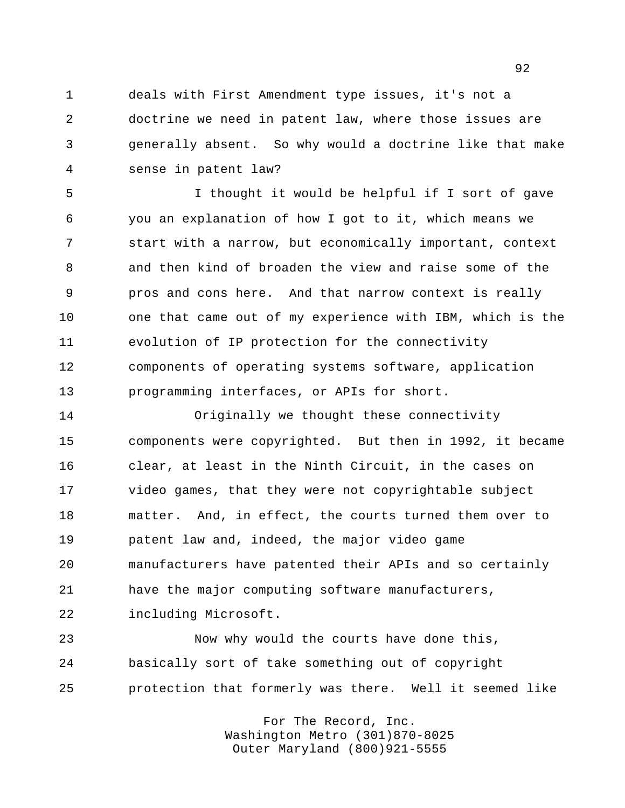deals with First Amendment type issues, it's not a doctrine we need in patent law, where those issues are generally absent. So why would a doctrine like that make sense in patent law?

 I thought it would be helpful if I sort of gave you an explanation of how I got to it, which means we start with a narrow, but economically important, context and then kind of broaden the view and raise some of the pros and cons here. And that narrow context is really one that came out of my experience with IBM, which is the evolution of IP protection for the connectivity components of operating systems software, application programming interfaces, or APIs for short.

 Originally we thought these connectivity components were copyrighted. But then in 1992, it became clear, at least in the Ninth Circuit, in the cases on video games, that they were not copyrightable subject matter. And, in effect, the courts turned them over to patent law and, indeed, the major video game manufacturers have patented their APIs and so certainly have the major computing software manufacturers, including Microsoft.

 Now why would the courts have done this, basically sort of take something out of copyright protection that formerly was there. Well it seemed like

> For The Record, Inc. Washington Metro (301)870-8025 Outer Maryland (800)921-5555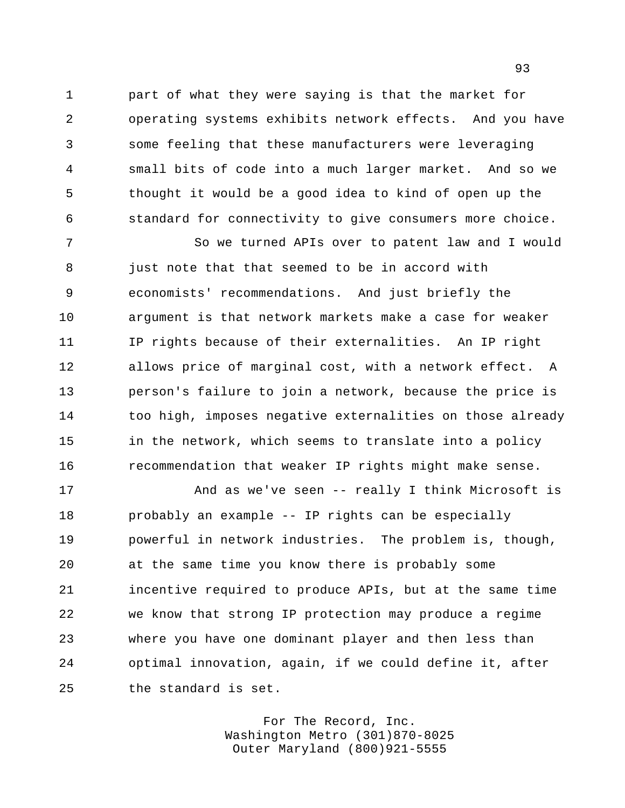part of what they were saying is that the market for operating systems exhibits network effects. And you have some feeling that these manufacturers were leveraging small bits of code into a much larger market. And so we thought it would be a good idea to kind of open up the standard for connectivity to give consumers more choice.

 So we turned APIs over to patent law and I would 8 just note that that seemed to be in accord with economists' recommendations. And just briefly the argument is that network markets make a case for weaker IP rights because of their externalities. An IP right allows price of marginal cost, with a network effect. A person's failure to join a network, because the price is too high, imposes negative externalities on those already in the network, which seems to translate into a policy recommendation that weaker IP rights might make sense.

 And as we've seen -- really I think Microsoft is probably an example -- IP rights can be especially powerful in network industries. The problem is, though, at the same time you know there is probably some incentive required to produce APIs, but at the same time we know that strong IP protection may produce a regime where you have one dominant player and then less than optimal innovation, again, if we could define it, after the standard is set.

> For The Record, Inc. Washington Metro (301)870-8025 Outer Maryland (800)921-5555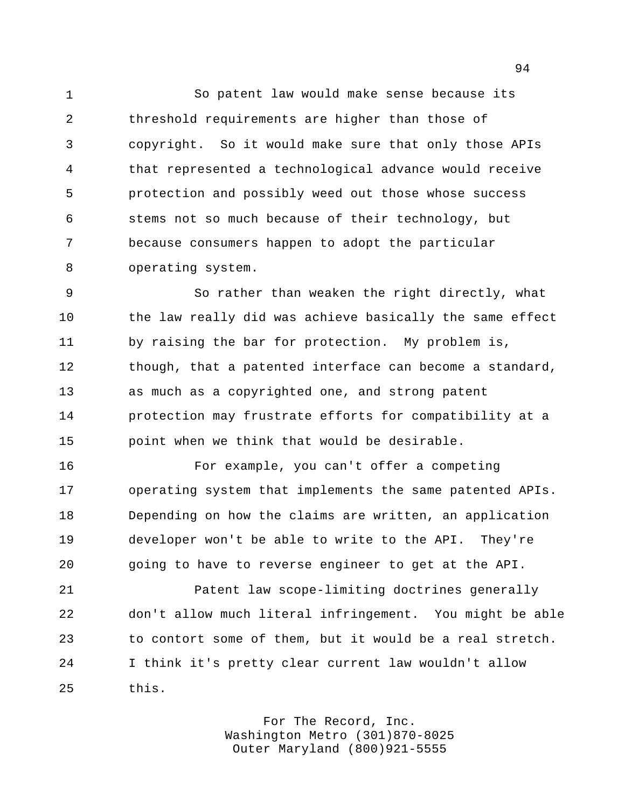So patent law would make sense because its threshold requirements are higher than those of copyright. So it would make sure that only those APIs that represented a technological advance would receive protection and possibly weed out those whose success stems not so much because of their technology, but because consumers happen to adopt the particular operating system.

 So rather than weaken the right directly, what the law really did was achieve basically the same effect by raising the bar for protection. My problem is, though, that a patented interface can become a standard, as much as a copyrighted one, and strong patent protection may frustrate efforts for compatibility at a point when we think that would be desirable.

 For example, you can't offer a competing operating system that implements the same patented APIs. Depending on how the claims are written, an application developer won't be able to write to the API. They're going to have to reverse engineer to get at the API.

 Patent law scope-limiting doctrines generally don't allow much literal infringement. You might be able to contort some of them, but it would be a real stretch. I think it's pretty clear current law wouldn't allow this.

> For The Record, Inc. Washington Metro (301)870-8025 Outer Maryland (800)921-5555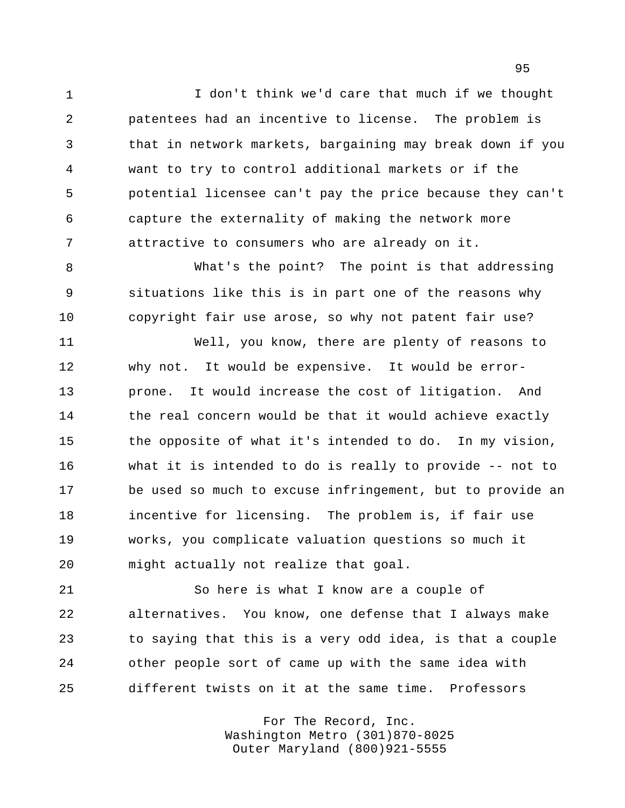I don't think we'd care that much if we thought patentees had an incentive to license. The problem is that in network markets, bargaining may break down if you want to try to control additional markets or if the potential licensee can't pay the price because they can't capture the externality of making the network more attractive to consumers who are already on it.

 What's the point? The point is that addressing situations like this is in part one of the reasons why copyright fair use arose, so why not patent fair use?

 Well, you know, there are plenty of reasons to why not. It would be expensive. It would be error- prone. It would increase the cost of litigation. And 14 the real concern would be that it would achieve exactly the opposite of what it's intended to do. In my vision, what it is intended to do is really to provide -- not to be used so much to excuse infringement, but to provide an incentive for licensing. The problem is, if fair use works, you complicate valuation questions so much it might actually not realize that goal.

 So here is what I know are a couple of alternatives. You know, one defense that I always make to saying that this is a very odd idea, is that a couple other people sort of came up with the same idea with different twists on it at the same time. Professors

> For The Record, Inc. Washington Metro (301)870-8025 Outer Maryland (800)921-5555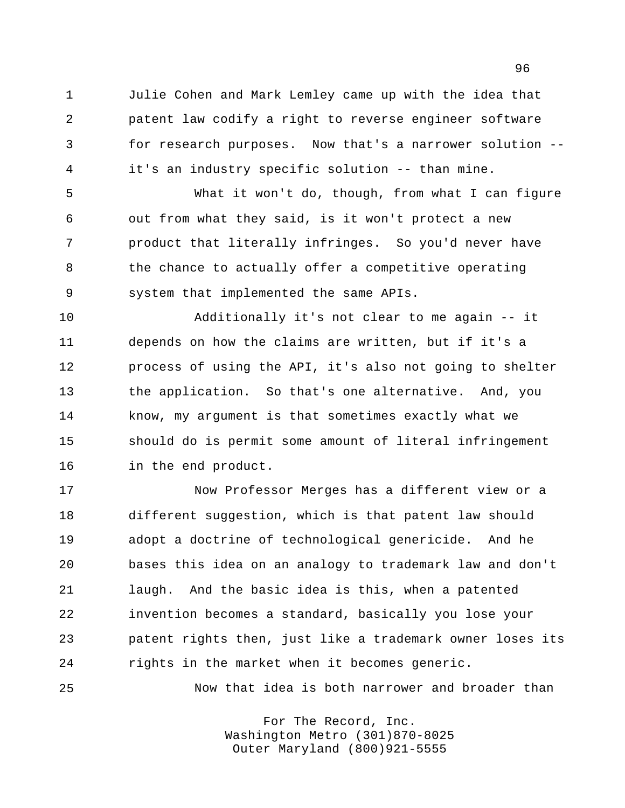Julie Cohen and Mark Lemley came up with the idea that patent law codify a right to reverse engineer software for research purposes. Now that's a narrower solution -- it's an industry specific solution -- than mine.

 What it won't do, though, from what I can figure out from what they said, is it won't protect a new product that literally infringes. So you'd never have 8 the chance to actually offer a competitive operating system that implemented the same APIs.

 Additionally it's not clear to me again -- it depends on how the claims are written, but if it's a process of using the API, it's also not going to shelter the application. So that's one alternative. And, you know, my argument is that sometimes exactly what we should do is permit some amount of literal infringement in the end product.

 Now Professor Merges has a different view or a different suggestion, which is that patent law should adopt a doctrine of technological genericide. And he bases this idea on an analogy to trademark law and don't laugh. And the basic idea is this, when a patented invention becomes a standard, basically you lose your patent rights then, just like a trademark owner loses its rights in the market when it becomes generic.

Now that idea is both narrower and broader than

For The Record, Inc. Washington Metro (301)870-8025 Outer Maryland (800)921-5555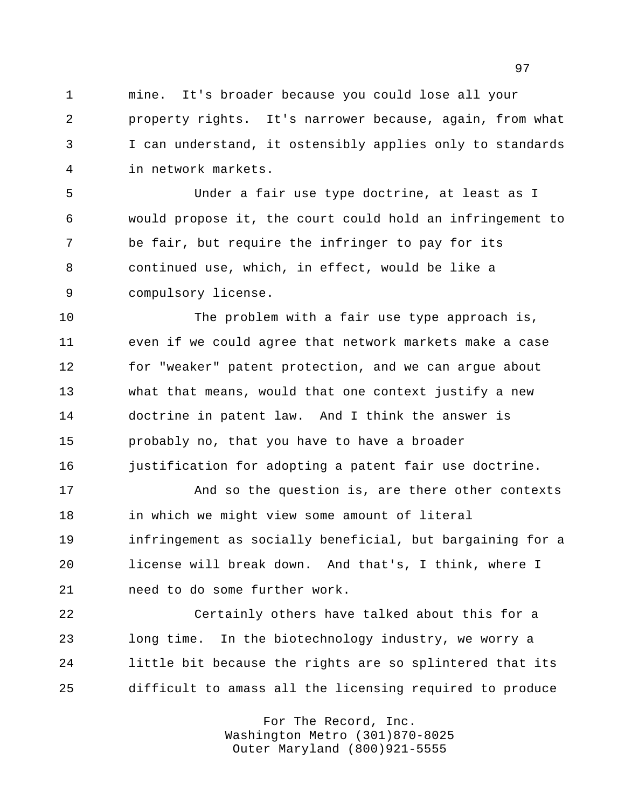mine. It's broader because you could lose all your property rights. It's narrower because, again, from what I can understand, it ostensibly applies only to standards in network markets.

 Under a fair use type doctrine, at least as I would propose it, the court could hold an infringement to be fair, but require the infringer to pay for its continued use, which, in effect, would be like a compulsory license.

 The problem with a fair use type approach is, even if we could agree that network markets make a case for "weaker" patent protection, and we can argue about what that means, would that one context justify a new doctrine in patent law. And I think the answer is probably no, that you have to have a broader 16 justification for adopting a patent fair use doctrine.

 And so the question is, are there other contexts in which we might view some amount of literal infringement as socially beneficial, but bargaining for a license will break down. And that's, I think, where I need to do some further work.

 Certainly others have talked about this for a long time. In the biotechnology industry, we worry a little bit because the rights are so splintered that its difficult to amass all the licensing required to produce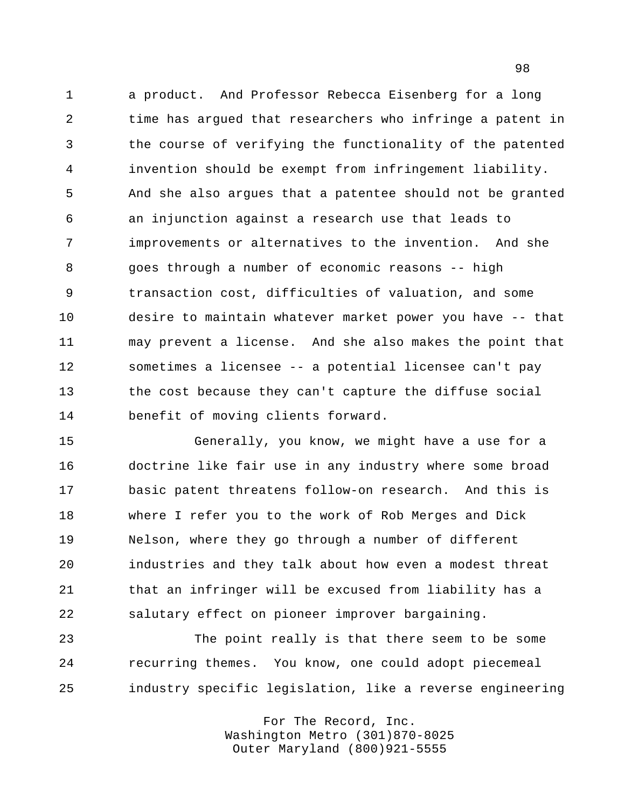a product. And Professor Rebecca Eisenberg for a long time has argued that researchers who infringe a patent in the course of verifying the functionality of the patented invention should be exempt from infringement liability. And she also argues that a patentee should not be granted an injunction against a research use that leads to improvements or alternatives to the invention. And she goes through a number of economic reasons -- high transaction cost, difficulties of valuation, and some desire to maintain whatever market power you have -- that may prevent a license. And she also makes the point that sometimes a licensee -- a potential licensee can't pay the cost because they can't capture the diffuse social benefit of moving clients forward.

 Generally, you know, we might have a use for a doctrine like fair use in any industry where some broad basic patent threatens follow-on research. And this is where I refer you to the work of Rob Merges and Dick Nelson, where they go through a number of different industries and they talk about how even a modest threat that an infringer will be excused from liability has a salutary effect on pioneer improver bargaining.

 The point really is that there seem to be some recurring themes. You know, one could adopt piecemeal industry specific legislation, like a reverse engineering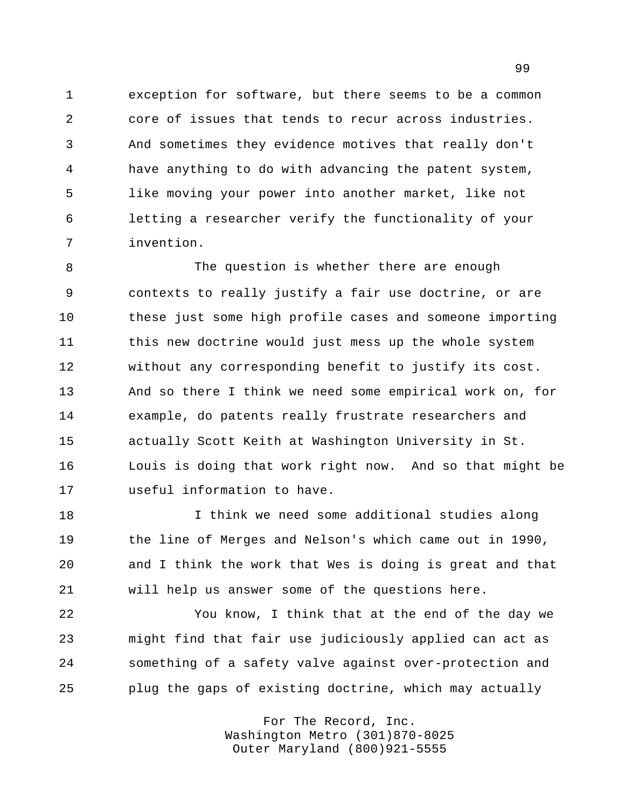exception for software, but there seems to be a common core of issues that tends to recur across industries. And sometimes they evidence motives that really don't have anything to do with advancing the patent system, like moving your power into another market, like not letting a researcher verify the functionality of your invention.

 The question is whether there are enough contexts to really justify a fair use doctrine, or are these just some high profile cases and someone importing this new doctrine would just mess up the whole system without any corresponding benefit to justify its cost. And so there I think we need some empirical work on, for example, do patents really frustrate researchers and actually Scott Keith at Washington University in St. Louis is doing that work right now. And so that might be useful information to have.

 I think we need some additional studies along the line of Merges and Nelson's which came out in 1990, and I think the work that Wes is doing is great and that will help us answer some of the questions here.

 You know, I think that at the end of the day we might find that fair use judiciously applied can act as something of a safety valve against over-protection and plug the gaps of existing doctrine, which may actually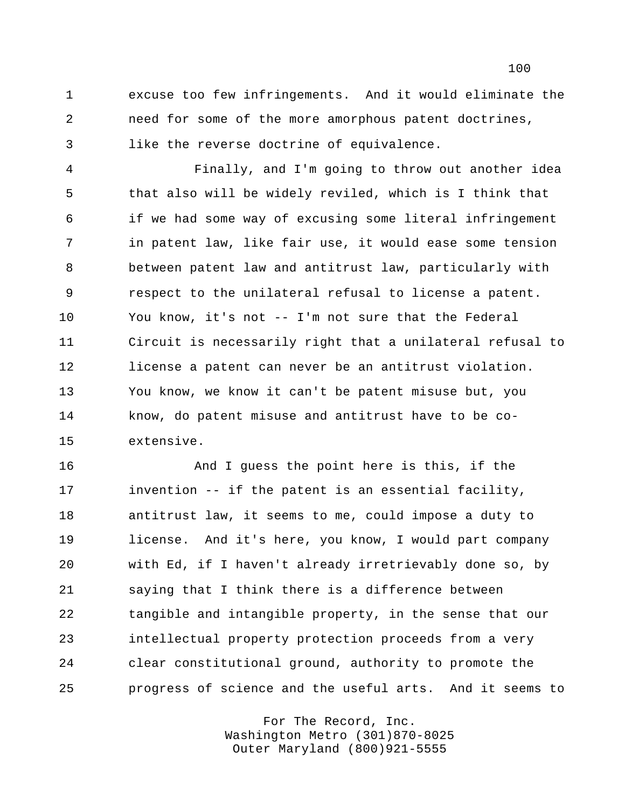excuse too few infringements. And it would eliminate the need for some of the more amorphous patent doctrines, like the reverse doctrine of equivalence.

 Finally, and I'm going to throw out another idea that also will be widely reviled, which is I think that if we had some way of excusing some literal infringement in patent law, like fair use, it would ease some tension between patent law and antitrust law, particularly with respect to the unilateral refusal to license a patent. You know, it's not -- I'm not sure that the Federal Circuit is necessarily right that a unilateral refusal to license a patent can never be an antitrust violation. You know, we know it can't be patent misuse but, you know, do patent misuse and antitrust have to be co-extensive.

 And I guess the point here is this, if the invention -- if the patent is an essential facility, antitrust law, it seems to me, could impose a duty to license. And it's here, you know, I would part company with Ed, if I haven't already irretrievably done so, by saying that I think there is a difference between tangible and intangible property, in the sense that our intellectual property protection proceeds from a very clear constitutional ground, authority to promote the progress of science and the useful arts. And it seems to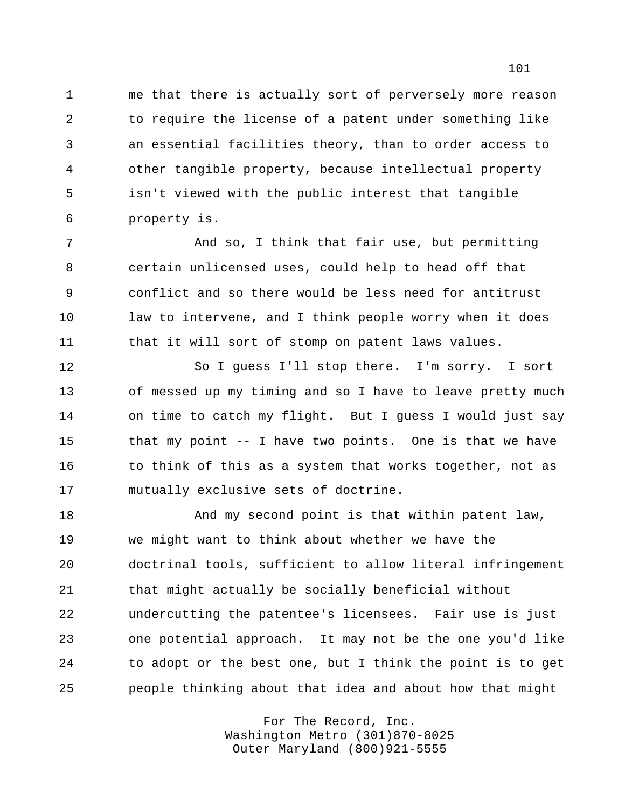me that there is actually sort of perversely more reason to require the license of a patent under something like an essential facilities theory, than to order access to other tangible property, because intellectual property isn't viewed with the public interest that tangible property is.

 And so, I think that fair use, but permitting certain unlicensed uses, could help to head off that conflict and so there would be less need for antitrust 10 law to intervene, and I think people worry when it does that it will sort of stomp on patent laws values.

 So I guess I'll stop there. I'm sorry. I sort of messed up my timing and so I have to leave pretty much on time to catch my flight. But I guess I would just say that my point -- I have two points. One is that we have 16 to think of this as a system that works together, not as mutually exclusive sets of doctrine.

 And my second point is that within patent law, we might want to think about whether we have the doctrinal tools, sufficient to allow literal infringement that might actually be socially beneficial without undercutting the patentee's licensees. Fair use is just one potential approach. It may not be the one you'd like to adopt or the best one, but I think the point is to get people thinking about that idea and about how that might

> For The Record, Inc. Washington Metro (301)870-8025 Outer Maryland (800)921-5555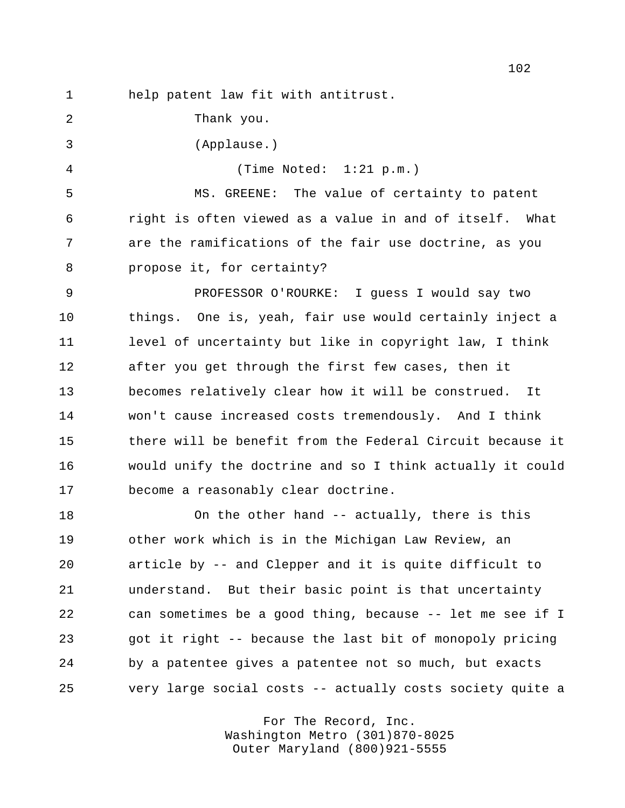help patent law fit with antitrust. Thank you. (Applause.) (Time Noted: 1:21 p.m.) MS. GREENE: The value of certainty to patent right is often viewed as a value in and of itself. What are the ramifications of the fair use doctrine, as you propose it, for certainty? PROFESSOR O'ROURKE: I guess I would say two things. One is, yeah, fair use would certainly inject a level of uncertainty but like in copyright law, I think after you get through the first few cases, then it becomes relatively clear how it will be construed. It won't cause increased costs tremendously. And I think there will be benefit from the Federal Circuit because it would unify the doctrine and so I think actually it could become a reasonably clear doctrine. On the other hand -- actually, there is this other work which is in the Michigan Law Review, an article by -- and Clepper and it is quite difficult to understand. But their basic point is that uncertainty can sometimes be a good thing, because -- let me see if I

very large social costs -- actually costs society quite a

got it right -- because the last bit of monopoly pricing

by a patentee gives a patentee not so much, but exacts

For The Record, Inc. Washington Metro (301)870-8025 Outer Maryland (800)921-5555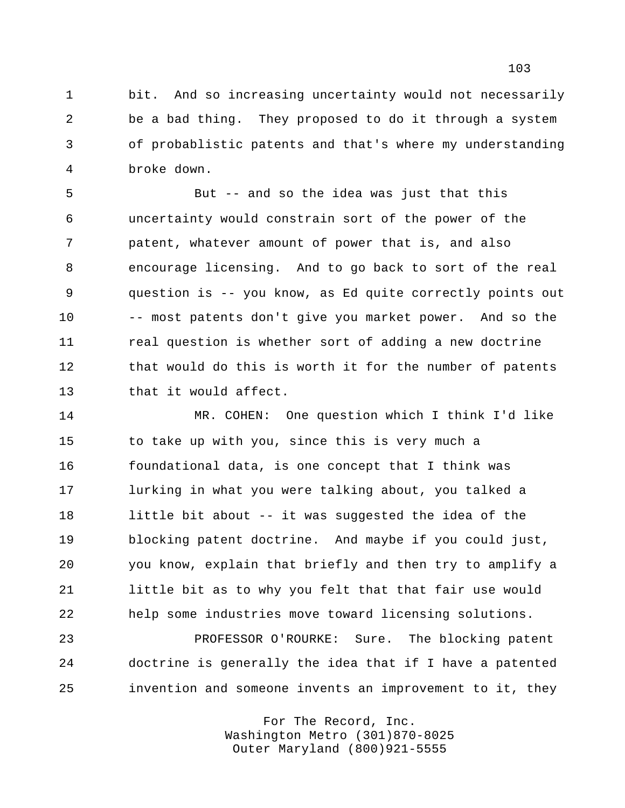bit. And so increasing uncertainty would not necessarily be a bad thing. They proposed to do it through a system of probablistic patents and that's where my understanding broke down.

 But -- and so the idea was just that this uncertainty would constrain sort of the power of the patent, whatever amount of power that is, and also encourage licensing. And to go back to sort of the real question is -- you know, as Ed quite correctly points out -- most patents don't give you market power. And so the real question is whether sort of adding a new doctrine 12 that would do this is worth it for the number of patents that it would affect.

 MR. COHEN: One question which I think I'd like to take up with you, since this is very much a foundational data, is one concept that I think was lurking in what you were talking about, you talked a little bit about -- it was suggested the idea of the blocking patent doctrine. And maybe if you could just, you know, explain that briefly and then try to amplify a little bit as to why you felt that that fair use would help some industries move toward licensing solutions.

 PROFESSOR O'ROURKE: Sure. The blocking patent doctrine is generally the idea that if I have a patented invention and someone invents an improvement to it, they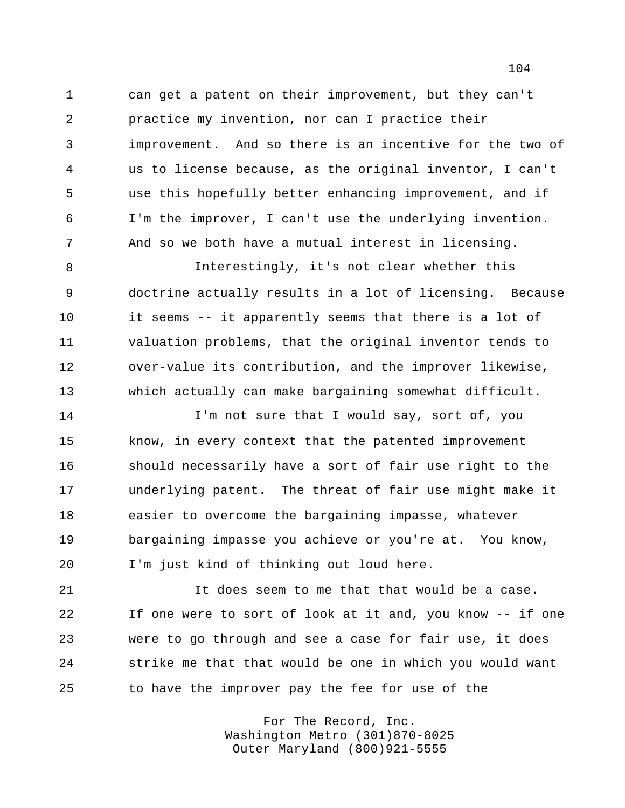can get a patent on their improvement, but they can't practice my invention, nor can I practice their improvement. And so there is an incentive for the two of us to license because, as the original inventor, I can't use this hopefully better enhancing improvement, and if I'm the improver, I can't use the underlying invention. And so we both have a mutual interest in licensing.

 Interestingly, it's not clear whether this doctrine actually results in a lot of licensing. Because it seems -- it apparently seems that there is a lot of valuation problems, that the original inventor tends to over-value its contribution, and the improver likewise, which actually can make bargaining somewhat difficult.

14 I'm not sure that I would say, sort of, you know, in every context that the patented improvement should necessarily have a sort of fair use right to the underlying patent. The threat of fair use might make it easier to overcome the bargaining impasse, whatever bargaining impasse you achieve or you're at. You know, I'm just kind of thinking out loud here.

 It does seem to me that that would be a case. If one were to sort of look at it and, you know -- if one were to go through and see a case for fair use, it does strike me that that would be one in which you would want to have the improver pay the fee for use of the

> For The Record, Inc. Washington Metro (301)870-8025 Outer Maryland (800)921-5555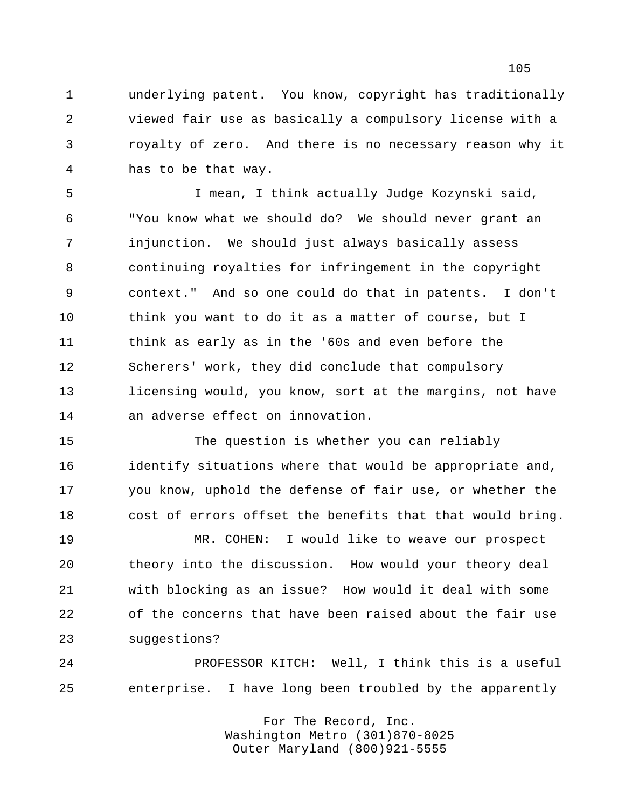underlying patent. You know, copyright has traditionally viewed fair use as basically a compulsory license with a royalty of zero. And there is no necessary reason why it has to be that way.

 I mean, I think actually Judge Kozynski said, "You know what we should do? We should never grant an injunction. We should just always basically assess continuing royalties for infringement in the copyright context." And so one could do that in patents. I don't think you want to do it as a matter of course, but I think as early as in the '60s and even before the Scherers' work, they did conclude that compulsory licensing would, you know, sort at the margins, not have an adverse effect on innovation.

 The question is whether you can reliably 16 identify situations where that would be appropriate and, you know, uphold the defense of fair use, or whether the cost of errors offset the benefits that that would bring.

 MR. COHEN: I would like to weave our prospect theory into the discussion. How would your theory deal with blocking as an issue? How would it deal with some of the concerns that have been raised about the fair use suggestions?

 PROFESSOR KITCH: Well, I think this is a useful enterprise. I have long been troubled by the apparently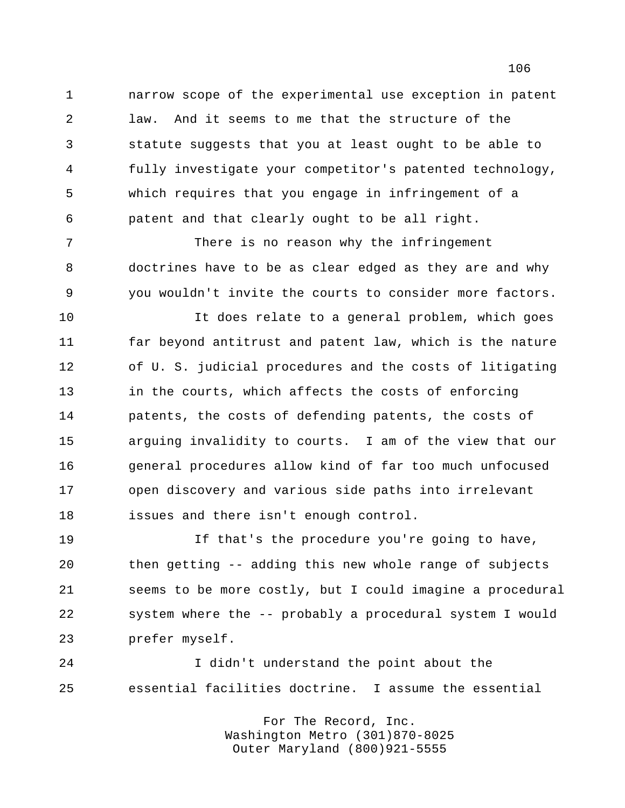narrow scope of the experimental use exception in patent law. And it seems to me that the structure of the statute suggests that you at least ought to be able to fully investigate your competitor's patented technology, which requires that you engage in infringement of a patent and that clearly ought to be all right.

 There is no reason why the infringement doctrines have to be as clear edged as they are and why you wouldn't invite the courts to consider more factors.

 It does relate to a general problem, which goes far beyond antitrust and patent law, which is the nature of U. S. judicial procedures and the costs of litigating in the courts, which affects the costs of enforcing patents, the costs of defending patents, the costs of arguing invalidity to courts. I am of the view that our general procedures allow kind of far too much unfocused open discovery and various side paths into irrelevant issues and there isn't enough control.

 If that's the procedure you're going to have, then getting -- adding this new whole range of subjects seems to be more costly, but I could imagine a procedural system where the -- probably a procedural system I would prefer myself.

 I didn't understand the point about the essential facilities doctrine. I assume the essential

> For The Record, Inc. Washington Metro (301)870-8025 Outer Maryland (800)921-5555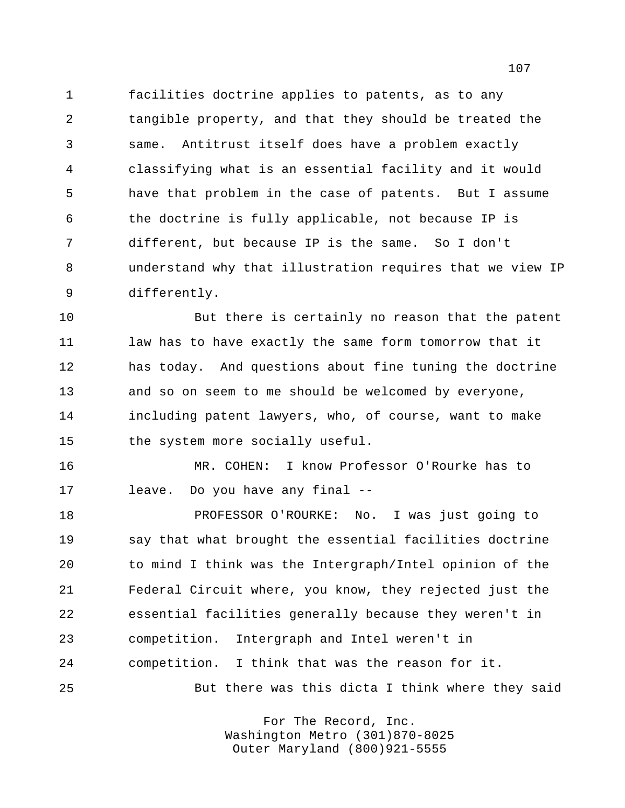facilities doctrine applies to patents, as to any tangible property, and that they should be treated the same. Antitrust itself does have a problem exactly classifying what is an essential facility and it would have that problem in the case of patents. But I assume the doctrine is fully applicable, not because IP is different, but because IP is the same. So I don't understand why that illustration requires that we view IP differently.

 But there is certainly no reason that the patent law has to have exactly the same form tomorrow that it has today. And questions about fine tuning the doctrine and so on seem to me should be welcomed by everyone, including patent lawyers, who, of course, want to make the system more socially useful.

 MR. COHEN: I know Professor O'Rourke has to leave. Do you have any final --

 PROFESSOR O'ROURKE: No. I was just going to say that what brought the essential facilities doctrine to mind I think was the Intergraph/Intel opinion of the Federal Circuit where, you know, they rejected just the essential facilities generally because they weren't in competition. Intergraph and Intel weren't in competition. I think that was the reason for it. But there was this dicta I think where they said

> For The Record, Inc. Washington Metro (301)870-8025 Outer Maryland (800)921-5555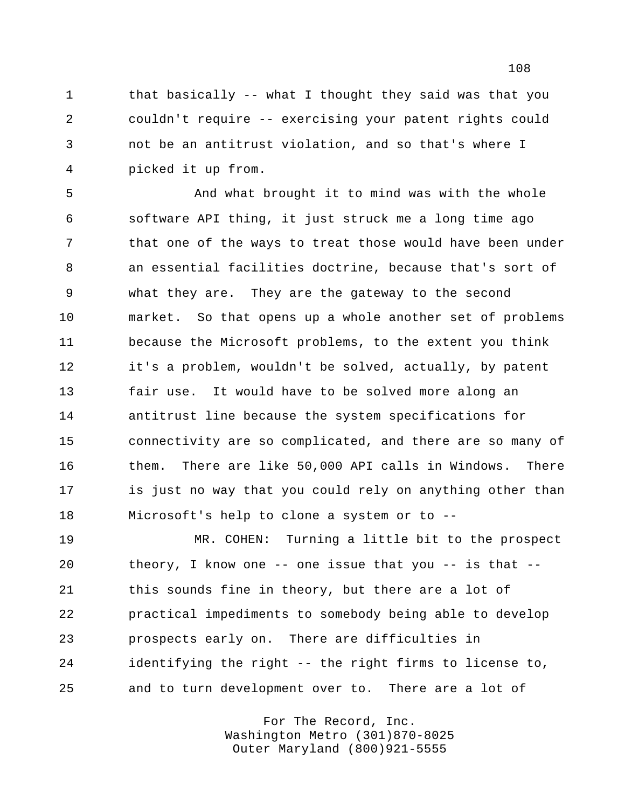that basically -- what I thought they said was that you couldn't require -- exercising your patent rights could not be an antitrust violation, and so that's where I picked it up from.

 And what brought it to mind was with the whole software API thing, it just struck me a long time ago that one of the ways to treat those would have been under an essential facilities doctrine, because that's sort of what they are. They are the gateway to the second market. So that opens up a whole another set of problems because the Microsoft problems, to the extent you think it's a problem, wouldn't be solved, actually, by patent fair use. It would have to be solved more along an antitrust line because the system specifications for connectivity are so complicated, and there are so many of them. There are like 50,000 API calls in Windows. There 17 is just no way that you could rely on anything other than Microsoft's help to clone a system or to --

 MR. COHEN: Turning a little bit to the prospect theory, I know one -- one issue that you -- is that -- this sounds fine in theory, but there are a lot of practical impediments to somebody being able to develop prospects early on. There are difficulties in identifying the right -- the right firms to license to, and to turn development over to. There are a lot of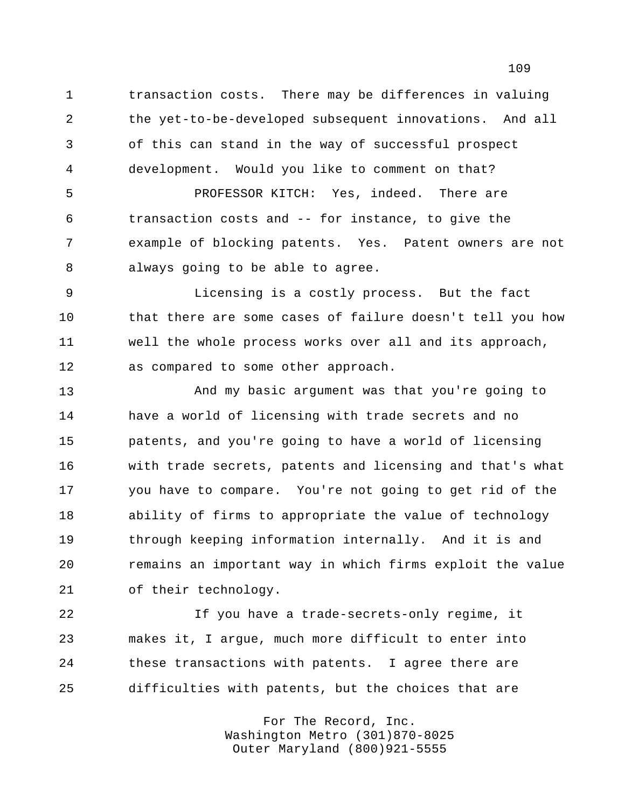transaction costs. There may be differences in valuing the yet-to-be-developed subsequent innovations. And all of this can stand in the way of successful prospect development. Would you like to comment on that?

 PROFESSOR KITCH: Yes, indeed. There are transaction costs and -- for instance, to give the example of blocking patents. Yes. Patent owners are not always going to be able to agree.

 Licensing is a costly process. But the fact that there are some cases of failure doesn't tell you how well the whole process works over all and its approach, as compared to some other approach.

 And my basic argument was that you're going to have a world of licensing with trade secrets and no patents, and you're going to have a world of licensing with trade secrets, patents and licensing and that's what you have to compare. You're not going to get rid of the ability of firms to appropriate the value of technology through keeping information internally. And it is and remains an important way in which firms exploit the value of their technology.

 If you have a trade-secrets-only regime, it makes it, I argue, much more difficult to enter into these transactions with patents. I agree there are difficulties with patents, but the choices that are

> For The Record, Inc. Washington Metro (301)870-8025 Outer Maryland (800)921-5555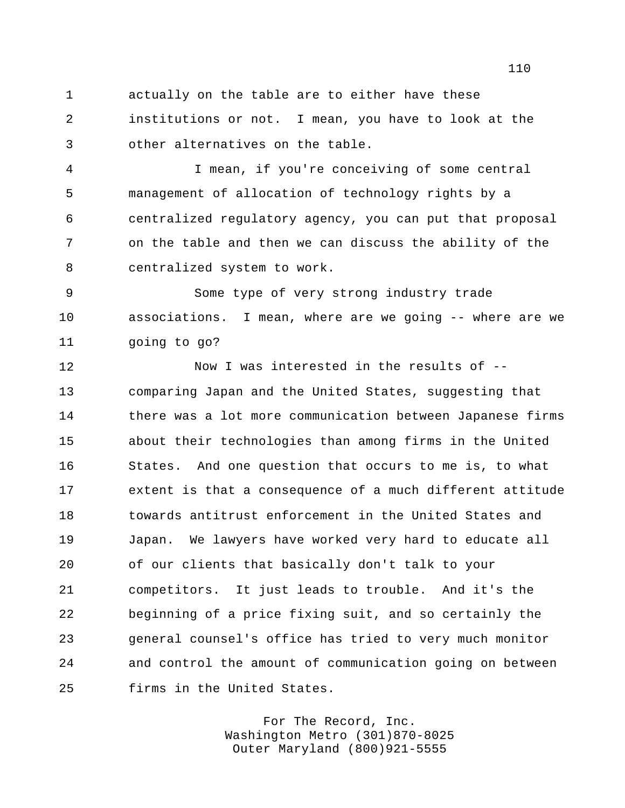actually on the table are to either have these institutions or not. I mean, you have to look at the other alternatives on the table.

 I mean, if you're conceiving of some central management of allocation of technology rights by a centralized regulatory agency, you can put that proposal on the table and then we can discuss the ability of the centralized system to work.

 Some type of very strong industry trade associations. I mean, where are we going -- where are we going to go?

 Now I was interested in the results of -- comparing Japan and the United States, suggesting that there was a lot more communication between Japanese firms about their technologies than among firms in the United States. And one question that occurs to me is, to what extent is that a consequence of a much different attitude towards antitrust enforcement in the United States and Japan. We lawyers have worked very hard to educate all of our clients that basically don't talk to your competitors. It just leads to trouble. And it's the beginning of a price fixing suit, and so certainly the general counsel's office has tried to very much monitor and control the amount of communication going on between firms in the United States.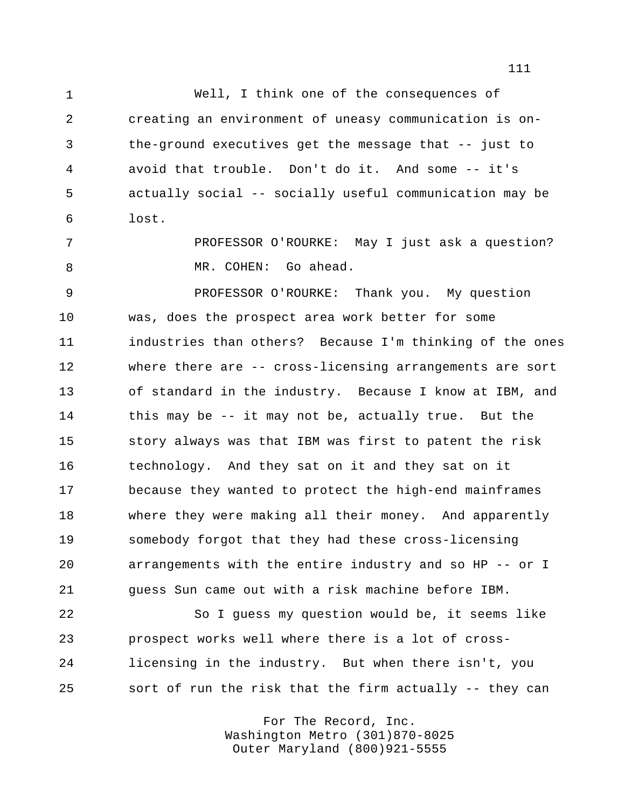Well, I think one of the consequences of creating an environment of uneasy communication is on- the-ground executives get the message that -- just to avoid that trouble. Don't do it. And some -- it's actually social -- socially useful communication may be lost.

 PROFESSOR O'ROURKE: May I just ask a question? 8 MR. COHEN: Go ahead.

 PROFESSOR O'ROURKE: Thank you. My question was, does the prospect area work better for some industries than others? Because I'm thinking of the ones where there are -- cross-licensing arrangements are sort of standard in the industry. Because I know at IBM, and this may be -- it may not be, actually true. But the story always was that IBM was first to patent the risk technology. And they sat on it and they sat on it because they wanted to protect the high-end mainframes where they were making all their money. And apparently somebody forgot that they had these cross-licensing arrangements with the entire industry and so HP -- or I guess Sun came out with a risk machine before IBM.

 So I guess my question would be, it seems like prospect works well where there is a lot of cross- licensing in the industry. But when there isn't, you sort of run the risk that the firm actually -- they can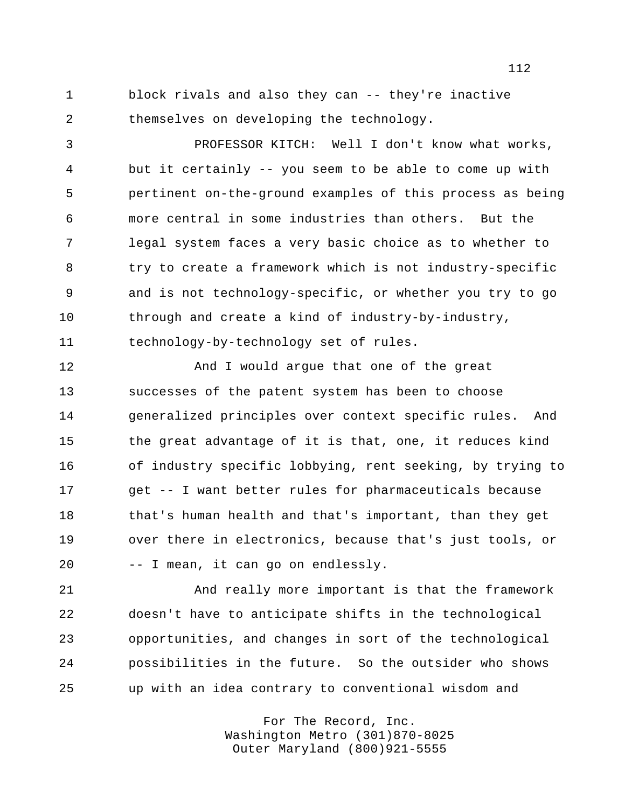block rivals and also they can -- they're inactive themselves on developing the technology.

 PROFESSOR KITCH: Well I don't know what works, but it certainly -- you seem to be able to come up with pertinent on-the-ground examples of this process as being more central in some industries than others. But the legal system faces a very basic choice as to whether to 8 try to create a framework which is not industry-specific and is not technology-specific, or whether you try to go through and create a kind of industry-by-industry, technology-by-technology set of rules.

 And I would argue that one of the great successes of the patent system has been to choose generalized principles over context specific rules. And the great advantage of it is that, one, it reduces kind of industry specific lobbying, rent seeking, by trying to get -- I want better rules for pharmaceuticals because that's human health and that's important, than they get over there in electronics, because that's just tools, or -- I mean, it can go on endlessly.

 And really more important is that the framework doesn't have to anticipate shifts in the technological opportunities, and changes in sort of the technological possibilities in the future. So the outsider who shows up with an idea contrary to conventional wisdom and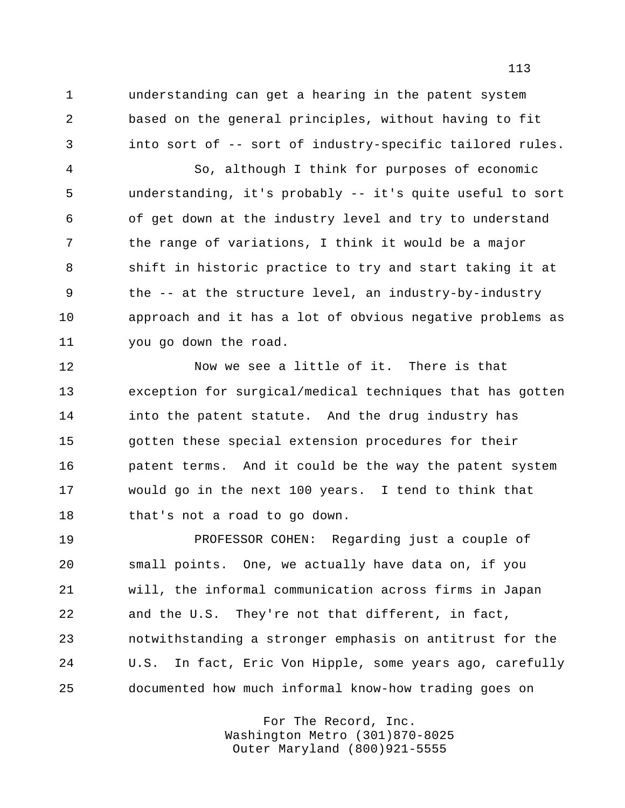understanding can get a hearing in the patent system based on the general principles, without having to fit into sort of -- sort of industry-specific tailored rules.

 So, although I think for purposes of economic understanding, it's probably -- it's quite useful to sort of get down at the industry level and try to understand the range of variations, I think it would be a major shift in historic practice to try and start taking it at the -- at the structure level, an industry-by-industry approach and it has a lot of obvious negative problems as you go down the road.

12 Now we see a little of it. There is that exception for surgical/medical techniques that has gotten into the patent statute. And the drug industry has gotten these special extension procedures for their patent terms. And it could be the way the patent system would go in the next 100 years. I tend to think that that's not a road to go down.

 PROFESSOR COHEN: Regarding just a couple of small points. One, we actually have data on, if you will, the informal communication across firms in Japan and the U.S. They're not that different, in fact, notwithstanding a stronger emphasis on antitrust for the U.S. In fact, Eric Von Hipple, some years ago, carefully documented how much informal know-how trading goes on

> For The Record, Inc. Washington Metro (301)870-8025 Outer Maryland (800)921-5555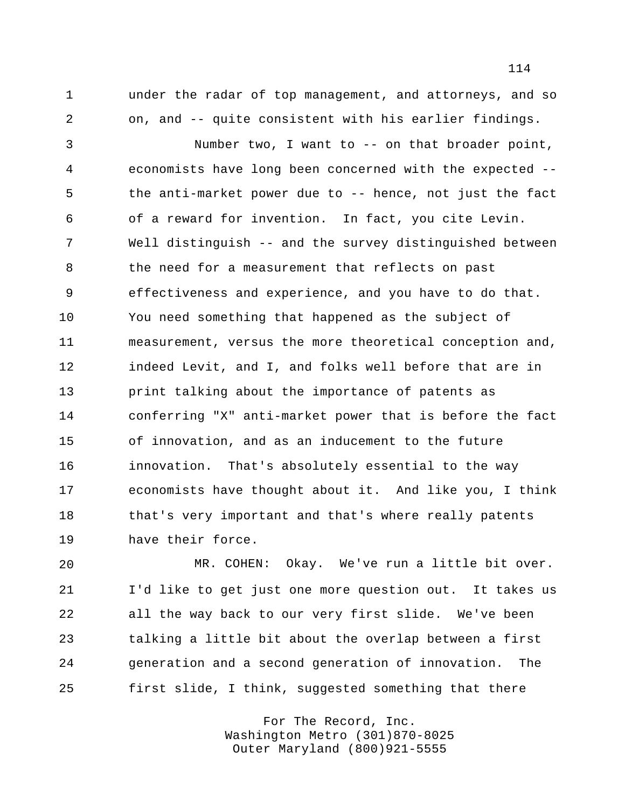under the radar of top management, and attorneys, and so on, and -- quite consistent with his earlier findings.

 Number two, I want to -- on that broader point, economists have long been concerned with the expected -- the anti-market power due to -- hence, not just the fact of a reward for invention. In fact, you cite Levin. Well distinguish -- and the survey distinguished between 8 the need for a measurement that reflects on past effectiveness and experience, and you have to do that. You need something that happened as the subject of measurement, versus the more theoretical conception and, indeed Levit, and I, and folks well before that are in print talking about the importance of patents as conferring "X" anti-market power that is before the fact of innovation, and as an inducement to the future innovation. That's absolutely essential to the way economists have thought about it. And like you, I think that's very important and that's where really patents have their force.

 MR. COHEN: Okay. We've run a little bit over. 21 I'd like to get just one more question out. It takes us all the way back to our very first slide. We've been talking a little bit about the overlap between a first generation and a second generation of innovation. The first slide, I think, suggested something that there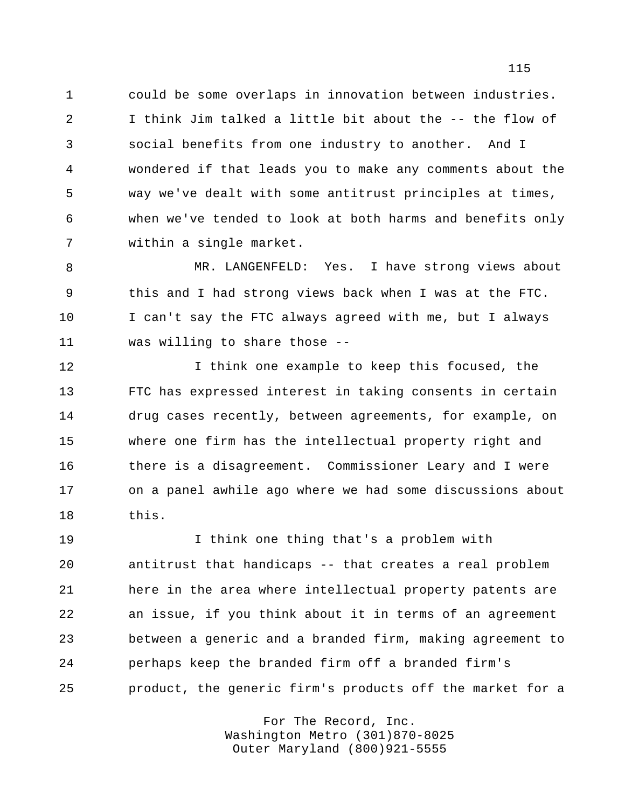could be some overlaps in innovation between industries. I think Jim talked a little bit about the -- the flow of social benefits from one industry to another. And I wondered if that leads you to make any comments about the way we've dealt with some antitrust principles at times, when we've tended to look at both harms and benefits only within a single market.

 MR. LANGENFELD: Yes. I have strong views about this and I had strong views back when I was at the FTC. I can't say the FTC always agreed with me, but I always was willing to share those --

 I think one example to keep this focused, the FTC has expressed interest in taking consents in certain drug cases recently, between agreements, for example, on where one firm has the intellectual property right and there is a disagreement. Commissioner Leary and I were on a panel awhile ago where we had some discussions about this.

 I think one thing that's a problem with antitrust that handicaps -- that creates a real problem here in the area where intellectual property patents are an issue, if you think about it in terms of an agreement between a generic and a branded firm, making agreement to perhaps keep the branded firm off a branded firm's product, the generic firm's products off the market for a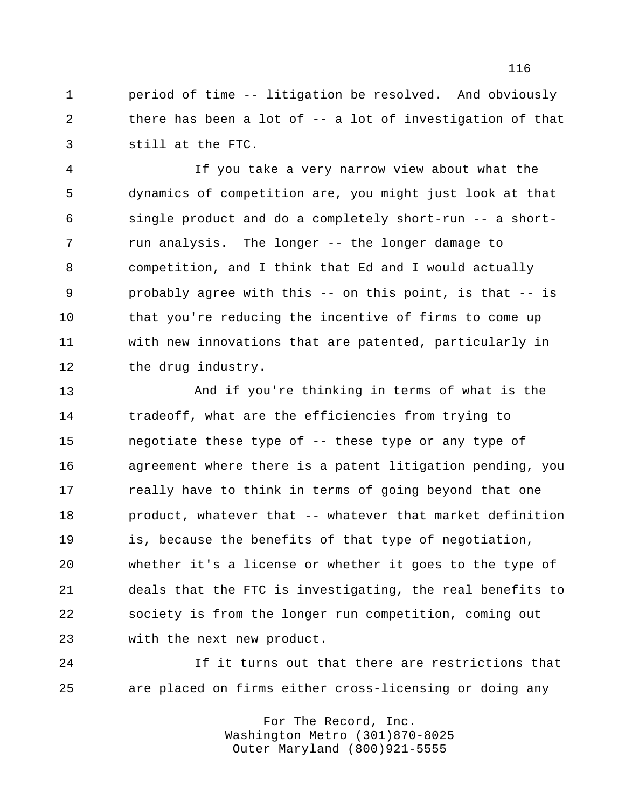period of time -- litigation be resolved. And obviously there has been a lot of -- a lot of investigation of that still at the FTC.

 If you take a very narrow view about what the dynamics of competition are, you might just look at that single product and do a completely short-run -- a short- run analysis. The longer -- the longer damage to competition, and I think that Ed and I would actually probably agree with this -- on this point, is that -- is 10 that you're reducing the incentive of firms to come up with new innovations that are patented, particularly in 12 the drug industry.

 And if you're thinking in terms of what is the tradeoff, what are the efficiencies from trying to negotiate these type of -- these type or any type of agreement where there is a patent litigation pending, you **really have to think in terms of going beyond that one**  product, whatever that -- whatever that market definition is, because the benefits of that type of negotiation, whether it's a license or whether it goes to the type of deals that the FTC is investigating, the real benefits to society is from the longer run competition, coming out with the next new product.

 If it turns out that there are restrictions that are placed on firms either cross-licensing or doing any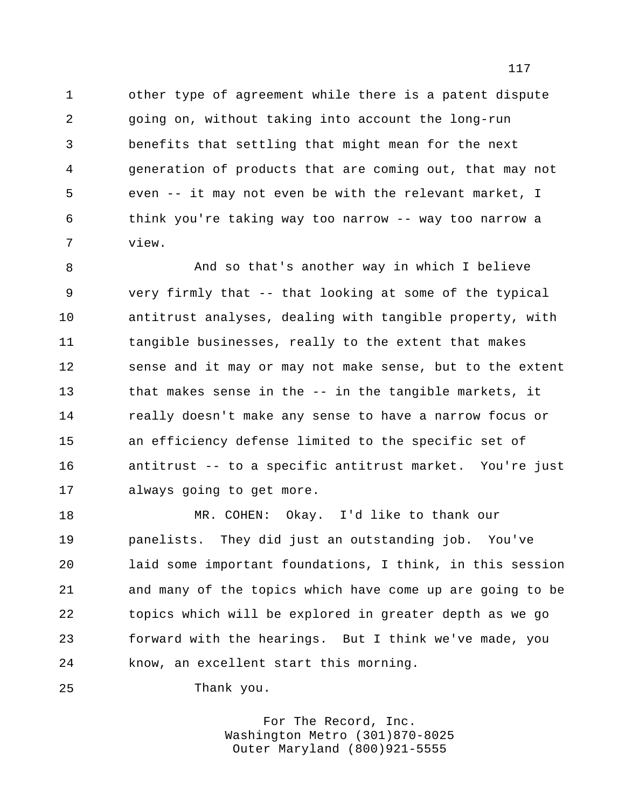other type of agreement while there is a patent dispute going on, without taking into account the long-run benefits that settling that might mean for the next generation of products that are coming out, that may not even -- it may not even be with the relevant market, I think you're taking way too narrow -- way too narrow a view.

 And so that's another way in which I believe very firmly that -- that looking at some of the typical antitrust analyses, dealing with tangible property, with 11 tangible businesses, really to the extent that makes sense and it may or may not make sense, but to the extent that makes sense in the -- in the tangible markets, it really doesn't make any sense to have a narrow focus or an efficiency defense limited to the specific set of antitrust -- to a specific antitrust market. You're just always going to get more.

 MR. COHEN: Okay. I'd like to thank our panelists. They did just an outstanding job. You've laid some important foundations, I think, in this session and many of the topics which have come up are going to be topics which will be explored in greater depth as we go forward with the hearings. But I think we've made, you know, an excellent start this morning.

Thank you.

For The Record, Inc. Washington Metro (301)870-8025 Outer Maryland (800)921-5555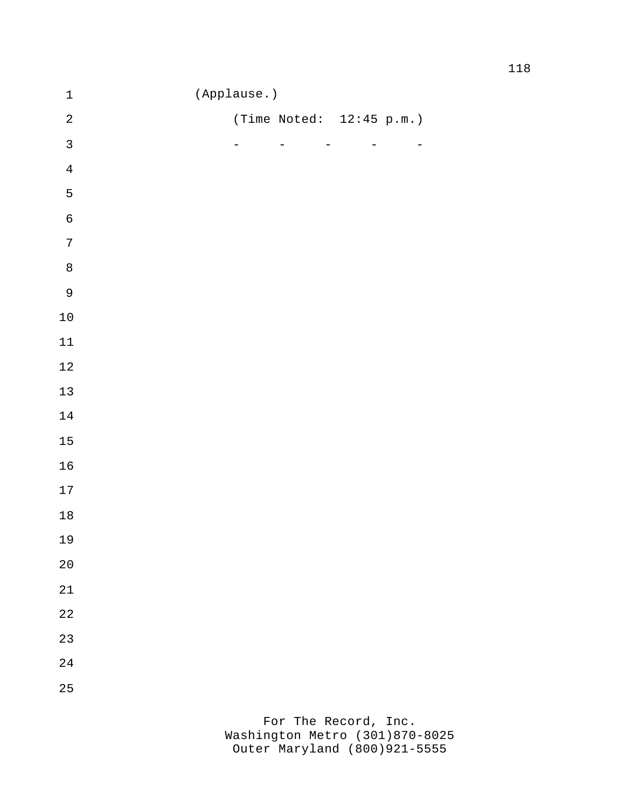| $\mathbf 1$    | (Applause.)              |                                                      |                          |   |  |
|----------------|--------------------------|------------------------------------------------------|--------------------------|---|--|
| $\sqrt{2}$     |                          | (Time Noted: $12:45 p.m.$ )                          |                          |   |  |
| $\mathfrak{Z}$ | $\overline{\phantom{0}}$ | $\overline{\phantom{0}}$<br>$\overline{\phantom{0}}$ | $\overline{\phantom{0}}$ | - |  |
| $\bf 4$        |                          |                                                      |                          |   |  |
| 5              |                          |                                                      |                          |   |  |
| $\epsilon$     |                          |                                                      |                          |   |  |
| $\overline{7}$ |                          |                                                      |                          |   |  |
| $\,8\,$        |                          |                                                      |                          |   |  |
| 9              |                          |                                                      |                          |   |  |
| $1\,0$         |                          |                                                      |                          |   |  |
| $11\,$         |                          |                                                      |                          |   |  |
| $1\,2$         |                          |                                                      |                          |   |  |
| $13\,$         |                          |                                                      |                          |   |  |
| $1\,4$         |                          |                                                      |                          |   |  |
| $15\,$         |                          |                                                      |                          |   |  |
| $16\,$         |                          |                                                      |                          |   |  |
| $17\,$         |                          |                                                      |                          |   |  |
| $1\,8$         |                          |                                                      |                          |   |  |
| $19$           |                          |                                                      |                          |   |  |
| $20$           |                          |                                                      |                          |   |  |
| $2\sqrt{1}$    |                          |                                                      |                          |   |  |
| $2\sqrt{2}$    |                          |                                                      |                          |   |  |
| 23             |                          |                                                      |                          |   |  |
| $2\sqrt{4}$    |                          |                                                      |                          |   |  |
| 25             |                          |                                                      |                          |   |  |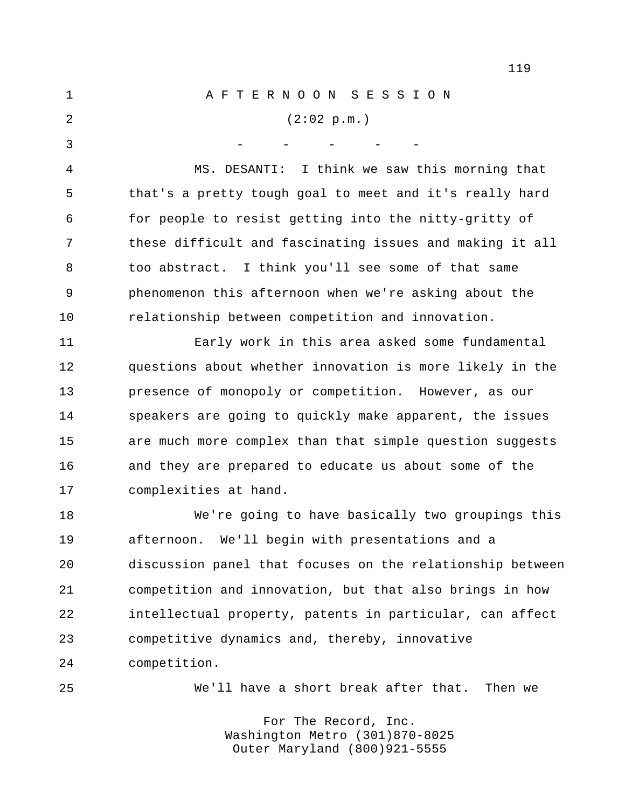| $\mathbf 1$ | AFTERNOON SESSION                                        |
|-------------|----------------------------------------------------------|
| 2           | (2:02 p.m.)                                              |
| 3           |                                                          |
| 4           | MS. DESANTI: I think we saw this morning that            |
| 5           | that's a pretty tough goal to meet and it's really hard  |
| 6           | for people to resist getting into the nitty-gritty of    |
| 7           | these difficult and fascinating issues and making it all |
| 8           | too abstract. I think you'll see some of that same       |
|             |                                                          |

 phenomenon this afternoon when we're asking about the relationship between competition and innovation.

 Early work in this area asked some fundamental questions about whether innovation is more likely in the presence of monopoly or competition. However, as our speakers are going to quickly make apparent, the issues are much more complex than that simple question suggests and they are prepared to educate us about some of the complexities at hand.

 We're going to have basically two groupings this afternoon. We'll begin with presentations and a discussion panel that focuses on the relationship between competition and innovation, but that also brings in how intellectual property, patents in particular, can affect competitive dynamics and, thereby, innovative competition.

We'll have a short break after that. Then we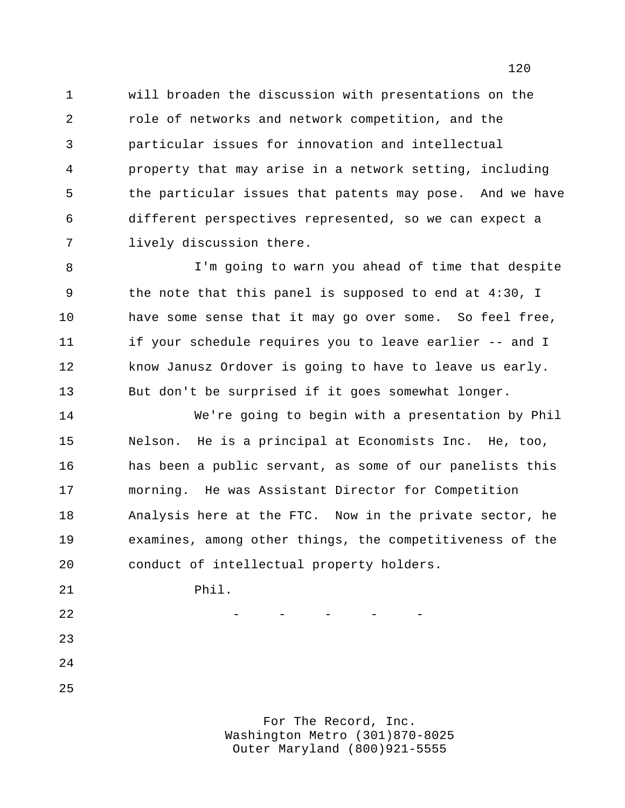will broaden the discussion with presentations on the role of networks and network competition, and the particular issues for innovation and intellectual property that may arise in a network setting, including the particular issues that patents may pose. And we have different perspectives represented, so we can expect a lively discussion there.

 I'm going to warn you ahead of time that despite the note that this panel is supposed to end at 4:30, I have some sense that it may go over some. So feel free, if your schedule requires you to leave earlier -- and I know Janusz Ordover is going to have to leave us early. But don't be surprised if it goes somewhat longer.

 We're going to begin with a presentation by Phil Nelson. He is a principal at Economists Inc. He, too, has been a public servant, as some of our panelists this morning. He was Assistant Director for Competition Analysis here at the FTC. Now in the private sector, he examines, among other things, the competitiveness of the conduct of intellectual property holders.

Phil.

- - - - - -

For The Record, Inc. Washington Metro (301)870-8025 Outer Maryland (800)921-5555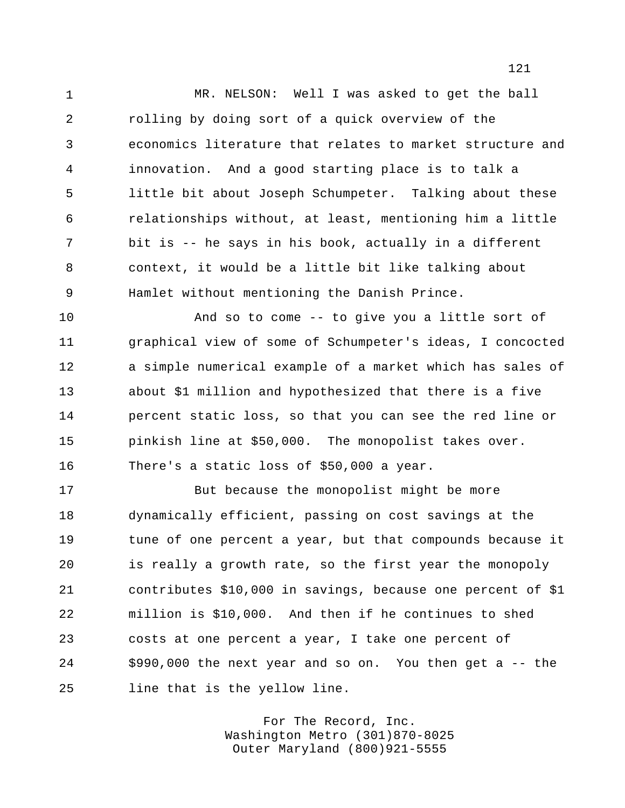MR. NELSON: Well I was asked to get the ball rolling by doing sort of a quick overview of the economics literature that relates to market structure and innovation. And a good starting place is to talk a little bit about Joseph Schumpeter. Talking about these relationships without, at least, mentioning him a little bit is -- he says in his book, actually in a different context, it would be a little bit like talking about Hamlet without mentioning the Danish Prince.

 And so to come -- to give you a little sort of graphical view of some of Schumpeter's ideas, I concocted a simple numerical example of a market which has sales of about \$1 million and hypothesized that there is a five percent static loss, so that you can see the red line or pinkish line at \$50,000. The monopolist takes over. There's a static loss of \$50,000 a year.

 But because the monopolist might be more dynamically efficient, passing on cost savings at the 19 tune of one percent a year, but that compounds because it is really a growth rate, so the first year the monopoly contributes \$10,000 in savings, because one percent of \$1 million is \$10,000. And then if he continues to shed costs at one percent a year, I take one percent of \$990,000 the next year and so on. You then get a -- the line that is the yellow line.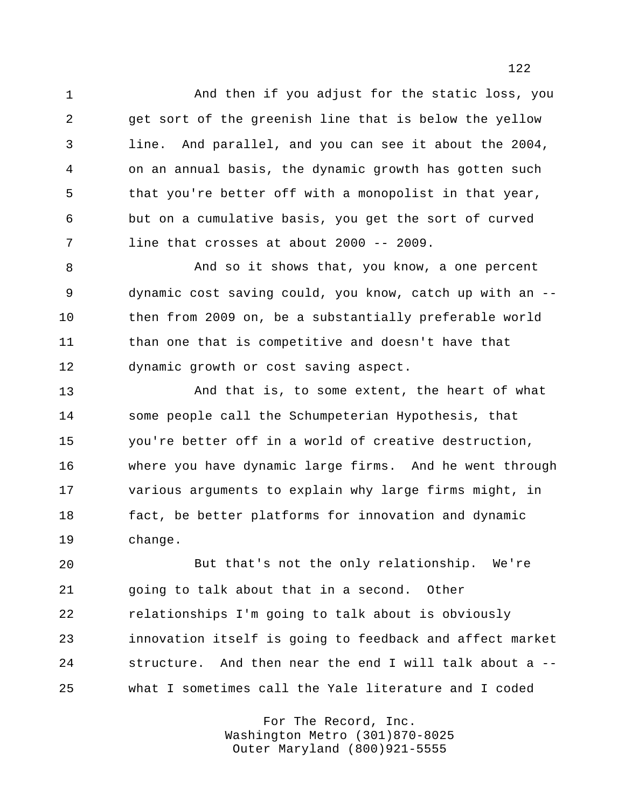And then if you adjust for the static loss, you get sort of the greenish line that is below the yellow line. And parallel, and you can see it about the 2004, on an annual basis, the dynamic growth has gotten such that you're better off with a monopolist in that year, but on a cumulative basis, you get the sort of curved line that crosses at about 2000 -- 2009.

 And so it shows that, you know, a one percent dynamic cost saving could, you know, catch up with an -- then from 2009 on, be a substantially preferable world than one that is competitive and doesn't have that dynamic growth or cost saving aspect.

 And that is, to some extent, the heart of what some people call the Schumpeterian Hypothesis, that you're better off in a world of creative destruction, where you have dynamic large firms. And he went through various arguments to explain why large firms might, in fact, be better platforms for innovation and dynamic change.

 But that's not the only relationship. We're going to talk about that in a second. Other relationships I'm going to talk about is obviously innovation itself is going to feedback and affect market structure. And then near the end I will talk about a -- what I sometimes call the Yale literature and I coded

> For The Record, Inc. Washington Metro (301)870-8025 Outer Maryland (800)921-5555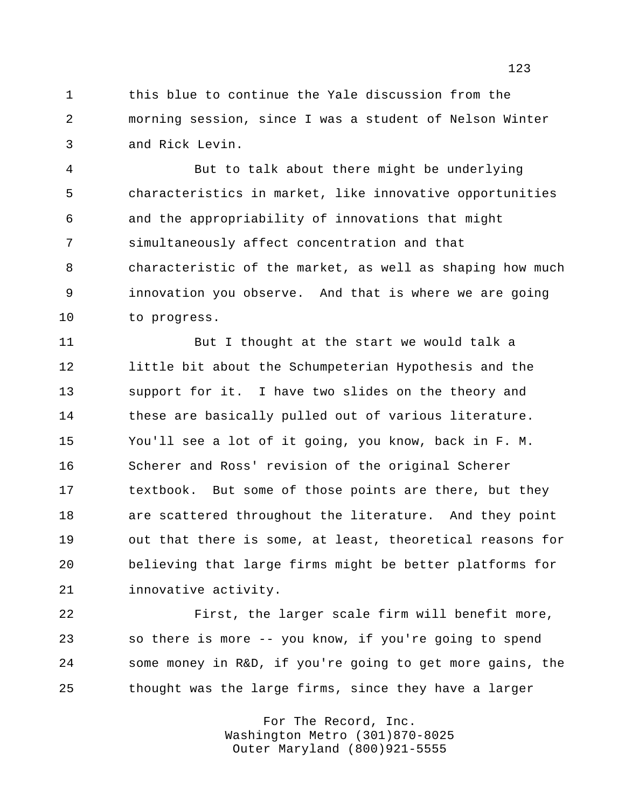this blue to continue the Yale discussion from the morning session, since I was a student of Nelson Winter and Rick Levin.

 But to talk about there might be underlying characteristics in market, like innovative opportunities and the appropriability of innovations that might simultaneously affect concentration and that characteristic of the market, as well as shaping how much innovation you observe. And that is where we are going to progress.

 But I thought at the start we would talk a little bit about the Schumpeterian Hypothesis and the support for it. I have two slides on the theory and these are basically pulled out of various literature. You'll see a lot of it going, you know, back in F. M. Scherer and Ross' revision of the original Scherer 17 textbook. But some of those points are there, but they are scattered throughout the literature. And they point out that there is some, at least, theoretical reasons for believing that large firms might be better platforms for innovative activity.

 First, the larger scale firm will benefit more, so there is more -- you know, if you're going to spend some money in R&D, if you're going to get more gains, the thought was the large firms, since they have a larger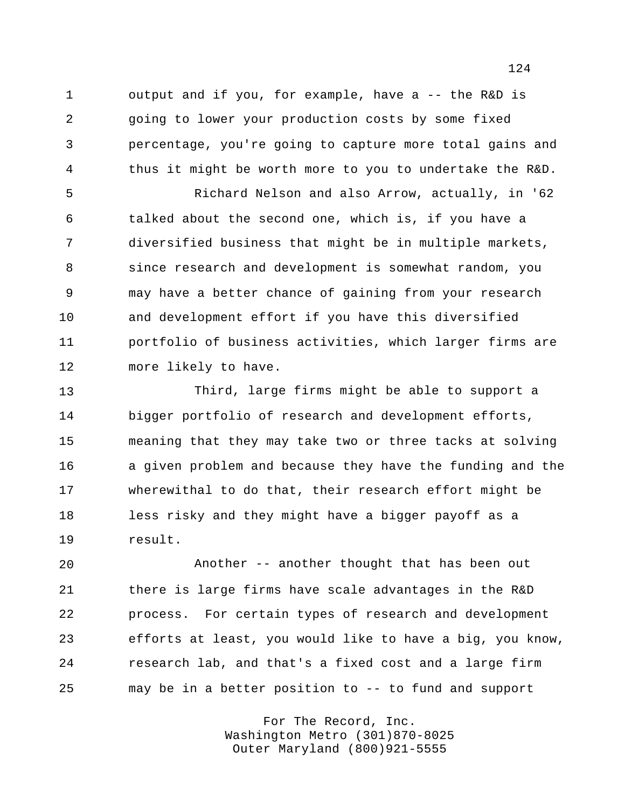output and if you, for example, have a -- the R&D is going to lower your production costs by some fixed percentage, you're going to capture more total gains and thus it might be worth more to you to undertake the R&D.

 Richard Nelson and also Arrow, actually, in '62 talked about the second one, which is, if you have a diversified business that might be in multiple markets, since research and development is somewhat random, you may have a better chance of gaining from your research and development effort if you have this diversified portfolio of business activities, which larger firms are more likely to have.

 Third, large firms might be able to support a bigger portfolio of research and development efforts, meaning that they may take two or three tacks at solving a given problem and because they have the funding and the wherewithal to do that, their research effort might be less risky and they might have a bigger payoff as a result.

 Another -- another thought that has been out there is large firms have scale advantages in the R&D process. For certain types of research and development efforts at least, you would like to have a big, you know, research lab, and that's a fixed cost and a large firm may be in a better position to -- to fund and support

> For The Record, Inc. Washington Metro (301)870-8025 Outer Maryland (800)921-5555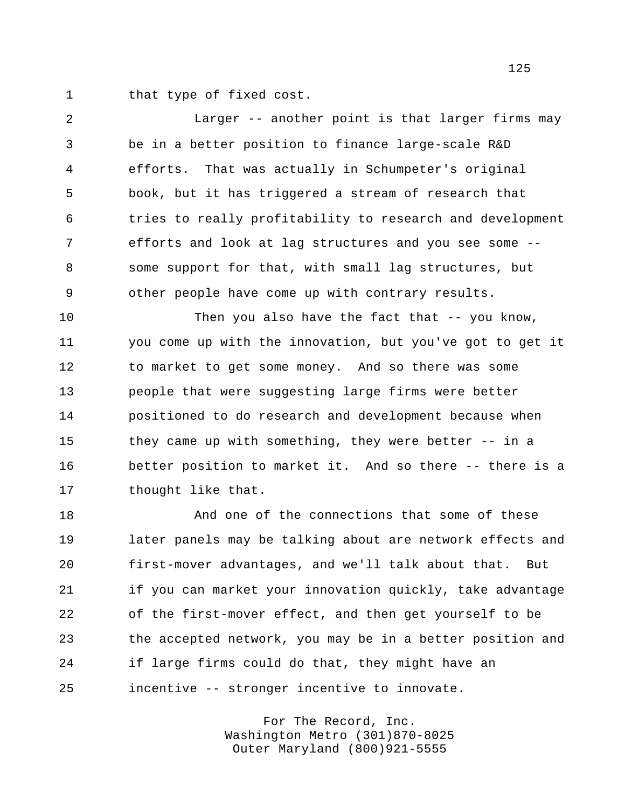that type of fixed cost.

 Larger -- another point is that larger firms may be in a better position to finance large-scale R&D efforts. That was actually in Schumpeter's original book, but it has triggered a stream of research that tries to really profitability to research and development efforts and look at lag structures and you see some -- some support for that, with small lag structures, but other people have come up with contrary results.

 Then you also have the fact that -- you know, you come up with the innovation, but you've got to get it to market to get some money. And so there was some people that were suggesting large firms were better positioned to do research and development because when they came up with something, they were better -- in a better position to market it. And so there -- there is a 17 thought like that.

 And one of the connections that some of these later panels may be talking about are network effects and first-mover advantages, and we'll talk about that. But if you can market your innovation quickly, take advantage of the first-mover effect, and then get yourself to be the accepted network, you may be in a better position and if large firms could do that, they might have an incentive -- stronger incentive to innovate.

> For The Record, Inc. Washington Metro (301)870-8025 Outer Maryland (800)921-5555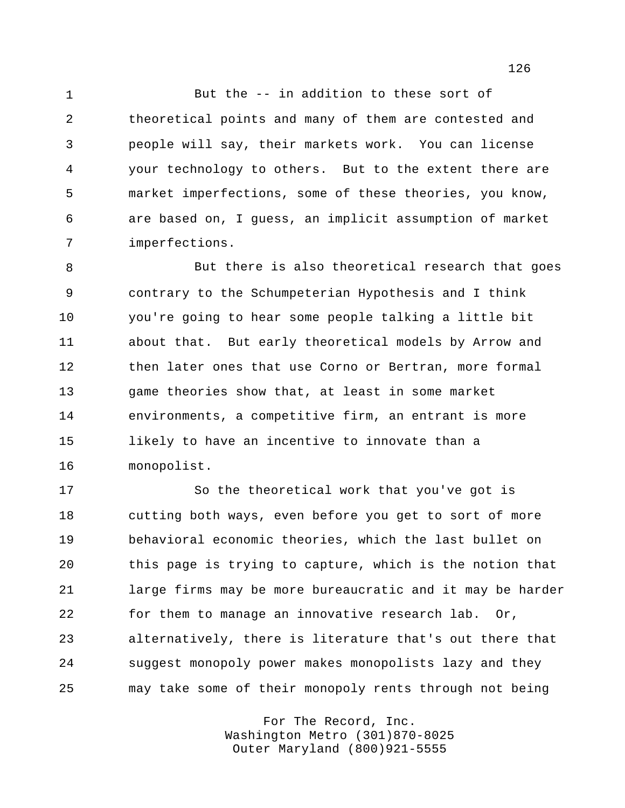But the -- in addition to these sort of theoretical points and many of them are contested and people will say, their markets work. You can license your technology to others. But to the extent there are market imperfections, some of these theories, you know, are based on, I guess, an implicit assumption of market imperfections.

 But there is also theoretical research that goes contrary to the Schumpeterian Hypothesis and I think you're going to hear some people talking a little bit about that. But early theoretical models by Arrow and then later ones that use Corno or Bertran, more formal game theories show that, at least in some market environments, a competitive firm, an entrant is more likely to have an incentive to innovate than a monopolist.

 So the theoretical work that you've got is cutting both ways, even before you get to sort of more behavioral economic theories, which the last bullet on this page is trying to capture, which is the notion that large firms may be more bureaucratic and it may be harder for them to manage an innovative research lab. Or, alternatively, there is literature that's out there that suggest monopoly power makes monopolists lazy and they may take some of their monopoly rents through not being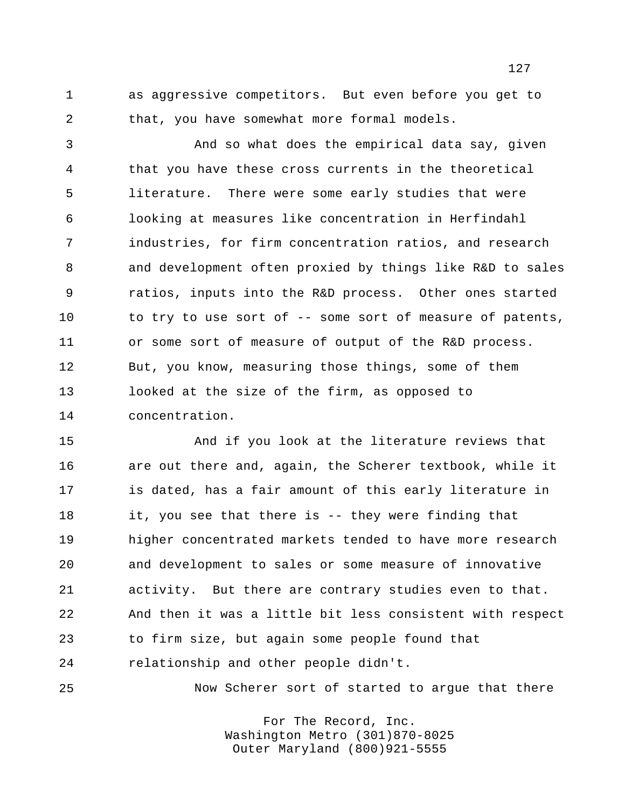as aggressive competitors. But even before you get to that, you have somewhat more formal models.

 And so what does the empirical data say, given that you have these cross currents in the theoretical literature. There were some early studies that were looking at measures like concentration in Herfindahl industries, for firm concentration ratios, and research and development often proxied by things like R&D to sales ratios, inputs into the R&D process. Other ones started 10 to try to use sort of -- some sort of measure of patents, or some sort of measure of output of the R&D process. But, you know, measuring those things, some of them looked at the size of the firm, as opposed to concentration.

 And if you look at the literature reviews that are out there and, again, the Scherer textbook, while it is dated, has a fair amount of this early literature in it, you see that there is -- they were finding that higher concentrated markets tended to have more research and development to sales or some measure of innovative activity. But there are contrary studies even to that. And then it was a little bit less consistent with respect to firm size, but again some people found that relationship and other people didn't.

Now Scherer sort of started to argue that there

For The Record, Inc. Washington Metro (301)870-8025 Outer Maryland (800)921-5555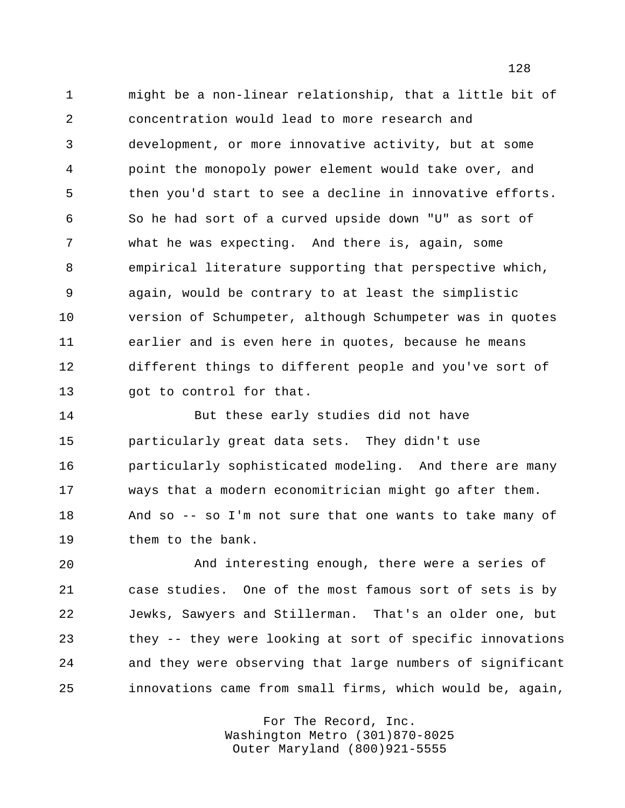might be a non-linear relationship, that a little bit of concentration would lead to more research and development, or more innovative activity, but at some point the monopoly power element would take over, and then you'd start to see a decline in innovative efforts. So he had sort of a curved upside down "U" as sort of what he was expecting. And there is, again, some empirical literature supporting that perspective which, again, would be contrary to at least the simplistic version of Schumpeter, although Schumpeter was in quotes earlier and is even here in quotes, because he means different things to different people and you've sort of 13 got to control for that.

 But these early studies did not have particularly great data sets. They didn't use particularly sophisticated modeling. And there are many ways that a modern economitrician might go after them. And so -- so I'm not sure that one wants to take many of them to the bank.

 And interesting enough, there were a series of case studies. One of the most famous sort of sets is by Jewks, Sawyers and Stillerman. That's an older one, but they -- they were looking at sort of specific innovations and they were observing that large numbers of significant innovations came from small firms, which would be, again,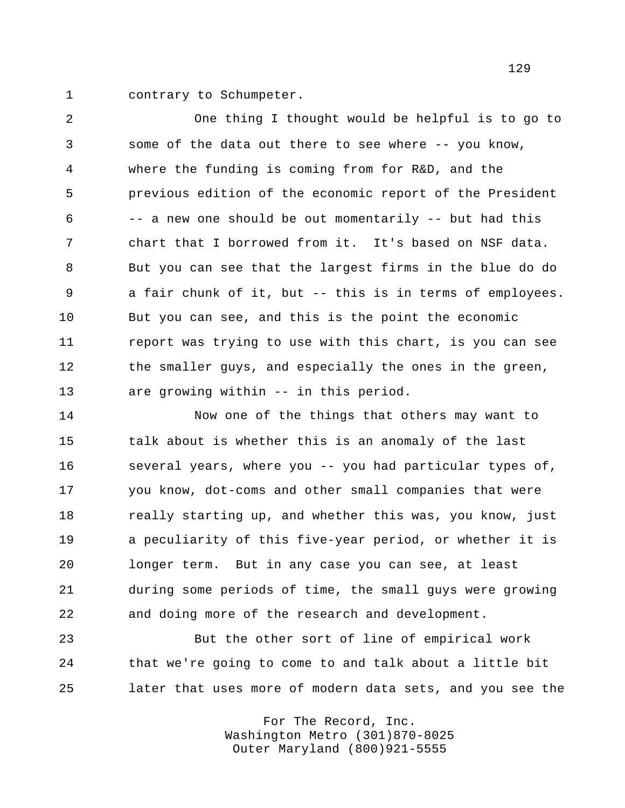contrary to Schumpeter.

 One thing I thought would be helpful is to go to some of the data out there to see where -- you know, where the funding is coming from for R&D, and the previous edition of the economic report of the President -- a new one should be out momentarily -- but had this chart that I borrowed from it. It's based on NSF data. But you can see that the largest firms in the blue do do a fair chunk of it, but -- this is in terms of employees. But you can see, and this is the point the economic report was trying to use with this chart, is you can see 12 the smaller guys, and especially the ones in the green, are growing within -- in this period.

 Now one of the things that others may want to talk about is whether this is an anomaly of the last several years, where you -- you had particular types of, you know, dot-coms and other small companies that were really starting up, and whether this was, you know, just a peculiarity of this five-year period, or whether it is longer term. But in any case you can see, at least during some periods of time, the small guys were growing and doing more of the research and development.

 But the other sort of line of empirical work that we're going to come to and talk about a little bit later that uses more of modern data sets, and you see the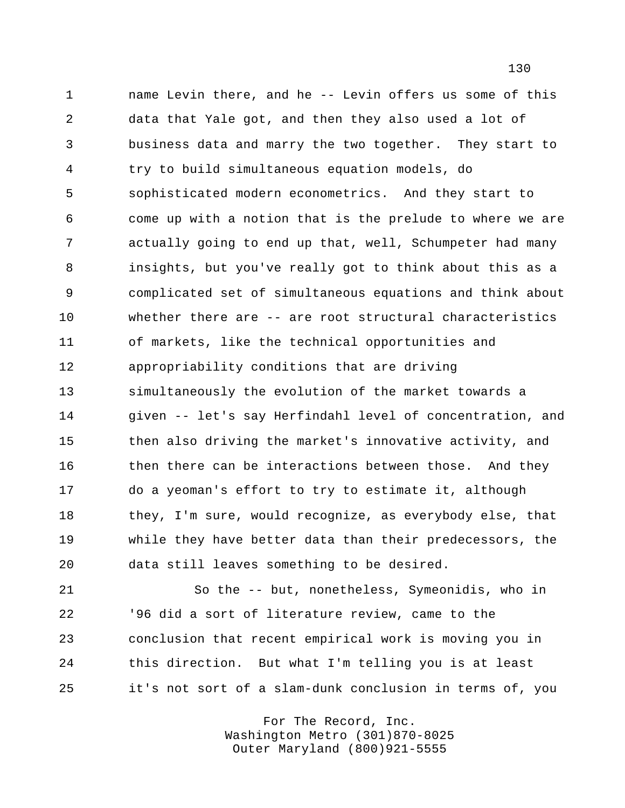name Levin there, and he -- Levin offers us some of this data that Yale got, and then they also used a lot of business data and marry the two together. They start to try to build simultaneous equation models, do sophisticated modern econometrics. And they start to come up with a notion that is the prelude to where we are actually going to end up that, well, Schumpeter had many insights, but you've really got to think about this as a complicated set of simultaneous equations and think about whether there are -- are root structural characteristics of markets, like the technical opportunities and appropriability conditions that are driving simultaneously the evolution of the market towards a given -- let's say Herfindahl level of concentration, and then also driving the market's innovative activity, and 16 then there can be interactions between those. And they do a yeoman's effort to try to estimate it, although they, I'm sure, would recognize, as everybody else, that while they have better data than their predecessors, the data still leaves something to be desired.

 So the -- but, nonetheless, Symeonidis, who in '96 did a sort of literature review, came to the conclusion that recent empirical work is moving you in this direction. But what I'm telling you is at least it's not sort of a slam-dunk conclusion in terms of, you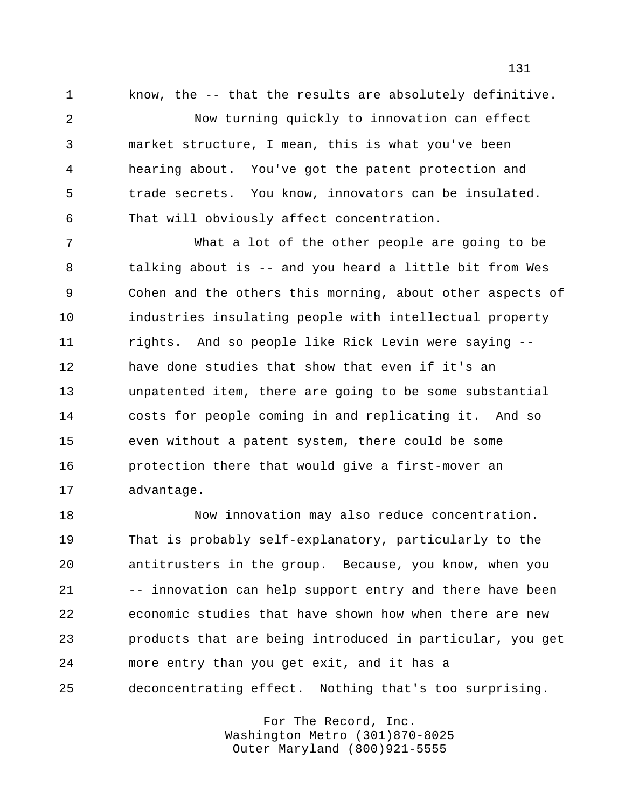know, the -- that the results are absolutely definitive.

 Now turning quickly to innovation can effect market structure, I mean, this is what you've been hearing about. You've got the patent protection and trade secrets. You know, innovators can be insulated. That will obviously affect concentration.

 What a lot of the other people are going to be talking about is -- and you heard a little bit from Wes Cohen and the others this morning, about other aspects of industries insulating people with intellectual property rights. And so people like Rick Levin were saying -- have done studies that show that even if it's an unpatented item, there are going to be some substantial costs for people coming in and replicating it. And so even without a patent system, there could be some protection there that would give a first-mover an advantage.

 Now innovation may also reduce concentration. That is probably self-explanatory, particularly to the antitrusters in the group. Because, you know, when you -- innovation can help support entry and there have been economic studies that have shown how when there are new products that are being introduced in particular, you get more entry than you get exit, and it has a deconcentrating effect. Nothing that's too surprising.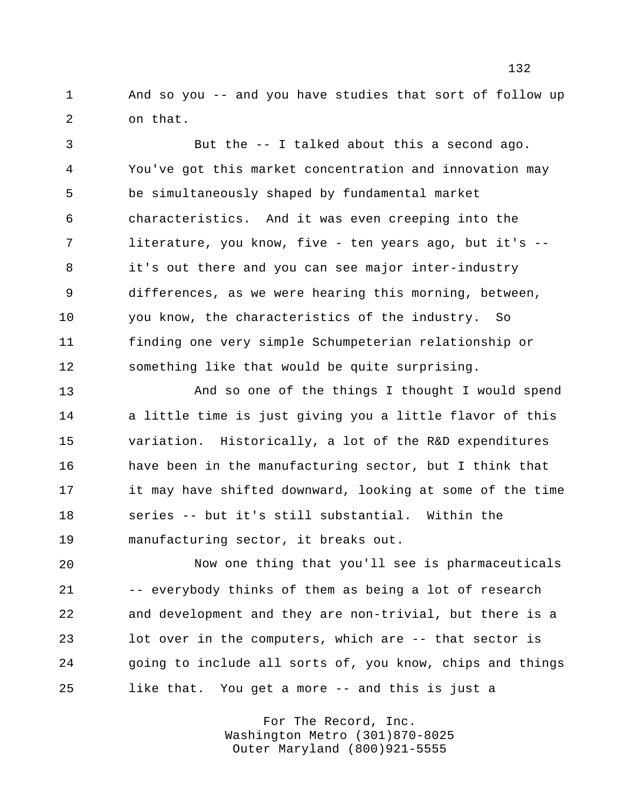And so you -- and you have studies that sort of follow up on that.

 But the -- I talked about this a second ago. You've got this market concentration and innovation may be simultaneously shaped by fundamental market characteristics. And it was even creeping into the literature, you know, five - ten years ago, but it's -- it's out there and you can see major inter-industry differences, as we were hearing this morning, between, you know, the characteristics of the industry. So finding one very simple Schumpeterian relationship or something like that would be quite surprising.

 And so one of the things I thought I would spend a little time is just giving you a little flavor of this variation. Historically, a lot of the R&D expenditures have been in the manufacturing sector, but I think that it may have shifted downward, looking at some of the time series -- but it's still substantial. Within the manufacturing sector, it breaks out.

 Now one thing that you'll see is pharmaceuticals -- everybody thinks of them as being a lot of research and development and they are non-trivial, but there is a lot over in the computers, which are -- that sector is going to include all sorts of, you know, chips and things like that. You get a more -- and this is just a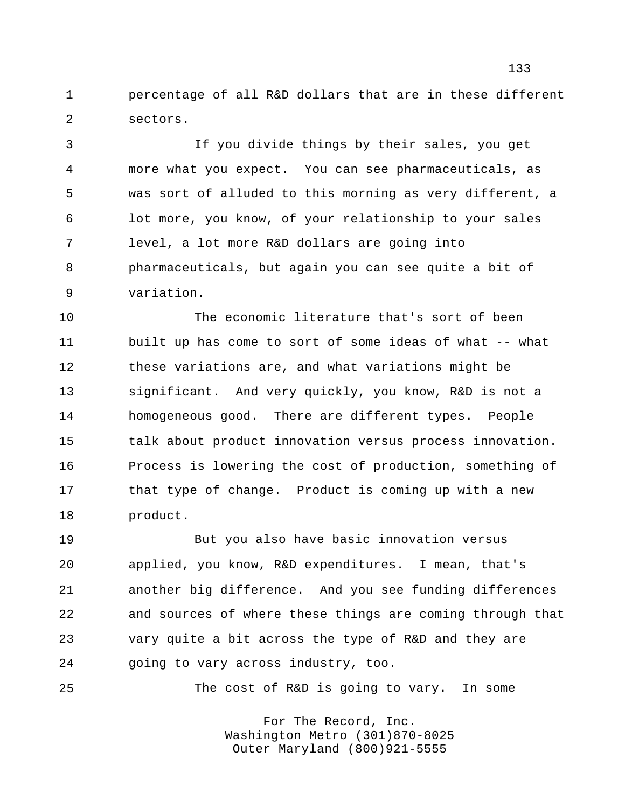percentage of all R&D dollars that are in these different sectors.

 If you divide things by their sales, you get more what you expect. You can see pharmaceuticals, as was sort of alluded to this morning as very different, a lot more, you know, of your relationship to your sales level, a lot more R&D dollars are going into pharmaceuticals, but again you can see quite a bit of variation.

 The economic literature that's sort of been built up has come to sort of some ideas of what -- what these variations are, and what variations might be significant. And very quickly, you know, R&D is not a homogeneous good. There are different types. People talk about product innovation versus process innovation. Process is lowering the cost of production, something of 17 that type of change. Product is coming up with a new product.

 But you also have basic innovation versus applied, you know, R&D expenditures. I mean, that's another big difference. And you see funding differences and sources of where these things are coming through that vary quite a bit across the type of R&D and they are going to vary across industry, too.

The cost of R&D is going to vary. In some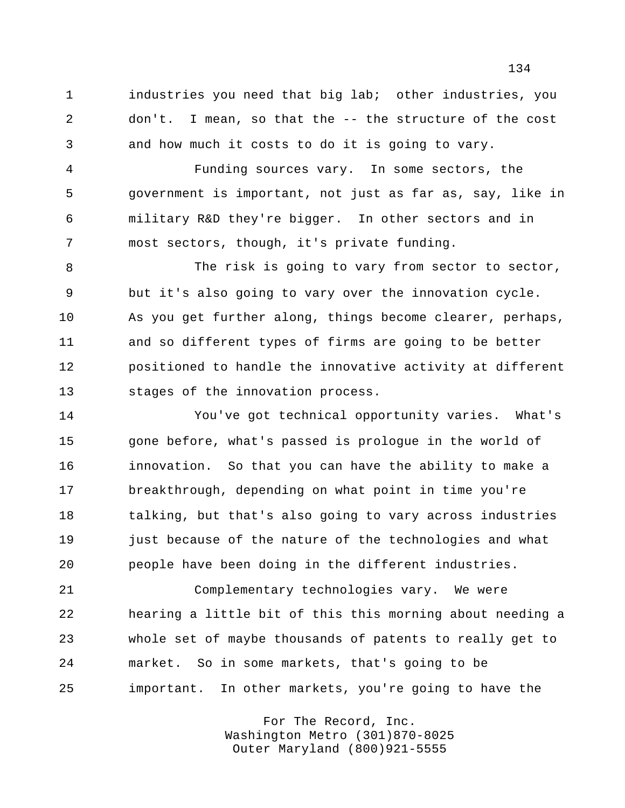industries you need that big lab; other industries, you don't. I mean, so that the -- the structure of the cost and how much it costs to do it is going to vary.

 Funding sources vary. In some sectors, the government is important, not just as far as, say, like in military R&D they're bigger. In other sectors and in most sectors, though, it's private funding.

 The risk is going to vary from sector to sector, but it's also going to vary over the innovation cycle. As you get further along, things become clearer, perhaps, and so different types of firms are going to be better positioned to handle the innovative activity at different stages of the innovation process.

 You've got technical opportunity varies. What's gone before, what's passed is prologue in the world of innovation. So that you can have the ability to make a breakthrough, depending on what point in time you're talking, but that's also going to vary across industries just because of the nature of the technologies and what people have been doing in the different industries.

 Complementary technologies vary. We were hearing a little bit of this this morning about needing a whole set of maybe thousands of patents to really get to market. So in some markets, that's going to be important. In other markets, you're going to have the

> For The Record, Inc. Washington Metro (301)870-8025 Outer Maryland (800)921-5555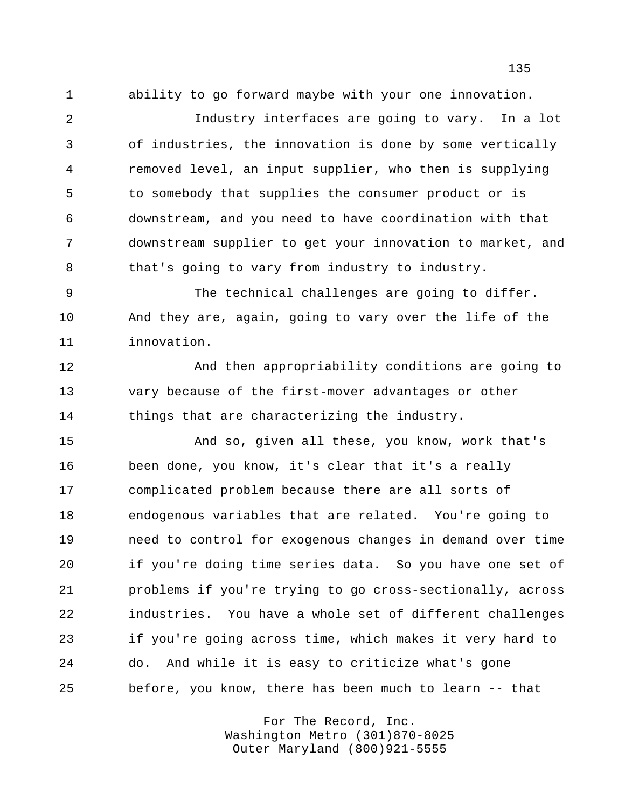ability to go forward maybe with your one innovation.

 Industry interfaces are going to vary. In a lot of industries, the innovation is done by some vertically removed level, an input supplier, who then is supplying to somebody that supplies the consumer product or is downstream, and you need to have coordination with that downstream supplier to get your innovation to market, and that's going to vary from industry to industry.

 The technical challenges are going to differ. And they are, again, going to vary over the life of the innovation.

 And then appropriability conditions are going to vary because of the first-mover advantages or other things that are characterizing the industry.

 And so, given all these, you know, work that's been done, you know, it's clear that it's a really complicated problem because there are all sorts of endogenous variables that are related. You're going to need to control for exogenous changes in demand over time if you're doing time series data. So you have one set of problems if you're trying to go cross-sectionally, across industries. You have a whole set of different challenges if you're going across time, which makes it very hard to do. And while it is easy to criticize what's gone before, you know, there has been much to learn -- that

> For The Record, Inc. Washington Metro (301)870-8025 Outer Maryland (800)921-5555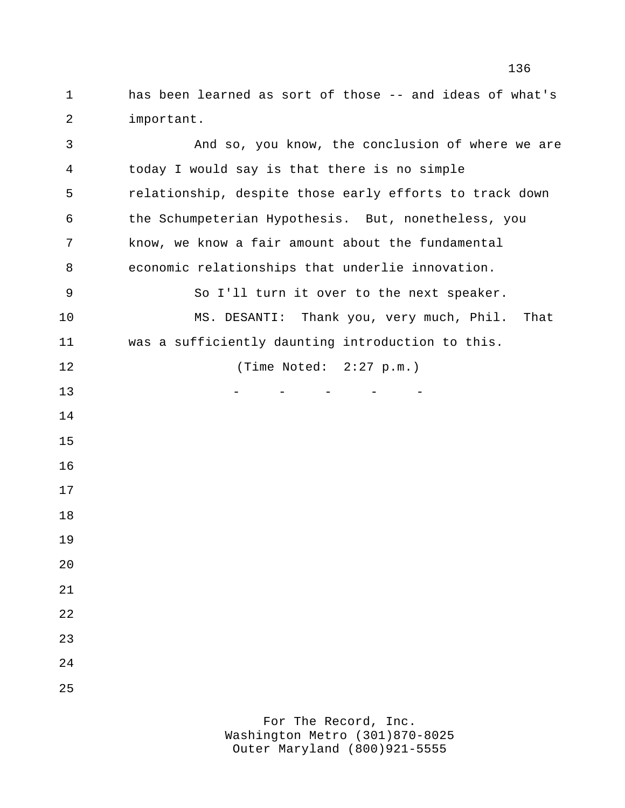has been learned as sort of those -- and ideas of what's important.

 And so, you know, the conclusion of where we are today I would say is that there is no simple relationship, despite those early efforts to track down the Schumpeterian Hypothesis. But, nonetheless, you know, we know a fair amount about the fundamental economic relationships that underlie innovation. So I'll turn it over to the next speaker. MS. DESANTI: Thank you, very much, Phil. That was a sufficiently daunting introduction to this. (Time Noted: 2:27 p.m.) 13 - - - - - - - 

> For The Record, Inc. Washington Metro (301)870-8025 Outer Maryland (800)921-5555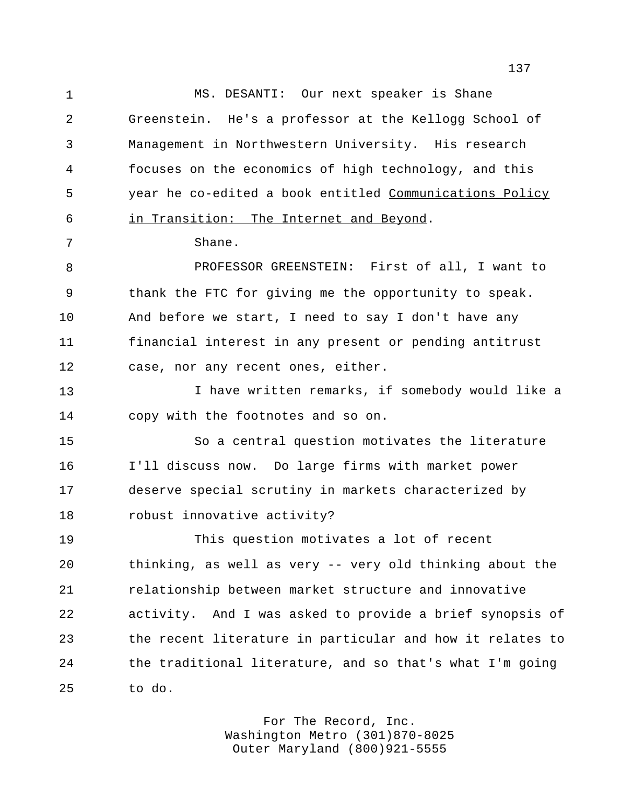MS. DESANTI: Our next speaker is Shane

 Greenstein. He's a professor at the Kellogg School of Management in Northwestern University. His research focuses on the economics of high technology, and this year he co-edited a book entitled Communications Policy in Transition: The Internet and Beyond.

Shane.

 PROFESSOR GREENSTEIN: First of all, I want to thank the FTC for giving me the opportunity to speak. And before we start, I need to say I don't have any financial interest in any present or pending antitrust case, nor any recent ones, either.

 I have written remarks, if somebody would like a copy with the footnotes and so on.

 So a central question motivates the literature I'll discuss now. Do large firms with market power deserve special scrutiny in markets characterized by robust innovative activity?

 This question motivates a lot of recent thinking, as well as very -- very old thinking about the relationship between market structure and innovative activity. And I was asked to provide a brief synopsis of the recent literature in particular and how it relates to the traditional literature, and so that's what I'm going to do.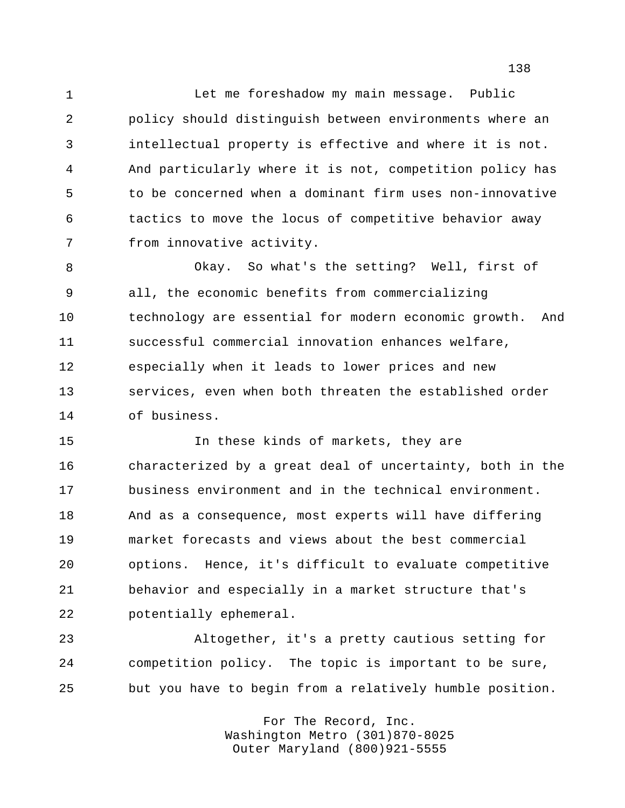Let me foreshadow my main message. Public policy should distinguish between environments where an intellectual property is effective and where it is not. And particularly where it is not, competition policy has to be concerned when a dominant firm uses non-innovative tactics to move the locus of competitive behavior away from innovative activity.

 Okay. So what's the setting? Well, first of all, the economic benefits from commercializing technology are essential for modern economic growth. And successful commercial innovation enhances welfare, especially when it leads to lower prices and new services, even when both threaten the established order of business.

 In these kinds of markets, they are characterized by a great deal of uncertainty, both in the business environment and in the technical environment. And as a consequence, most experts will have differing market forecasts and views about the best commercial options. Hence, it's difficult to evaluate competitive behavior and especially in a market structure that's potentially ephemeral.

 Altogether, it's a pretty cautious setting for competition policy. The topic is important to be sure, but you have to begin from a relatively humble position.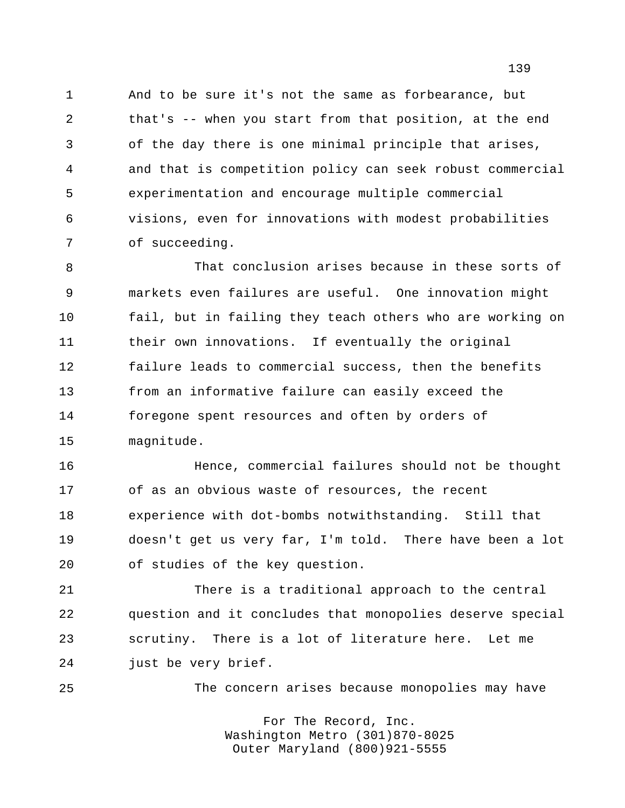And to be sure it's not the same as forbearance, but that's -- when you start from that position, at the end of the day there is one minimal principle that arises, and that is competition policy can seek robust commercial experimentation and encourage multiple commercial visions, even for innovations with modest probabilities of succeeding.

 That conclusion arises because in these sorts of markets even failures are useful. One innovation might fail, but in failing they teach others who are working on their own innovations. If eventually the original failure leads to commercial success, then the benefits from an informative failure can easily exceed the foregone spent resources and often by orders of magnitude.

 Hence, commercial failures should not be thought of as an obvious waste of resources, the recent experience with dot-bombs notwithstanding. Still that doesn't get us very far, I'm told. There have been a lot of studies of the key question.

 There is a traditional approach to the central question and it concludes that monopolies deserve special scrutiny. There is a lot of literature here. Let me just be very brief.

The concern arises because monopolies may have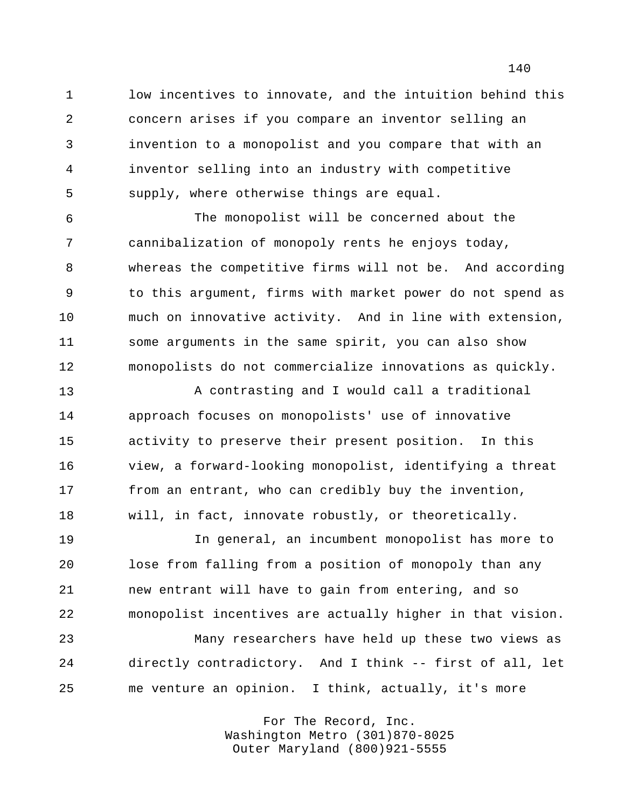low incentives to innovate, and the intuition behind this concern arises if you compare an inventor selling an invention to a monopolist and you compare that with an inventor selling into an industry with competitive supply, where otherwise things are equal.

 The monopolist will be concerned about the cannibalization of monopoly rents he enjoys today, whereas the competitive firms will not be. And according to this argument, firms with market power do not spend as much on innovative activity. And in line with extension, some arguments in the same spirit, you can also show monopolists do not commercialize innovations as quickly.

 A contrasting and I would call a traditional approach focuses on monopolists' use of innovative activity to preserve their present position. In this view, a forward-looking monopolist, identifying a threat from an entrant, who can credibly buy the invention, will, in fact, innovate robustly, or theoretically.

 In general, an incumbent monopolist has more to lose from falling from a position of monopoly than any new entrant will have to gain from entering, and so monopolist incentives are actually higher in that vision.

 Many researchers have held up these two views as directly contradictory. And I think -- first of all, let me venture an opinion. I think, actually, it's more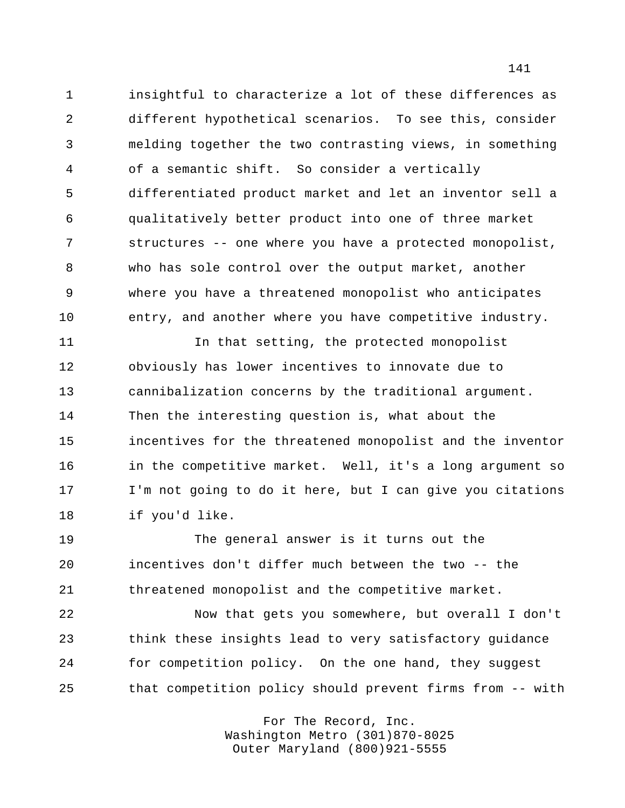insightful to characterize a lot of these differences as different hypothetical scenarios. To see this, consider melding together the two contrasting views, in something of a semantic shift. So consider a vertically differentiated product market and let an inventor sell a qualitatively better product into one of three market structures -- one where you have a protected monopolist, who has sole control over the output market, another where you have a threatened monopolist who anticipates entry, and another where you have competitive industry.

11 11 In that setting, the protected monopolist obviously has lower incentives to innovate due to cannibalization concerns by the traditional argument. Then the interesting question is, what about the incentives for the threatened monopolist and the inventor in the competitive market. Well, it's a long argument so I'm not going to do it here, but I can give you citations if you'd like.

 The general answer is it turns out the incentives don't differ much between the two -- the threatened monopolist and the competitive market.

 Now that gets you somewhere, but overall I don't think these insights lead to very satisfactory guidance for competition policy. On the one hand, they suggest that competition policy should prevent firms from -- with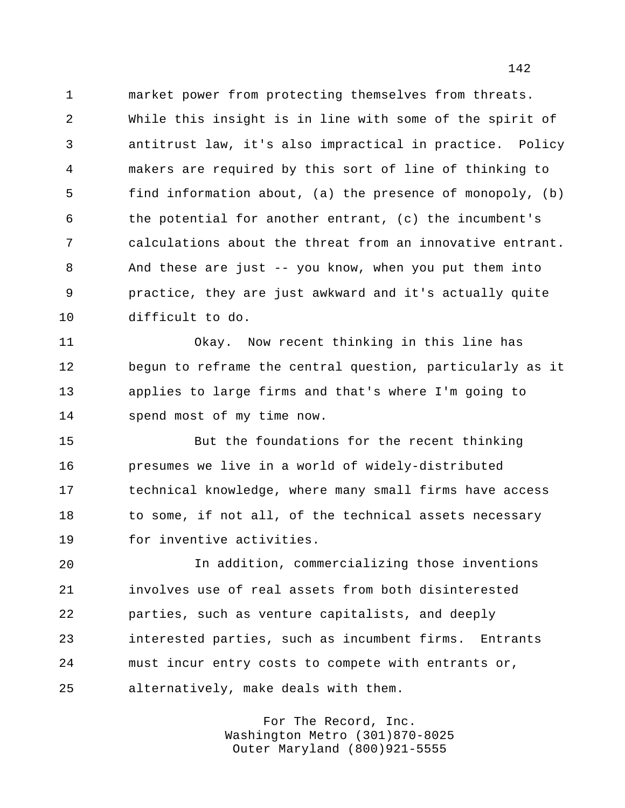market power from protecting themselves from threats. While this insight is in line with some of the spirit of antitrust law, it's also impractical in practice. Policy makers are required by this sort of line of thinking to find information about, (a) the presence of monopoly, (b) the potential for another entrant, (c) the incumbent's calculations about the threat from an innovative entrant. And these are just -- you know, when you put them into practice, they are just awkward and it's actually quite difficult to do.

 Okay. Now recent thinking in this line has begun to reframe the central question, particularly as it applies to large firms and that's where I'm going to spend most of my time now.

 But the foundations for the recent thinking presumes we live in a world of widely-distributed technical knowledge, where many small firms have access to some, if not all, of the technical assets necessary for inventive activities.

 In addition, commercializing those inventions involves use of real assets from both disinterested parties, such as venture capitalists, and deeply interested parties, such as incumbent firms. Entrants must incur entry costs to compete with entrants or, alternatively, make deals with them.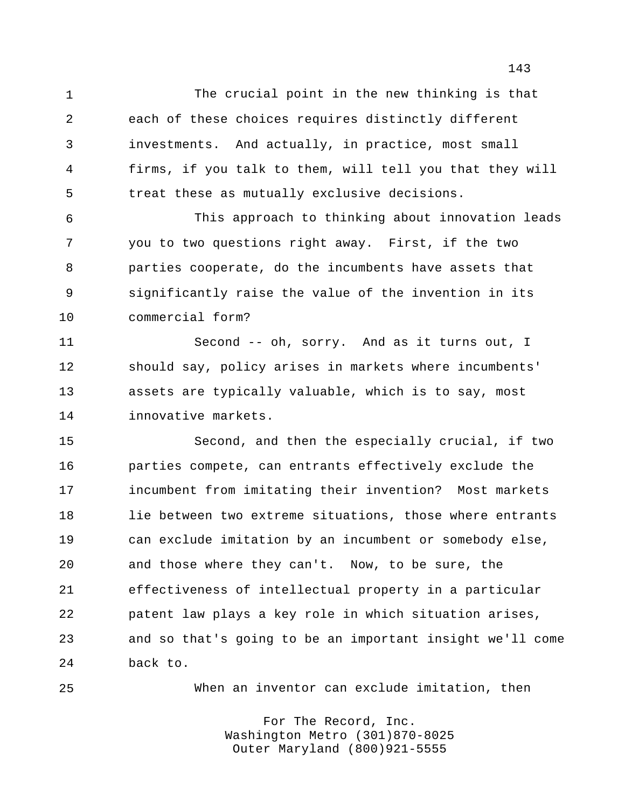The crucial point in the new thinking is that each of these choices requires distinctly different investments. And actually, in practice, most small firms, if you talk to them, will tell you that they will treat these as mutually exclusive decisions.

 This approach to thinking about innovation leads you to two questions right away. First, if the two parties cooperate, do the incumbents have assets that significantly raise the value of the invention in its commercial form?

 Second -- oh, sorry. And as it turns out, I should say, policy arises in markets where incumbents' assets are typically valuable, which is to say, most innovative markets.

 Second, and then the especially crucial, if two parties compete, can entrants effectively exclude the incumbent from imitating their invention? Most markets lie between two extreme situations, those where entrants can exclude imitation by an incumbent or somebody else, and those where they can't. Now, to be sure, the effectiveness of intellectual property in a particular patent law plays a key role in which situation arises, and so that's going to be an important insight we'll come back to.

When an inventor can exclude imitation, then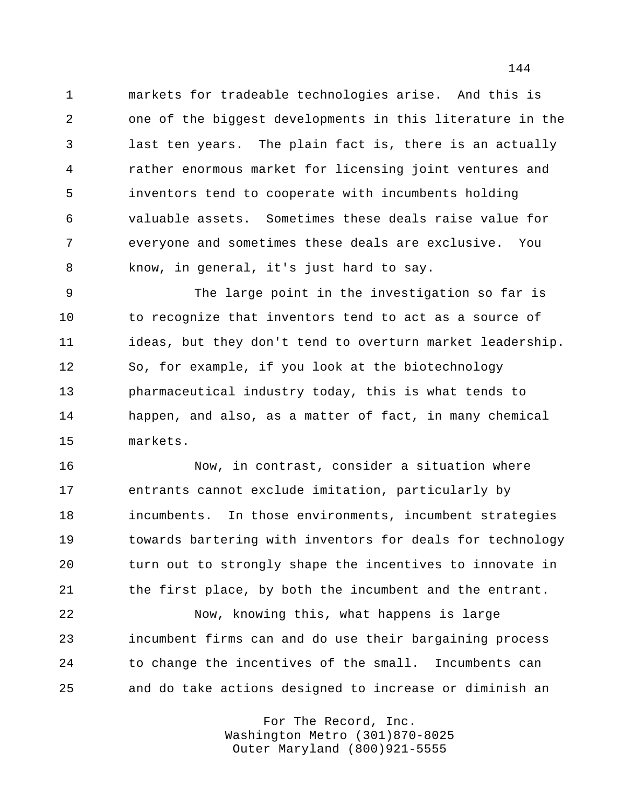markets for tradeable technologies arise. And this is one of the biggest developments in this literature in the last ten years. The plain fact is, there is an actually rather enormous market for licensing joint ventures and inventors tend to cooperate with incumbents holding valuable assets. Sometimes these deals raise value for everyone and sometimes these deals are exclusive. You know, in general, it's just hard to say.

 The large point in the investigation so far is 10 to recognize that inventors tend to act as a source of ideas, but they don't tend to overturn market leadership. So, for example, if you look at the biotechnology pharmaceutical industry today, this is what tends to happen, and also, as a matter of fact, in many chemical markets.

 Now, in contrast, consider a situation where entrants cannot exclude imitation, particularly by incumbents. In those environments, incumbent strategies towards bartering with inventors for deals for technology turn out to strongly shape the incentives to innovate in the first place, by both the incumbent and the entrant.

 Now, knowing this, what happens is large incumbent firms can and do use their bargaining process to change the incentives of the small. Incumbents can and do take actions designed to increase or diminish an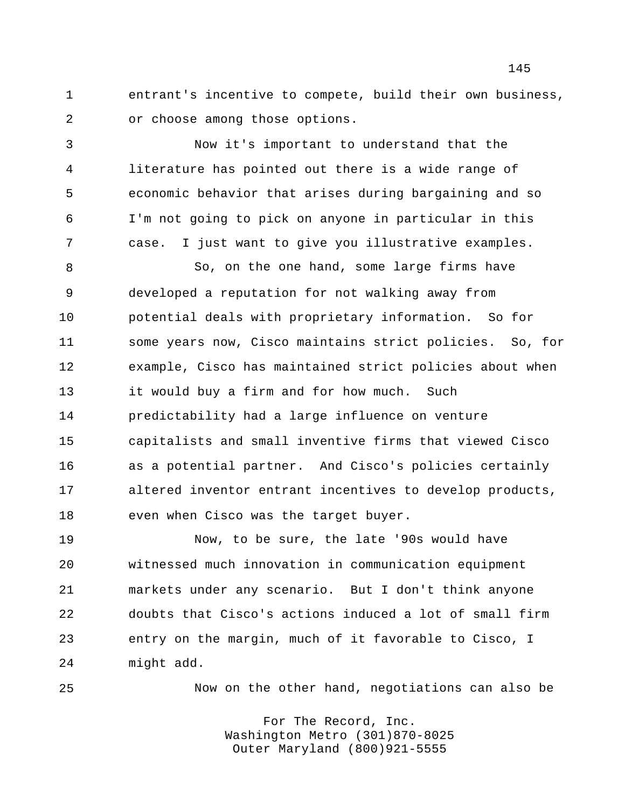entrant's incentive to compete, build their own business, or choose among those options.

 Now it's important to understand that the literature has pointed out there is a wide range of economic behavior that arises during bargaining and so I'm not going to pick on anyone in particular in this case. I just want to give you illustrative examples.

 So, on the one hand, some large firms have developed a reputation for not walking away from potential deals with proprietary information. So for some years now, Cisco maintains strict policies. So, for example, Cisco has maintained strict policies about when it would buy a firm and for how much. Such predictability had a large influence on venture capitalists and small inventive firms that viewed Cisco as a potential partner. And Cisco's policies certainly altered inventor entrant incentives to develop products, even when Cisco was the target buyer.

 Now, to be sure, the late '90s would have witnessed much innovation in communication equipment markets under any scenario. But I don't think anyone doubts that Cisco's actions induced a lot of small firm entry on the margin, much of it favorable to Cisco, I might add.

Now on the other hand, negotiations can also be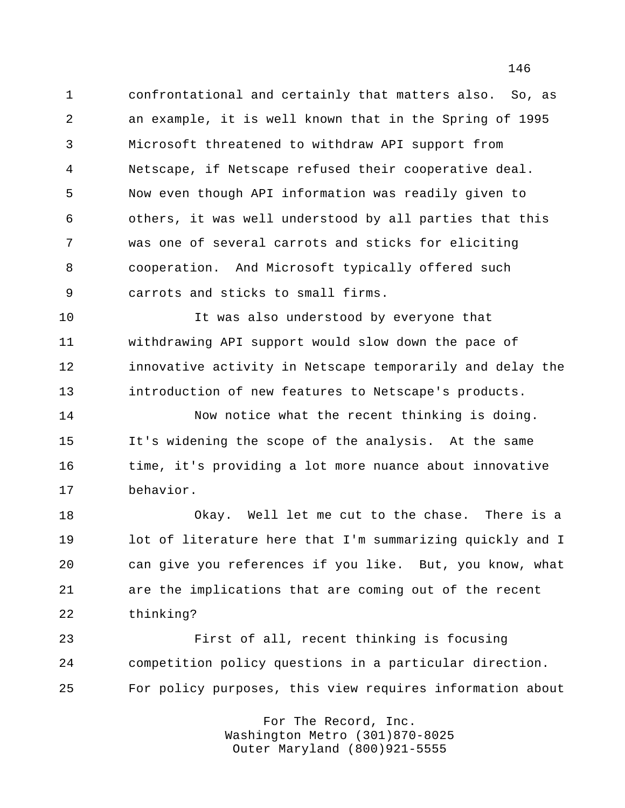confrontational and certainly that matters also. So, as an example, it is well known that in the Spring of 1995 Microsoft threatened to withdraw API support from Netscape, if Netscape refused their cooperative deal. Now even though API information was readily given to others, it was well understood by all parties that this was one of several carrots and sticks for eliciting cooperation. And Microsoft typically offered such carrots and sticks to small firms.

 It was also understood by everyone that withdrawing API support would slow down the pace of innovative activity in Netscape temporarily and delay the introduction of new features to Netscape's products.

 Now notice what the recent thinking is doing. It's widening the scope of the analysis. At the same time, it's providing a lot more nuance about innovative behavior.

 Okay. Well let me cut to the chase. There is a lot of literature here that I'm summarizing quickly and I can give you references if you like. But, you know, what are the implications that are coming out of the recent thinking?

 First of all, recent thinking is focusing competition policy questions in a particular direction. For policy purposes, this view requires information about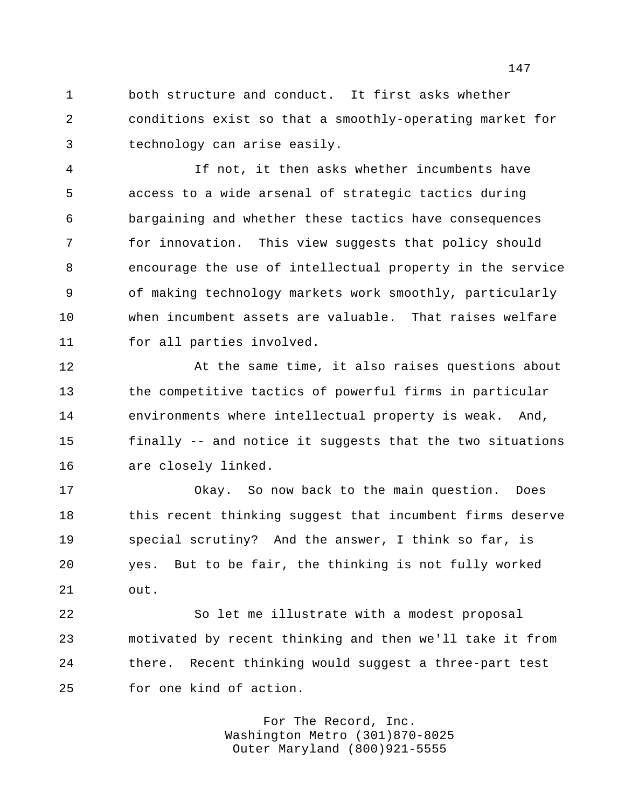both structure and conduct. It first asks whether conditions exist so that a smoothly-operating market for technology can arise easily.

 If not, it then asks whether incumbents have access to a wide arsenal of strategic tactics during bargaining and whether these tactics have consequences for innovation. This view suggests that policy should encourage the use of intellectual property in the service of making technology markets work smoothly, particularly when incumbent assets are valuable. That raises welfare for all parties involved.

 At the same time, it also raises questions about the competitive tactics of powerful firms in particular environments where intellectual property is weak. And, finally -- and notice it suggests that the two situations are closely linked.

 Okay. So now back to the main question. Does this recent thinking suggest that incumbent firms deserve special scrutiny? And the answer, I think so far, is yes. But to be fair, the thinking is not fully worked out.

 So let me illustrate with a modest proposal motivated by recent thinking and then we'll take it from there. Recent thinking would suggest a three-part test for one kind of action.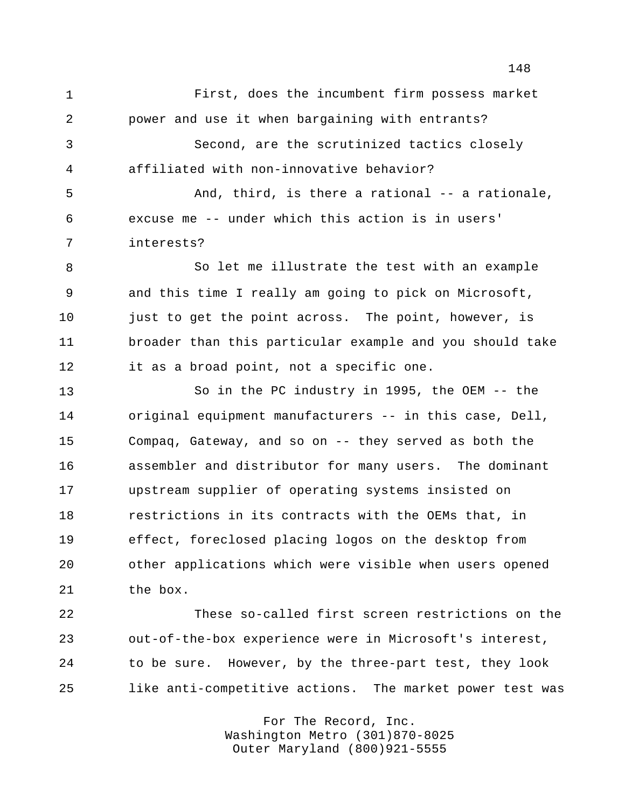First, does the incumbent firm possess market power and use it when bargaining with entrants? Second, are the scrutinized tactics closely affiliated with non-innovative behavior? And, third, is there a rational -- a rationale, excuse me -- under which this action is in users' interests? So let me illustrate the test with an example and this time I really am going to pick on Microsoft, 10 just to get the point across. The point, however, is broader than this particular example and you should take it as a broad point, not a specific one. So in the PC industry in 1995, the OEM -- the

 original equipment manufacturers -- in this case, Dell, Compaq, Gateway, and so on -- they served as both the assembler and distributor for many users. The dominant upstream supplier of operating systems insisted on restrictions in its contracts with the OEMs that, in effect, foreclosed placing logos on the desktop from other applications which were visible when users opened the box.

 These so-called first screen restrictions on the out-of-the-box experience were in Microsoft's interest, to be sure. However, by the three-part test, they look like anti-competitive actions. The market power test was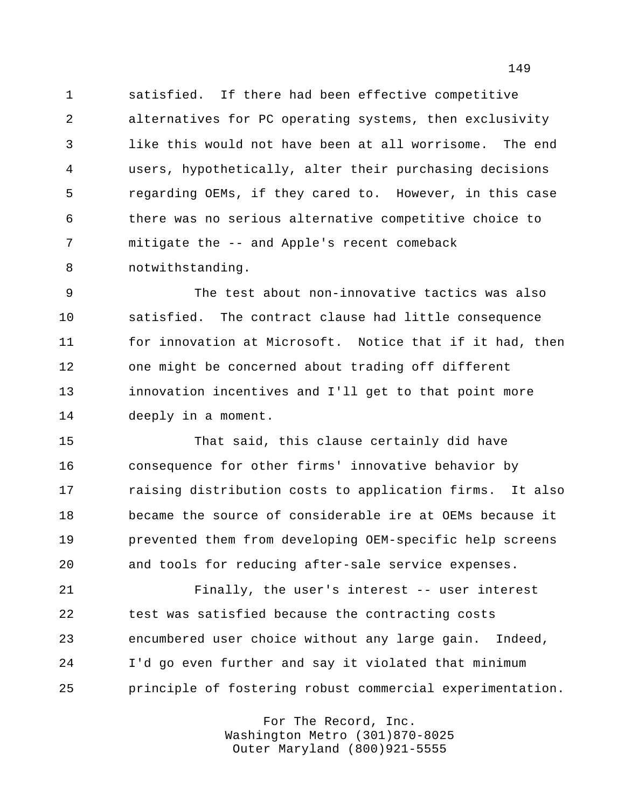satisfied. If there had been effective competitive alternatives for PC operating systems, then exclusivity like this would not have been at all worrisome. The end users, hypothetically, alter their purchasing decisions regarding OEMs, if they cared to. However, in this case there was no serious alternative competitive choice to mitigate the -- and Apple's recent comeback notwithstanding.

 The test about non-innovative tactics was also satisfied. The contract clause had little consequence for innovation at Microsoft. Notice that if it had, then one might be concerned about trading off different innovation incentives and I'll get to that point more deeply in a moment.

 That said, this clause certainly did have consequence for other firms' innovative behavior by raising distribution costs to application firms. It also became the source of considerable ire at OEMs because it prevented them from developing OEM-specific help screens and tools for reducing after-sale service expenses.

 Finally, the user's interest -- user interest test was satisfied because the contracting costs encumbered user choice without any large gain. Indeed, I'd go even further and say it violated that minimum principle of fostering robust commercial experimentation.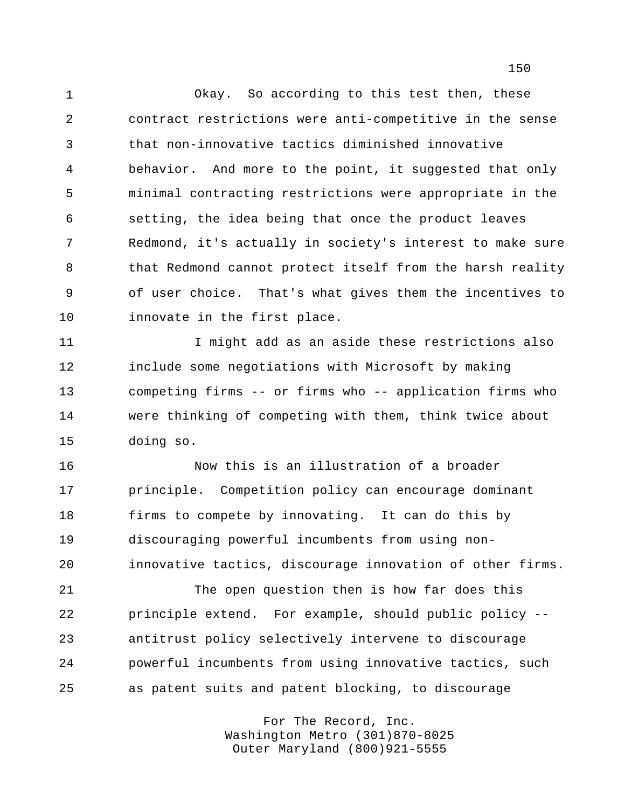Okay. So according to this test then, these contract restrictions were anti-competitive in the sense that non-innovative tactics diminished innovative behavior. And more to the point, it suggested that only minimal contracting restrictions were appropriate in the setting, the idea being that once the product leaves Redmond, it's actually in society's interest to make sure 8 that Redmond cannot protect itself from the harsh reality of user choice. That's what gives them the incentives to innovate in the first place.

11 12 I might add as an aside these restrictions also include some negotiations with Microsoft by making competing firms -- or firms who -- application firms who were thinking of competing with them, think twice about doing so.

 Now this is an illustration of a broader principle. Competition policy can encourage dominant firms to compete by innovating. It can do this by discouraging powerful incumbents from using non-innovative tactics, discourage innovation of other firms.

 The open question then is how far does this principle extend. For example, should public policy -- antitrust policy selectively intervene to discourage powerful incumbents from using innovative tactics, such as patent suits and patent blocking, to discourage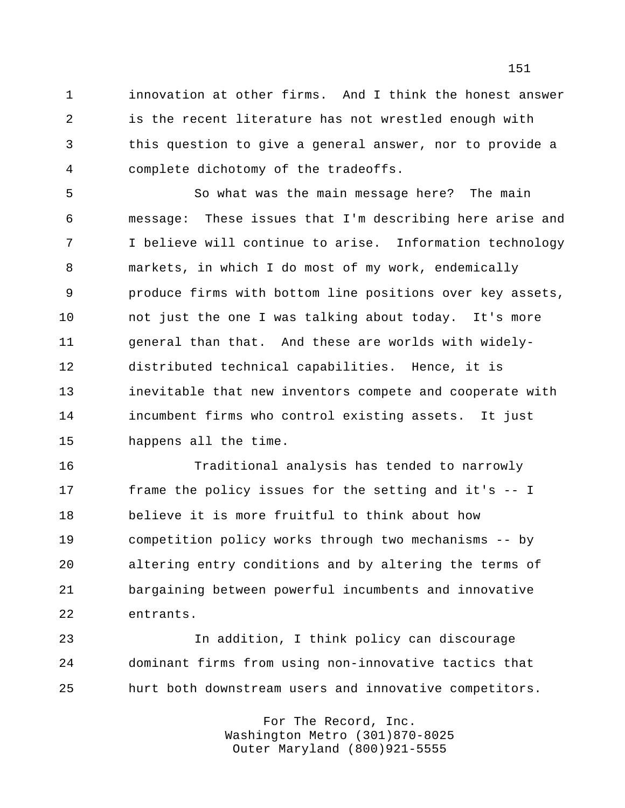innovation at other firms. And I think the honest answer is the recent literature has not wrestled enough with this question to give a general answer, nor to provide a complete dichotomy of the tradeoffs.

 So what was the main message here? The main message: These issues that I'm describing here arise and I believe will continue to arise. Information technology markets, in which I do most of my work, endemically produce firms with bottom line positions over key assets, not just the one I was talking about today. It's more general than that. And these are worlds with widely- distributed technical capabilities. Hence, it is inevitable that new inventors compete and cooperate with incumbent firms who control existing assets. It just happens all the time.

 Traditional analysis has tended to narrowly frame the policy issues for the setting and it's -- I believe it is more fruitful to think about how competition policy works through two mechanisms -- by altering entry conditions and by altering the terms of bargaining between powerful incumbents and innovative entrants.

 In addition, I think policy can discourage dominant firms from using non-innovative tactics that hurt both downstream users and innovative competitors.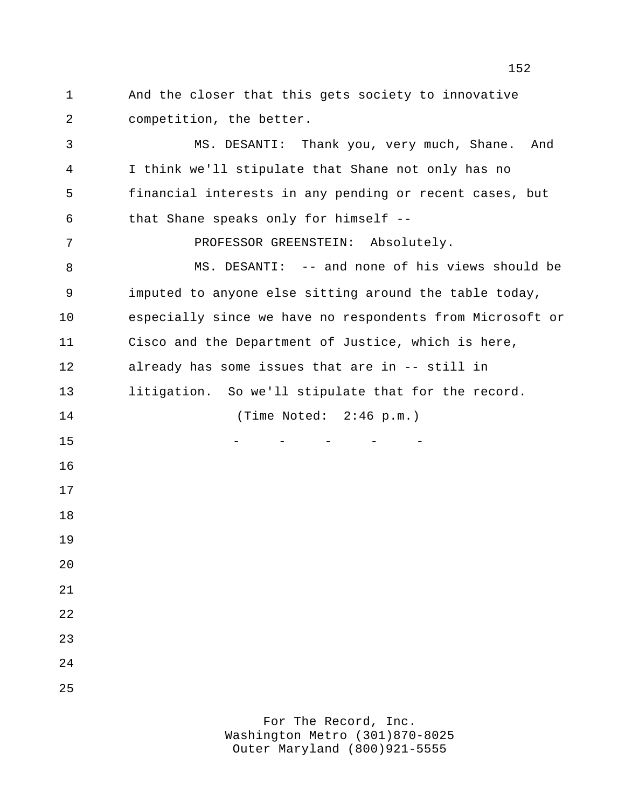And the closer that this gets society to innovative competition, the better.

 MS. DESANTI: Thank you, very much, Shane. And I think we'll stipulate that Shane not only has no financial interests in any pending or recent cases, but that Shane speaks only for himself --

7 PROFESSOR GREENSTEIN: Absolutely.

 MS. DESANTI: -- and none of his views should be imputed to anyone else sitting around the table today, especially since we have no respondents from Microsoft or Cisco and the Department of Justice, which is here, already has some issues that are in -- still in litigation. So we'll stipulate that for the record. (Time Noted: 2:46 p.m.) 15 - - - - - - -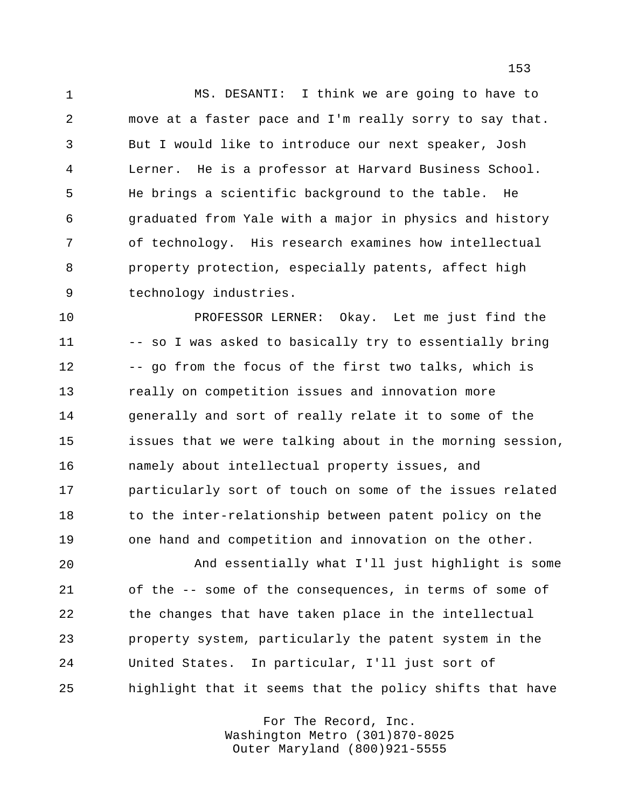MS. DESANTI: I think we are going to have to move at a faster pace and I'm really sorry to say that. But I would like to introduce our next speaker, Josh Lerner. He is a professor at Harvard Business School. He brings a scientific background to the table. He graduated from Yale with a major in physics and history of technology. His research examines how intellectual property protection, especially patents, affect high technology industries.

 PROFESSOR LERNER: Okay. Let me just find the 11 -- so I was asked to basically try to essentially bring -- go from the focus of the first two talks, which is really on competition issues and innovation more generally and sort of really relate it to some of the issues that we were talking about in the morning session, namely about intellectual property issues, and particularly sort of touch on some of the issues related to the inter-relationship between patent policy on the one hand and competition and innovation on the other.

 And essentially what I'll just highlight is some of the -- some of the consequences, in terms of some of the changes that have taken place in the intellectual property system, particularly the patent system in the United States. In particular, I'll just sort of highlight that it seems that the policy shifts that have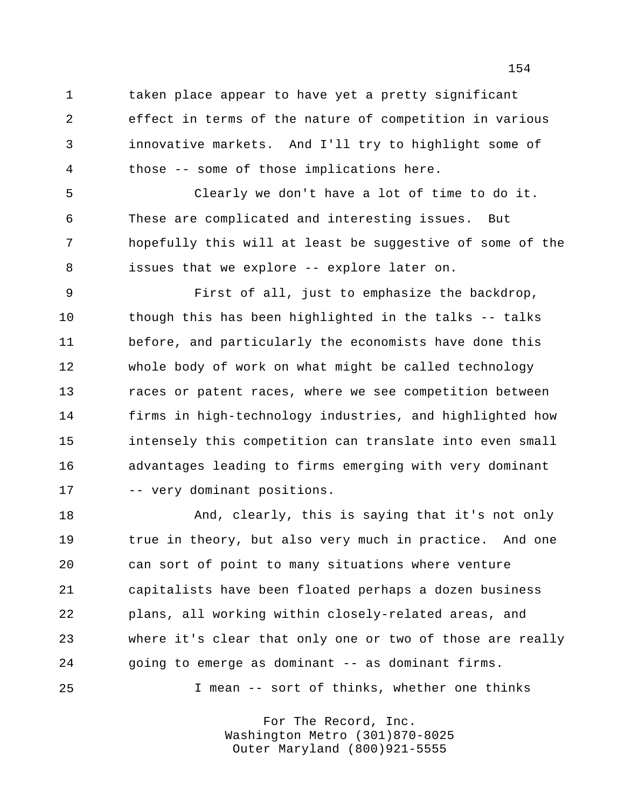taken place appear to have yet a pretty significant effect in terms of the nature of competition in various innovative markets. And I'll try to highlight some of those -- some of those implications here.

 Clearly we don't have a lot of time to do it. These are complicated and interesting issues. But hopefully this will at least be suggestive of some of the issues that we explore -- explore later on.

 First of all, just to emphasize the backdrop, though this has been highlighted in the talks -- talks before, and particularly the economists have done this whole body of work on what might be called technology races or patent races, where we see competition between firms in high-technology industries, and highlighted how intensely this competition can translate into even small advantages leading to firms emerging with very dominant -- very dominant positions.

 And, clearly, this is saying that it's not only true in theory, but also very much in practice. And one can sort of point to many situations where venture capitalists have been floated perhaps a dozen business plans, all working within closely-related areas, and where it's clear that only one or two of those are really going to emerge as dominant -- as dominant firms. I mean -- sort of thinks, whether one thinks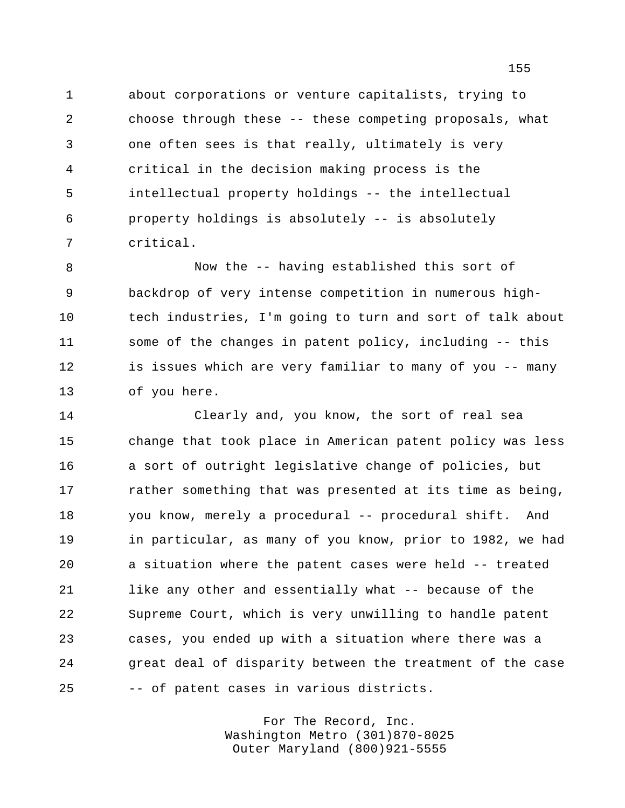about corporations or venture capitalists, trying to choose through these -- these competing proposals, what one often sees is that really, ultimately is very critical in the decision making process is the intellectual property holdings -- the intellectual property holdings is absolutely -- is absolutely critical.

 Now the -- having established this sort of backdrop of very intense competition in numerous high- tech industries, I'm going to turn and sort of talk about some of the changes in patent policy, including -- this is issues which are very familiar to many of you -- many of you here.

 Clearly and, you know, the sort of real sea change that took place in American patent policy was less a sort of outright legislative change of policies, but 17 rather something that was presented at its time as being, you know, merely a procedural -- procedural shift. And in particular, as many of you know, prior to 1982, we had a situation where the patent cases were held -- treated like any other and essentially what -- because of the Supreme Court, which is very unwilling to handle patent cases, you ended up with a situation where there was a great deal of disparity between the treatment of the case -- of patent cases in various districts.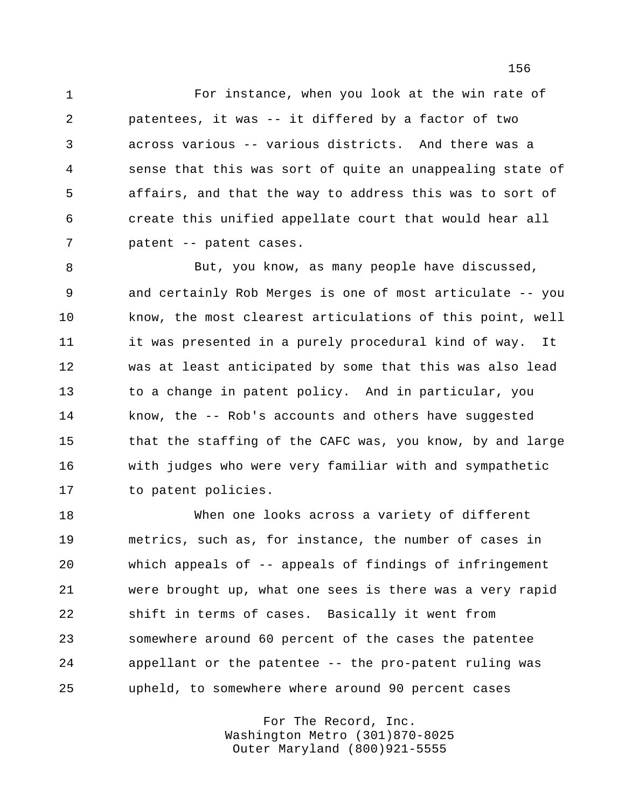For instance, when you look at the win rate of patentees, it was -- it differed by a factor of two across various -- various districts. And there was a sense that this was sort of quite an unappealing state of affairs, and that the way to address this was to sort of create this unified appellate court that would hear all patent -- patent cases.

 But, you know, as many people have discussed, and certainly Rob Merges is one of most articulate -- you know, the most clearest articulations of this point, well it was presented in a purely procedural kind of way. It was at least anticipated by some that this was also lead 13 to a change in patent policy. And in particular, you know, the -- Rob's accounts and others have suggested that the staffing of the CAFC was, you know, by and large with judges who were very familiar with and sympathetic to patent policies.

 When one looks across a variety of different metrics, such as, for instance, the number of cases in which appeals of -- appeals of findings of infringement were brought up, what one sees is there was a very rapid shift in terms of cases. Basically it went from somewhere around 60 percent of the cases the patentee appellant or the patentee -- the pro-patent ruling was upheld, to somewhere where around 90 percent cases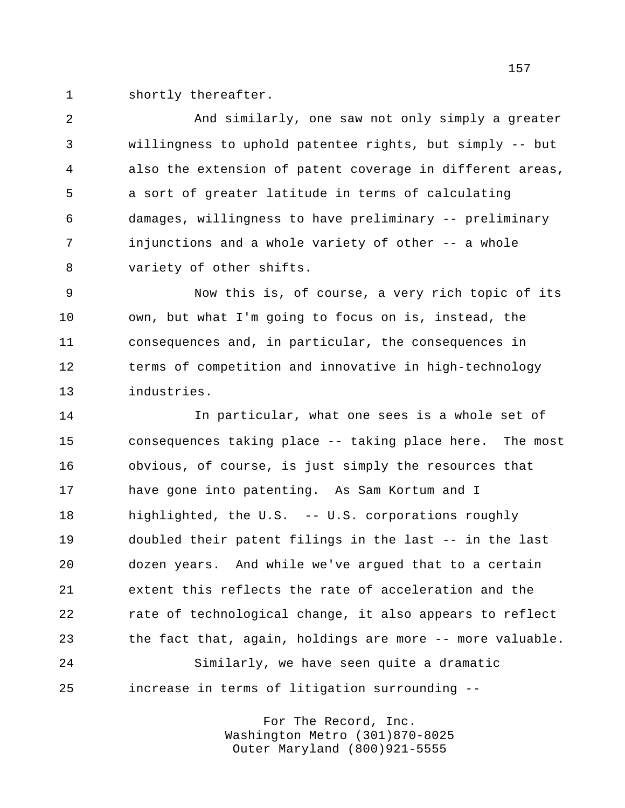shortly thereafter.

 And similarly, one saw not only simply a greater willingness to uphold patentee rights, but simply -- but also the extension of patent coverage in different areas, a sort of greater latitude in terms of calculating damages, willingness to have preliminary -- preliminary injunctions and a whole variety of other -- a whole variety of other shifts.

 Now this is, of course, a very rich topic of its own, but what I'm going to focus on is, instead, the consequences and, in particular, the consequences in terms of competition and innovative in high-technology industries.

 In particular, what one sees is a whole set of consequences taking place -- taking place here. The most obvious, of course, is just simply the resources that have gone into patenting. As Sam Kortum and I highlighted, the U.S. -- U.S. corporations roughly doubled their patent filings in the last -- in the last dozen years. And while we've argued that to a certain extent this reflects the rate of acceleration and the rate of technological change, it also appears to reflect the fact that, again, holdings are more -- more valuable. Similarly, we have seen quite a dramatic increase in terms of litigation surrounding --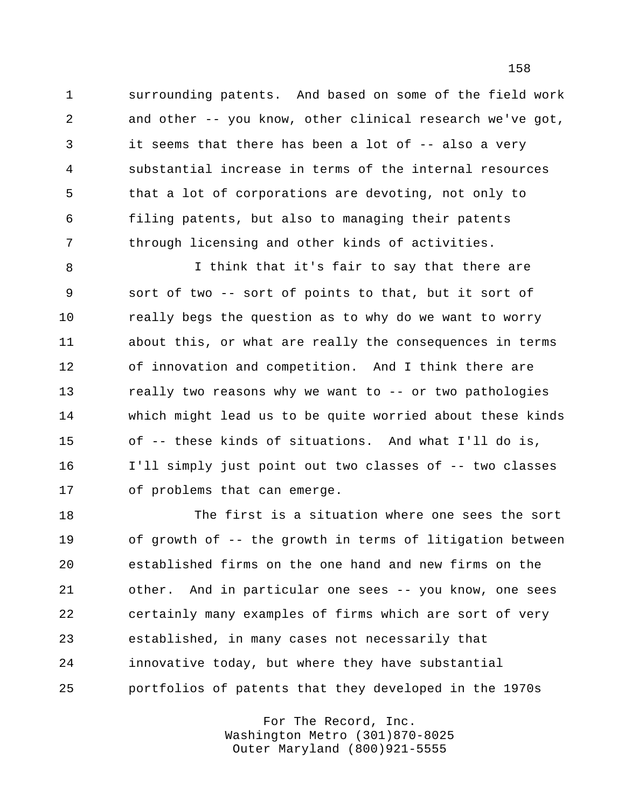surrounding patents. And based on some of the field work and other -- you know, other clinical research we've got, it seems that there has been a lot of -- also a very substantial increase in terms of the internal resources that a lot of corporations are devoting, not only to filing patents, but also to managing their patents through licensing and other kinds of activities.

 I think that it's fair to say that there are sort of two -- sort of points to that, but it sort of really begs the question as to why do we want to worry about this, or what are really the consequences in terms of innovation and competition. And I think there are 13 really two reasons why we want to -- or two pathologies which might lead us to be quite worried about these kinds of -- these kinds of situations. And what I'll do is, I'll simply just point out two classes of -- two classes of problems that can emerge.

 The first is a situation where one sees the sort of growth of -- the growth in terms of litigation between established firms on the one hand and new firms on the other. And in particular one sees -- you know, one sees certainly many examples of firms which are sort of very established, in many cases not necessarily that innovative today, but where they have substantial portfolios of patents that they developed in the 1970s

> For The Record, Inc. Washington Metro (301)870-8025 Outer Maryland (800)921-5555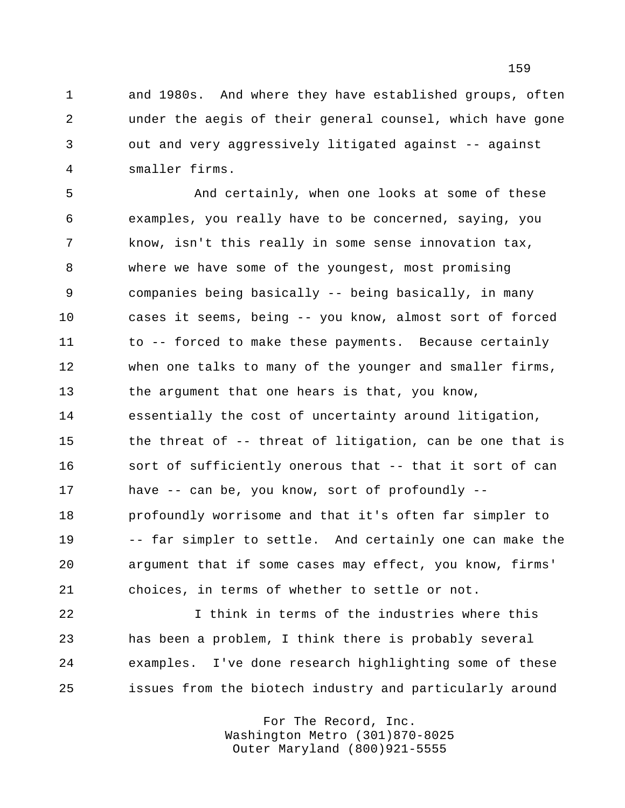and 1980s. And where they have established groups, often under the aegis of their general counsel, which have gone out and very aggressively litigated against -- against smaller firms.

 And certainly, when one looks at some of these examples, you really have to be concerned, saying, you know, isn't this really in some sense innovation tax, where we have some of the youngest, most promising companies being basically -- being basically, in many cases it seems, being -- you know, almost sort of forced 11 to -- forced to make these payments. Because certainly when one talks to many of the younger and smaller firms, 13 the argument that one hears is that, you know, essentially the cost of uncertainty around litigation, the threat of -- threat of litigation, can be one that is sort of sufficiently onerous that -- that it sort of can have -- can be, you know, sort of profoundly -- profoundly worrisome and that it's often far simpler to -- far simpler to settle. And certainly one can make the argument that if some cases may effect, you know, firms' choices, in terms of whether to settle or not.

 I think in terms of the industries where this has been a problem, I think there is probably several examples. I've done research highlighting some of these issues from the biotech industry and particularly around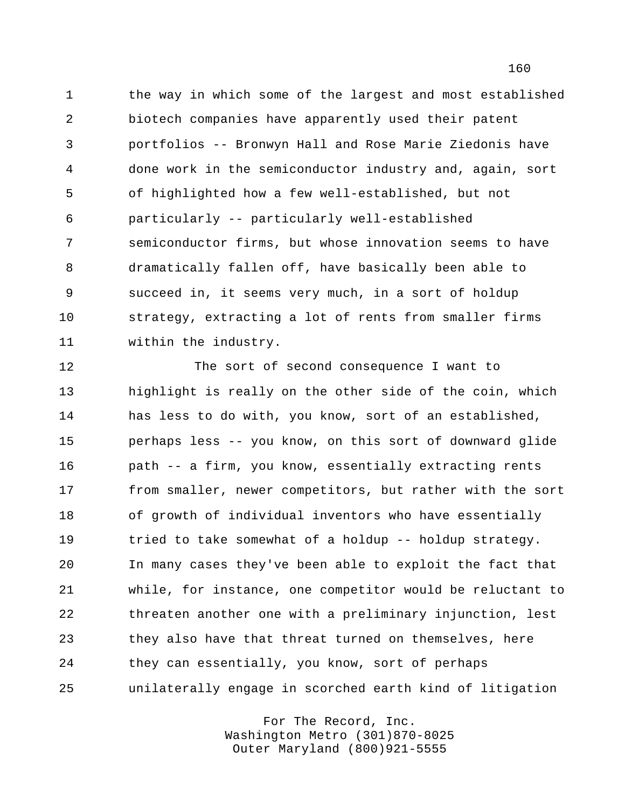the way in which some of the largest and most established biotech companies have apparently used their patent portfolios -- Bronwyn Hall and Rose Marie Ziedonis have done work in the semiconductor industry and, again, sort of highlighted how a few well-established, but not particularly -- particularly well-established semiconductor firms, but whose innovation seems to have dramatically fallen off, have basically been able to succeed in, it seems very much, in a sort of holdup strategy, extracting a lot of rents from smaller firms within the industry.

 The sort of second consequence I want to highlight is really on the other side of the coin, which has less to do with, you know, sort of an established, perhaps less -- you know, on this sort of downward glide path -- a firm, you know, essentially extracting rents from smaller, newer competitors, but rather with the sort of growth of individual inventors who have essentially tried to take somewhat of a holdup -- holdup strategy. In many cases they've been able to exploit the fact that while, for instance, one competitor would be reluctant to threaten another one with a preliminary injunction, lest they also have that threat turned on themselves, here they can essentially, you know, sort of perhaps unilaterally engage in scorched earth kind of litigation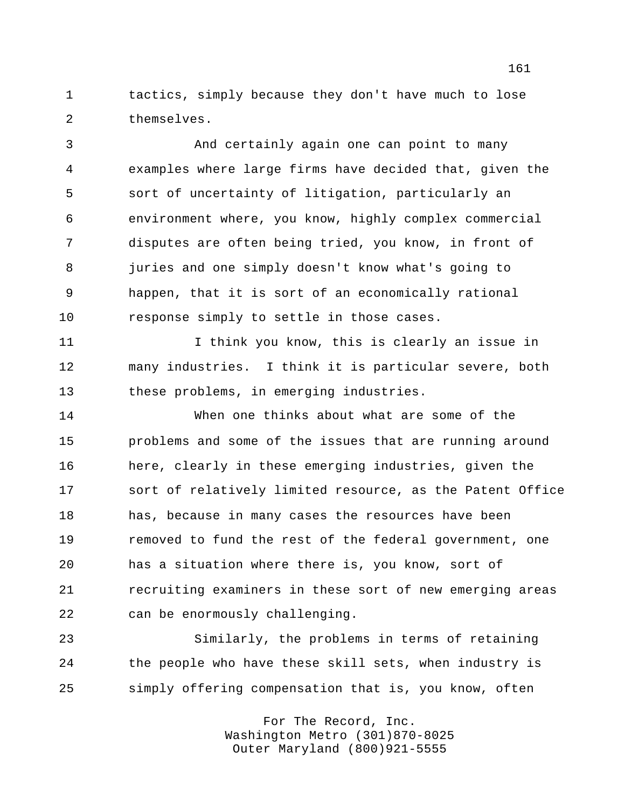tactics, simply because they don't have much to lose themselves.

 And certainly again one can point to many examples where large firms have decided that, given the sort of uncertainty of litigation, particularly an environment where, you know, highly complex commercial disputes are often being tried, you know, in front of juries and one simply doesn't know what's going to happen, that it is sort of an economically rational response simply to settle in those cases.

11 11 I think you know, this is clearly an issue in many industries. I think it is particular severe, both these problems, in emerging industries.

 When one thinks about what are some of the problems and some of the issues that are running around here, clearly in these emerging industries, given the sort of relatively limited resource, as the Patent Office has, because in many cases the resources have been removed to fund the rest of the federal government, one has a situation where there is, you know, sort of recruiting examiners in these sort of new emerging areas can be enormously challenging.

 Similarly, the problems in terms of retaining the people who have these skill sets, when industry is simply offering compensation that is, you know, often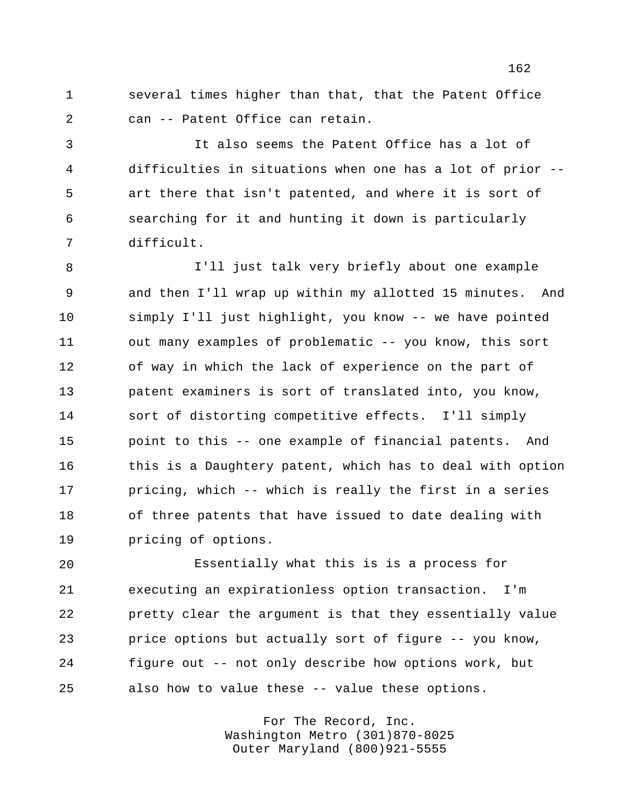several times higher than that, that the Patent Office can -- Patent Office can retain.

 It also seems the Patent Office has a lot of difficulties in situations when one has a lot of prior -- art there that isn't patented, and where it is sort of searching for it and hunting it down is particularly difficult.

 I'll just talk very briefly about one example and then I'll wrap up within my allotted 15 minutes. And simply I'll just highlight, you know -- we have pointed out many examples of problematic -- you know, this sort of way in which the lack of experience on the part of patent examiners is sort of translated into, you know, sort of distorting competitive effects. I'll simply point to this -- one example of financial patents. And 16 this is a Daughtery patent, which has to deal with option pricing, which -- which is really the first in a series of three patents that have issued to date dealing with pricing of options.

 Essentially what this is is a process for executing an expirationless option transaction. I'm pretty clear the argument is that they essentially value price options but actually sort of figure -- you know, figure out -- not only describe how options work, but also how to value these -- value these options.

> For The Record, Inc. Washington Metro (301)870-8025 Outer Maryland (800)921-5555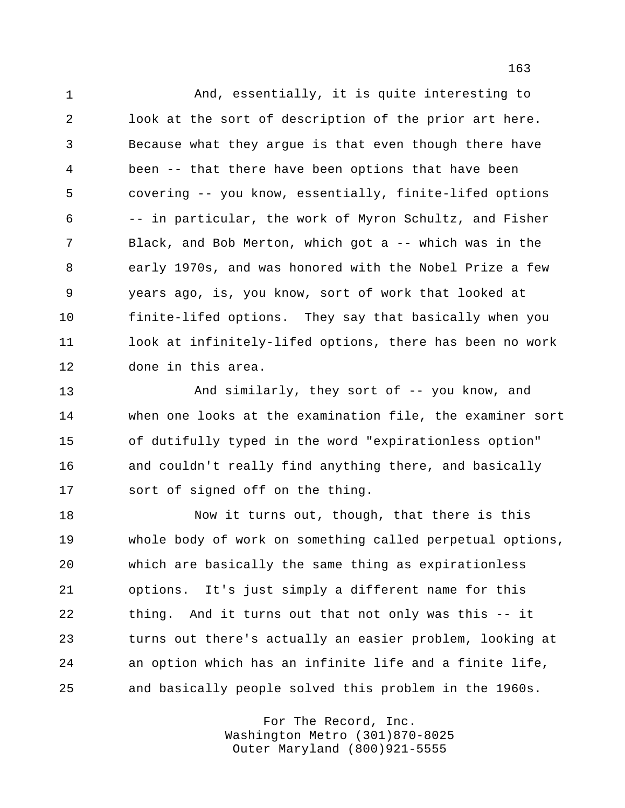And, essentially, it is quite interesting to look at the sort of description of the prior art here. Because what they argue is that even though there have been -- that there have been options that have been covering -- you know, essentially, finite-lifed options -- in particular, the work of Myron Schultz, and Fisher Black, and Bob Merton, which got a -- which was in the early 1970s, and was honored with the Nobel Prize a few years ago, is, you know, sort of work that looked at finite-lifed options. They say that basically when you look at infinitely-lifed options, there has been no work done in this area.

 And similarly, they sort of -- you know, and when one looks at the examination file, the examiner sort of dutifully typed in the word "expirationless option" and couldn't really find anything there, and basically sort of signed off on the thing.

 Now it turns out, though, that there is this whole body of work on something called perpetual options, which are basically the same thing as expirationless options. It's just simply a different name for this thing. And it turns out that not only was this -- it turns out there's actually an easier problem, looking at an option which has an infinite life and a finite life, and basically people solved this problem in the 1960s.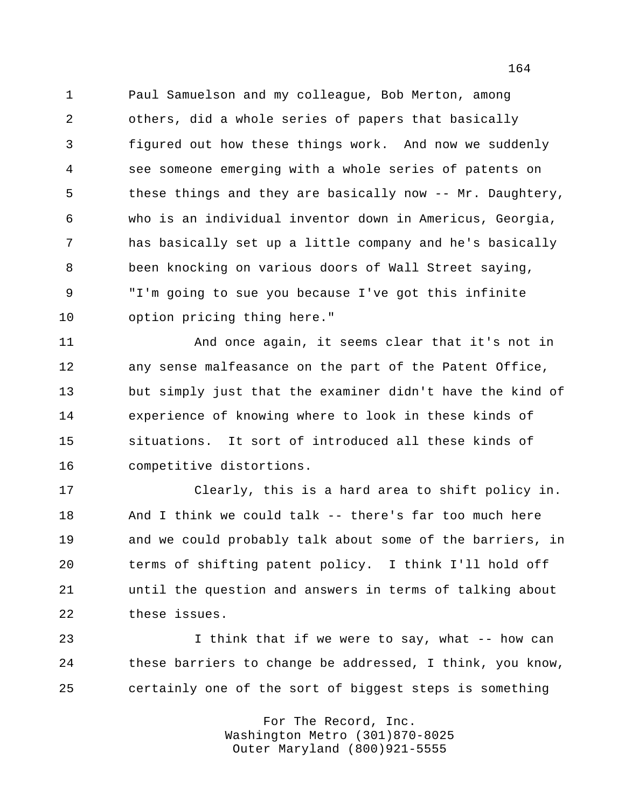Paul Samuelson and my colleague, Bob Merton, among others, did a whole series of papers that basically figured out how these things work. And now we suddenly see someone emerging with a whole series of patents on these things and they are basically now -- Mr. Daughtery, who is an individual inventor down in Americus, Georgia, has basically set up a little company and he's basically been knocking on various doors of Wall Street saying, "I'm going to sue you because I've got this infinite option pricing thing here."

 And once again, it seems clear that it's not in any sense malfeasance on the part of the Patent Office, but simply just that the examiner didn't have the kind of experience of knowing where to look in these kinds of situations. It sort of introduced all these kinds of competitive distortions.

 Clearly, this is a hard area to shift policy in. And I think we could talk -- there's far too much here and we could probably talk about some of the barriers, in terms of shifting patent policy. I think I'll hold off until the question and answers in terms of talking about these issues.

23 1 I think that if we were to say, what -- how can these barriers to change be addressed, I think, you know, certainly one of the sort of biggest steps is something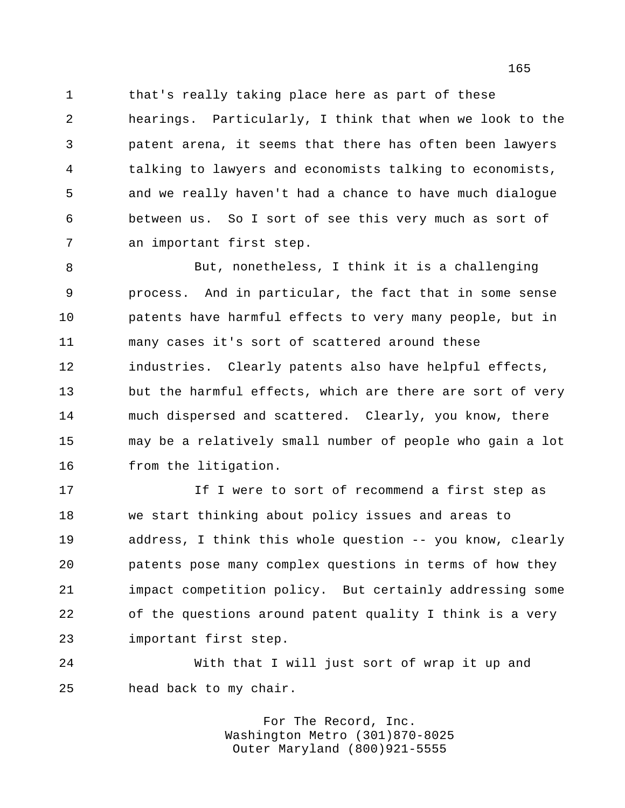1 that's really taking place here as part of these hearings. Particularly, I think that when we look to the patent arena, it seems that there has often been lawyers talking to lawyers and economists talking to economists, and we really haven't had a chance to have much dialogue between us. So I sort of see this very much as sort of an important first step.

 But, nonetheless, I think it is a challenging process. And in particular, the fact that in some sense patents have harmful effects to very many people, but in many cases it's sort of scattered around these industries. Clearly patents also have helpful effects, but the harmful effects, which are there are sort of very much dispersed and scattered. Clearly, you know, there may be a relatively small number of people who gain a lot from the litigation.

17 17 If I were to sort of recommend a first step as we start thinking about policy issues and areas to address, I think this whole question -- you know, clearly patents pose many complex questions in terms of how they impact competition policy. But certainly addressing some of the questions around patent quality I think is a very important first step.

 With that I will just sort of wrap it up and head back to my chair.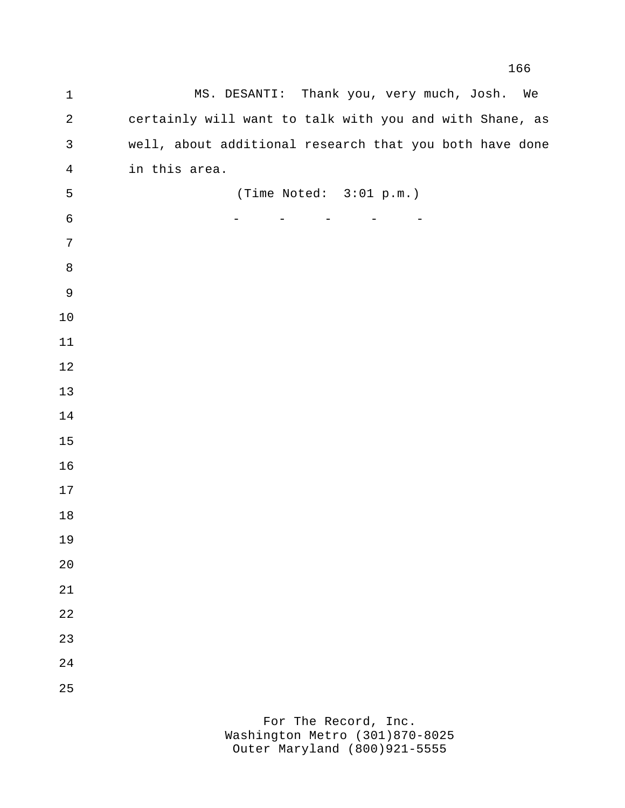MS. DESANTI: Thank you, very much, Josh. We certainly will want to talk with you and with Shane, as well, about additional research that you both have done in this area. (Time Noted: 3:01 p.m.) 6 - - - - - - -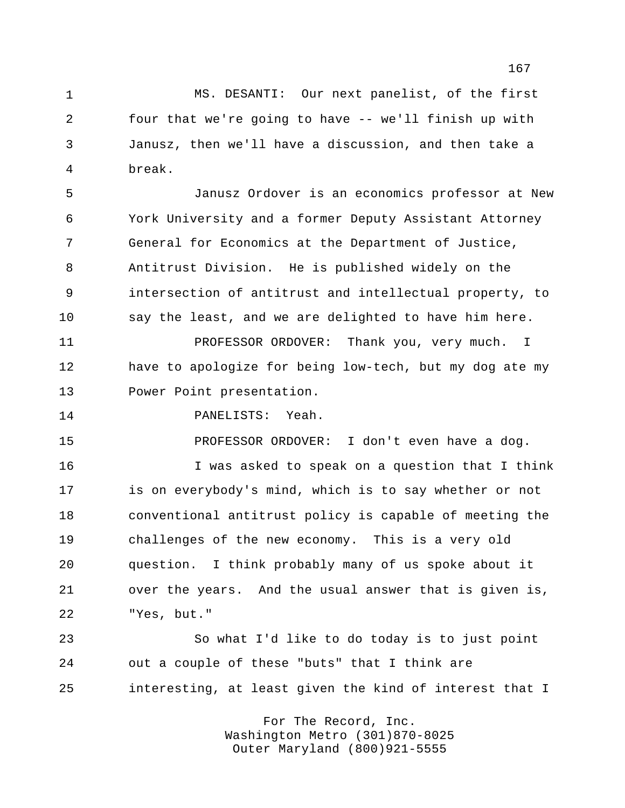MS. DESANTI: Our next panelist, of the first four that we're going to have -- we'll finish up with Janusz, then we'll have a discussion, and then take a break.

 Janusz Ordover is an economics professor at New York University and a former Deputy Assistant Attorney General for Economics at the Department of Justice, Antitrust Division. He is published widely on the intersection of antitrust and intellectual property, to say the least, and we are delighted to have him here.

11 PROFESSOR ORDOVER: Thank you, very much. I have to apologize for being low-tech, but my dog ate my Power Point presentation.

PANELISTS: Yeah.

PROFESSOR ORDOVER: I don't even have a dog.

 I was asked to speak on a question that I think is on everybody's mind, which is to say whether or not conventional antitrust policy is capable of meeting the challenges of the new economy. This is a very old question. I think probably many of us spoke about it over the years. And the usual answer that is given is, "Yes, but."

 So what I'd like to do today is to just point out a couple of these "buts" that I think are interesting, at least given the kind of interest that I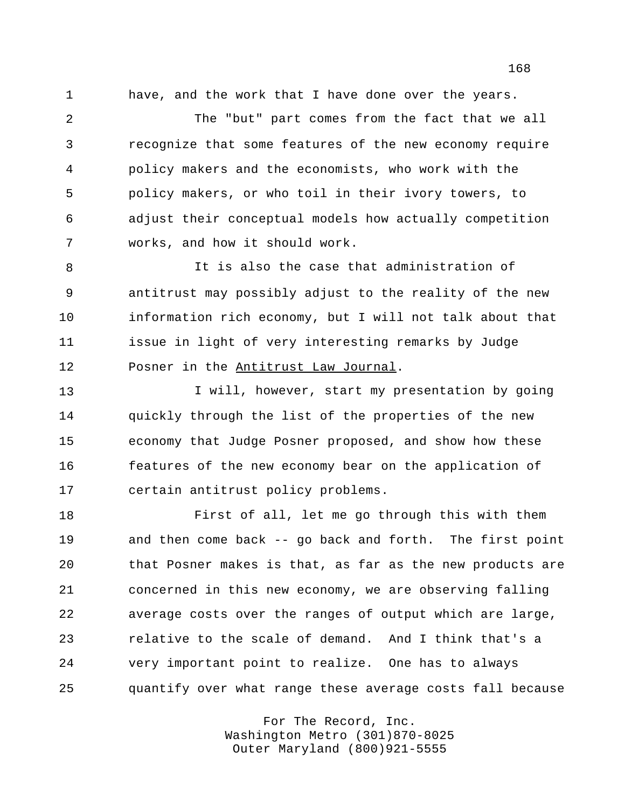have, and the work that I have done over the years.

 The "but" part comes from the fact that we all recognize that some features of the new economy require policy makers and the economists, who work with the policy makers, or who toil in their ivory towers, to adjust their conceptual models how actually competition works, and how it should work.

 It is also the case that administration of antitrust may possibly adjust to the reality of the new information rich economy, but I will not talk about that issue in light of very interesting remarks by Judge Posner in the Antitrust Law Journal.

13 13 I will, however, start my presentation by going quickly through the list of the properties of the new economy that Judge Posner proposed, and show how these features of the new economy bear on the application of certain antitrust policy problems.

 First of all, let me go through this with them and then come back -- go back and forth. The first point that Posner makes is that, as far as the new products are concerned in this new economy, we are observing falling average costs over the ranges of output which are large, relative to the scale of demand. And I think that's a very important point to realize. One has to always quantify over what range these average costs fall because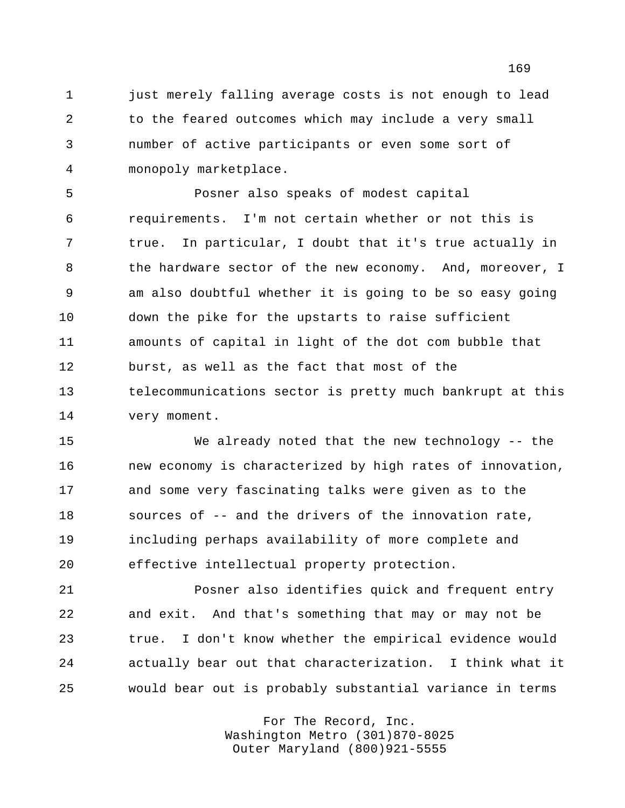1 just merely falling average costs is not enough to lead to the feared outcomes which may include a very small number of active participants or even some sort of monopoly marketplace.

 Posner also speaks of modest capital requirements. I'm not certain whether or not this is true. In particular, I doubt that it's true actually in 8 the hardware sector of the new economy. And, moreover, I am also doubtful whether it is going to be so easy going down the pike for the upstarts to raise sufficient amounts of capital in light of the dot com bubble that burst, as well as the fact that most of the telecommunications sector is pretty much bankrupt at this very moment.

 We already noted that the new technology -- the new economy is characterized by high rates of innovation, and some very fascinating talks were given as to the sources of -- and the drivers of the innovation rate, including perhaps availability of more complete and effective intellectual property protection.

 Posner also identifies quick and frequent entry and exit. And that's something that may or may not be true. I don't know whether the empirical evidence would actually bear out that characterization. I think what it would bear out is probably substantial variance in terms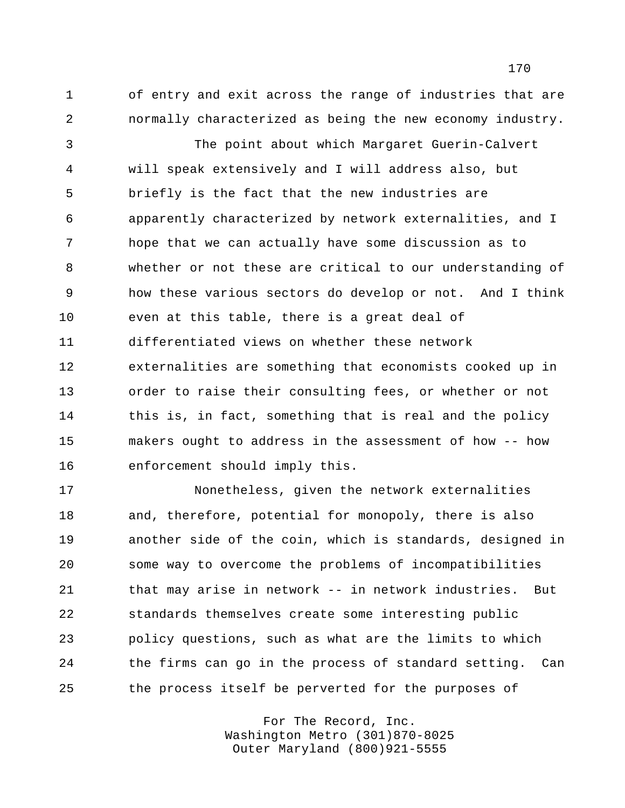of entry and exit across the range of industries that are normally characterized as being the new economy industry.

 The point about which Margaret Guerin-Calvert will speak extensively and I will address also, but briefly is the fact that the new industries are apparently characterized by network externalities, and I hope that we can actually have some discussion as to whether or not these are critical to our understanding of how these various sectors do develop or not. And I think even at this table, there is a great deal of differentiated views on whether these network externalities are something that economists cooked up in order to raise their consulting fees, or whether or not this is, in fact, something that is real and the policy makers ought to address in the assessment of how -- how enforcement should imply this.

 Nonetheless, given the network externalities and, therefore, potential for monopoly, there is also another side of the coin, which is standards, designed in some way to overcome the problems of incompatibilities that may arise in network -- in network industries. But standards themselves create some interesting public policy questions, such as what are the limits to which the firms can go in the process of standard setting. Can the process itself be perverted for the purposes of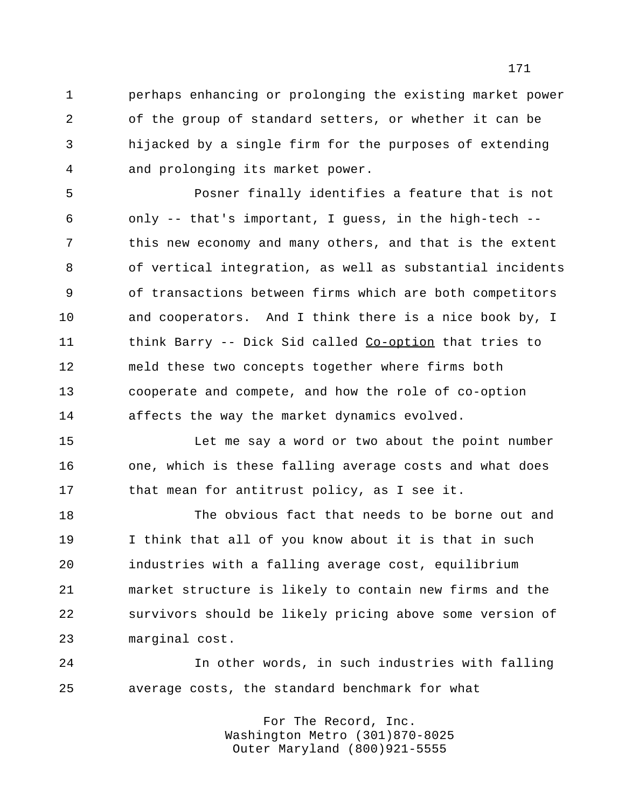perhaps enhancing or prolonging the existing market power of the group of standard setters, or whether it can be hijacked by a single firm for the purposes of extending and prolonging its market power.

 Posner finally identifies a feature that is not only -- that's important, I guess, in the high-tech -- this new economy and many others, and that is the extent of vertical integration, as well as substantial incidents of transactions between firms which are both competitors and cooperators. And I think there is a nice book by, I 11 think Barry -- Dick Sid called Co-option that tries to meld these two concepts together where firms both cooperate and compete, and how the role of co-option affects the way the market dynamics evolved.

 Let me say a word or two about the point number one, which is these falling average costs and what does that mean for antitrust policy, as I see it.

 The obvious fact that needs to be borne out and I think that all of you know about it is that in such industries with a falling average cost, equilibrium market structure is likely to contain new firms and the survivors should be likely pricing above some version of marginal cost.

 In other words, in such industries with falling average costs, the standard benchmark for what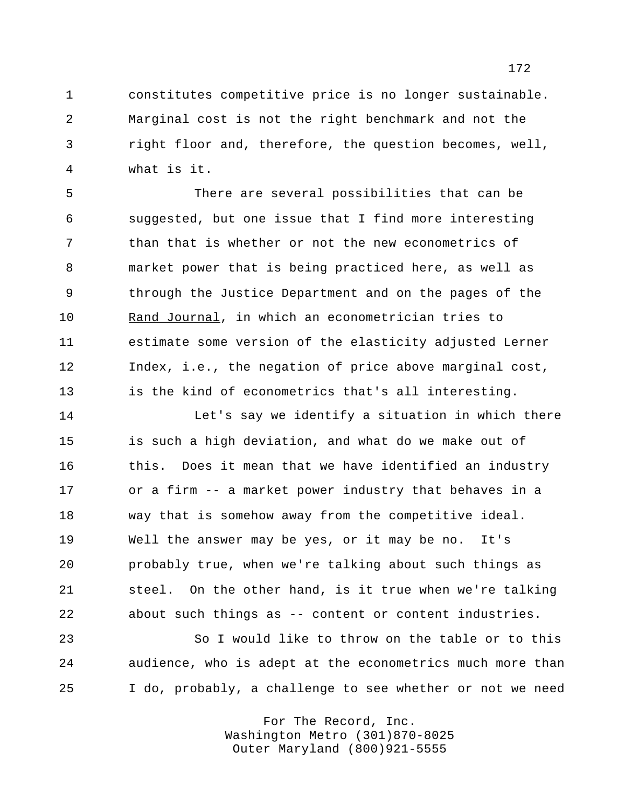constitutes competitive price is no longer sustainable. Marginal cost is not the right benchmark and not the right floor and, therefore, the question becomes, well, what is it.

 There are several possibilities that can be suggested, but one issue that I find more interesting than that is whether or not the new econometrics of market power that is being practiced here, as well as through the Justice Department and on the pages of the Rand Journal, in which an econometrician tries to estimate some version of the elasticity adjusted Lerner Index, i.e., the negation of price above marginal cost, is the kind of econometrics that's all interesting.

 Let's say we identify a situation in which there is such a high deviation, and what do we make out of 16 this. Does it mean that we have identified an industry or a firm -- a market power industry that behaves in a way that is somehow away from the competitive ideal. Well the answer may be yes, or it may be no. It's probably true, when we're talking about such things as steel. On the other hand, is it true when we're talking about such things as -- content or content industries.

 So I would like to throw on the table or to this audience, who is adept at the econometrics much more than I do, probably, a challenge to see whether or not we need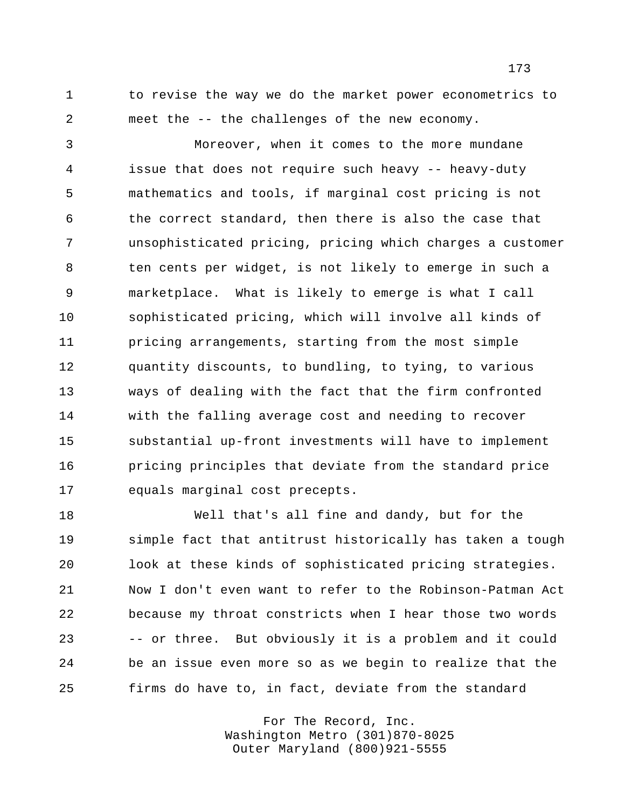to revise the way we do the market power econometrics to meet the -- the challenges of the new economy.

 Moreover, when it comes to the more mundane issue that does not require such heavy -- heavy-duty mathematics and tools, if marginal cost pricing is not the correct standard, then there is also the case that unsophisticated pricing, pricing which charges a customer ten cents per widget, is not likely to emerge in such a marketplace. What is likely to emerge is what I call sophisticated pricing, which will involve all kinds of pricing arrangements, starting from the most simple quantity discounts, to bundling, to tying, to various ways of dealing with the fact that the firm confronted with the falling average cost and needing to recover substantial up-front investments will have to implement pricing principles that deviate from the standard price equals marginal cost precepts.

 Well that's all fine and dandy, but for the simple fact that antitrust historically has taken a tough look at these kinds of sophisticated pricing strategies. Now I don't even want to refer to the Robinson-Patman Act because my throat constricts when I hear those two words -- or three. But obviously it is a problem and it could be an issue even more so as we begin to realize that the firms do have to, in fact, deviate from the standard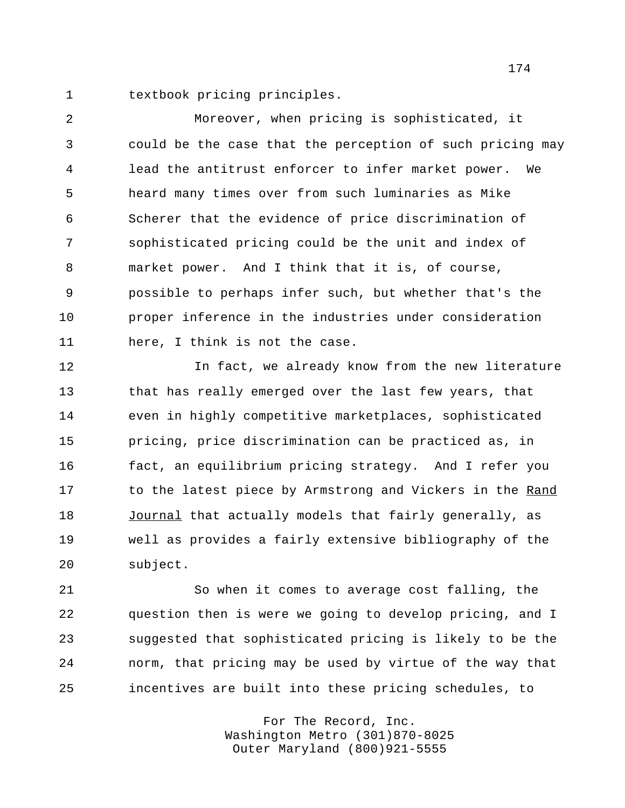textbook pricing principles.

 Moreover, when pricing is sophisticated, it could be the case that the perception of such pricing may lead the antitrust enforcer to infer market power. We heard many times over from such luminaries as Mike Scherer that the evidence of price discrimination of sophisticated pricing could be the unit and index of market power. And I think that it is, of course, possible to perhaps infer such, but whether that's the **proper inference in the industries under consideration** here, I think is not the case.

 In fact, we already know from the new literature 13 that has really emerged over the last few years, that even in highly competitive marketplaces, sophisticated pricing, price discrimination can be practiced as, in fact, an equilibrium pricing strategy. And I refer you 17 to the latest piece by Armstrong and Vickers in the Rand 18 Journal that actually models that fairly generally, as well as provides a fairly extensive bibliography of the subject.

 So when it comes to average cost falling, the question then is were we going to develop pricing, and I suggested that sophisticated pricing is likely to be the norm, that pricing may be used by virtue of the way that incentives are built into these pricing schedules, to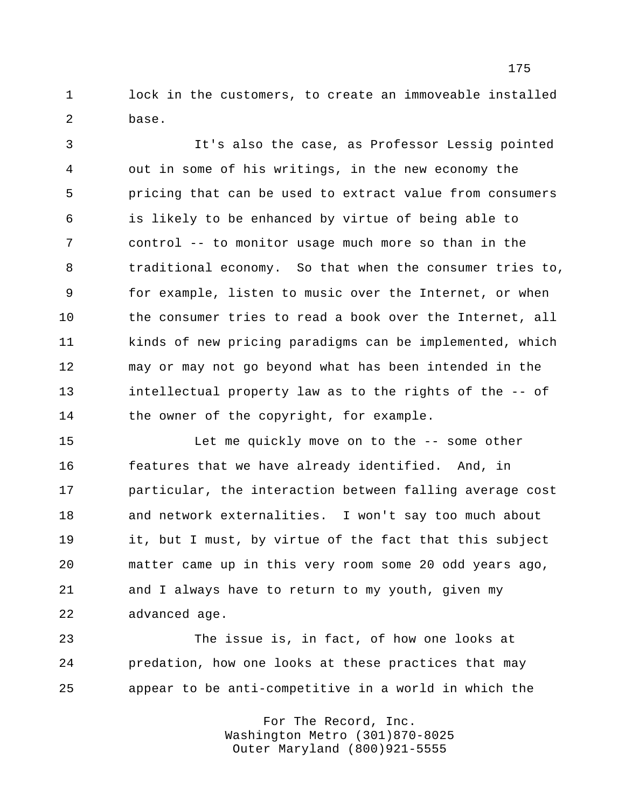lock in the customers, to create an immoveable installed base.

 It's also the case, as Professor Lessig pointed out in some of his writings, in the new economy the pricing that can be used to extract value from consumers is likely to be enhanced by virtue of being able to control -- to monitor usage much more so than in the traditional economy. So that when the consumer tries to, for example, listen to music over the Internet, or when 10 the consumer tries to read a book over the Internet, all kinds of new pricing paradigms can be implemented, which may or may not go beyond what has been intended in the intellectual property law as to the rights of the -- of 14 the owner of the copyright, for example.

 Let me quickly move on to the -- some other features that we have already identified. And, in particular, the interaction between falling average cost and network externalities. I won't say too much about it, but I must, by virtue of the fact that this subject matter came up in this very room some 20 odd years ago, and I always have to return to my youth, given my advanced age.

 The issue is, in fact, of how one looks at predation, how one looks at these practices that may appear to be anti-competitive in a world in which the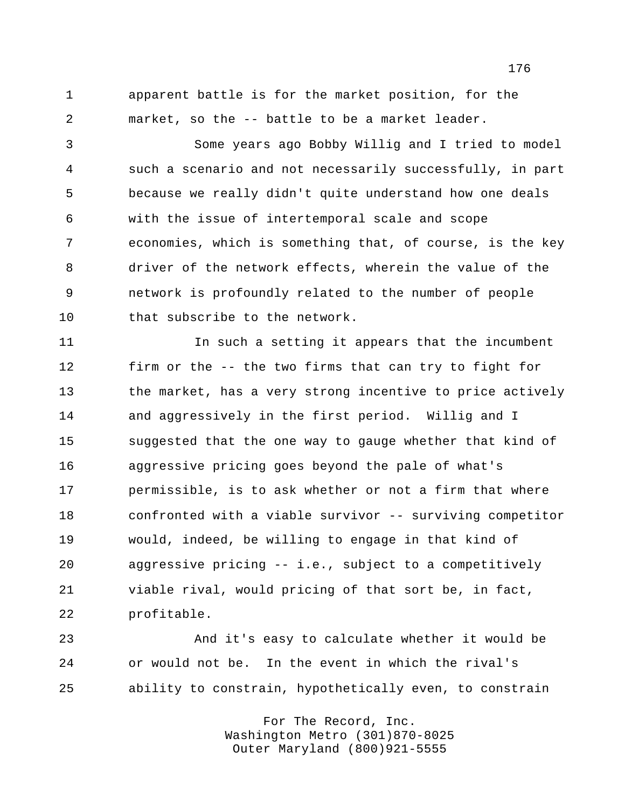apparent battle is for the market position, for the market, so the -- battle to be a market leader.

 Some years ago Bobby Willig and I tried to model such a scenario and not necessarily successfully, in part because we really didn't quite understand how one deals with the issue of intertemporal scale and scope economies, which is something that, of course, is the key driver of the network effects, wherein the value of the network is profoundly related to the number of people that subscribe to the network.

11 11 In such a setting it appears that the incumbent firm or the -- the two firms that can try to fight for the market, has a very strong incentive to price actively and aggressively in the first period. Willig and I suggested that the one way to gauge whether that kind of aggressive pricing goes beyond the pale of what's permissible, is to ask whether or not a firm that where confronted with a viable survivor -- surviving competitor would, indeed, be willing to engage in that kind of aggressive pricing -- i.e., subject to a competitively viable rival, would pricing of that sort be, in fact, profitable.

 And it's easy to calculate whether it would be or would not be. In the event in which the rival's ability to constrain, hypothetically even, to constrain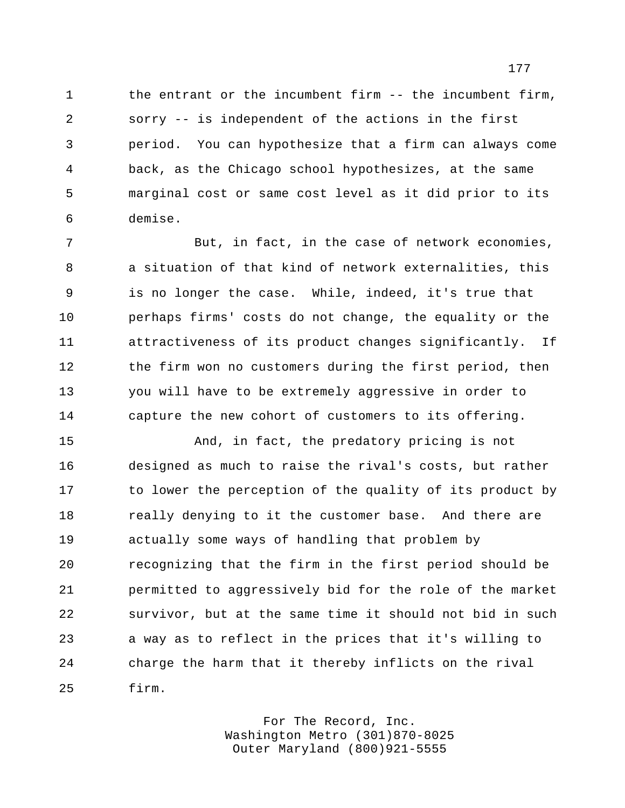the entrant or the incumbent firm -- the incumbent firm, sorry -- is independent of the actions in the first period. You can hypothesize that a firm can always come back, as the Chicago school hypothesizes, at the same marginal cost or same cost level as it did prior to its demise.

 But, in fact, in the case of network economies, a situation of that kind of network externalities, this is no longer the case. While, indeed, it's true that perhaps firms' costs do not change, the equality or the attractiveness of its product changes significantly. If the firm won no customers during the first period, then you will have to be extremely aggressive in order to capture the new cohort of customers to its offering.

 And, in fact, the predatory pricing is not designed as much to raise the rival's costs, but rather 17 to lower the perception of the quality of its product by 18 really denying to it the customer base. And there are actually some ways of handling that problem by recognizing that the firm in the first period should be permitted to aggressively bid for the role of the market survivor, but at the same time it should not bid in such a way as to reflect in the prices that it's willing to charge the harm that it thereby inflicts on the rival firm.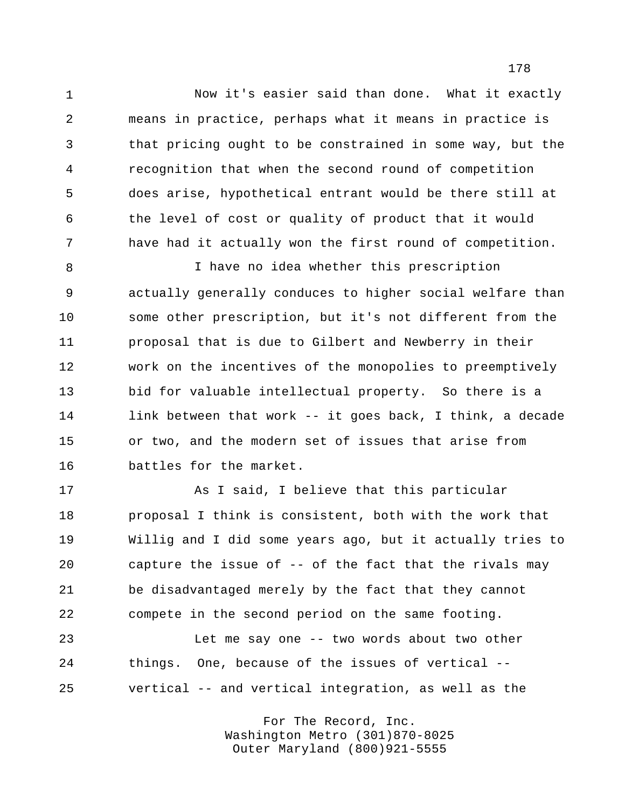Now it's easier said than done. What it exactly means in practice, perhaps what it means in practice is that pricing ought to be constrained in some way, but the recognition that when the second round of competition does arise, hypothetical entrant would be there still at the level of cost or quality of product that it would have had it actually won the first round of competition.

 I have no idea whether this prescription actually generally conduces to higher social welfare than some other prescription, but it's not different from the proposal that is due to Gilbert and Newberry in their work on the incentives of the monopolies to preemptively bid for valuable intellectual property. So there is a link between that work -- it goes back, I think, a decade or two, and the modern set of issues that arise from battles for the market.

 As I said, I believe that this particular proposal I think is consistent, both with the work that Willig and I did some years ago, but it actually tries to capture the issue of -- of the fact that the rivals may be disadvantaged merely by the fact that they cannot compete in the second period on the same footing.

 Let me say one -- two words about two other things. One, because of the issues of vertical -- vertical -- and vertical integration, as well as the

> For The Record, Inc. Washington Metro (301)870-8025 Outer Maryland (800)921-5555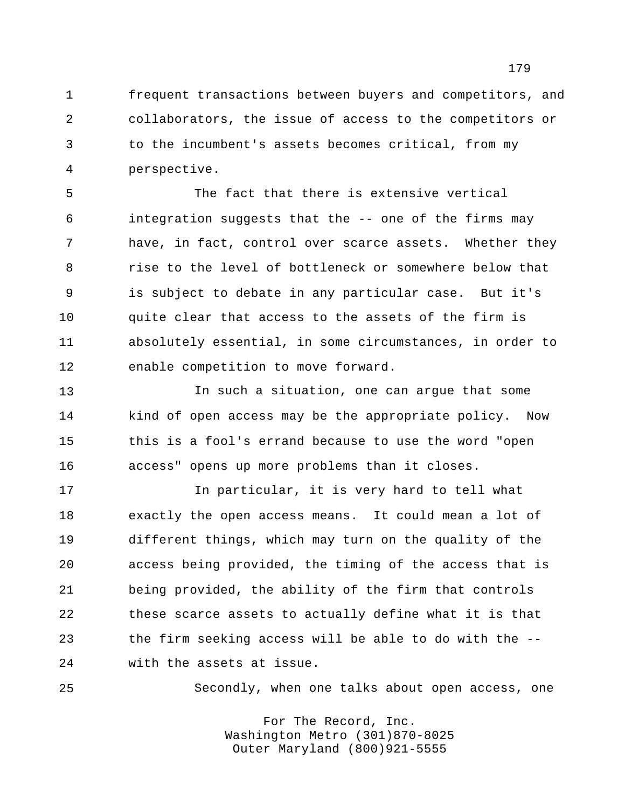frequent transactions between buyers and competitors, and collaborators, the issue of access to the competitors or to the incumbent's assets becomes critical, from my perspective.

 The fact that there is extensive vertical integration suggests that the -- one of the firms may have, in fact, control over scarce assets. Whether they rise to the level of bottleneck or somewhere below that is subject to debate in any particular case. But it's quite clear that access to the assets of the firm is absolutely essential, in some circumstances, in order to enable competition to move forward.

 In such a situation, one can argue that some kind of open access may be the appropriate policy. Now this is a fool's errand because to use the word "open access" opens up more problems than it closes.

 In particular, it is very hard to tell what exactly the open access means. It could mean a lot of different things, which may turn on the quality of the access being provided, the timing of the access that is being provided, the ability of the firm that controls these scarce assets to actually define what it is that the firm seeking access will be able to do with the -- with the assets at issue.

Secondly, when one talks about open access, one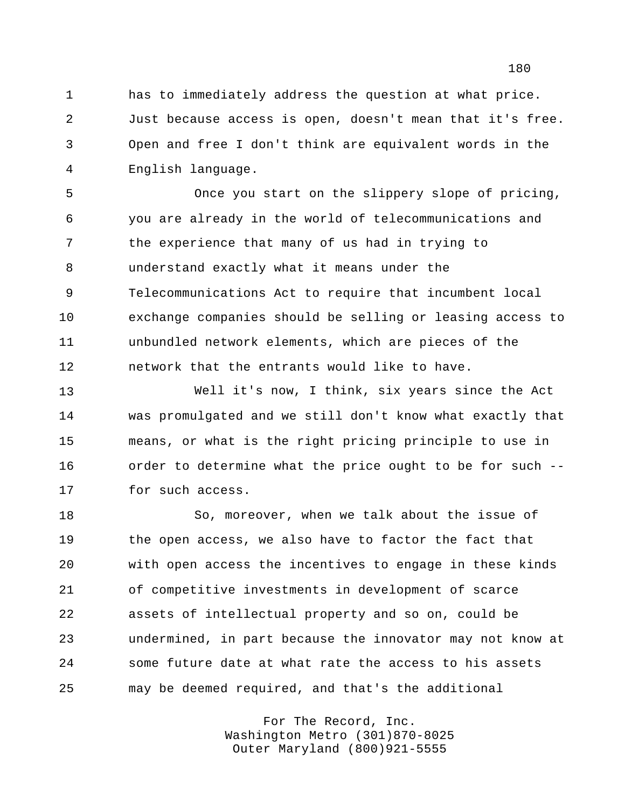has to immediately address the question at what price. Just because access is open, doesn't mean that it's free. Open and free I don't think are equivalent words in the English language.

 Once you start on the slippery slope of pricing, you are already in the world of telecommunications and the experience that many of us had in trying to understand exactly what it means under the Telecommunications Act to require that incumbent local exchange companies should be selling or leasing access to unbundled network elements, which are pieces of the network that the entrants would like to have.

 Well it's now, I think, six years since the Act was promulgated and we still don't know what exactly that means, or what is the right pricing principle to use in order to determine what the price ought to be for such -- for such access.

 So, moreover, when we talk about the issue of the open access, we also have to factor the fact that with open access the incentives to engage in these kinds of competitive investments in development of scarce assets of intellectual property and so on, could be undermined, in part because the innovator may not know at some future date at what rate the access to his assets may be deemed required, and that's the additional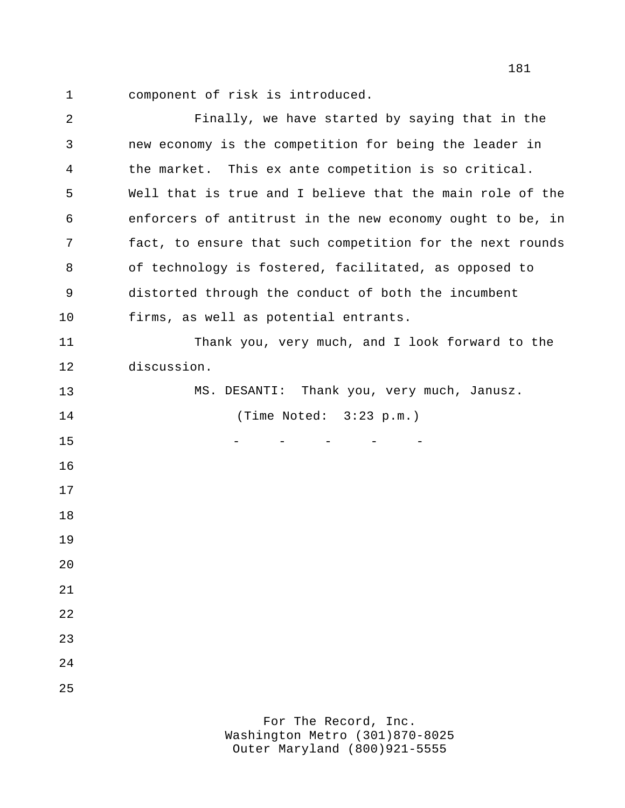component of risk is introduced.

| $\overline{2}$ | Finally, we have started by saying that in the            |
|----------------|-----------------------------------------------------------|
| 3              | new economy is the competition for being the leader in    |
| 4              | the market. This ex ante competition is so critical.      |
| 5              | Well that is true and I believe that the main role of the |
| 6              | enforcers of antitrust in the new economy ought to be, in |
| 7              | fact, to ensure that such competition for the next rounds |
| 8              | of technology is fostered, facilitated, as opposed to     |
| 9              | distorted through the conduct of both the incumbent       |
| 10             | firms, as well as potential entrants.                     |
| 11             | Thank you, very much, and I look forward to the           |
| 12             | discussion.                                               |
| 13             | MS. DESANTI: Thank you, very much, Janusz.                |
| 14             | (Time Noted: 3:23 p.m.)                                   |
| 15             |                                                           |
| 16             |                                                           |
| 17             |                                                           |
| 18             |                                                           |
| 19             |                                                           |
| 20             |                                                           |
| 21             |                                                           |
| 22             |                                                           |
| 23             |                                                           |
| 24             |                                                           |
| 25             |                                                           |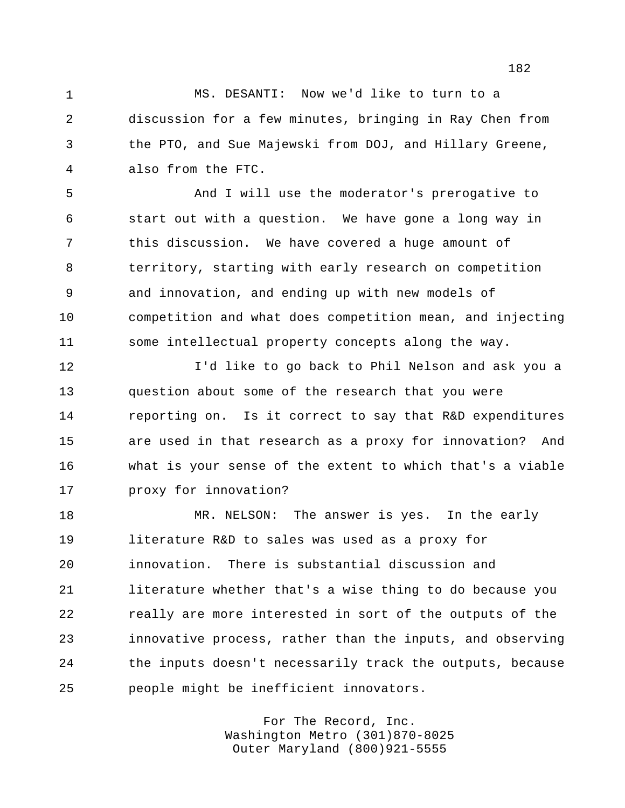MS. DESANTI: Now we'd like to turn to a discussion for a few minutes, bringing in Ray Chen from the PTO, and Sue Majewski from DOJ, and Hillary Greene, also from the FTC.

 And I will use the moderator's prerogative to start out with a question. We have gone a long way in this discussion. We have covered a huge amount of territory, starting with early research on competition and innovation, and ending up with new models of competition and what does competition mean, and injecting some intellectual property concepts along the way.

 I'd like to go back to Phil Nelson and ask you a question about some of the research that you were reporting on. Is it correct to say that R&D expenditures are used in that research as a proxy for innovation? And what is your sense of the extent to which that's a viable proxy for innovation?

 MR. NELSON: The answer is yes. In the early literature R&D to sales was used as a proxy for innovation. There is substantial discussion and literature whether that's a wise thing to do because you really are more interested in sort of the outputs of the innovative process, rather than the inputs, and observing the inputs doesn't necessarily track the outputs, because people might be inefficient innovators.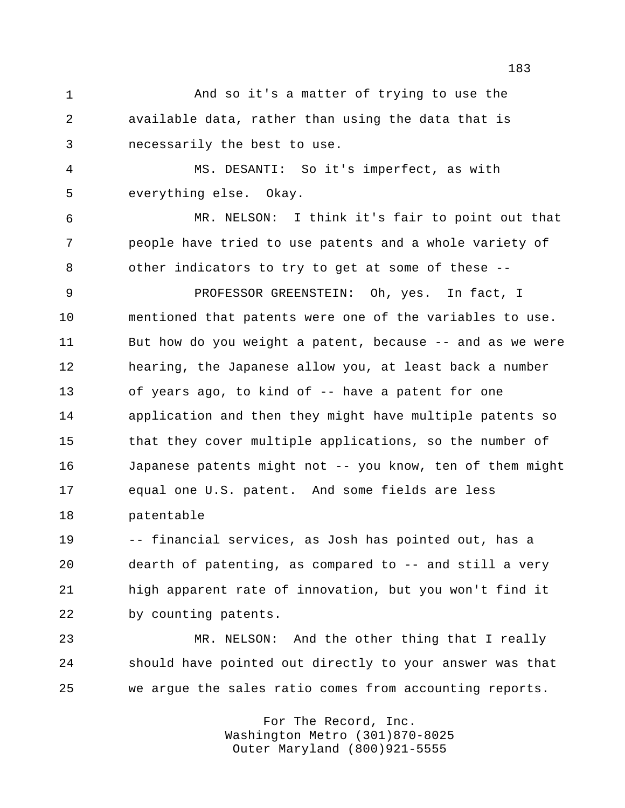And so it's a matter of trying to use the available data, rather than using the data that is necessarily the best to use.

 MS. DESANTI: So it's imperfect, as with everything else. Okay.

 MR. NELSON: I think it's fair to point out that people have tried to use patents and a whole variety of other indicators to try to get at some of these --

 PROFESSOR GREENSTEIN: Oh, yes. In fact, I mentioned that patents were one of the variables to use. But how do you weight a patent, because -- and as we were hearing, the Japanese allow you, at least back a number of years ago, to kind of -- have a patent for one application and then they might have multiple patents so that they cover multiple applications, so the number of Japanese patents might not -- you know, ten of them might equal one U.S. patent. And some fields are less patentable

 -- financial services, as Josh has pointed out, has a dearth of patenting, as compared to -- and still a very high apparent rate of innovation, but you won't find it by counting patents.

 MR. NELSON: And the other thing that I really should have pointed out directly to your answer was that we argue the sales ratio comes from accounting reports.

> For The Record, Inc. Washington Metro (301)870-8025 Outer Maryland (800)921-5555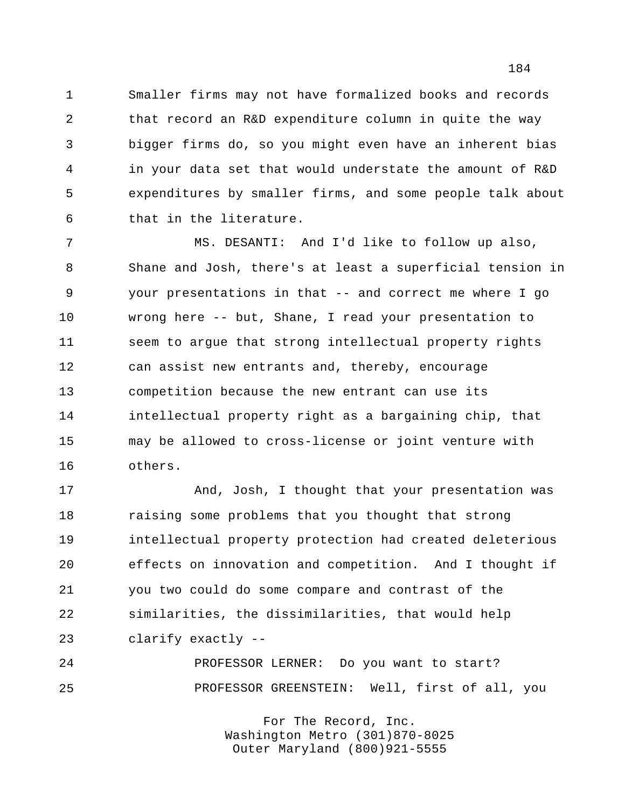Smaller firms may not have formalized books and records that record an R&D expenditure column in quite the way bigger firms do, so you might even have an inherent bias in your data set that would understate the amount of R&D expenditures by smaller firms, and some people talk about that in the literature.

 MS. DESANTI: And I'd like to follow up also, Shane and Josh, there's at least a superficial tension in your presentations in that -- and correct me where I go wrong here -- but, Shane, I read your presentation to seem to argue that strong intellectual property rights can assist new entrants and, thereby, encourage competition because the new entrant can use its intellectual property right as a bargaining chip, that may be allowed to cross-license or joint venture with others.

 And, Josh, I thought that your presentation was raising some problems that you thought that strong intellectual property protection had created deleterious effects on innovation and competition. And I thought if you two could do some compare and contrast of the similarities, the dissimilarities, that would help clarify exactly --

 PROFESSOR LERNER: Do you want to start? PROFESSOR GREENSTEIN: Well, first of all, you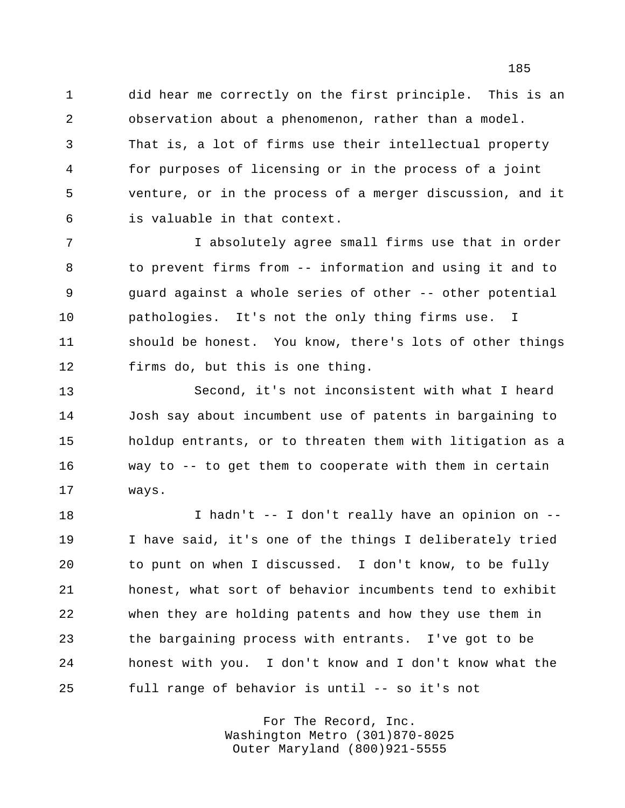did hear me correctly on the first principle. This is an observation about a phenomenon, rather than a model. That is, a lot of firms use their intellectual property for purposes of licensing or in the process of a joint venture, or in the process of a merger discussion, and it is valuable in that context.

 I absolutely agree small firms use that in order to prevent firms from -- information and using it and to guard against a whole series of other -- other potential pathologies. It's not the only thing firms use. I should be honest. You know, there's lots of other things firms do, but this is one thing.

 Second, it's not inconsistent with what I heard Josh say about incumbent use of patents in bargaining to holdup entrants, or to threaten them with litigation as a way to -- to get them to cooperate with them in certain ways.

 I hadn't -- I don't really have an opinion on -- I have said, it's one of the things I deliberately tried to punt on when I discussed. I don't know, to be fully honest, what sort of behavior incumbents tend to exhibit when they are holding patents and how they use them in the bargaining process with entrants. I've got to be honest with you. I don't know and I don't know what the full range of behavior is until -- so it's not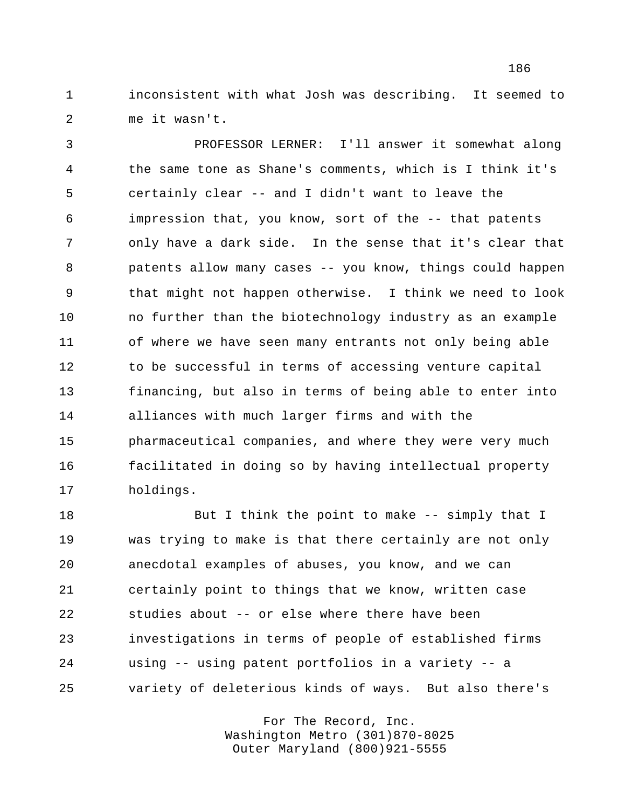inconsistent with what Josh was describing. It seemed to me it wasn't.

 PROFESSOR LERNER: I'll answer it somewhat along the same tone as Shane's comments, which is I think it's certainly clear -- and I didn't want to leave the impression that, you know, sort of the -- that patents only have a dark side. In the sense that it's clear that patents allow many cases -- you know, things could happen that might not happen otherwise. I think we need to look no further than the biotechnology industry as an example of where we have seen many entrants not only being able 12 to be successful in terms of accessing venture capital financing, but also in terms of being able to enter into alliances with much larger firms and with the pharmaceutical companies, and where they were very much facilitated in doing so by having intellectual property holdings.

18 But I think the point to make -- simply that I was trying to make is that there certainly are not only anecdotal examples of abuses, you know, and we can certainly point to things that we know, written case studies about -- or else where there have been investigations in terms of people of established firms using -- using patent portfolios in a variety -- a variety of deleterious kinds of ways. But also there's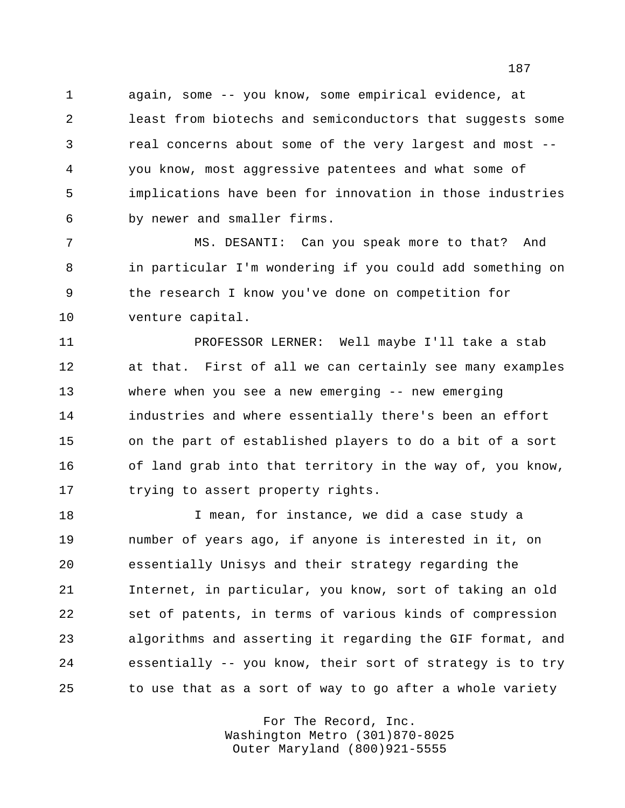again, some -- you know, some empirical evidence, at least from biotechs and semiconductors that suggests some real concerns about some of the very largest and most -- you know, most aggressive patentees and what some of implications have been for innovation in those industries by newer and smaller firms.

 MS. DESANTI: Can you speak more to that? And in particular I'm wondering if you could add something on the research I know you've done on competition for venture capital.

 PROFESSOR LERNER: Well maybe I'll take a stab at that. First of all we can certainly see many examples where when you see a new emerging -- new emerging industries and where essentially there's been an effort on the part of established players to do a bit of a sort of land grab into that territory in the way of, you know, trying to assert property rights.

 I mean, for instance, we did a case study a number of years ago, if anyone is interested in it, on essentially Unisys and their strategy regarding the Internet, in particular, you know, sort of taking an old set of patents, in terms of various kinds of compression algorithms and asserting it regarding the GIF format, and essentially -- you know, their sort of strategy is to try to use that as a sort of way to go after a whole variety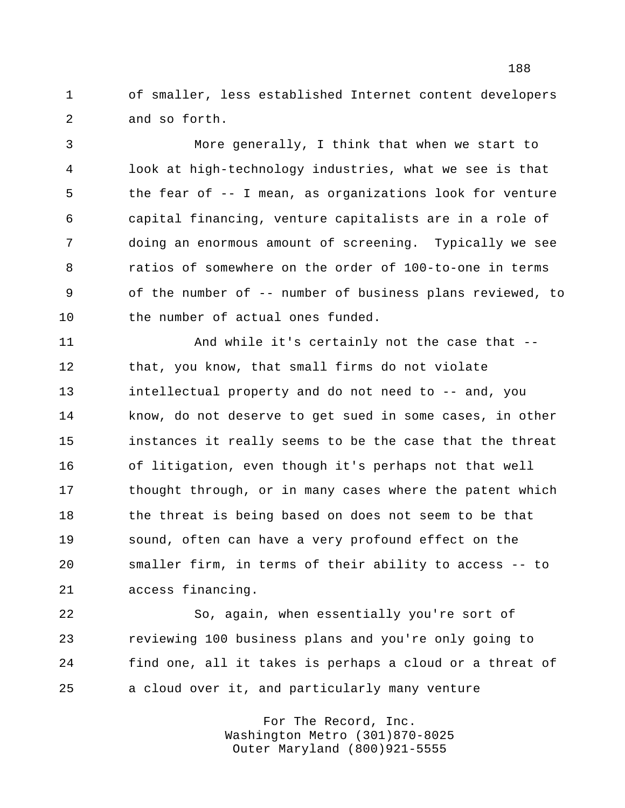of smaller, less established Internet content developers and so forth.

 More generally, I think that when we start to look at high-technology industries, what we see is that the fear of -- I mean, as organizations look for venture capital financing, venture capitalists are in a role of doing an enormous amount of screening. Typically we see ratios of somewhere on the order of 100-to-one in terms of the number of -- number of business plans reviewed, to the number of actual ones funded.

11 And while it's certainly not the case that -- that, you know, that small firms do not violate intellectual property and do not need to -- and, you know, do not deserve to get sued in some cases, in other instances it really seems to be the case that the threat of litigation, even though it's perhaps not that well 17 thought through, or in many cases where the patent which 18 the threat is being based on does not seem to be that sound, often can have a very profound effect on the smaller firm, in terms of their ability to access -- to access financing.

 So, again, when essentially you're sort of reviewing 100 business plans and you're only going to find one, all it takes is perhaps a cloud or a threat of a cloud over it, and particularly many venture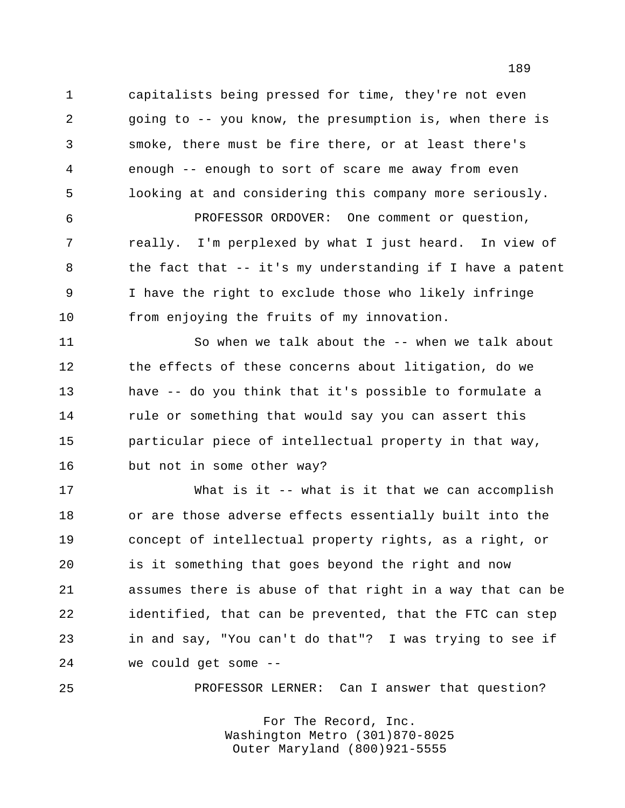capitalists being pressed for time, they're not even going to -- you know, the presumption is, when there is smoke, there must be fire there, or at least there's enough -- enough to sort of scare me away from even looking at and considering this company more seriously.

 PROFESSOR ORDOVER: One comment or question, really. I'm perplexed by what I just heard. In view of the fact that -- it's my understanding if I have a patent I have the right to exclude those who likely infringe from enjoying the fruits of my innovation.

 So when we talk about the -- when we talk about the effects of these concerns about litigation, do we have -- do you think that it's possible to formulate a 14 rule or something that would say you can assert this particular piece of intellectual property in that way, but not in some other way?

 What is it -- what is it that we can accomplish or are those adverse effects essentially built into the 19 concept of intellectual property rights, as a right, or is it something that goes beyond the right and now assumes there is abuse of that right in a way that can be identified, that can be prevented, that the FTC can step in and say, "You can't do that"? I was trying to see if we could get some --

PROFESSOR LERNER: Can I answer that question?

For The Record, Inc. Washington Metro (301)870-8025 Outer Maryland (800)921-5555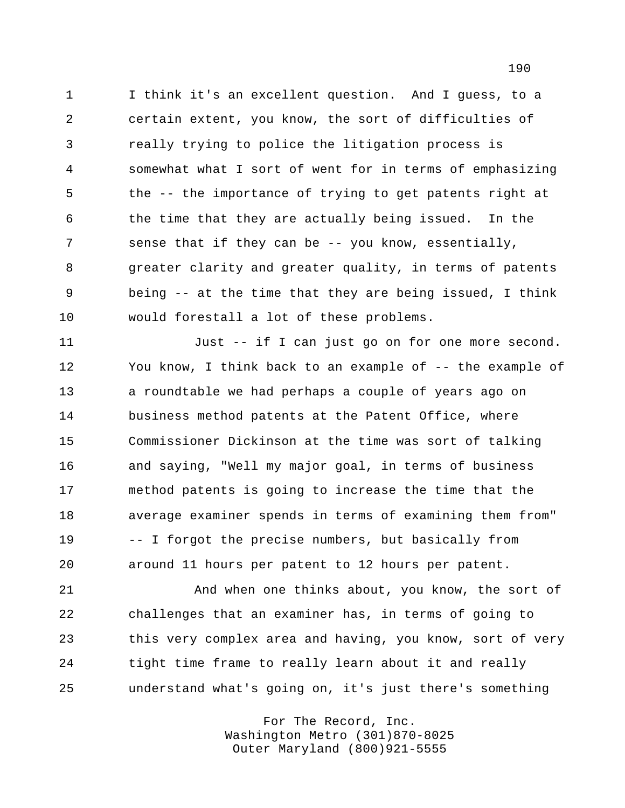I think it's an excellent question. And I guess, to a certain extent, you know, the sort of difficulties of really trying to police the litigation process is somewhat what I sort of went for in terms of emphasizing the -- the importance of trying to get patents right at the time that they are actually being issued. In the sense that if they can be -- you know, essentially, greater clarity and greater quality, in terms of patents being -- at the time that they are being issued, I think would forestall a lot of these problems.

 Just -- if I can just go on for one more second. You know, I think back to an example of -- the example of a roundtable we had perhaps a couple of years ago on business method patents at the Patent Office, where Commissioner Dickinson at the time was sort of talking and saying, "Well my major goal, in terms of business method patents is going to increase the time that the average examiner spends in terms of examining them from" -- I forgot the precise numbers, but basically from around 11 hours per patent to 12 hours per patent.

 And when one thinks about, you know, the sort of challenges that an examiner has, in terms of going to this very complex area and having, you know, sort of very tight time frame to really learn about it and really understand what's going on, it's just there's something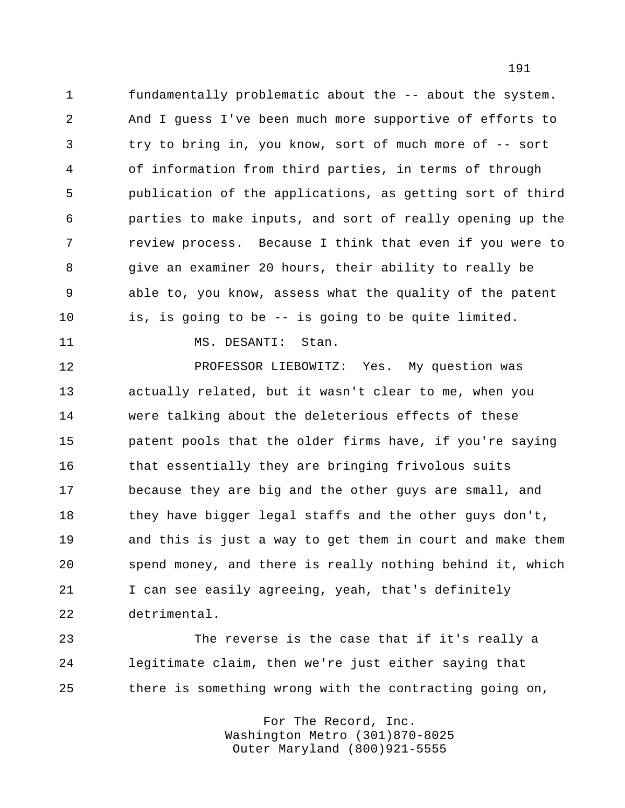fundamentally problematic about the -- about the system. And I guess I've been much more supportive of efforts to try to bring in, you know, sort of much more of -- sort of information from third parties, in terms of through publication of the applications, as getting sort of third parties to make inputs, and sort of really opening up the review process. Because I think that even if you were to give an examiner 20 hours, their ability to really be able to, you know, assess what the quality of the patent is, is going to be -- is going to be quite limited.

11 MS. DESANTI: Stan.

 PROFESSOR LIEBOWITZ: Yes. My question was actually related, but it wasn't clear to me, when you were talking about the deleterious effects of these patent pools that the older firms have, if you're saying that essentially they are bringing frivolous suits because they are big and the other guys are small, and they have bigger legal staffs and the other guys don't, and this is just a way to get them in court and make them spend money, and there is really nothing behind it, which I can see easily agreeing, yeah, that's definitely detrimental.

 The reverse is the case that if it's really a legitimate claim, then we're just either saying that there is something wrong with the contracting going on,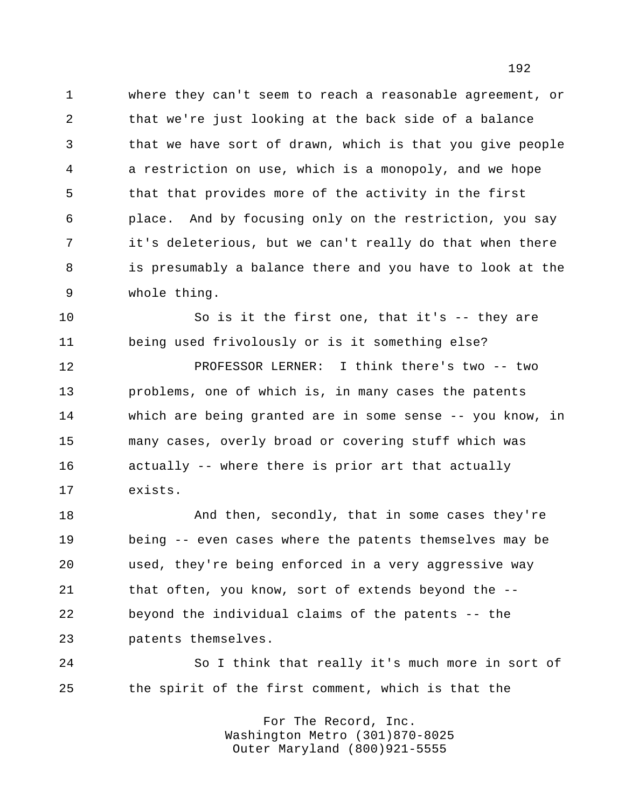where they can't seem to reach a reasonable agreement, or that we're just looking at the back side of a balance that we have sort of drawn, which is that you give people a restriction on use, which is a monopoly, and we hope that that provides more of the activity in the first place. And by focusing only on the restriction, you say it's deleterious, but we can't really do that when there is presumably a balance there and you have to look at the whole thing.

 So is it the first one, that it's -- they are being used frivolously or is it something else?

 PROFESSOR LERNER: I think there's two -- two problems, one of which is, in many cases the patents which are being granted are in some sense -- you know, in many cases, overly broad or covering stuff which was actually -- where there is prior art that actually exists.

 And then, secondly, that in some cases they're being -- even cases where the patents themselves may be used, they're being enforced in a very aggressive way that often, you know, sort of extends beyond the -- beyond the individual claims of the patents -- the patents themselves.

 So I think that really it's much more in sort of the spirit of the first comment, which is that the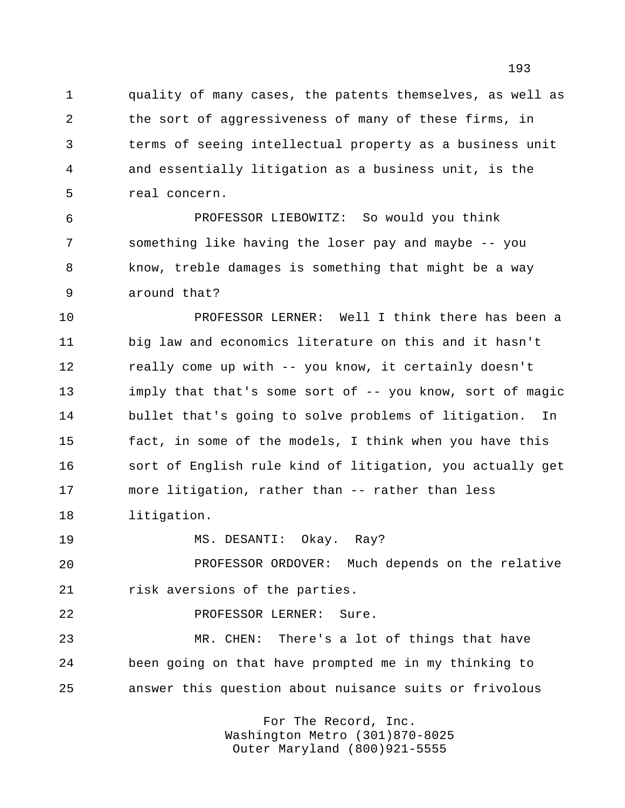quality of many cases, the patents themselves, as well as the sort of aggressiveness of many of these firms, in terms of seeing intellectual property as a business unit and essentially litigation as a business unit, is the real concern.

 PROFESSOR LIEBOWITZ: So would you think something like having the loser pay and maybe -- you know, treble damages is something that might be a way around that?

 PROFESSOR LERNER: Well I think there has been a big law and economics literature on this and it hasn't really come up with -- you know, it certainly doesn't imply that that's some sort of -- you know, sort of magic bullet that's going to solve problems of litigation. In fact, in some of the models, I think when you have this sort of English rule kind of litigation, you actually get more litigation, rather than -- rather than less litigation.

19 MS. DESANTI: Okay. Ray?

 PROFESSOR ORDOVER: Much depends on the relative risk aversions of the parties.

PROFESSOR LERNER: Sure.

 MR. CHEN: There's a lot of things that have been going on that have prompted me in my thinking to answer this question about nuisance suits or frivolous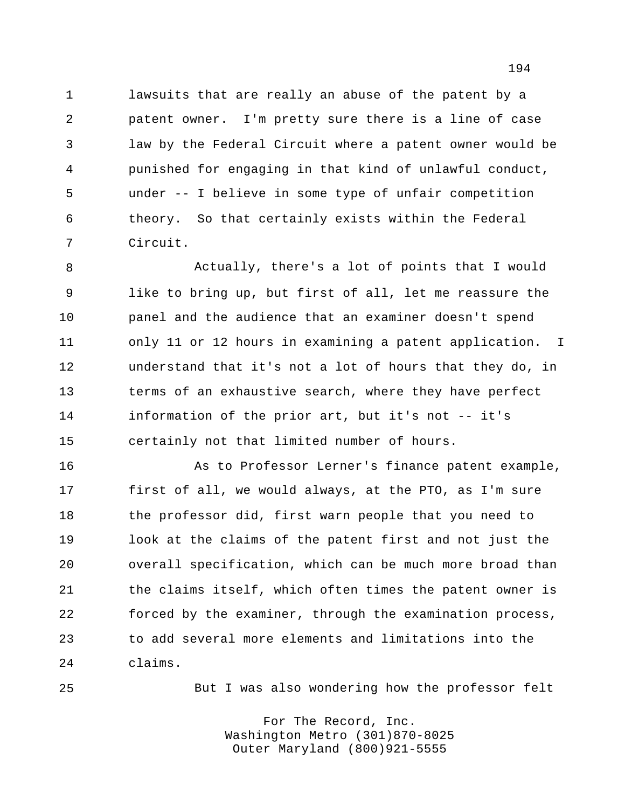lawsuits that are really an abuse of the patent by a patent owner. I'm pretty sure there is a line of case law by the Federal Circuit where a patent owner would be punished for engaging in that kind of unlawful conduct, under -- I believe in some type of unfair competition theory. So that certainly exists within the Federal Circuit.

 Actually, there's a lot of points that I would like to bring up, but first of all, let me reassure the panel and the audience that an examiner doesn't spend 11 only 11 or 12 hours in examining a patent application. I understand that it's not a lot of hours that they do, in terms of an exhaustive search, where they have perfect information of the prior art, but it's not -- it's certainly not that limited number of hours.

 As to Professor Lerner's finance patent example, first of all, we would always, at the PTO, as I'm sure the professor did, first warn people that you need to look at the claims of the patent first and not just the overall specification, which can be much more broad than the claims itself, which often times the patent owner is forced by the examiner, through the examination process, to add several more elements and limitations into the claims.

But I was also wondering how the professor felt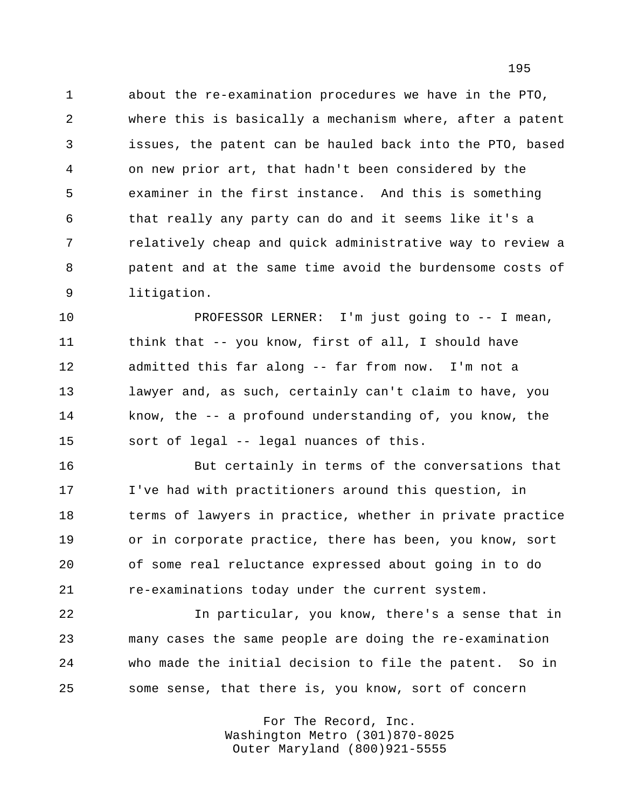about the re-examination procedures we have in the PTO, where this is basically a mechanism where, after a patent issues, the patent can be hauled back into the PTO, based on new prior art, that hadn't been considered by the examiner in the first instance. And this is something that really any party can do and it seems like it's a relatively cheap and quick administrative way to review a patent and at the same time avoid the burdensome costs of litigation.

 PROFESSOR LERNER: I'm just going to -- I mean, think that -- you know, first of all, I should have admitted this far along -- far from now. I'm not a lawyer and, as such, certainly can't claim to have, you know, the -- a profound understanding of, you know, the sort of legal -- legal nuances of this.

 But certainly in terms of the conversations that I've had with practitioners around this question, in terms of lawyers in practice, whether in private practice or in corporate practice, there has been, you know, sort of some real reluctance expressed about going in to do re-examinations today under the current system.

 In particular, you know, there's a sense that in many cases the same people are doing the re-examination who made the initial decision to file the patent. So in some sense, that there is, you know, sort of concern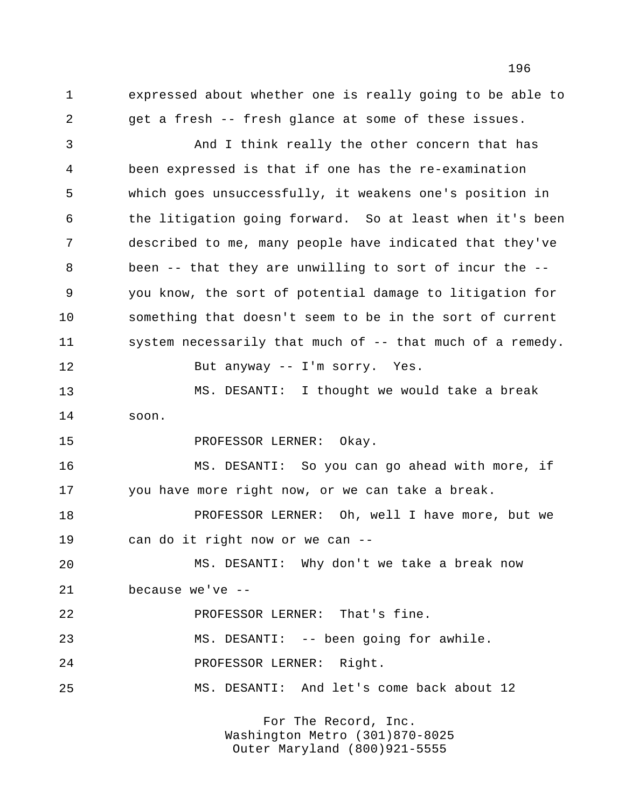expressed about whether one is really going to be able to get a fresh -- fresh glance at some of these issues.

 And I think really the other concern that has been expressed is that if one has the re-examination which goes unsuccessfully, it weakens one's position in the litigation going forward. So at least when it's been described to me, many people have indicated that they've been -- that they are unwilling to sort of incur the -- you know, the sort of potential damage to litigation for something that doesn't seem to be in the sort of current 11 system necessarily that much of -- that much of a remedy. 12 But anyway -- I'm sorry. Yes.

 MS. DESANTI: I thought we would take a break soon.

PROFESSOR LERNER: Okay.

 MS. DESANTI: So you can go ahead with more, if you have more right now, or we can take a break.

 PROFESSOR LERNER: Oh, well I have more, but we can do it right now or we can --

 MS. DESANTI: Why don't we take a break now because we've -- PROFESSOR LERNER: That's fine.

MS. DESANTI: -- been going for awhile.

PROFESSOR LERNER: Right.

MS. DESANTI: And let's come back about 12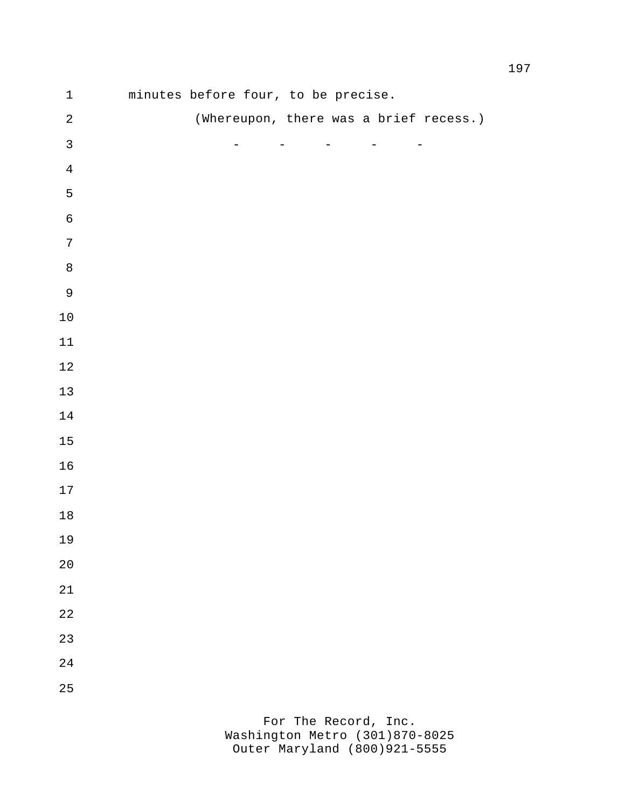| $\mathbf 1$  | minutes before four, to be precise. |                                                     |                                                       |                                                       |                                                                          |                                        |
|--------------|-------------------------------------|-----------------------------------------------------|-------------------------------------------------------|-------------------------------------------------------|--------------------------------------------------------------------------|----------------------------------------|
| $\sqrt{2}$   |                                     |                                                     |                                                       |                                                       |                                                                          | (Whereupon, there was a brief recess.) |
| $\mathsf{3}$ |                                     | $\frac{1}{2}$ and $\frac{1}{2}$ . The $\frac{1}{2}$ | $\frac{1}{2}$ , and $\frac{1}{2}$ , and $\frac{1}{2}$ | $\frac{1}{2}$ , and $\frac{1}{2}$ , and $\frac{1}{2}$ | $\frac{1}{2}$ and $\frac{1}{2}$ . The set of $\mathcal{O}(\mathbb{R}^d)$ | $\overline{\phantom{m}}$               |
| $\bf 4$      |                                     |                                                     |                                                       |                                                       |                                                                          |                                        |
| 5            |                                     |                                                     |                                                       |                                                       |                                                                          |                                        |
| $\epsilon$   |                                     |                                                     |                                                       |                                                       |                                                                          |                                        |
| $\sqrt{ }$   |                                     |                                                     |                                                       |                                                       |                                                                          |                                        |
| $\,8\,$      |                                     |                                                     |                                                       |                                                       |                                                                          |                                        |
| $\mathsf 9$  |                                     |                                                     |                                                       |                                                       |                                                                          |                                        |
| $1\,0$       |                                     |                                                     |                                                       |                                                       |                                                                          |                                        |
| $11\,$       |                                     |                                                     |                                                       |                                                       |                                                                          |                                        |
| $1\,2$       |                                     |                                                     |                                                       |                                                       |                                                                          |                                        |
| $13\,$       |                                     |                                                     |                                                       |                                                       |                                                                          |                                        |
| $1\,4$       |                                     |                                                     |                                                       |                                                       |                                                                          |                                        |
| $15\,$       |                                     |                                                     |                                                       |                                                       |                                                                          |                                        |
| $16$         |                                     |                                                     |                                                       |                                                       |                                                                          |                                        |
| $17$         |                                     |                                                     |                                                       |                                                       |                                                                          |                                        |
| $18$         |                                     |                                                     |                                                       |                                                       |                                                                          |                                        |
| 19           |                                     |                                                     |                                                       |                                                       |                                                                          |                                        |
| $2\,0$       |                                     |                                                     |                                                       |                                                       |                                                                          |                                        |
| $2\sqrt{1}$  |                                     |                                                     |                                                       |                                                       |                                                                          |                                        |
| $2\sqrt{2}$  |                                     |                                                     |                                                       |                                                       |                                                                          |                                        |
| 23           |                                     |                                                     |                                                       |                                                       |                                                                          |                                        |
| $2\sqrt{4}$  |                                     |                                                     |                                                       |                                                       |                                                                          |                                        |
| 25           |                                     |                                                     |                                                       |                                                       |                                                                          |                                        |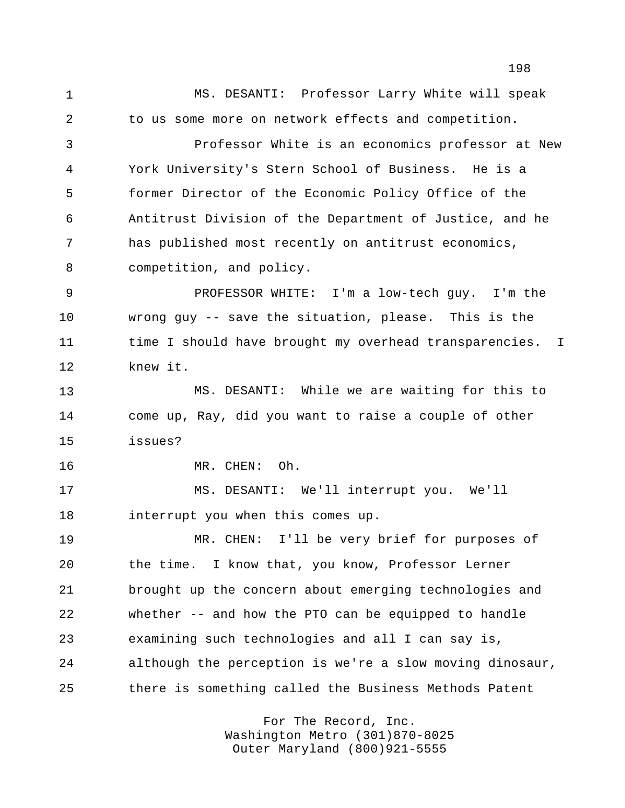MS. DESANTI: Professor Larry White will speak to us some more on network effects and competition.

 Professor White is an economics professor at New York University's Stern School of Business. He is a former Director of the Economic Policy Office of the Antitrust Division of the Department of Justice, and he has published most recently on antitrust economics, competition, and policy.

 PROFESSOR WHITE: I'm a low-tech guy. I'm the wrong guy -- save the situation, please. This is the 11 time I should have brought my overhead transparencies. I knew it.

 MS. DESANTI: While we are waiting for this to come up, Ray, did you want to raise a couple of other issues?

MR. CHEN: Oh.

 MS. DESANTI: We'll interrupt you. We'll interrupt you when this comes up.

 MR. CHEN: I'll be very brief for purposes of the time. I know that, you know, Professor Lerner brought up the concern about emerging technologies and whether -- and how the PTO can be equipped to handle examining such technologies and all I can say is, although the perception is we're a slow moving dinosaur, there is something called the Business Methods Patent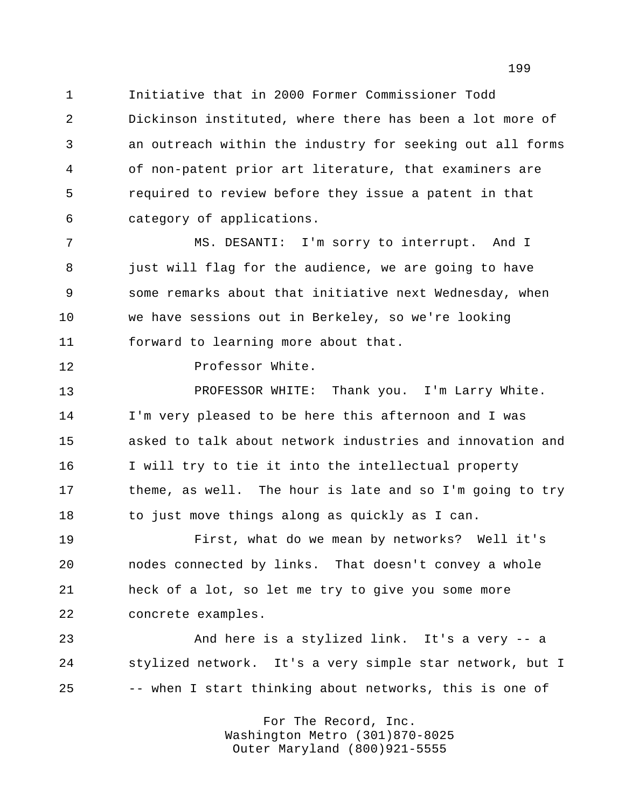Initiative that in 2000 Former Commissioner Todd Dickinson instituted, where there has been a lot more of an outreach within the industry for seeking out all forms of non-patent prior art literature, that examiners are required to review before they issue a patent in that category of applications.

 MS. DESANTI: I'm sorry to interrupt. And I 8 just will flag for the audience, we are going to have some remarks about that initiative next Wednesday, when we have sessions out in Berkeley, so we're looking forward to learning more about that.

Professor White.

 PROFESSOR WHITE: Thank you. I'm Larry White. I'm very pleased to be here this afternoon and I was asked to talk about network industries and innovation and I will try to tie it into the intellectual property 17 theme, as well. The hour is late and so I'm going to try to just move things along as quickly as I can.

 First, what do we mean by networks? Well it's nodes connected by links. That doesn't convey a whole heck of a lot, so let me try to give you some more concrete examples.

 And here is a stylized link. It's a very -- a stylized network. It's a very simple star network, but I -- when I start thinking about networks, this is one of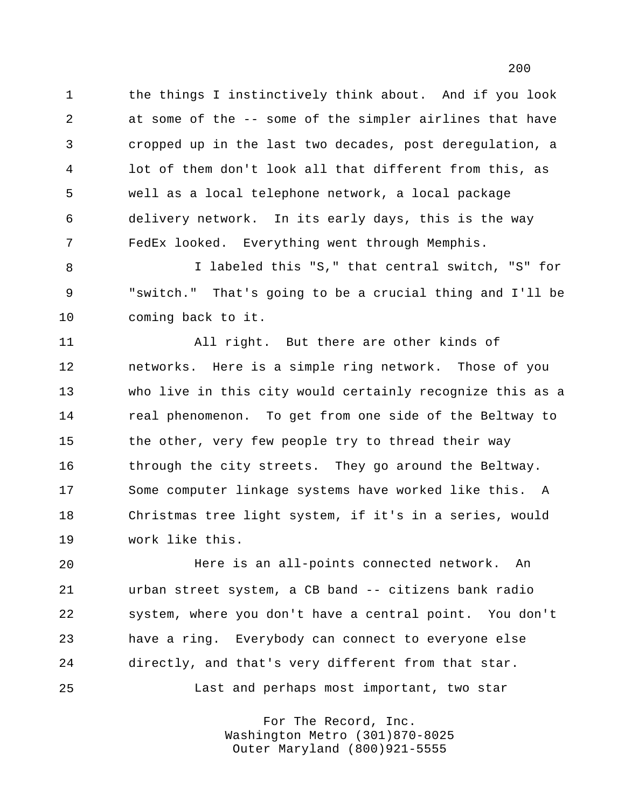the things I instinctively think about. And if you look at some of the -- some of the simpler airlines that have cropped up in the last two decades, post deregulation, a lot of them don't look all that different from this, as well as a local telephone network, a local package delivery network. In its early days, this is the way FedEx looked. Everything went through Memphis.

 I labeled this "S," that central switch, "S" for "switch." That's going to be a crucial thing and I'll be coming back to it.

 All right. But there are other kinds of networks. Here is a simple ring network. Those of you who live in this city would certainly recognize this as a real phenomenon. To get from one side of the Beltway to 15 the other, very few people try to thread their way 16 through the city streets. They go around the Beltway. Some computer linkage systems have worked like this. A Christmas tree light system, if it's in a series, would work like this.

 Here is an all-points connected network. An urban street system, a CB band -- citizens bank radio system, where you don't have a central point. You don't have a ring. Everybody can connect to everyone else directly, and that's very different from that star.

Last and perhaps most important, two star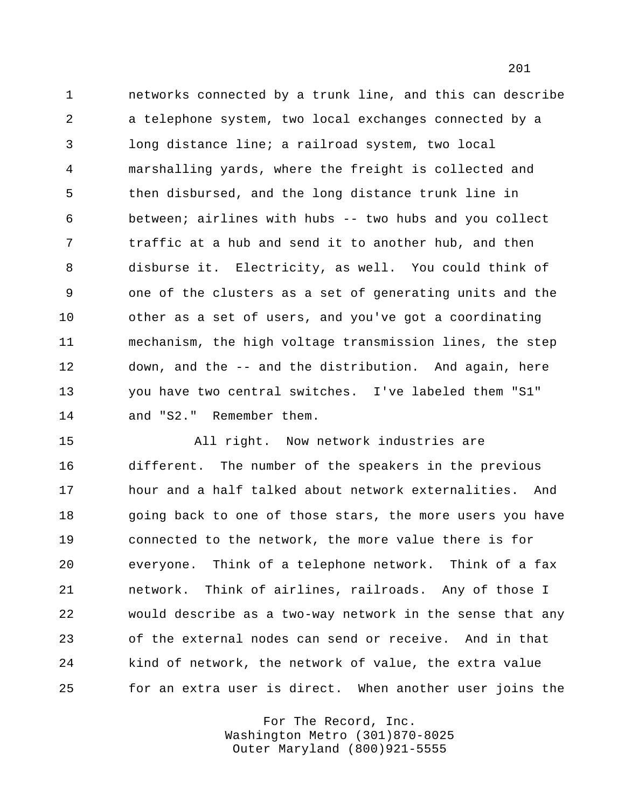networks connected by a trunk line, and this can describe a telephone system, two local exchanges connected by a long distance line; a railroad system, two local marshalling yards, where the freight is collected and then disbursed, and the long distance trunk line in between; airlines with hubs -- two hubs and you collect traffic at a hub and send it to another hub, and then disburse it. Electricity, as well. You could think of one of the clusters as a set of generating units and the other as a set of users, and you've got a coordinating mechanism, the high voltage transmission lines, the step down, and the -- and the distribution. And again, here you have two central switches. I've labeled them "S1" and "S2." Remember them.

 All right. Now network industries are different. The number of the speakers in the previous hour and a half talked about network externalities. And going back to one of those stars, the more users you have connected to the network, the more value there is for everyone. Think of a telephone network. Think of a fax network. Think of airlines, railroads. Any of those I would describe as a two-way network in the sense that any of the external nodes can send or receive. And in that kind of network, the network of value, the extra value for an extra user is direct. When another user joins the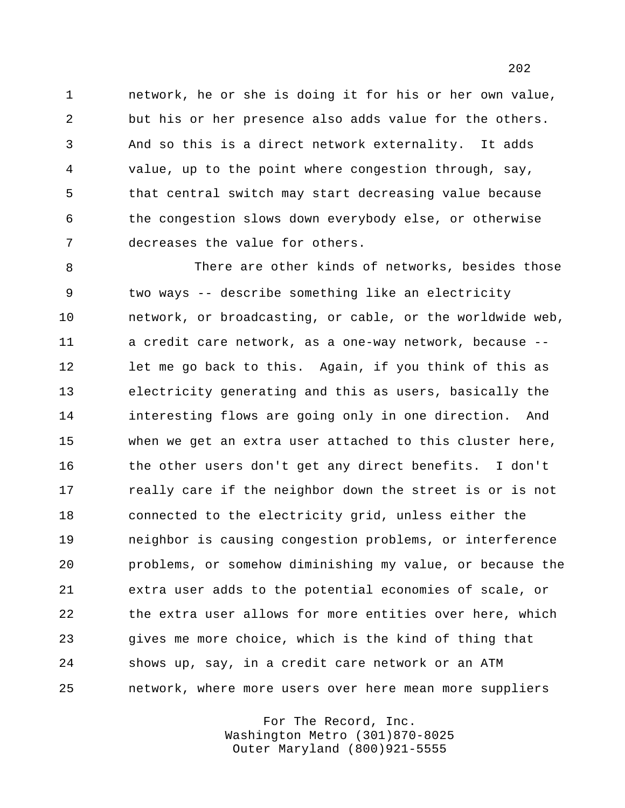network, he or she is doing it for his or her own value, but his or her presence also adds value for the others. And so this is a direct network externality. It adds value, up to the point where congestion through, say, that central switch may start decreasing value because the congestion slows down everybody else, or otherwise decreases the value for others.

8 There are other kinds of networks, besides those two ways -- describe something like an electricity network, or broadcasting, or cable, or the worldwide web, a credit care network, as a one-way network, because -- let me go back to this. Again, if you think of this as electricity generating and this as users, basically the interesting flows are going only in one direction. And when we get an extra user attached to this cluster here, the other users don't get any direct benefits. I don't **really care if the neighbor down the street is or is not**  connected to the electricity grid, unless either the neighbor is causing congestion problems, or interference problems, or somehow diminishing my value, or because the extra user adds to the potential economies of scale, or the extra user allows for more entities over here, which gives me more choice, which is the kind of thing that shows up, say, in a credit care network or an ATM network, where more users over here mean more suppliers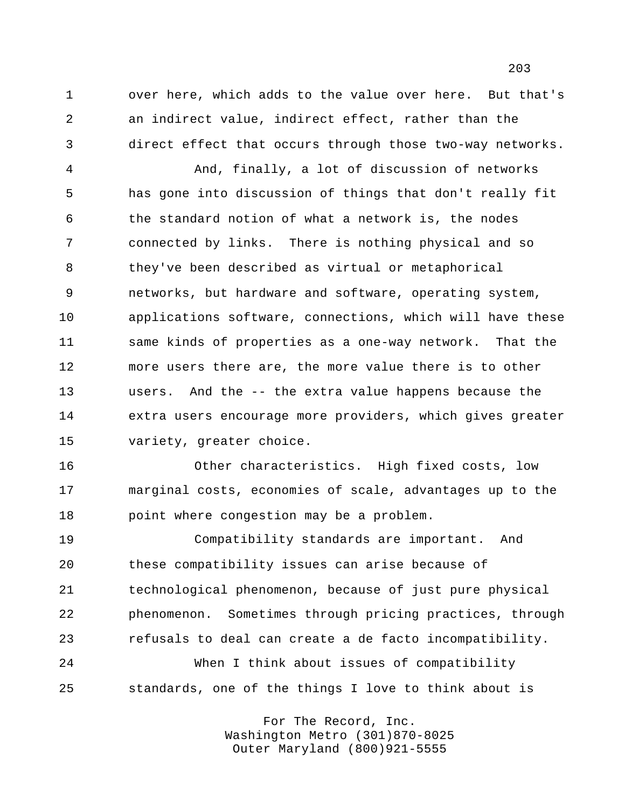over here, which adds to the value over here. But that's an indirect value, indirect effect, rather than the direct effect that occurs through those two-way networks.

 And, finally, a lot of discussion of networks has gone into discussion of things that don't really fit the standard notion of what a network is, the nodes connected by links. There is nothing physical and so 8 they've been described as virtual or metaphorical networks, but hardware and software, operating system, applications software, connections, which will have these same kinds of properties as a one-way network. That the more users there are, the more value there is to other users. And the -- the extra value happens because the extra users encourage more providers, which gives greater variety, greater choice.

 Other characteristics. High fixed costs, low marginal costs, economies of scale, advantages up to the point where congestion may be a problem.

 Compatibility standards are important. And these compatibility issues can arise because of technological phenomenon, because of just pure physical phenomenon. Sometimes through pricing practices, through refusals to deal can create a de facto incompatibility. When I think about issues of compatibility

standards, one of the things I love to think about is

For The Record, Inc. Washington Metro (301)870-8025 Outer Maryland (800)921-5555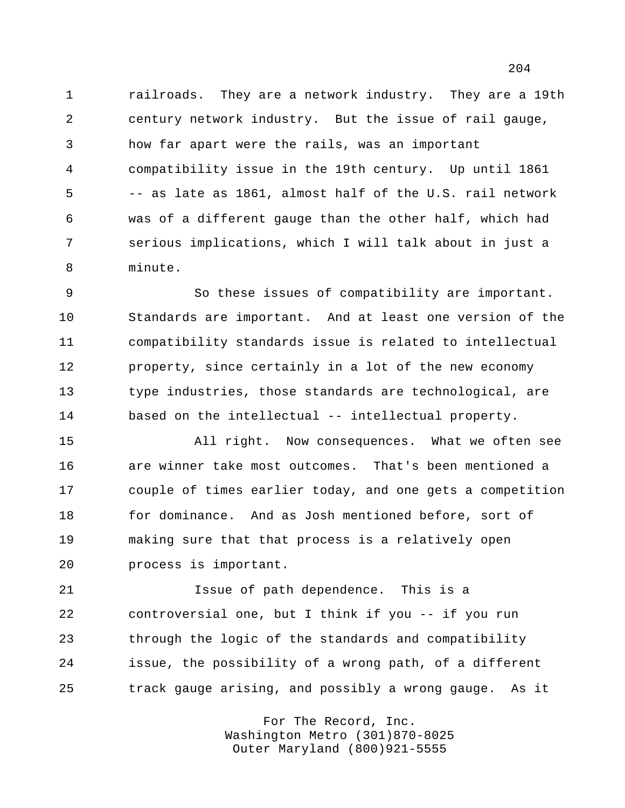1 railroads. They are a network industry. They are a 19th century network industry. But the issue of rail gauge, how far apart were the rails, was an important compatibility issue in the 19th century. Up until 1861 -- as late as 1861, almost half of the U.S. rail network was of a different gauge than the other half, which had serious implications, which I will talk about in just a minute.

 So these issues of compatibility are important. Standards are important. And at least one version of the compatibility standards issue is related to intellectual property, since certainly in a lot of the new economy type industries, those standards are technological, are based on the intellectual -- intellectual property.

 All right. Now consequences. What we often see are winner take most outcomes. That's been mentioned a couple of times earlier today, and one gets a competition for dominance. And as Josh mentioned before, sort of making sure that that process is a relatively open process is important.

 Issue of path dependence. This is a controversial one, but I think if you -- if you run through the logic of the standards and compatibility issue, the possibility of a wrong path, of a different track gauge arising, and possibly a wrong gauge. As it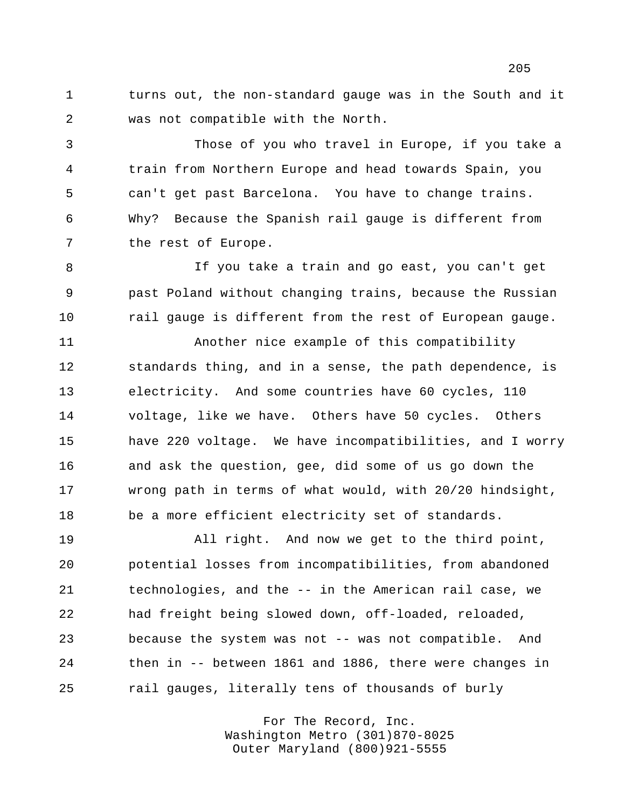turns out, the non-standard gauge was in the South and it was not compatible with the North.

 Those of you who travel in Europe, if you take a train from Northern Europe and head towards Spain, you can't get past Barcelona. You have to change trains. Why? Because the Spanish rail gauge is different from the rest of Europe.

 If you take a train and go east, you can't get past Poland without changing trains, because the Russian rail gauge is different from the rest of European gauge.

 Another nice example of this compatibility standards thing, and in a sense, the path dependence, is electricity. And some countries have 60 cycles, 110 voltage, like we have. Others have 50 cycles. Others have 220 voltage. We have incompatibilities, and I worry and ask the question, gee, did some of us go down the wrong path in terms of what would, with 20/20 hindsight, be a more efficient electricity set of standards.

 All right. And now we get to the third point, potential losses from incompatibilities, from abandoned technologies, and the -- in the American rail case, we had freight being slowed down, off-loaded, reloaded, because the system was not -- was not compatible. And then in -- between 1861 and 1886, there were changes in rail gauges, literally tens of thousands of burly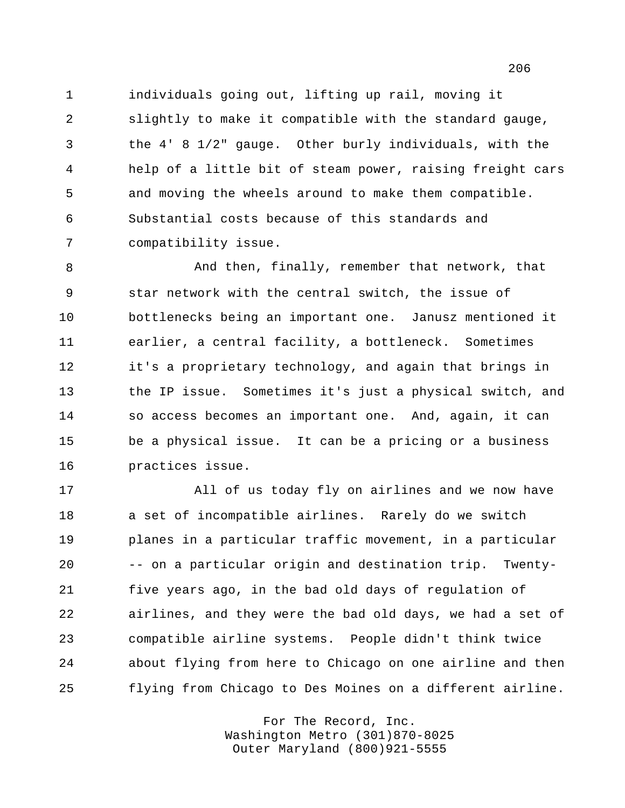individuals going out, lifting up rail, moving it slightly to make it compatible with the standard gauge, the 4' 8 1/2" gauge. Other burly individuals, with the help of a little bit of steam power, raising freight cars and moving the wheels around to make them compatible. Substantial costs because of this standards and compatibility issue.

 And then, finally, remember that network, that star network with the central switch, the issue of bottlenecks being an important one. Janusz mentioned it earlier, a central facility, a bottleneck. Sometimes it's a proprietary technology, and again that brings in the IP issue. Sometimes it's just a physical switch, and so access becomes an important one. And, again, it can be a physical issue. It can be a pricing or a business practices issue.

 All of us today fly on airlines and we now have a set of incompatible airlines. Rarely do we switch planes in a particular traffic movement, in a particular -- on a particular origin and destination trip. Twenty- five years ago, in the bad old days of regulation of airlines, and they were the bad old days, we had a set of compatible airline systems. People didn't think twice about flying from here to Chicago on one airline and then flying from Chicago to Des Moines on a different airline.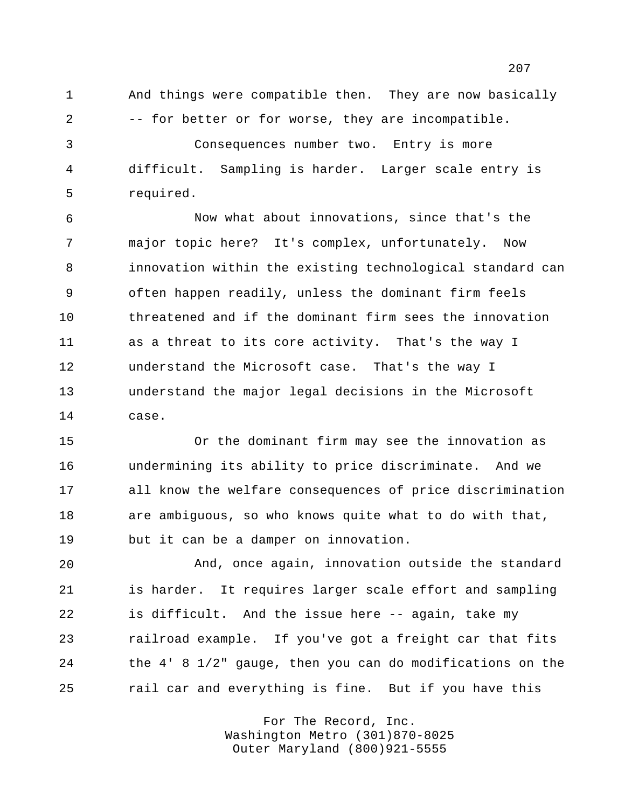And things were compatible then. They are now basically -- for better or for worse, they are incompatible.

 Consequences number two. Entry is more difficult. Sampling is harder. Larger scale entry is required.

 Now what about innovations, since that's the major topic here? It's complex, unfortunately. Now innovation within the existing technological standard can often happen readily, unless the dominant firm feels threatened and if the dominant firm sees the innovation as a threat to its core activity. That's the way I understand the Microsoft case. That's the way I understand the major legal decisions in the Microsoft case.

 Or the dominant firm may see the innovation as undermining its ability to price discriminate. And we all know the welfare consequences of price discrimination are ambiguous, so who knows quite what to do with that, but it can be a damper on innovation.

 And, once again, innovation outside the standard is harder. It requires larger scale effort and sampling is difficult. And the issue here -- again, take my railroad example. If you've got a freight car that fits the 4' 8 1/2" gauge, then you can do modifications on the rail car and everything is fine. But if you have this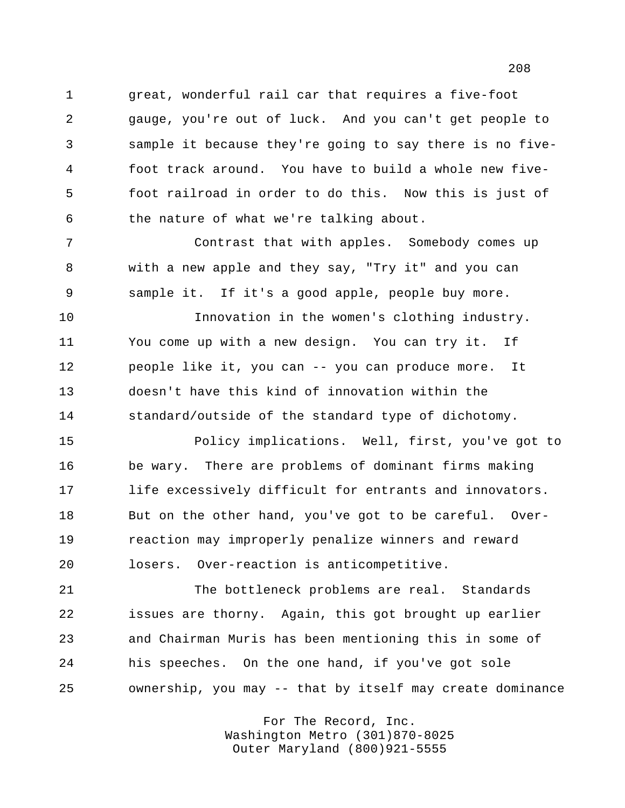great, wonderful rail car that requires a five-foot gauge, you're out of luck. And you can't get people to sample it because they're going to say there is no five- foot track around. You have to build a whole new five- foot railroad in order to do this. Now this is just of the nature of what we're talking about.

 Contrast that with apples. Somebody comes up with a new apple and they say, "Try it" and you can sample it. If it's a good apple, people buy more.

 Innovation in the women's clothing industry. You come up with a new design. You can try it. If people like it, you can -- you can produce more. It doesn't have this kind of innovation within the standard/outside of the standard type of dichotomy.

 Policy implications. Well, first, you've got to be wary. There are problems of dominant firms making life excessively difficult for entrants and innovators. But on the other hand, you've got to be careful. Over- reaction may improperly penalize winners and reward losers. Over-reaction is anticompetitive.

 The bottleneck problems are real. Standards issues are thorny. Again, this got brought up earlier and Chairman Muris has been mentioning this in some of his speeches. On the one hand, if you've got sole ownership, you may -- that by itself may create dominance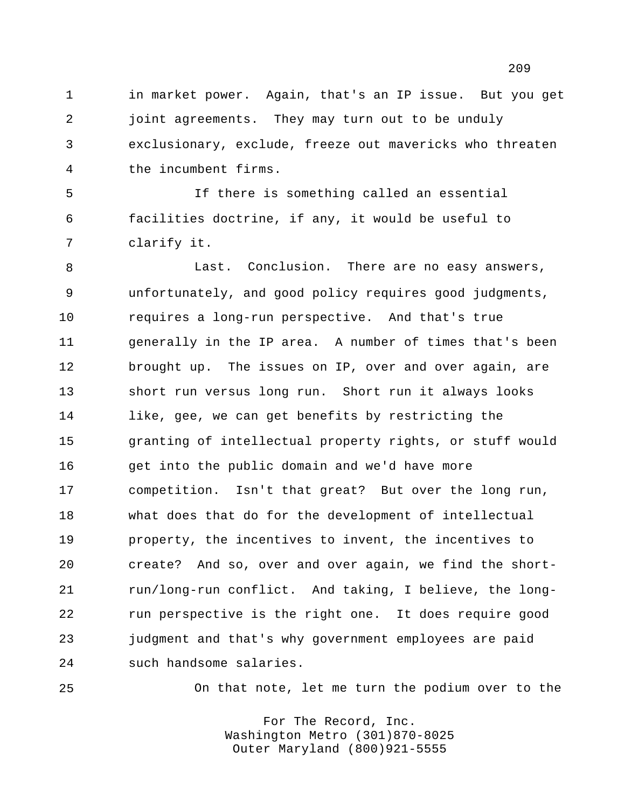in market power. Again, that's an IP issue. But you get joint agreements. They may turn out to be unduly exclusionary, exclude, freeze out mavericks who threaten the incumbent firms.

 If there is something called an essential facilities doctrine, if any, it would be useful to clarify it.

 Last. Conclusion. There are no easy answers, unfortunately, and good policy requires good judgments, requires a long-run perspective. And that's true generally in the IP area. A number of times that's been brought up. The issues on IP, over and over again, are short run versus long run. Short run it always looks like, gee, we can get benefits by restricting the granting of intellectual property rights, or stuff would get into the public domain and we'd have more competition. Isn't that great? But over the long run, what does that do for the development of intellectual property, the incentives to invent, the incentives to create? And so, over and over again, we find the short- run/long-run conflict. And taking, I believe, the long- run perspective is the right one. It does require good judgment and that's why government employees are paid such handsome salaries.

On that note, let me turn the podium over to the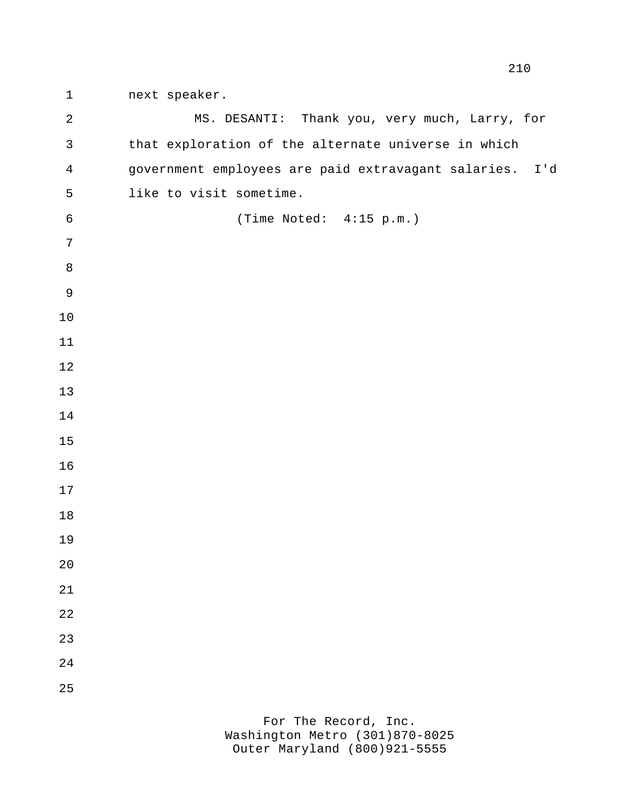next speaker.

 MS. DESANTI: Thank you, very much, Larry, for that exploration of the alternate universe in which government employees are paid extravagant salaries. I'd like to visit sometime. (Time Noted: 4:15 p.m.)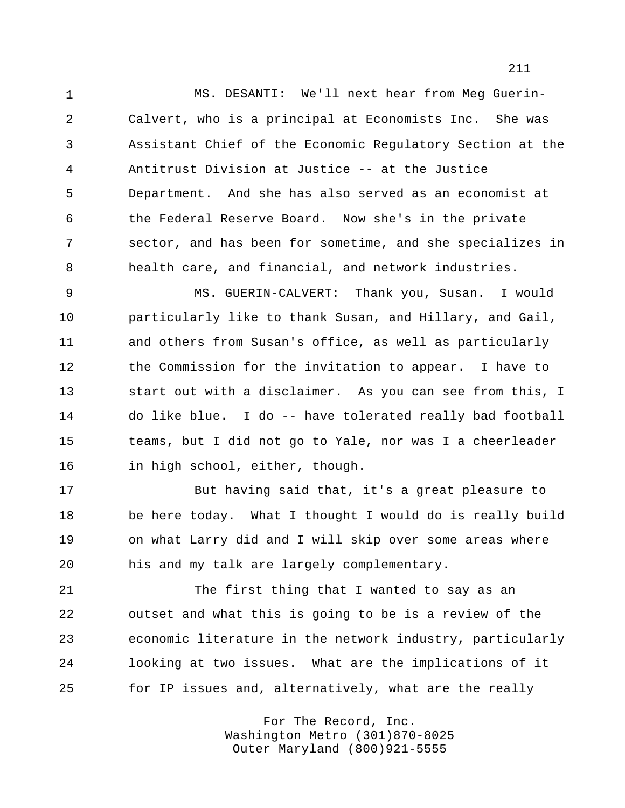MS. DESANTI: We'll next hear from Meg Guerin- Calvert, who is a principal at Economists Inc. She was Assistant Chief of the Economic Regulatory Section at the Antitrust Division at Justice -- at the Justice Department. And she has also served as an economist at the Federal Reserve Board. Now she's in the private sector, and has been for sometime, and she specializes in health care, and financial, and network industries.

 MS. GUERIN-CALVERT: Thank you, Susan. I would particularly like to thank Susan, and Hillary, and Gail, and others from Susan's office, as well as particularly the Commission for the invitation to appear. I have to start out with a disclaimer. As you can see from this, I do like blue. I do -- have tolerated really bad football teams, but I did not go to Yale, nor was I a cheerleader in high school, either, though.

 But having said that, it's a great pleasure to be here today. What I thought I would do is really build on what Larry did and I will skip over some areas where his and my talk are largely complementary.

 The first thing that I wanted to say as an outset and what this is going to be is a review of the economic literature in the network industry, particularly looking at two issues. What are the implications of it for IP issues and, alternatively, what are the really

> For The Record, Inc. Washington Metro (301)870-8025 Outer Maryland (800)921-5555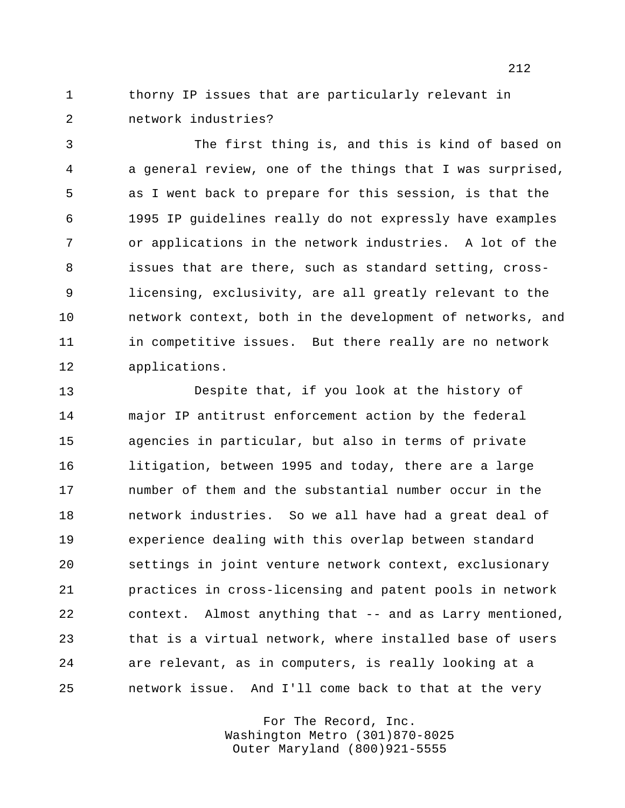1 thorny IP issues that are particularly relevant in network industries?

 The first thing is, and this is kind of based on a general review, one of the things that I was surprised, as I went back to prepare for this session, is that the 1995 IP guidelines really do not expressly have examples or applications in the network industries. A lot of the issues that are there, such as standard setting, cross- licensing, exclusivity, are all greatly relevant to the network context, both in the development of networks, and in competitive issues. But there really are no network applications.

 Despite that, if you look at the history of major IP antitrust enforcement action by the federal agencies in particular, but also in terms of private litigation, between 1995 and today, there are a large number of them and the substantial number occur in the network industries. So we all have had a great deal of experience dealing with this overlap between standard settings in joint venture network context, exclusionary practices in cross-licensing and patent pools in network context. Almost anything that -- and as Larry mentioned, that is a virtual network, where installed base of users are relevant, as in computers, is really looking at a network issue. And I'll come back to that at the very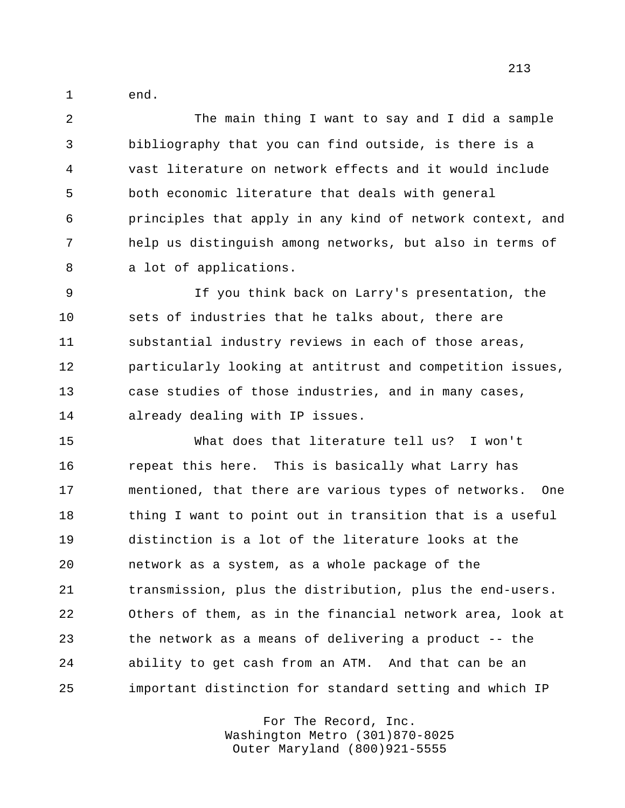end.

 The main thing I want to say and I did a sample bibliography that you can find outside, is there is a vast literature on network effects and it would include both economic literature that deals with general principles that apply in any kind of network context, and help us distinguish among networks, but also in terms of a lot of applications.

 If you think back on Larry's presentation, the sets of industries that he talks about, there are substantial industry reviews in each of those areas, particularly looking at antitrust and competition issues, case studies of those industries, and in many cases, already dealing with IP issues.

 What does that literature tell us? I won't repeat this here. This is basically what Larry has mentioned, that there are various types of networks. One thing I want to point out in transition that is a useful distinction is a lot of the literature looks at the network as a system, as a whole package of the transmission, plus the distribution, plus the end-users. Others of them, as in the financial network area, look at the network as a means of delivering a product -- the ability to get cash from an ATM. And that can be an important distinction for standard setting and which IP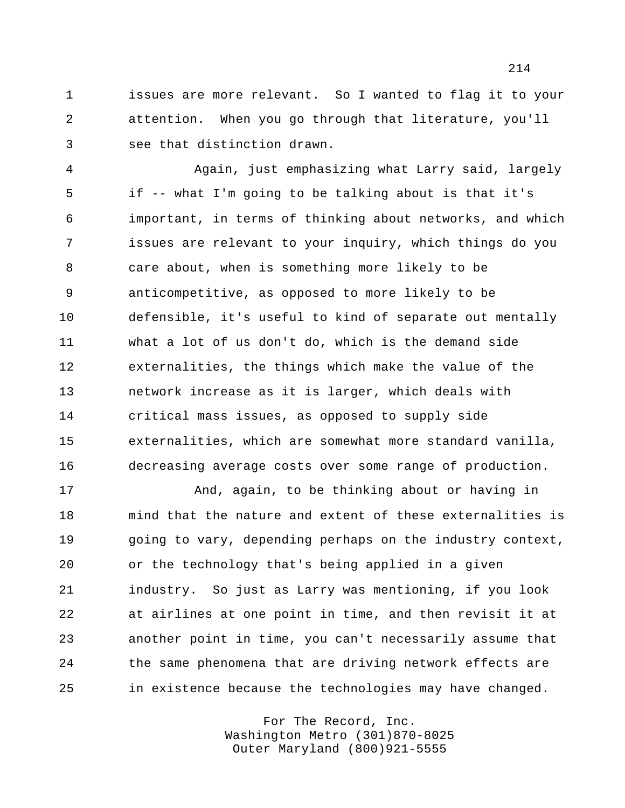issues are more relevant. So I wanted to flag it to your attention. When you go through that literature, you'll see that distinction drawn.

 Again, just emphasizing what Larry said, largely if -- what I'm going to be talking about is that it's important, in terms of thinking about networks, and which issues are relevant to your inquiry, which things do you care about, when is something more likely to be anticompetitive, as opposed to more likely to be defensible, it's useful to kind of separate out mentally what a lot of us don't do, which is the demand side externalities, the things which make the value of the network increase as it is larger, which deals with critical mass issues, as opposed to supply side externalities, which are somewhat more standard vanilla, decreasing average costs over some range of production.

 And, again, to be thinking about or having in mind that the nature and extent of these externalities is going to vary, depending perhaps on the industry context, or the technology that's being applied in a given industry. So just as Larry was mentioning, if you look at airlines at one point in time, and then revisit it at another point in time, you can't necessarily assume that the same phenomena that are driving network effects are in existence because the technologies may have changed.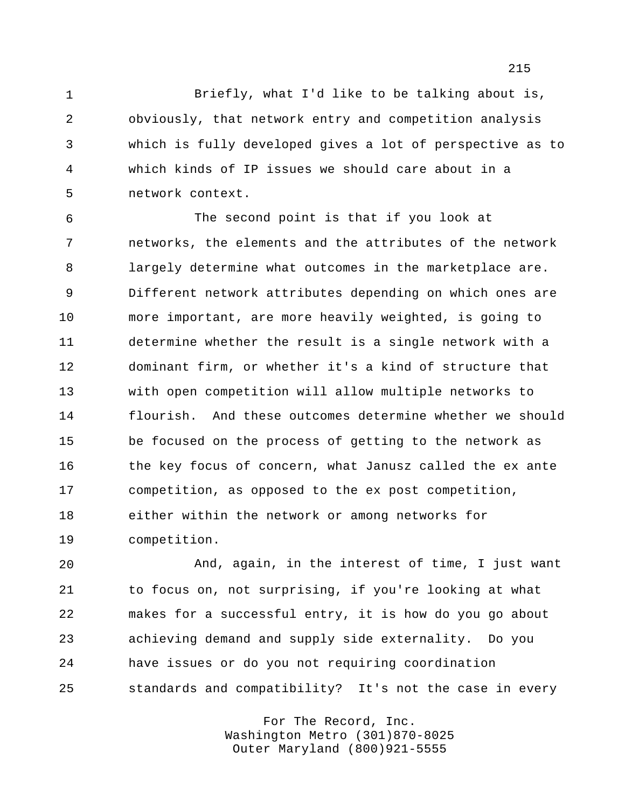Briefly, what I'd like to be talking about is, obviously, that network entry and competition analysis which is fully developed gives a lot of perspective as to which kinds of IP issues we should care about in a network context.

 The second point is that if you look at networks, the elements and the attributes of the network largely determine what outcomes in the marketplace are. Different network attributes depending on which ones are more important, are more heavily weighted, is going to determine whether the result is a single network with a dominant firm, or whether it's a kind of structure that with open competition will allow multiple networks to flourish. And these outcomes determine whether we should be focused on the process of getting to the network as the key focus of concern, what Janusz called the ex ante competition, as opposed to the ex post competition, either within the network or among networks for competition.

 And, again, in the interest of time, I just want to focus on, not surprising, if you're looking at what makes for a successful entry, it is how do you go about achieving demand and supply side externality. Do you have issues or do you not requiring coordination standards and compatibility? It's not the case in every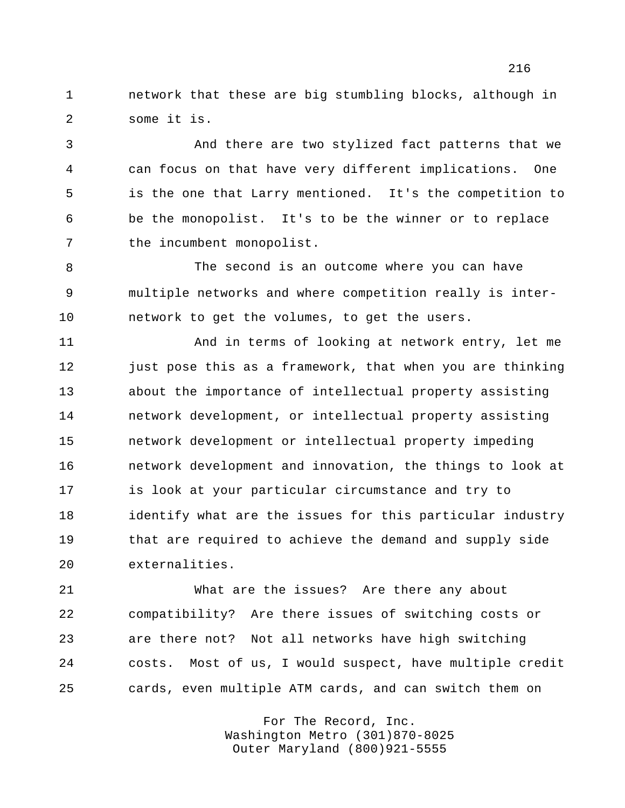network that these are big stumbling blocks, although in some it is.

 And there are two stylized fact patterns that we can focus on that have very different implications. One is the one that Larry mentioned. It's the competition to be the monopolist. It's to be the winner or to replace 7 the incumbent monopolist.

 The second is an outcome where you can have multiple networks and where competition really is inter-network to get the volumes, to get the users.

 And in terms of looking at network entry, let me 12 just pose this as a framework, that when you are thinking about the importance of intellectual property assisting network development, or intellectual property assisting network development or intellectual property impeding network development and innovation, the things to look at is look at your particular circumstance and try to identify what are the issues for this particular industry that are required to achieve the demand and supply side externalities.

 What are the issues? Are there any about compatibility? Are there issues of switching costs or are there not? Not all networks have high switching costs. Most of us, I would suspect, have multiple credit cards, even multiple ATM cards, and can switch them on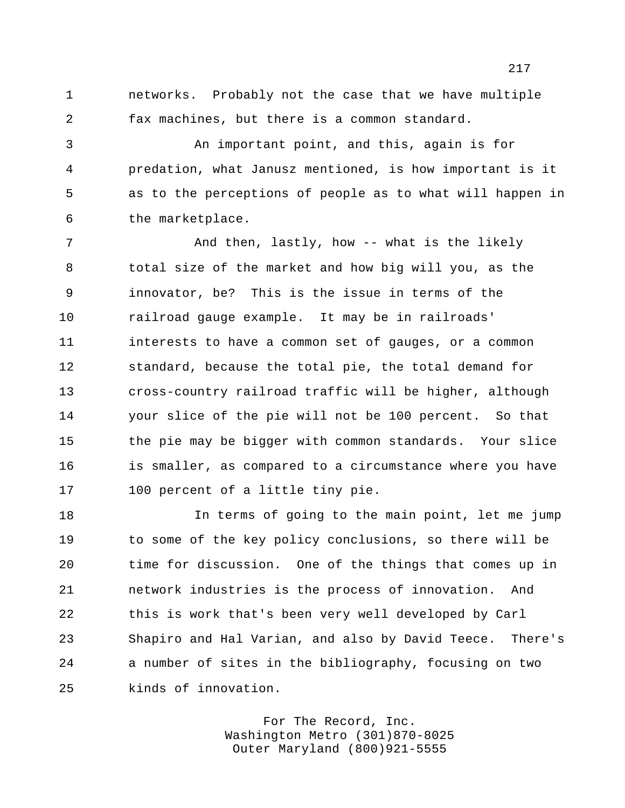networks. Probably not the case that we have multiple fax machines, but there is a common standard.

 An important point, and this, again is for predation, what Janusz mentioned, is how important is it as to the perceptions of people as to what will happen in the marketplace.

7 And then, lastly, how -- what is the likely total size of the market and how big will you, as the innovator, be? This is the issue in terms of the railroad gauge example. It may be in railroads' interests to have a common set of gauges, or a common standard, because the total pie, the total demand for cross-country railroad traffic will be higher, although your slice of the pie will not be 100 percent. So that the pie may be bigger with common standards. Your slice is smaller, as compared to a circumstance where you have 100 percent of a little tiny pie.

 In terms of going to the main point, let me jump to some of the key policy conclusions, so there will be time for discussion. One of the things that comes up in network industries is the process of innovation. And this is work that's been very well developed by Carl Shapiro and Hal Varian, and also by David Teece. There's a number of sites in the bibliography, focusing on two kinds of innovation.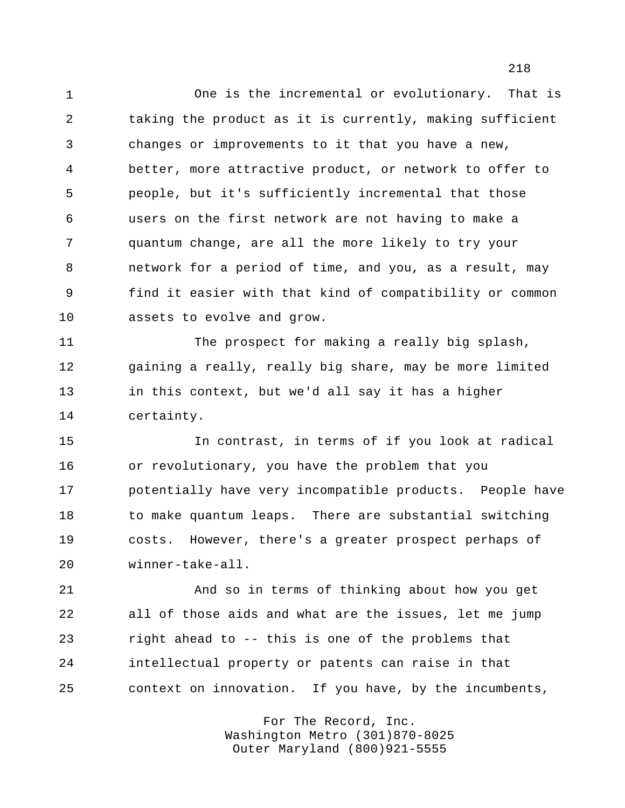One is the incremental or evolutionary. That is taking the product as it is currently, making sufficient changes or improvements to it that you have a new, better, more attractive product, or network to offer to people, but it's sufficiently incremental that those users on the first network are not having to make a quantum change, are all the more likely to try your network for a period of time, and you, as a result, may find it easier with that kind of compatibility or common assets to evolve and grow.

 The prospect for making a really big splash, gaining a really, really big share, may be more limited in this context, but we'd all say it has a higher certainty.

 In contrast, in terms of if you look at radical or revolutionary, you have the problem that you potentially have very incompatible products. People have 18 to make quantum leaps. There are substantial switching costs. However, there's a greater prospect perhaps of winner-take-all.

 And so in terms of thinking about how you get all of those aids and what are the issues, let me jump right ahead to -- this is one of the problems that intellectual property or patents can raise in that context on innovation. If you have, by the incumbents,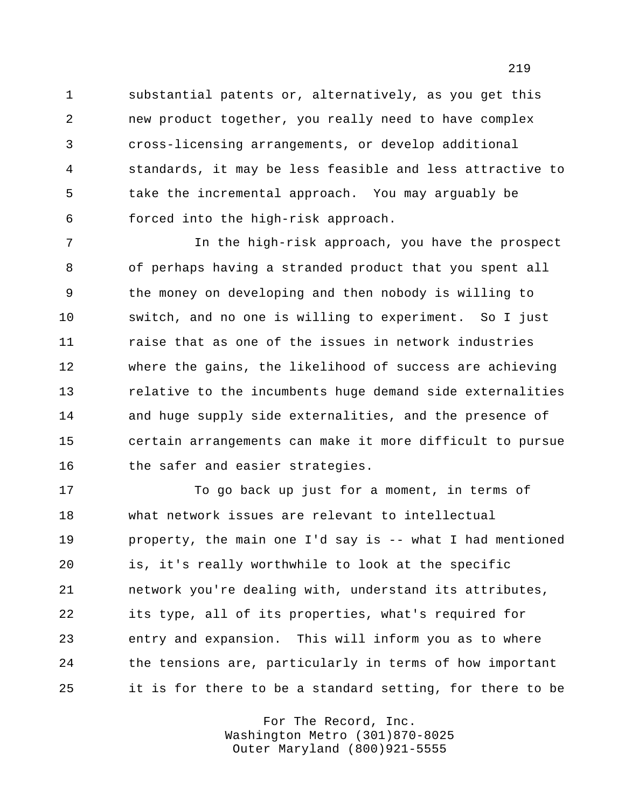substantial patents or, alternatively, as you get this new product together, you really need to have complex cross-licensing arrangements, or develop additional standards, it may be less feasible and less attractive to take the incremental approach. You may arguably be forced into the high-risk approach.

 In the high-risk approach, you have the prospect of perhaps having a stranded product that you spent all the money on developing and then nobody is willing to switch, and no one is willing to experiment. So I just raise that as one of the issues in network industries where the gains, the likelihood of success are achieving relative to the incumbents huge demand side externalities and huge supply side externalities, and the presence of certain arrangements can make it more difficult to pursue 16 the safer and easier strategies.

 To go back up just for a moment, in terms of what network issues are relevant to intellectual property, the main one I'd say is -- what I had mentioned is, it's really worthwhile to look at the specific network you're dealing with, understand its attributes, its type, all of its properties, what's required for entry and expansion. This will inform you as to where the tensions are, particularly in terms of how important it is for there to be a standard setting, for there to be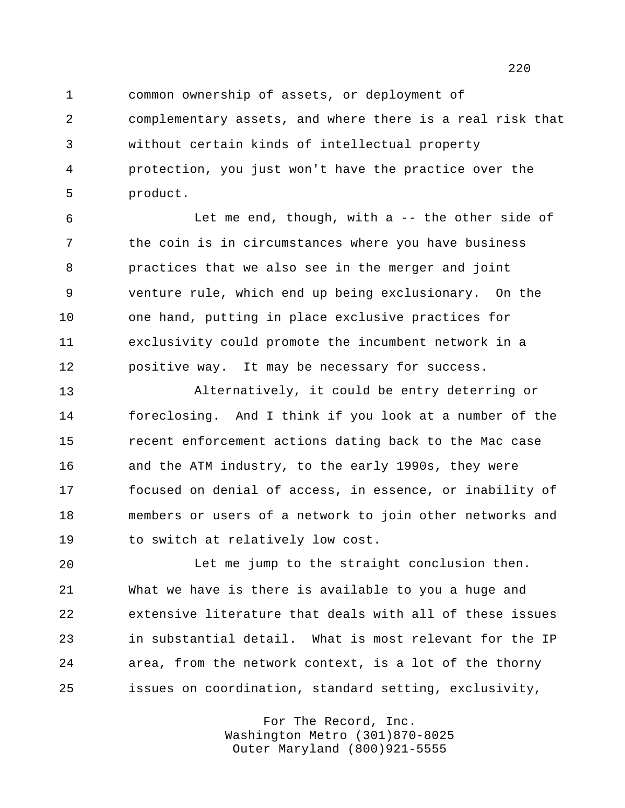common ownership of assets, or deployment of complementary assets, and where there is a real risk that without certain kinds of intellectual property protection, you just won't have the practice over the product.

 Let me end, though, with a -- the other side of the coin is in circumstances where you have business practices that we also see in the merger and joint venture rule, which end up being exclusionary. On the one hand, putting in place exclusive practices for exclusivity could promote the incumbent network in a positive way. It may be necessary for success.

 Alternatively, it could be entry deterring or foreclosing. And I think if you look at a number of the recent enforcement actions dating back to the Mac case and the ATM industry, to the early 1990s, they were focused on denial of access, in essence, or inability of members or users of a network to join other networks and to switch at relatively low cost.

 Let me jump to the straight conclusion then. What we have is there is available to you a huge and extensive literature that deals with all of these issues in substantial detail. What is most relevant for the IP area, from the network context, is a lot of the thorny issues on coordination, standard setting, exclusivity,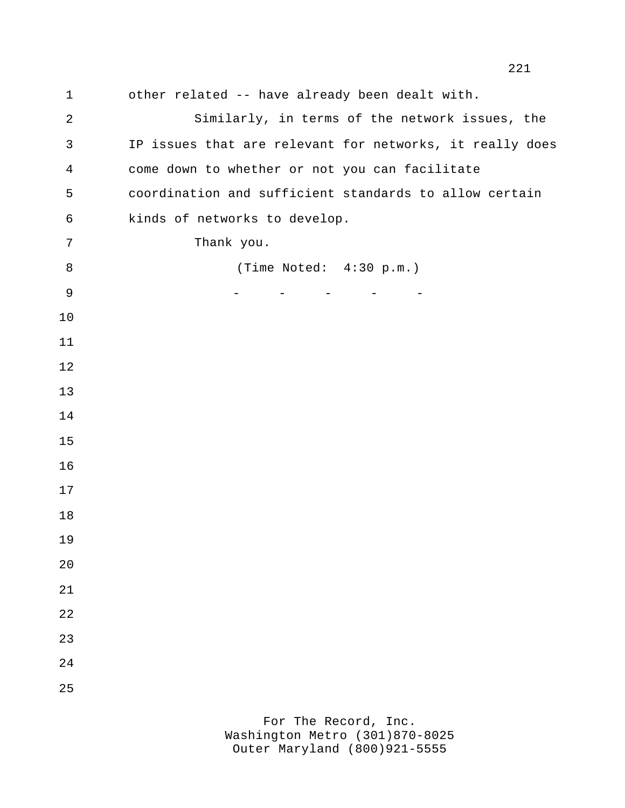other related -- have already been dealt with. Similarly, in terms of the network issues, the IP issues that are relevant for networks, it really does come down to whether or not you can facilitate coordination and sufficient standards to allow certain kinds of networks to develop. Thank you. (Time Noted: 4:30 p.m.) 9 - - - - - - -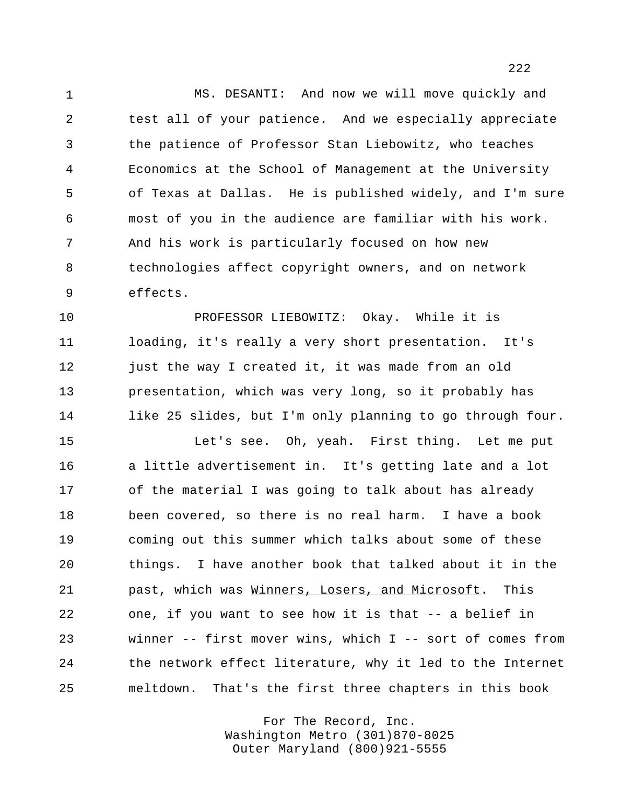MS. DESANTI: And now we will move quickly and test all of your patience. And we especially appreciate the patience of Professor Stan Liebowitz, who teaches Economics at the School of Management at the University of Texas at Dallas. He is published widely, and I'm sure most of you in the audience are familiar with his work. And his work is particularly focused on how new technologies affect copyright owners, and on network effects.

 PROFESSOR LIEBOWITZ: Okay. While it is loading, it's really a very short presentation. It's 12 just the way I created it, it was made from an old presentation, which was very long, so it probably has like 25 slides, but I'm only planning to go through four.

 Let's see. Oh, yeah. First thing. Let me put a little advertisement in. It's getting late and a lot of the material I was going to talk about has already been covered, so there is no real harm. I have a book coming out this summer which talks about some of these things. I have another book that talked about it in the past, which was Winners, Losers, and Microsoft. This one, if you want to see how it is that -- a belief in winner -- first mover wins, which I -- sort of comes from the network effect literature, why it led to the Internet meltdown. That's the first three chapters in this book

> For The Record, Inc. Washington Metro (301)870-8025 Outer Maryland (800)921-5555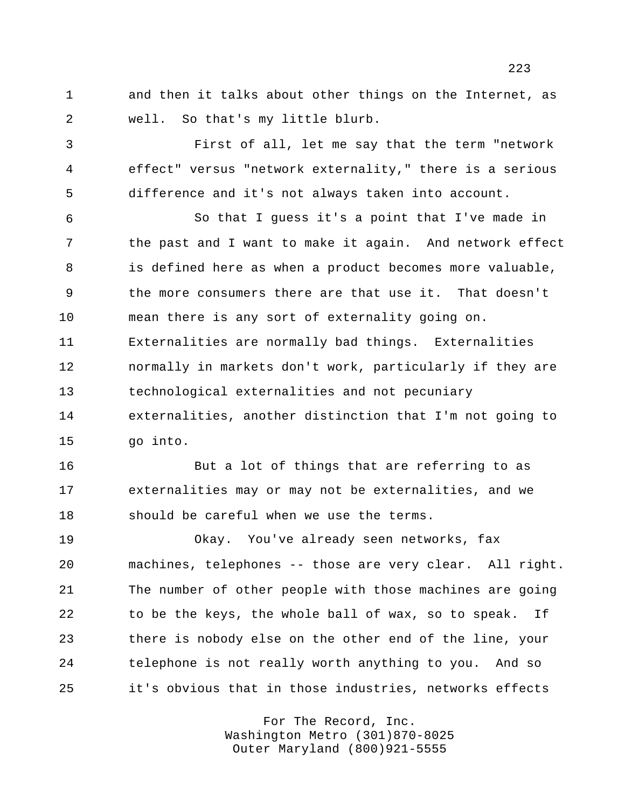and then it talks about other things on the Internet, as well. So that's my little blurb.

 First of all, let me say that the term "network effect" versus "network externality," there is a serious difference and it's not always taken into account.

 So that I guess it's a point that I've made in the past and I want to make it again. And network effect is defined here as when a product becomes more valuable, the more consumers there are that use it. That doesn't mean there is any sort of externality going on. Externalities are normally bad things. Externalities normally in markets don't work, particularly if they are technological externalities and not pecuniary externalities, another distinction that I'm not going to go into.

 But a lot of things that are referring to as externalities may or may not be externalities, and we should be careful when we use the terms.

 Okay. You've already seen networks, fax machines, telephones -- those are very clear. All right. The number of other people with those machines are going to be the keys, the whole ball of wax, so to speak. If there is nobody else on the other end of the line, your telephone is not really worth anything to you. And so it's obvious that in those industries, networks effects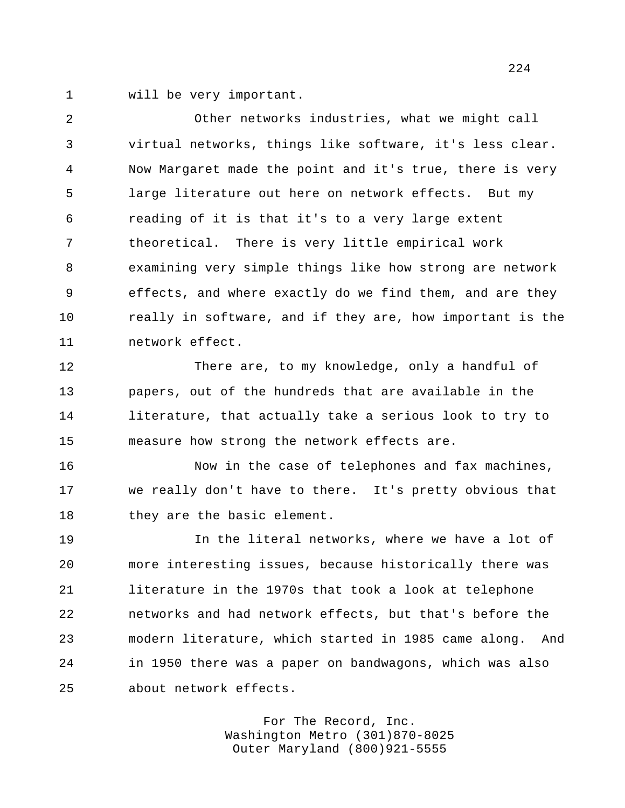will be very important.

 Other networks industries, what we might call virtual networks, things like software, it's less clear. Now Margaret made the point and it's true, there is very large literature out here on network effects. But my reading of it is that it's to a very large extent theoretical. There is very little empirical work examining very simple things like how strong are network effects, and where exactly do we find them, and are they really in software, and if they are, how important is the network effect.

 There are, to my knowledge, only a handful of papers, out of the hundreds that are available in the literature, that actually take a serious look to try to measure how strong the network effects are.

 Now in the case of telephones and fax machines, we really don't have to there. It's pretty obvious that 18 they are the basic element.

 In the literal networks, where we have a lot of more interesting issues, because historically there was literature in the 1970s that took a look at telephone networks and had network effects, but that's before the modern literature, which started in 1985 came along. And in 1950 there was a paper on bandwagons, which was also about network effects.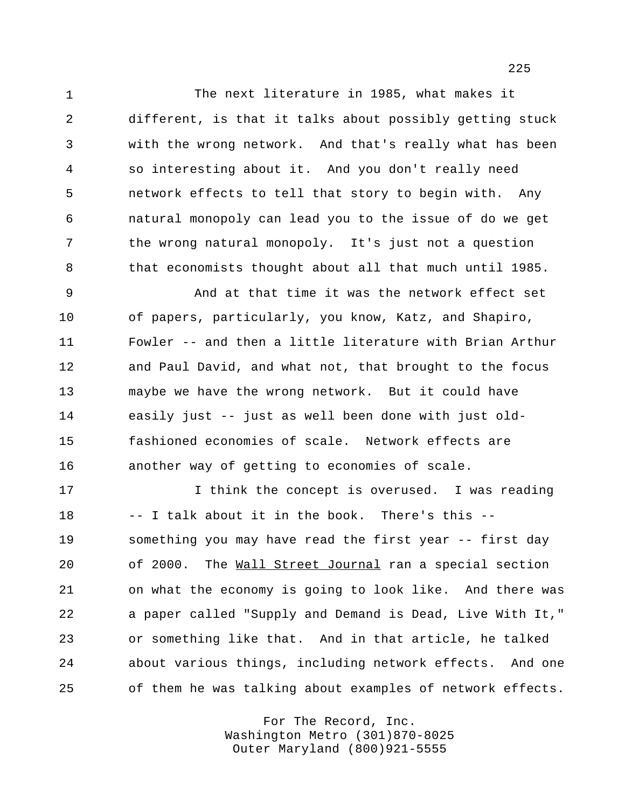The next literature in 1985, what makes it different, is that it talks about possibly getting stuck with the wrong network. And that's really what has been so interesting about it. And you don't really need network effects to tell that story to begin with. Any natural monopoly can lead you to the issue of do we get 7 the wrong natural monopoly. It's just not a question that economists thought about all that much until 1985.

 And at that time it was the network effect set of papers, particularly, you know, Katz, and Shapiro, Fowler -- and then a little literature with Brian Arthur and Paul David, and what not, that brought to the focus maybe we have the wrong network. But it could have easily just -- just as well been done with just old- fashioned economies of scale. Network effects are another way of getting to economies of scale.

17 17 I think the concept is overused. I was reading -- I talk about it in the book. There's this -- something you may have read the first year -- first day of 2000. The Wall Street Journal ran a special section on what the economy is going to look like. And there was a paper called "Supply and Demand is Dead, Live With It," or something like that. And in that article, he talked about various things, including network effects. And one of them he was talking about examples of network effects.

> For The Record, Inc. Washington Metro (301)870-8025 Outer Maryland (800)921-5555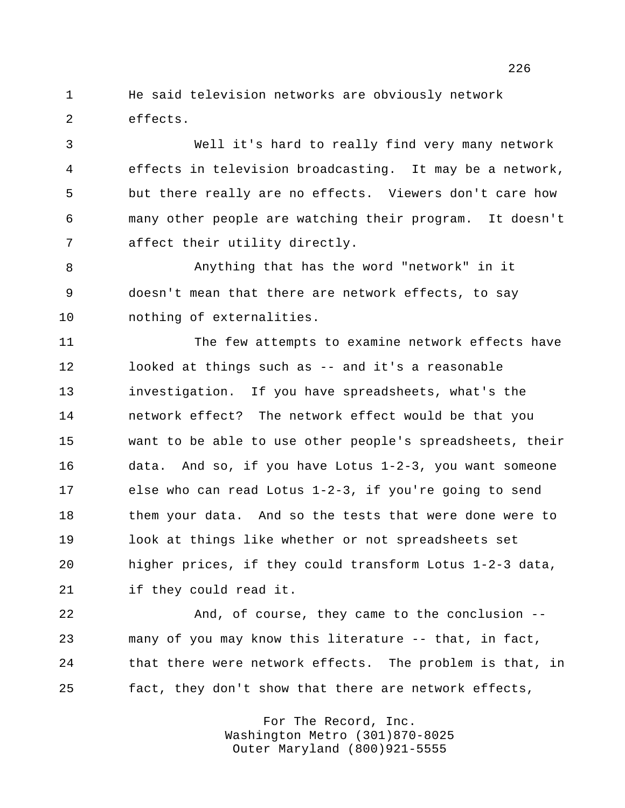He said television networks are obviously network effects.

 Well it's hard to really find very many network effects in television broadcasting. It may be a network, but there really are no effects. Viewers don't care how many other people are watching their program. It doesn't affect their utility directly.

 Anything that has the word "network" in it doesn't mean that there are network effects, to say nothing of externalities.

 The few attempts to examine network effects have looked at things such as -- and it's a reasonable investigation. If you have spreadsheets, what's the network effect? The network effect would be that you want to be able to use other people's spreadsheets, their data. And so, if you have Lotus 1-2-3, you want someone else who can read Lotus 1-2-3, if you're going to send them your data. And so the tests that were done were to look at things like whether or not spreadsheets set higher prices, if they could transform Lotus 1-2-3 data, if they could read it.

 And, of course, they came to the conclusion -- many of you may know this literature -- that, in fact, 24 that there were network effects. The problem is that, in fact, they don't show that there are network effects,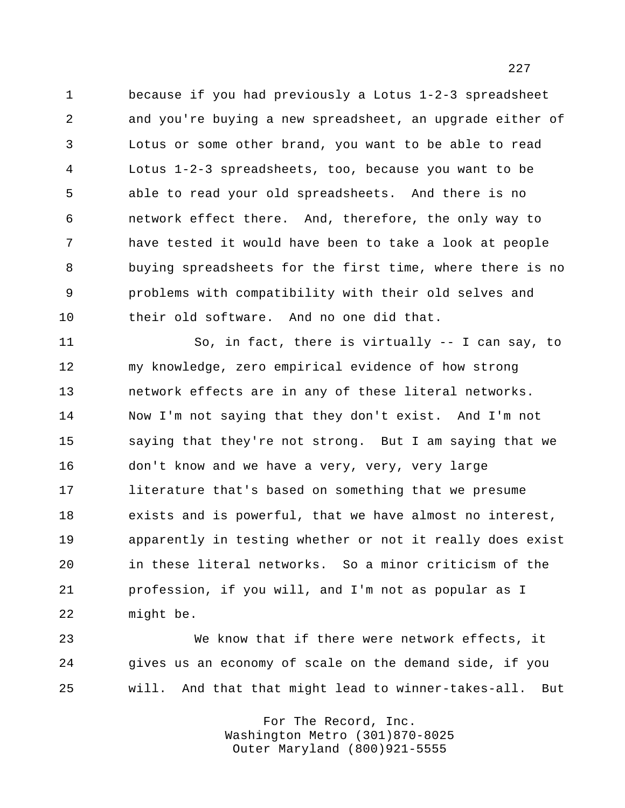because if you had previously a Lotus 1-2-3 spreadsheet and you're buying a new spreadsheet, an upgrade either of Lotus or some other brand, you want to be able to read Lotus 1-2-3 spreadsheets, too, because you want to be able to read your old spreadsheets. And there is no network effect there. And, therefore, the only way to have tested it would have been to take a look at people buying spreadsheets for the first time, where there is no problems with compatibility with their old selves and their old software. And no one did that.

 So, in fact, there is virtually -- I can say, to my knowledge, zero empirical evidence of how strong network effects are in any of these literal networks. Now I'm not saying that they don't exist. And I'm not saying that they're not strong. But I am saying that we don't know and we have a very, very, very large literature that's based on something that we presume exists and is powerful, that we have almost no interest, apparently in testing whether or not it really does exist in these literal networks. So a minor criticism of the profession, if you will, and I'm not as popular as I might be.

 We know that if there were network effects, it gives us an economy of scale on the demand side, if you will. And that that might lead to winner-takes-all. But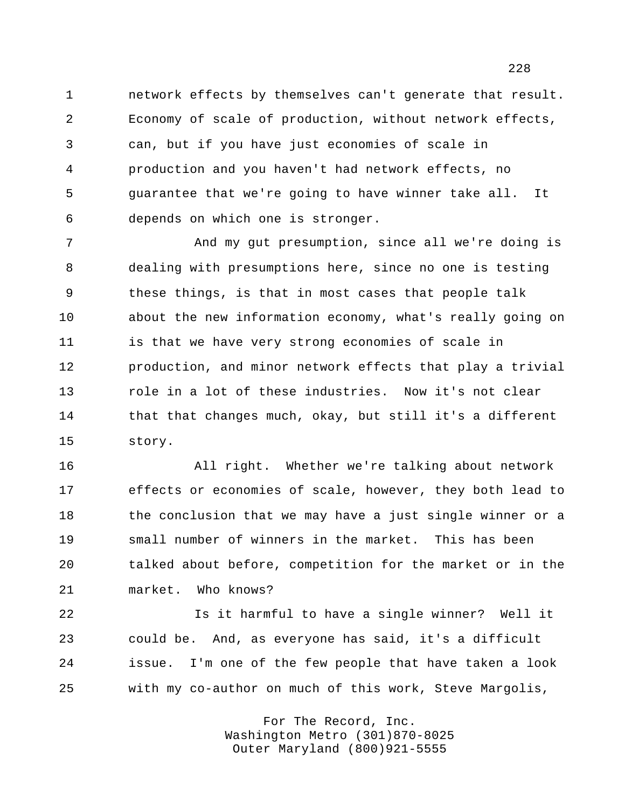network effects by themselves can't generate that result. Economy of scale of production, without network effects, can, but if you have just economies of scale in production and you haven't had network effects, no guarantee that we're going to have winner take all. It depends on which one is stronger.

7 And my gut presumption, since all we're doing is dealing with presumptions here, since no one is testing these things, is that in most cases that people talk about the new information economy, what's really going on is that we have very strong economies of scale in production, and minor network effects that play a trivial role in a lot of these industries. Now it's not clear that that changes much, okay, but still it's a different story.

 All right. Whether we're talking about network effects or economies of scale, however, they both lead to the conclusion that we may have a just single winner or a small number of winners in the market. This has been talked about before, competition for the market or in the market. Who knows?

 Is it harmful to have a single winner? Well it could be. And, as everyone has said, it's a difficult issue. I'm one of the few people that have taken a look with my co-author on much of this work, Steve Margolis,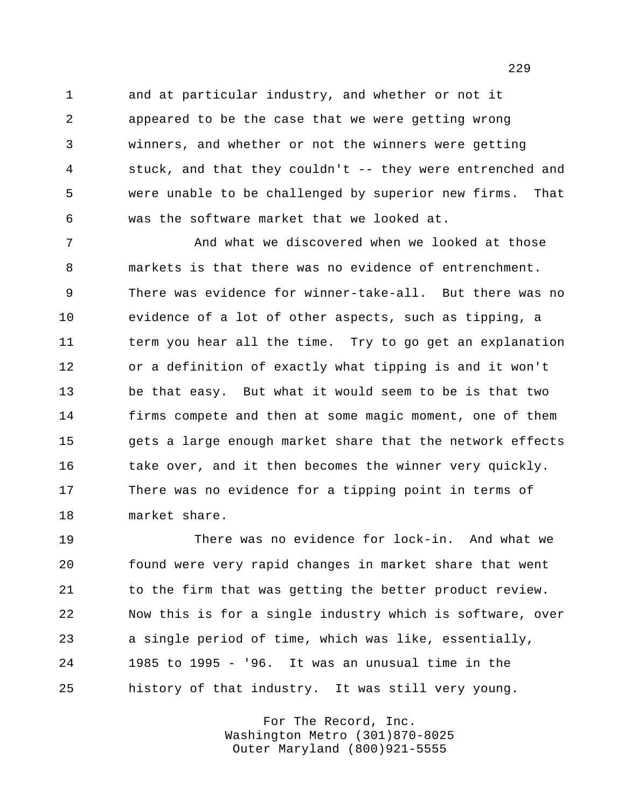and at particular industry, and whether or not it appeared to be the case that we were getting wrong winners, and whether or not the winners were getting stuck, and that they couldn't -- they were entrenched and were unable to be challenged by superior new firms. That was the software market that we looked at.

 And what we discovered when we looked at those markets is that there was no evidence of entrenchment. There was evidence for winner-take-all. But there was no evidence of a lot of other aspects, such as tipping, a 11 term you hear all the time. Try to go get an explanation or a definition of exactly what tipping is and it won't be that easy. But what it would seem to be is that two firms compete and then at some magic moment, one of them gets a large enough market share that the network effects 16 take over, and it then becomes the winner very quickly. There was no evidence for a tipping point in terms of market share.

 There was no evidence for lock-in. And what we found were very rapid changes in market share that went to the firm that was getting the better product review. Now this is for a single industry which is software, over a single period of time, which was like, essentially, 1985 to 1995 - '96. It was an unusual time in the history of that industry. It was still very young.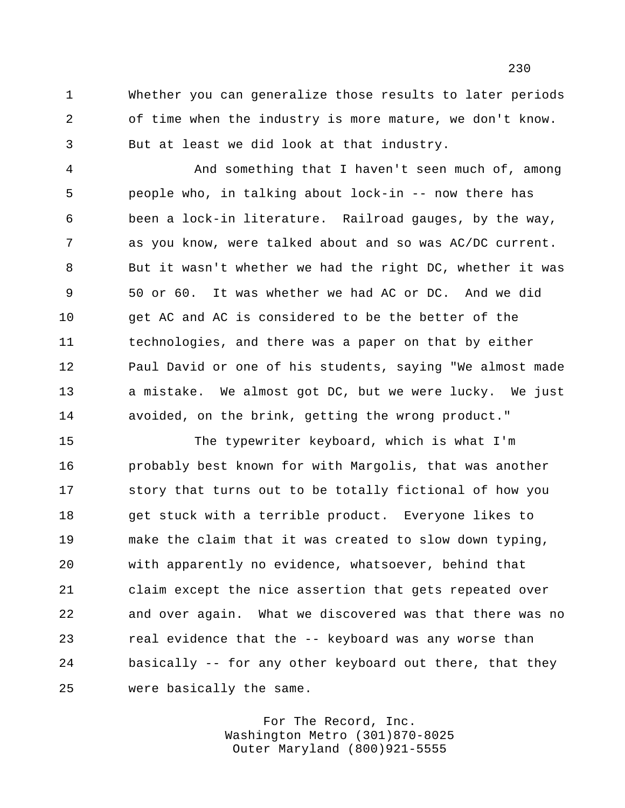Whether you can generalize those results to later periods of time when the industry is more mature, we don't know. But at least we did look at that industry.

 And something that I haven't seen much of, among people who, in talking about lock-in -- now there has been a lock-in literature. Railroad gauges, by the way, as you know, were talked about and so was AC/DC current. But it wasn't whether we had the right DC, whether it was 50 or 60. It was whether we had AC or DC. And we did get AC and AC is considered to be the better of the technologies, and there was a paper on that by either Paul David or one of his students, saying "We almost made a mistake. We almost got DC, but we were lucky. We just avoided, on the brink, getting the wrong product."

 The typewriter keyboard, which is what I'm probably best known for with Margolis, that was another story that turns out to be totally fictional of how you get stuck with a terrible product. Everyone likes to make the claim that it was created to slow down typing, with apparently no evidence, whatsoever, behind that claim except the nice assertion that gets repeated over and over again. What we discovered was that there was no real evidence that the -- keyboard was any worse than basically -- for any other keyboard out there, that they were basically the same.

> For The Record, Inc. Washington Metro (301)870-8025 Outer Maryland (800)921-5555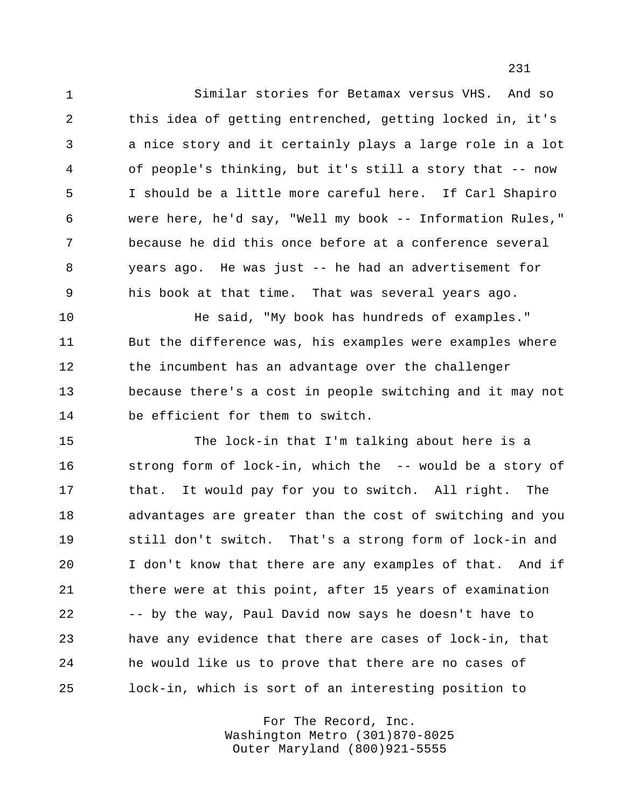Similar stories for Betamax versus VHS. And so this idea of getting entrenched, getting locked in, it's a nice story and it certainly plays a large role in a lot of people's thinking, but it's still a story that -- now I should be a little more careful here. If Carl Shapiro were here, he'd say, "Well my book -- Information Rules," because he did this once before at a conference several years ago. He was just -- he had an advertisement for his book at that time. That was several years ago.

 He said, "My book has hundreds of examples." But the difference was, his examples were examples where the incumbent has an advantage over the challenger because there's a cost in people switching and it may not be efficient for them to switch.

 The lock-in that I'm talking about here is a strong form of lock-in, which the -- would be a story of 17 that. It would pay for you to switch. All right. The advantages are greater than the cost of switching and you still don't switch. That's a strong form of lock-in and I don't know that there are any examples of that. And if there were at this point, after 15 years of examination -- by the way, Paul David now says he doesn't have to have any evidence that there are cases of lock-in, that he would like us to prove that there are no cases of lock-in, which is sort of an interesting position to

> For The Record, Inc. Washington Metro (301)870-8025 Outer Maryland (800)921-5555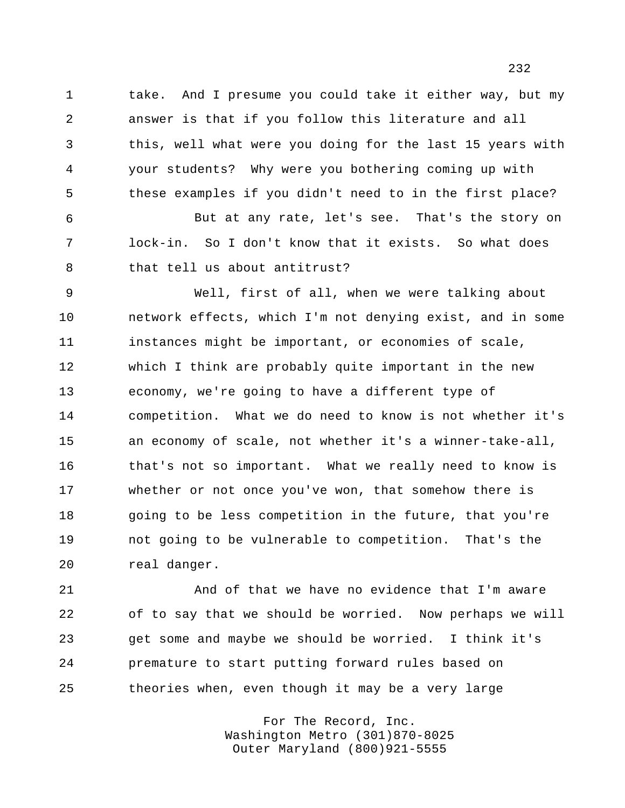1 take. And I presume you could take it either way, but my answer is that if you follow this literature and all this, well what were you doing for the last 15 years with your students? Why were you bothering coming up with these examples if you didn't need to in the first place?

 But at any rate, let's see. That's the story on lock-in. So I don't know that it exists. So what does that tell us about antitrust?

 Well, first of all, when we were talking about network effects, which I'm not denying exist, and in some instances might be important, or economies of scale, which I think are probably quite important in the new economy, we're going to have a different type of competition. What we do need to know is not whether it's an economy of scale, not whether it's a winner-take-all, that's not so important. What we really need to know is whether or not once you've won, that somehow there is going to be less competition in the future, that you're not going to be vulnerable to competition. That's the real danger.

 And of that we have no evidence that I'm aware of to say that we should be worried. Now perhaps we will get some and maybe we should be worried. I think it's premature to start putting forward rules based on theories when, even though it may be a very large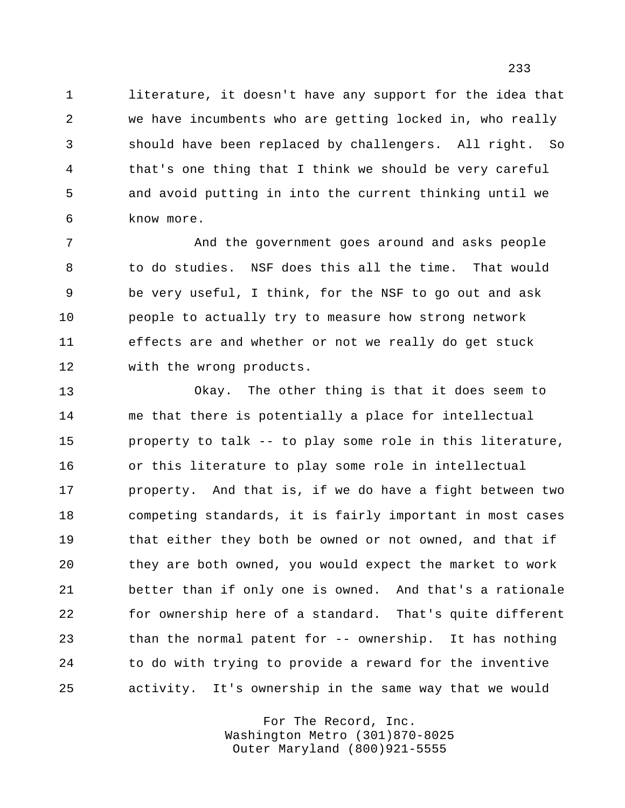literature, it doesn't have any support for the idea that we have incumbents who are getting locked in, who really should have been replaced by challengers. All right. So that's one thing that I think we should be very careful and avoid putting in into the current thinking until we know more.

 And the government goes around and asks people to do studies. NSF does this all the time. That would be very useful, I think, for the NSF to go out and ask people to actually try to measure how strong network effects are and whether or not we really do get stuck with the wrong products.

 Okay. The other thing is that it does seem to me that there is potentially a place for intellectual property to talk -- to play some role in this literature, or this literature to play some role in intellectual property. And that is, if we do have a fight between two competing standards, it is fairly important in most cases 19 that either they both be owned or not owned, and that if they are both owned, you would expect the market to work better than if only one is owned. And that's a rationale for ownership here of a standard. That's quite different than the normal patent for -- ownership. It has nothing to do with trying to provide a reward for the inventive activity. It's ownership in the same way that we would

> For The Record, Inc. Washington Metro (301)870-8025 Outer Maryland (800)921-5555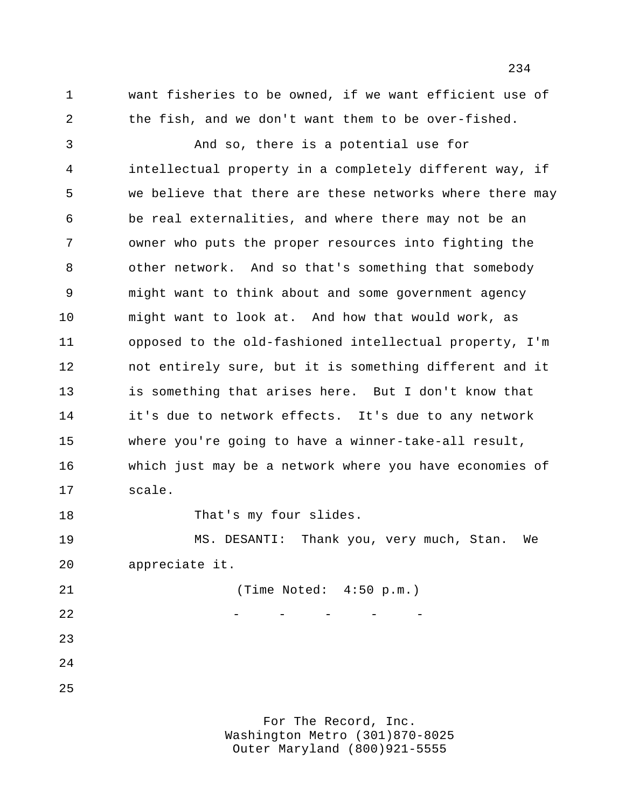want fisheries to be owned, if we want efficient use of the fish, and we don't want them to be over-fished.

 And so, there is a potential use for intellectual property in a completely different way, if we believe that there are these networks where there may be real externalities, and where there may not be an owner who puts the proper resources into fighting the other network. And so that's something that somebody might want to think about and some government agency might want to look at. And how that would work, as opposed to the old-fashioned intellectual property, I'm not entirely sure, but it is something different and it is something that arises here. But I don't know that it's due to network effects. It's due to any network where you're going to have a winner-take-all result, which just may be a network where you have economies of scale.

18 That's my four slides.

 MS. DESANTI: Thank you, very much, Stan. We appreciate it.

 (Time Noted: 4:50 p.m.) - - - - - -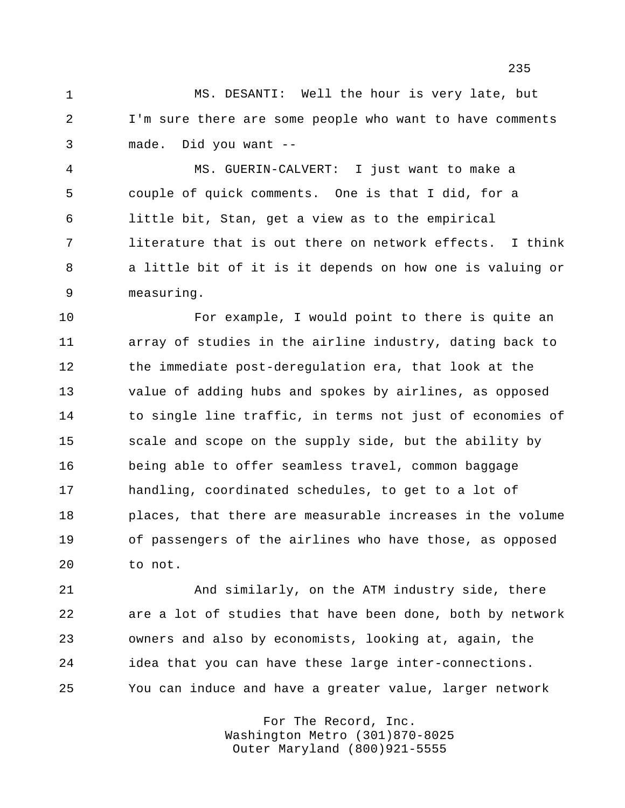MS. DESANTI: Well the hour is very late, but I'm sure there are some people who want to have comments made. Did you want --

 MS. GUERIN-CALVERT: I just want to make a couple of quick comments. One is that I did, for a little bit, Stan, get a view as to the empirical literature that is out there on network effects. I think a little bit of it is it depends on how one is valuing or measuring.

 For example, I would point to there is quite an array of studies in the airline industry, dating back to the immediate post-deregulation era, that look at the value of adding hubs and spokes by airlines, as opposed to single line traffic, in terms not just of economies of scale and scope on the supply side, but the ability by being able to offer seamless travel, common baggage handling, coordinated schedules, to get to a lot of places, that there are measurable increases in the volume of passengers of the airlines who have those, as opposed to not.

 And similarly, on the ATM industry side, there are a lot of studies that have been done, both by network owners and also by economists, looking at, again, the idea that you can have these large inter-connections. You can induce and have a greater value, larger network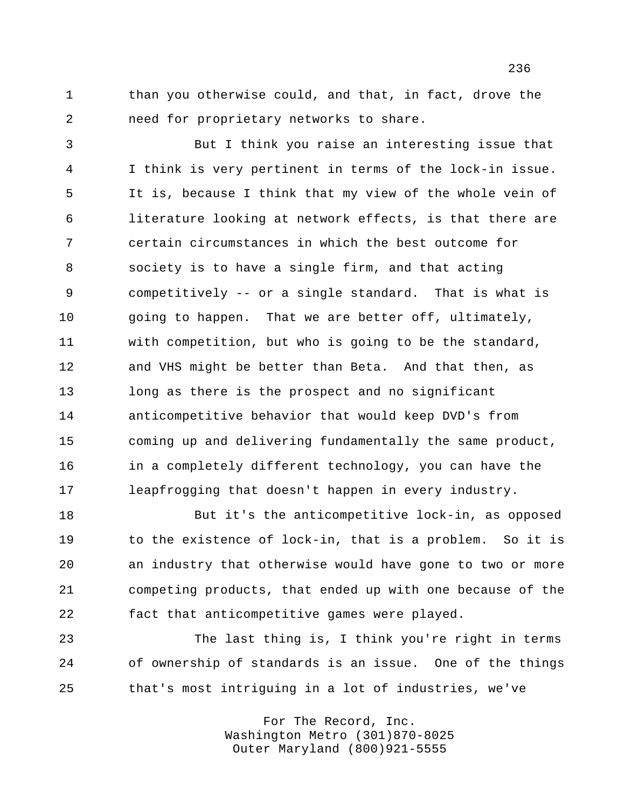than you otherwise could, and that, in fact, drove the need for proprietary networks to share.

 But I think you raise an interesting issue that I think is very pertinent in terms of the lock-in issue. It is, because I think that my view of the whole vein of literature looking at network effects, is that there are certain circumstances in which the best outcome for society is to have a single firm, and that acting competitively -- or a single standard. That is what is 10 going to happen. That we are better off, ultimately, with competition, but who is going to be the standard, and VHS might be better than Beta. And that then, as long as there is the prospect and no significant anticompetitive behavior that would keep DVD's from coming up and delivering fundamentally the same product, in a completely different technology, you can have the leapfrogging that doesn't happen in every industry.

 But it's the anticompetitive lock-in, as opposed to the existence of lock-in, that is a problem. So it is an industry that otherwise would have gone to two or more competing products, that ended up with one because of the fact that anticompetitive games were played.

 The last thing is, I think you're right in terms of ownership of standards is an issue. One of the things that's most intriguing in a lot of industries, we've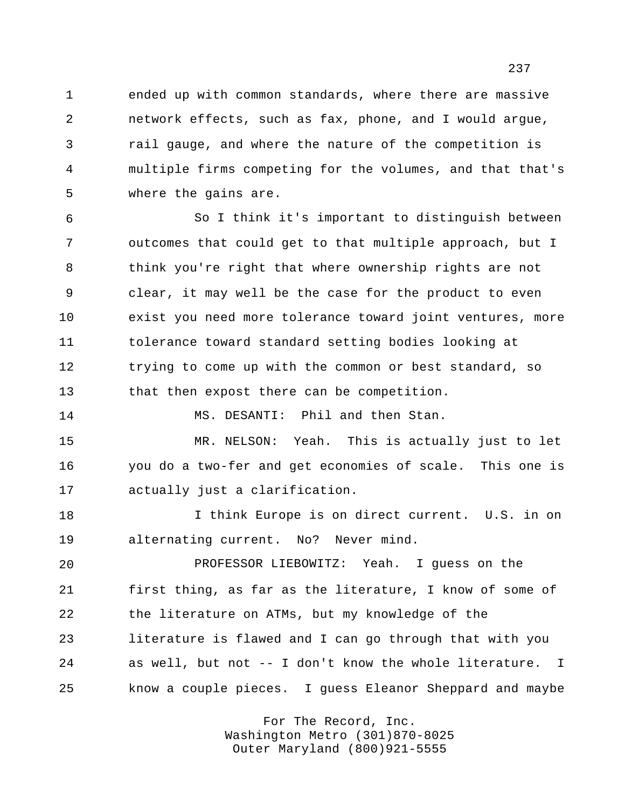ended up with common standards, where there are massive network effects, such as fax, phone, and I would argue, rail gauge, and where the nature of the competition is multiple firms competing for the volumes, and that that's where the gains are.

 So I think it's important to distinguish between outcomes that could get to that multiple approach, but I think you're right that where ownership rights are not clear, it may well be the case for the product to even exist you need more tolerance toward joint ventures, more tolerance toward standard setting bodies looking at trying to come up with the common or best standard, so that then expost there can be competition.

MS. DESANTI: Phil and then Stan.

 MR. NELSON: Yeah. This is actually just to let you do a two-fer and get economies of scale. This one is actually just a clarification.

 I think Europe is on direct current. U.S. in on alternating current. No? Never mind.

 PROFESSOR LIEBOWITZ: Yeah. I guess on the first thing, as far as the literature, I know of some of the literature on ATMs, but my knowledge of the literature is flawed and I can go through that with you as well, but not -- I don't know the whole literature. I know a couple pieces. I guess Eleanor Sheppard and maybe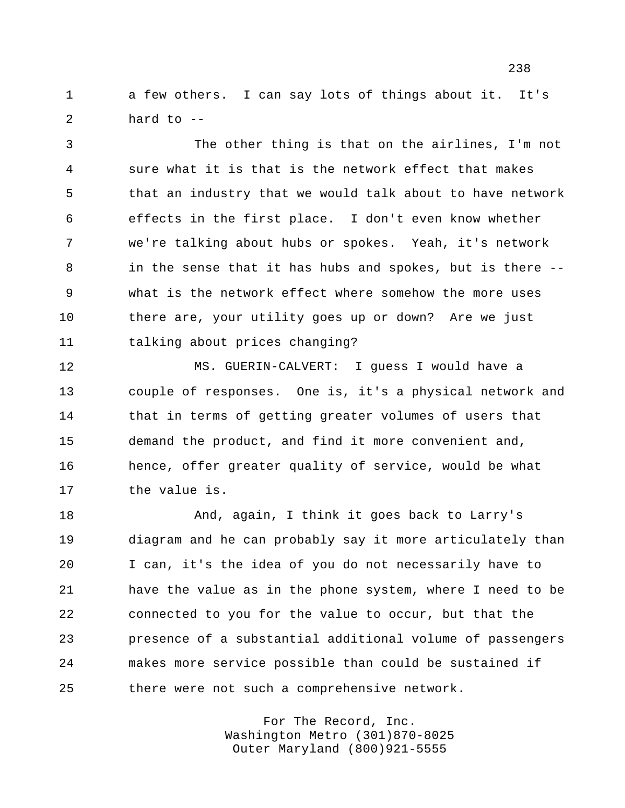a few others. I can say lots of things about it. It's hard to --

 The other thing is that on the airlines, I'm not sure what it is that is the network effect that makes that an industry that we would talk about to have network effects in the first place. I don't even know whether we're talking about hubs or spokes. Yeah, it's network in the sense that it has hubs and spokes, but is there -- what is the network effect where somehow the more uses there are, your utility goes up or down? Are we just talking about prices changing?

 MS. GUERIN-CALVERT: I guess I would have a couple of responses. One is, it's a physical network and that in terms of getting greater volumes of users that demand the product, and find it more convenient and, hence, offer greater quality of service, would be what the value is.

 And, again, I think it goes back to Larry's diagram and he can probably say it more articulately than I can, it's the idea of you do not necessarily have to have the value as in the phone system, where I need to be connected to you for the value to occur, but that the presence of a substantial additional volume of passengers makes more service possible than could be sustained if there were not such a comprehensive network.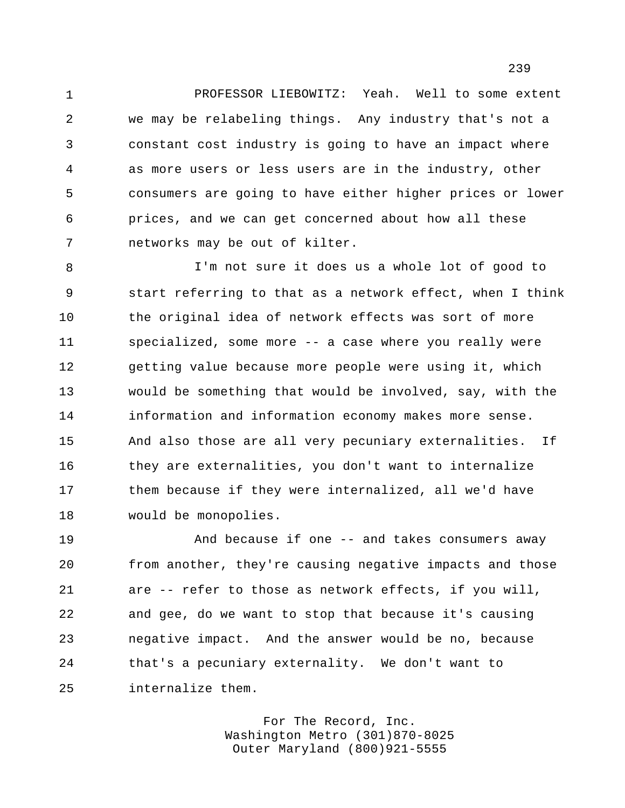PROFESSOR LIEBOWITZ: Yeah. Well to some extent we may be relabeling things. Any industry that's not a constant cost industry is going to have an impact where as more users or less users are in the industry, other consumers are going to have either higher prices or lower prices, and we can get concerned about how all these networks may be out of kilter.

 I'm not sure it does us a whole lot of good to start referring to that as a network effect, when I think 10 the original idea of network effects was sort of more specialized, some more -- a case where you really were getting value because more people were using it, which would be something that would be involved, say, with the information and information economy makes more sense. And also those are all very pecuniary externalities. If they are externalities, you don't want to internalize 17 them because if they were internalized, all we'd have would be monopolies.

 And because if one -- and takes consumers away from another, they're causing negative impacts and those are -- refer to those as network effects, if you will, and gee, do we want to stop that because it's causing negative impact. And the answer would be no, because that's a pecuniary externality. We don't want to internalize them.

> For The Record, Inc. Washington Metro (301)870-8025 Outer Maryland (800)921-5555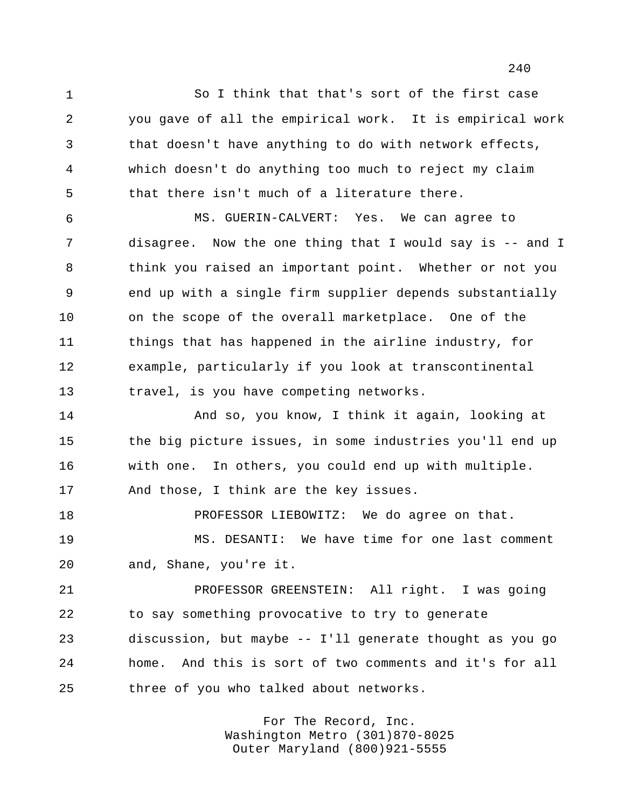So I think that that's sort of the first case you gave of all the empirical work. It is empirical work that doesn't have anything to do with network effects, which doesn't do anything too much to reject my claim that there isn't much of a literature there.

 MS. GUERIN-CALVERT: Yes. We can agree to disagree. Now the one thing that I would say is -- and I think you raised an important point. Whether or not you end up with a single firm supplier depends substantially on the scope of the overall marketplace. One of the things that has happened in the airline industry, for example, particularly if you look at transcontinental travel, is you have competing networks.

 And so, you know, I think it again, looking at the big picture issues, in some industries you'll end up with one. In others, you could end up with multiple. And those, I think are the key issues.

 PROFESSOR LIEBOWITZ: We do agree on that. MS. DESANTI: We have time for one last comment and, Shane, you're it.

 PROFESSOR GREENSTEIN: All right. I was going to say something provocative to try to generate discussion, but maybe -- I'll generate thought as you go home. And this is sort of two comments and it's for all three of you who talked about networks.

> For The Record, Inc. Washington Metro (301)870-8025 Outer Maryland (800)921-5555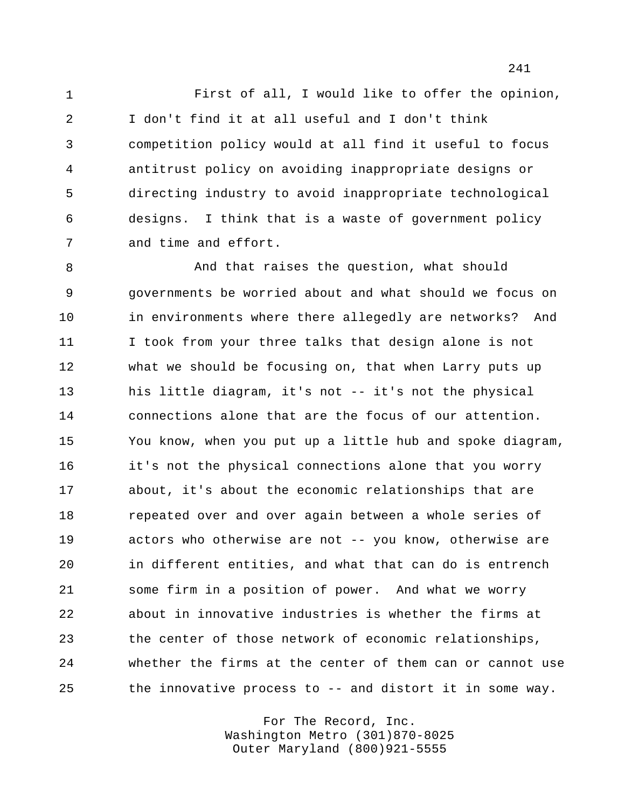First of all, I would like to offer the opinion, I don't find it at all useful and I don't think competition policy would at all find it useful to focus antitrust policy on avoiding inappropriate designs or directing industry to avoid inappropriate technological designs. I think that is a waste of government policy and time and effort.

8 And that raises the question, what should governments be worried about and what should we focus on 10 in environments where there allegedly are networks? And I took from your three talks that design alone is not what we should be focusing on, that when Larry puts up his little diagram, it's not -- it's not the physical connections alone that are the focus of our attention. You know, when you put up a little hub and spoke diagram, it's not the physical connections alone that you worry about, it's about the economic relationships that are repeated over and over again between a whole series of actors who otherwise are not -- you know, otherwise are in different entities, and what that can do is entrench some firm in a position of power. And what we worry about in innovative industries is whether the firms at the center of those network of economic relationships, whether the firms at the center of them can or cannot use the innovative process to -- and distort it in some way.

> For The Record, Inc. Washington Metro (301)870-8025 Outer Maryland (800)921-5555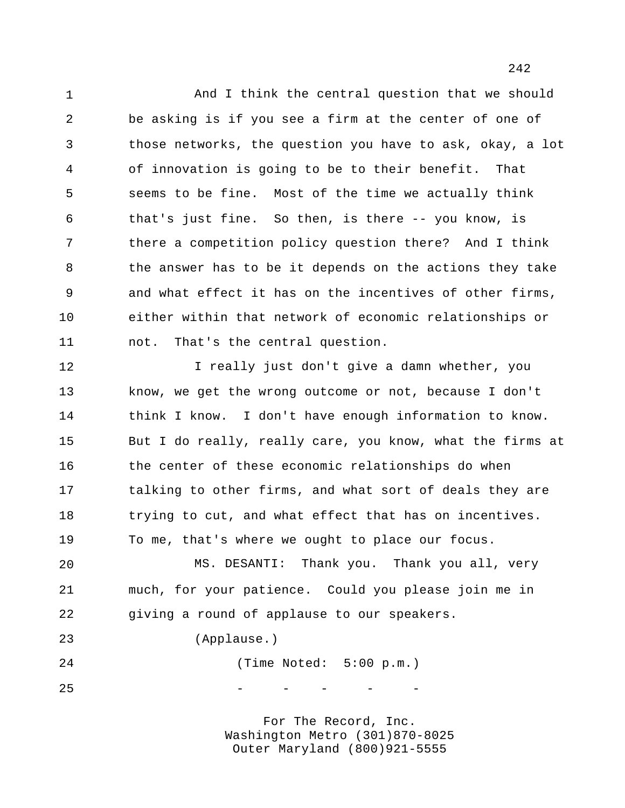And I think the central question that we should be asking is if you see a firm at the center of one of those networks, the question you have to ask, okay, a lot of innovation is going to be to their benefit. That seems to be fine. Most of the time we actually think that's just fine. So then, is there -- you know, is there a competition policy question there? And I think 8 the answer has to be it depends on the actions they take and what effect it has on the incentives of other firms, either within that network of economic relationships or not. That's the central question.

 I really just don't give a damn whether, you know, we get the wrong outcome or not, because I don't 14 think I know. I don't have enough information to know. But I do really, really care, you know, what the firms at 16 the center of these economic relationships do when 17 talking to other firms, and what sort of deals they are trying to cut, and what effect that has on incentives. To me, that's where we ought to place our focus.

 MS. DESANTI: Thank you. Thank you all, very much, for your patience. Could you please join me in giving a round of applause to our speakers.

(Applause.)

 (Time Noted: 5:00 p.m.) - - - - - -